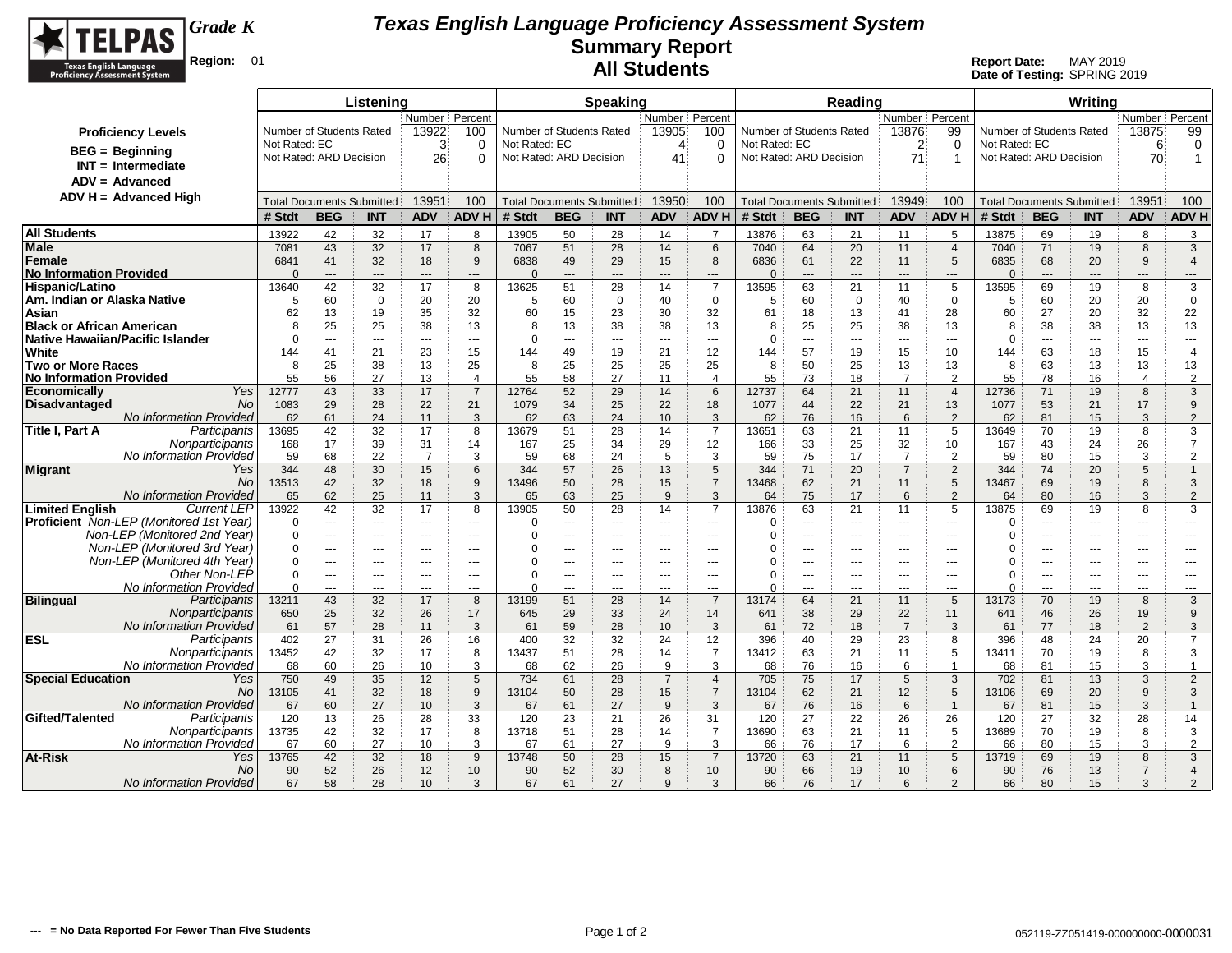

|                                                              |                                       | Listening                        |                |                       |                      |                                  | <b>Speaking</b> |                |                          |                          |                 | Reading                          |                 |                     |                         |                                  | Writina      |                |                     |
|--------------------------------------------------------------|---------------------------------------|----------------------------------|----------------|-----------------------|----------------------|----------------------------------|-----------------|----------------|--------------------------|--------------------------|-----------------|----------------------------------|-----------------|---------------------|-------------------------|----------------------------------|--------------|----------------|---------------------|
|                                                              |                                       |                                  |                | Number Percent        |                      |                                  |                 | Number Percent |                          |                          |                 |                                  | Number Percent  |                     |                         |                                  |              | Number Percent |                     |
| <b>Proficiency Levels</b>                                    |                                       | Number of Students Rated         | 13922          | 100                   |                      | Number of Students Rated         |                 | 13905          | 100                      | Number of Students Rated |                 |                                  | 13876           | 99                  |                         | Number of Students Rated         |              | 13875          | 99                  |
| $BEG = Beginning$                                            | Not Rated: EC                         |                                  | 3              | $\Omega$              | Not Rated: EC        |                                  |                 | 4              | $\Omega$                 | Not Rated: EC            |                 |                                  | 2               | $\Omega$            | Not Rated: EC           |                                  |              | 6              | 0                   |
| $INT = Intermediate$                                         |                                       | Not Rated: ARD Decision          | 26             | ∩                     |                      | Not Rated: ARD Decision          |                 | 41             | O                        | Not Rated: ARD Decision  |                 |                                  | 71              | -1                  | Not Rated: ARD Decision |                                  |              | 70             | 1                   |
| ADV = Advanced                                               |                                       |                                  |                |                       |                      |                                  |                 |                |                          |                          |                 |                                  |                 |                     |                         |                                  |              |                |                     |
| $ADV H = Advanced High$                                      |                                       |                                  |                |                       |                      |                                  |                 |                |                          |                          |                 |                                  |                 |                     |                         |                                  |              |                |                     |
|                                                              |                                       | <b>Total Documents Submitted</b> | 13951          | 100                   |                      | <b>Total Documents Submitted</b> |                 | 13950          | 100                      |                          |                 | <b>Total Documents Submitted</b> | 13949           | 100                 |                         | <b>Total Documents Submitted</b> |              | 13951          | 100                 |
| # Stdt                                                       | <b>BEG</b>                            | <b>INT</b>                       | <b>ADV</b>     | <b>ADVH</b>           | # Stdt               | <b>BEG</b>                       | <b>INT</b>      | <b>ADV</b>     | <b>ADV H</b>             | # Stdt                   | <b>BEG</b>      | <b>INT</b>                       | <b>ADV</b>      | ADV <sub>F</sub>    | # Stdt                  | <b>BEG</b>                       | <b>INT</b>   | <b>ADV</b>     | <b>ADV H</b>        |
| <b>All Students</b>                                          | 13922                                 | 42<br>32                         | 17             | 8                     | 13905                | 50                               | 28              | 14             | $\overline{7}$           | 13876                    | 63              | 21                               | 11              | 5                   | 13875                   | 69                               | 19           | 8              | 3                   |
| Male                                                         | 43<br>7081                            | 32                               | 17             | 8                     | 7067                 | 51                               | 28              | 14             | 6                        | 7040                     | 64              | 20                               | 11              | $\overline{4}$      | 7040                    | 71                               | 19           | 8              | 3                   |
| Female                                                       | 6841<br>41                            | 32                               | 18             | 9                     | 6838                 | 49                               | 29              | 15             | 8                        | 6836                     | 61              | 22                               | 11              | 5                   | 6835                    | 68                               | 20           | 9              | $\overline{4}$      |
| <b>No Information Provided</b>                               | $\Omega$<br>$---$                     | $-$                              | $\overline{a}$ | $---$                 | $\Omega$             | $---$                            | $\overline{a}$  | $-$ --         | $\overline{\phantom{a}}$ | $\Omega$                 | $\overline{a}$  | $---$                            | $---$           | $---$               | $\Omega$                | $\overline{a}$                   | $---$        | ---            | $---$               |
| Hispanic/Latino                                              | 42<br>13640                           | 32                               | 17             | 8                     | 13625                | 51                               | 28              | 14             | $\overline{7}$           | 13595                    | 63              | 21                               | 11              | 5                   | 13595                   | 69                               | 19           | 8              | 3                   |
| Am. Indian or Alaska Native                                  | 5<br>60                               | $\mathbf 0$                      | 20             | 20                    | 5                    | 60                               | $\mathbf 0$     | 40             | $\mathbf 0$              | 5                        | 60              | $\Omega$                         | 40              | $\mathbf 0$         | 5                       | 60                               | 20           | 20             | $\mathbf 0$         |
| Asian                                                        | 13<br>62                              | 19                               | 35             | 32                    | 60                   | 15                               | 23              | 30             | 32                       | 61                       | 18              | 13                               | 41              | 28                  | 60                      | 27                               | 20           | 32             | 22                  |
| Black or African American                                    | 25<br>8<br>$\Omega$<br>$\overline{a}$ | 25<br>$-$                        | 38             | 13<br>$--$            | 8<br>$\Omega$        | 13<br>$\overline{a}$             | 38              | 38             | 13<br>$\sim$ $\sim$      | 8<br>$\Omega$            | 25<br>$- - -$   | 25<br>$\sim$ $\sim$ $\sim$       | 38              | 13<br>$-$           | 8<br>0                  | 38<br>$---$                      | 38           | 13             | 13<br>$---$         |
| Native Hawaiian/Pacific Islander<br>White                    | 41                                    |                                  | $- - -$<br>23  | 15                    | 144                  | 49                               | $---$           | $--$<br>21     |                          |                          | 57              | 19                               | $- - -$         | 10                  | 144                     | 63                               | ---<br>18    | ---<br>15      | 4                   |
| <b>Two or More Races</b>                                     | 144<br>8<br>25                        | 21<br>38                         | 13             | 25                    | 8                    | 25                               | 19<br>25        | 25             | 12<br>25                 | 144<br>8                 | 50              | 25                               | 15<br>13        | 13                  | 8                       | 63                               | 13           | 13             | 13                  |
| <b>No Information Provided</b>                               | 55<br>56                              | 27                               | 13             | $\boldsymbol{\Delta}$ | 55                   | 58                               | 27              | 11             | $\overline{4}$           | 55                       | 73              | 18                               | $\overline{7}$  | $\overline{2}$      | 55                      | 78                               | 16           | $\overline{4}$ | $\overline{2}$      |
| <b>Economically</b><br>Yes                                   | 12777<br>43                           | 33                               | 17             | $\overline{7}$        | 12764                | 52                               | 29              | 14             | 6                        | 12737                    | 64              | 21                               | 11              | $\overline{4}$      | 12736                   | 71                               | 19           | 8              | 3                   |
| <b>No</b><br>Disadvantaged                                   | 29<br>1083                            | 28                               | 22             | 21                    | 1079                 | 34                               | 25              | 22             | 18                       | 1077                     | 44              | 22                               | 21              | 13                  | 1077                    | 53                               | 21           | 17             | 9                   |
| <b>No Information Provided</b>                               | 61<br>62                              | 24                               | 11             | 3                     | 62                   | 63                               | 24              | 10             | 3                        | 62                       | 76              | 16                               | 6               | $\overline{2}$      | 62                      | 81                               | 15           | 3              | $\overline{2}$      |
| Participants<br>Title I, Part A                              | 13695<br>42                           | 32                               | 17             | 8                     | 13679                | 51                               | 28              | 14             | $\overline{7}$           | 13651                    | 63              | 21                               | 11              | 5                   | 13649                   | 70                               | 19           | 8              | 3                   |
| Nonparticipants                                              | 17<br>168                             | 39                               | 31             | 14                    | 167                  | 25                               | 34              | 29             | 12                       | 166                      | 33              | 25                               | 32              | 10                  | 167                     | 43                               | 24           | 26             | $\overline{7}$      |
| No Information Provided                                      | 68<br>59                              | 22                               | $\overline{7}$ | 3                     | 59                   | 68                               | 24              | 5              | 3                        | 59                       | 75              | 17                               | $\overline{7}$  | 2                   | 59                      | 80                               | 15           | 3              | $\overline{2}$      |
| <b>Migrant</b><br>Yes                                        | 344<br>48                             | 30                               | 15             | 6                     | 344                  | 57                               | 26              | 13             | 5                        | 344                      | 71              | 20                               | $\overline{7}$  | $\overline{2}$      | 344                     | 74                               | 20           | 5              | $\mathbf{1}$        |
| <b>No</b>                                                    | 13513<br>42                           | 32                               | 18             | 9                     | 13496                | 50                               | 28              | 15             | $\overline{7}$           | 13468                    | 62              | 21                               | 11              | 5                   | 13467                   | 69                               | 19           | 8              | 3                   |
| No Information Provided                                      | 65                                    | 62<br>25                         | 11             | 3                     | 65                   | 63                               | 25              | 9              | 3                        | 64                       | 75              | 17                               | 6               | $\overline{2}$      | 64                      | 80                               | 16           | 3              | $\overline{2}$      |
| <b>Limited English</b><br><b>Current LEP</b>                 | 13922                                 | 42<br>32                         | 17             | 8                     | 13905                | 50                               | 28              | 14             | $\overline{7}$           | 13876                    | 63              | 21                               | 11              | 5                   | 13875                   | 69                               | 19           | 8              | 3                   |
| Proficient Non-LEP (Monitored 1st Year)                      | 0<br>$\overline{a}$                   | $\overline{a}$                   | $\sim$         | $--$                  | $\Omega$             | ---                              | $- - -$         | $- - -$        | $---$                    | O                        | ---             | $- - -$                          | ---             | $- - -$             | 0                       | ---                              | ---          | ---            | $\overline{a}$      |
| Non-LEP (Monitored 2nd Year)<br>Non-LEP (Monitored 3rd Year) | $\Omega$<br>$\overline{a}$            | ---                              | $- - -$        | $--$                  | $\Omega$<br>$\Omega$ | ÷÷                               | $-1$            | $\overline{a}$ | $---$                    |                          | ---             | ---                              | $- - -$         | $\overline{a}$      | $\Omega$                | ÷÷                               | ---          | ---            | $---$               |
| Non-LEP (Monitored 4th Year)                                 | $\Omega$<br>---<br>$\mathbf 0$        |                                  |                |                       | 0                    |                                  | ---             |                | ---                      | n<br>O                   | ---             |                                  |                 |                     | $\Omega$<br>0           |                                  | ---          |                | $\overline{a}$      |
| Other Non-LEP                                                | $\cdots$<br>$\mathbf 0$<br>---        | $--$<br>---                      | $---$<br>$---$ | $---$<br>$---$        | $\Omega$             | ---<br>---                       | $--$<br>---     | $---$<br>---   | $\cdots$<br>$---$        | $\Omega$                 | $\cdots$<br>--- | ---<br>---                       | $--$<br>---     | $--$<br>$---$       | $\Omega$                | ---<br>---                       | $---$<br>--- | $---$<br>---   | $\cdots$<br>---     |
| No Information Provided                                      | $\Omega$<br>$---$                     | $- - -$                          | $- - -$        | $---$                 | $\Omega$             | ---                              | $---$           | $--$           | $---$                    | $\Omega$                 | ---             | $---$                            | $- - -$         | $-$                 | $\Omega$                | ---                              | $---$        | ---            | ---                 |
| <b>Bilingual</b><br>Participants                             | 13211                                 | 43<br>32                         | 17             | 8                     | 13199                | 51                               | 28              | 14             | $\overline{7}$           | 13174                    | 64              | 21                               | 11              | 5                   | 13173                   | 70                               | 19           | 8              | 3                   |
| Nonparticipants                                              | 25<br>650                             | 32                               | 26             | 17                    | 645                  | 29                               | 33              | 24             | 14                       | 641                      | 38              | 29                               | 22              | 11                  | 641                     | 46                               | 26           | 19             | 9                   |
| No Information Provided                                      | 57<br>61                              | 28                               | 11             | 3                     | 61                   | 59                               | 28              | 10             | 3                        | 61                       | 72              | 18                               | $\overline{7}$  | 3                   | 61                      | 77                               | 18           | $\overline{2}$ | 3                   |
| ESL<br>Participants                                          | 402<br>27                             | 31                               | 26             | 16                    | 400                  | 32                               | 32              | 24             | 12                       | 396                      | 40              | 29                               | 23              | 8                   | 396                     | 48                               | 24           | 20             | $\overline{7}$      |
| Nonparticipants                                              | 13452<br>42                           | 32                               | 17             | 8                     | 13437                | 51                               | 28              | 14             | $\overline{7}$           | 13412                    | 63              | 21                               | 11              | 5                   | 13411                   | 70                               | 19           | 8              | 3                   |
| No Information Provided                                      | 68<br>60                              | 26                               | 10             | 3                     | 68                   | 62                               | 26              | 9              | 3                        | 68                       | 76              | 16                               | 6               | $\overline{1}$      | 68                      | 81                               | 15           | 3              | $\overline{1}$      |
| <b>Special Education</b><br>Yes                              | 750<br>49                             | 35                               | 12             | 5                     | 734                  | 61                               | 28              | $\overline{7}$ | $\overline{4}$           | 705                      | 75              | 17                               | $5\phantom{.0}$ | 3                   | 702                     | 81                               | 13           | 3              | $\overline{2}$      |
| No.                                                          | 13105<br>41                           | 32                               | 18             | 9                     | 13104                | 50                               | 28              | 15             | $\overline{7}$           | 13104                    | 62              | 21                               | 12              | 5                   | 13106                   | 69                               | 20           | 9              | 3                   |
| No Information Provided                                      | 67<br>60                              | 27                               | 10             | 3                     | 67                   | 61                               | 27              | 9              | 3                        | 67                       | 76              | 16                               | 6               | $\overline{1}$      | 67                      | 81                               | 15           | 3              | $\mathbf{1}$        |
| Gifted/Talented<br>Participants                              | 120<br>13                             | 26                               | 28             | 33                    | 120                  | 23                               | 21              | 26             | 31                       | 120                      | 27              | 22                               | 26              | 26                  | 120                     | 27                               | 32           | 28             | 14                  |
| Nonparticipants                                              | 13735<br>42                           | 32                               | 17             | 8                     | 13718                | 51                               | 28              | 14             | $\overline{7}$           | 13690                    | 63              | 21                               | 11              | 5                   | 13689                   | 70                               | 19           | 8              | 3                   |
| No Information Provided                                      | 60<br>67<br>13765<br>42               | 27<br>32                         | 10<br>18       | 3                     | 67                   | 61                               | 27              | 9<br>15        | 3<br>$\overline{7}$      | 66<br>13720              | 76<br>63        | 17                               | 6               | $\overline{2}$<br>5 | 66<br>13719             | 80<br>69                         | 15<br>19     | 3<br>8         | $\overline{2}$<br>3 |
| At-Risk<br>Yes<br>No.                                        |                                       |                                  |                | 9                     | 13748                | 50                               | 28              |                |                          |                          |                 | 21                               | 11              |                     |                         |                                  |              |                |                     |
|                                                              | 90                                    | 26<br>52                         | 12             | 10                    | 90                   | 52                               | 30              | 8              | 10                       | 90                       | 66              | 19                               | 10              | 6                   | 90                      | 76                               | 13           | $\overline{7}$ | $\overline{4}$      |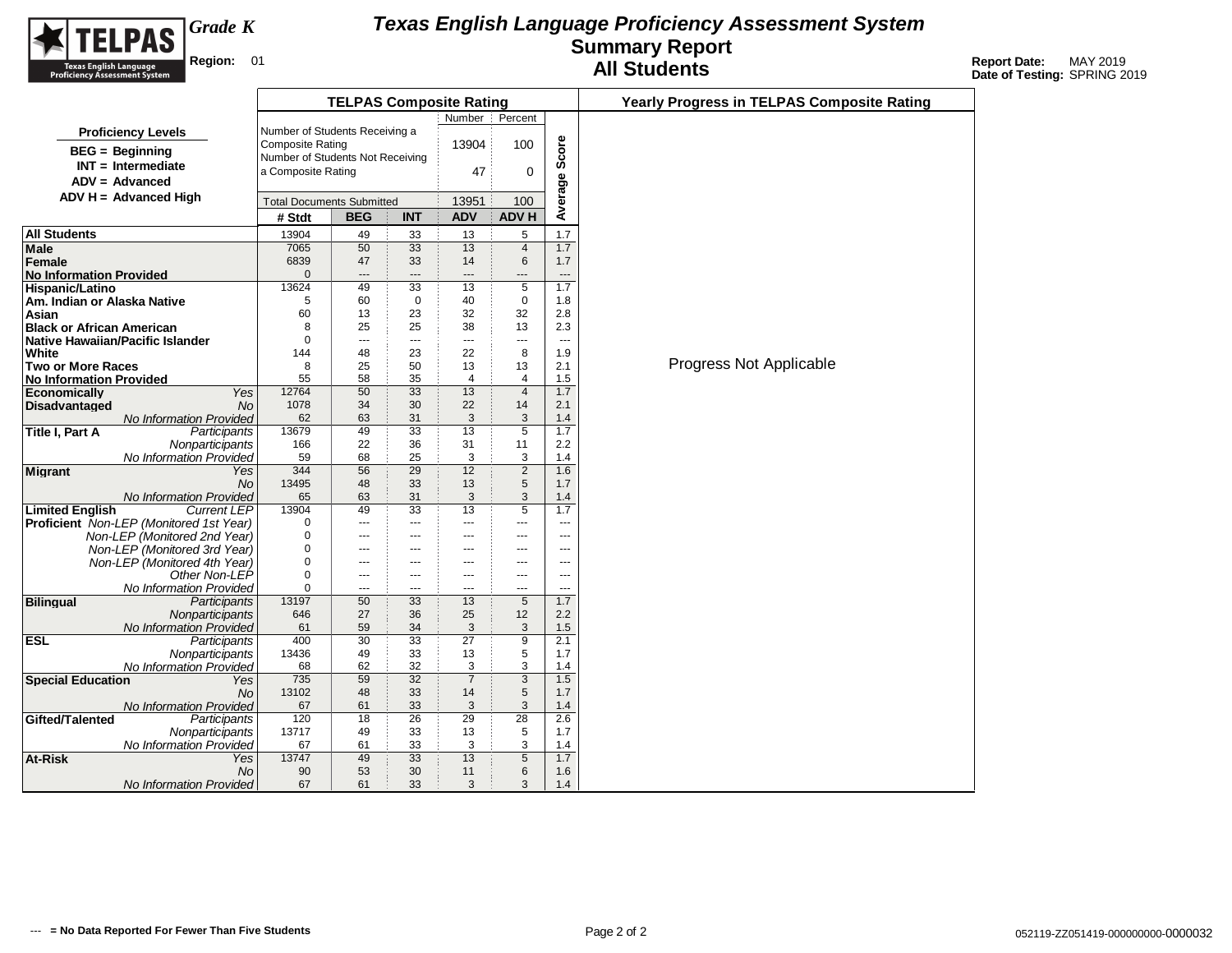

|                                                |                                            | <b>TELPAS Composite Rating</b> |                        |                     |                     |                | <b>Yearly Progress in TELPAS Composite Rating</b> |
|------------------------------------------------|--------------------------------------------|--------------------------------|------------------------|---------------------|---------------------|----------------|---------------------------------------------------|
|                                                |                                            |                                |                        | Number              | Percent             |                |                                                   |
| <b>Proficiency Levels</b>                      | Number of Students Receiving a             |                                |                        |                     |                     |                |                                                   |
| <b>BEG</b> = Beginning                         | <b>Composite Rating</b>                    |                                |                        | 13904               | 100                 | Score          |                                                   |
| $INT = Intermediate$                           | Number of Students Not Receiving           |                                |                        |                     |                     |                |                                                   |
| $ADV = Advanced$                               | a Composite Rating                         |                                |                        | 47                  | 0                   |                |                                                   |
| $ADV H = Advanced High$                        |                                            |                                |                        |                     |                     |                |                                                   |
|                                                | <b>Total Documents Submitted</b><br># Stdt | <b>BEG</b>                     | <b>INT</b>             | 13951<br><b>ADV</b> | 100<br><b>ADV H</b> | Average        |                                                   |
| All Students                                   |                                            |                                |                        |                     |                     | 1.7            |                                                   |
| Male                                           | 13904<br>7065                              | 49<br>50                       | 33<br>33               | 13<br>13            | 5<br>$\overline{4}$ | 1.7            |                                                   |
| Female                                         | 6839                                       | 47                             | 33                     | 14                  | 6                   | 1.7            |                                                   |
| <b>No Information Provided</b>                 | $\mathbf 0$                                | $---$                          | ---                    | $---$               | ---                 | ---            |                                                   |
| Hispanic/Latino                                | 13624                                      | 49                             | $\overline{33}$        | 13                  | 5                   | 1.7            |                                                   |
| Am. Indian or Alaska Native                    | 5                                          | 60                             | $\mathbf 0$            | 40                  | $\mathbf 0$         | 1.8            |                                                   |
| Asian                                          | 60                                         | 13                             | 23                     | 32                  | 32                  | 2.8            |                                                   |
| <b>Black or African American</b>               | 8                                          | 25                             | 25                     | 38                  | 13                  | 2.3            |                                                   |
| Native Hawaiian/Pacific Islander               | $\Omega$                                   | $\overline{a}$                 | ---                    | $\overline{a}$      | ---                 | ---            |                                                   |
| White                                          | 144                                        | 48                             | 23                     | 22                  | 8                   | 1.9            |                                                   |
| <b>Two or More Races</b>                       | 8                                          | 25                             | 50                     | 13                  | 13                  | 2.1            | Progress Not Applicable                           |
| <b>No Information Provided</b>                 | 55                                         | 58                             | 35                     | 4                   | 4                   | 1.5            |                                                   |
| Economically<br>Yes                            | 12764                                      | 50                             | $\overline{33}$        | 13                  | $\overline{4}$      | 1.7            |                                                   |
| Disadvantaged<br>No                            | 1078                                       | 34                             | 30                     | 22                  | 14                  | 2.1            |                                                   |
| No Information Provided                        | 62                                         | 63                             | 31                     | 3                   | 3                   | 1.4            |                                                   |
| Title I, Part A<br>Participants                | 13679<br>166                               | 49<br>22                       | 33<br>36               | 13<br>31            | 5<br>11             | 1.7<br>2.2     |                                                   |
| Nonparticipants<br>No Information Provided     | 59                                         | 68                             | 25                     | 3                   | 3                   | 1.4            |                                                   |
| <b>Migrant</b><br>Yes                          | 344                                        | 56                             | 29                     | 12                  | $\overline{2}$      | 1.6            |                                                   |
| <b>No</b>                                      | 13495                                      | 48                             | 33                     | 13                  | 5                   | 1.7            |                                                   |
| <b>No Information Provided</b>                 | 65                                         | 63                             | 31                     | 3                   | 3                   | 1.4            |                                                   |
| <b>Limited English</b><br><b>Current LEP</b>   | 13904                                      | 49                             | 33                     | 13                  | $\overline{5}$      | 1.7            |                                                   |
| <b>Proficient</b> Non-LEP (Monitored 1st Year) | 0                                          | $\cdots$                       | $---$                  | ---                 | ---                 | $\sim$         |                                                   |
| Non-LEP (Monitored 2nd Year)                   | 0                                          | $\hspace{0.05cm} \ldots$       | $\qquad \qquad \cdots$ | ---                 | ---                 | ---            |                                                   |
| Non-LEP (Monitored 3rd Year)                   | 0                                          | $---$                          | ---                    | $---$               | ---                 | ---            |                                                   |
| Non-LEP (Monitored 4th Year)                   | 0                                          | ---                            | ---                    | ---                 | ---                 | ---            |                                                   |
| Other Non-LEP                                  | 0                                          | $---$                          | $---$                  | $---$               | ---                 | $\overline{a}$ |                                                   |
| No Information Provided                        | 0                                          | $\overline{a}$                 | $---$                  | ---                 | ---                 | $\overline{a}$ |                                                   |
| <b>Bilingual</b><br>Participants               | 13197                                      | 50                             | 33                     | 13                  | 5                   | 1.7            |                                                   |
| Nonparticipants                                | 646<br>61                                  | 27<br>59                       | 36                     | 25<br>3             | 12<br>3             | 2.2<br>1.5     |                                                   |
| No Information Provided<br><b>ESL</b>          | 400                                        | 30                             | 34<br>$\overline{33}$  | $\overline{27}$     | $\overline{9}$      | 2.1            |                                                   |
| Participants<br>Nonparticipants                | 13436                                      | 49                             | 33                     | 13                  | 5                   | 1.7            |                                                   |
| No Information Provided                        | 68                                         | 62                             | 32                     | 3                   | 3                   | 1.4            |                                                   |
| <b>Special Education</b><br>Yes                | 735                                        | 59                             | 32                     | $\overline{7}$      | $\overline{3}$      | 1.5            |                                                   |
| No                                             | 13102                                      | 48                             | 33                     | 14                  | 5                   | 1.7            |                                                   |
| <b>No Information Provided</b>                 | 67                                         | 61                             | 33                     | $\mathbf{3}$        | 3                   | 1.4            |                                                   |
| Gifted/Talented<br>Participants                | 120                                        | 18                             | 26                     | 29                  | $\overline{28}$     | 2.6            |                                                   |
| Nonparticipants                                | 13717                                      | 49                             | 33                     | 13                  | 5                   | 1.7            |                                                   |
| No Information Provided                        | 67                                         | 61                             | 33                     | 3                   | 3                   | 1.4            |                                                   |
| At-Risk<br>Yes                                 | 13747                                      | 49                             | 33                     | 13                  | $\overline{5}$      | 1.7            |                                                   |
| No                                             | 90                                         | 53                             | 30                     | 11                  | 6                   | 1.6            |                                                   |
| No Information Provided                        | 67                                         | 61                             | 33                     | 3                   | 3                   | 1.4            |                                                   |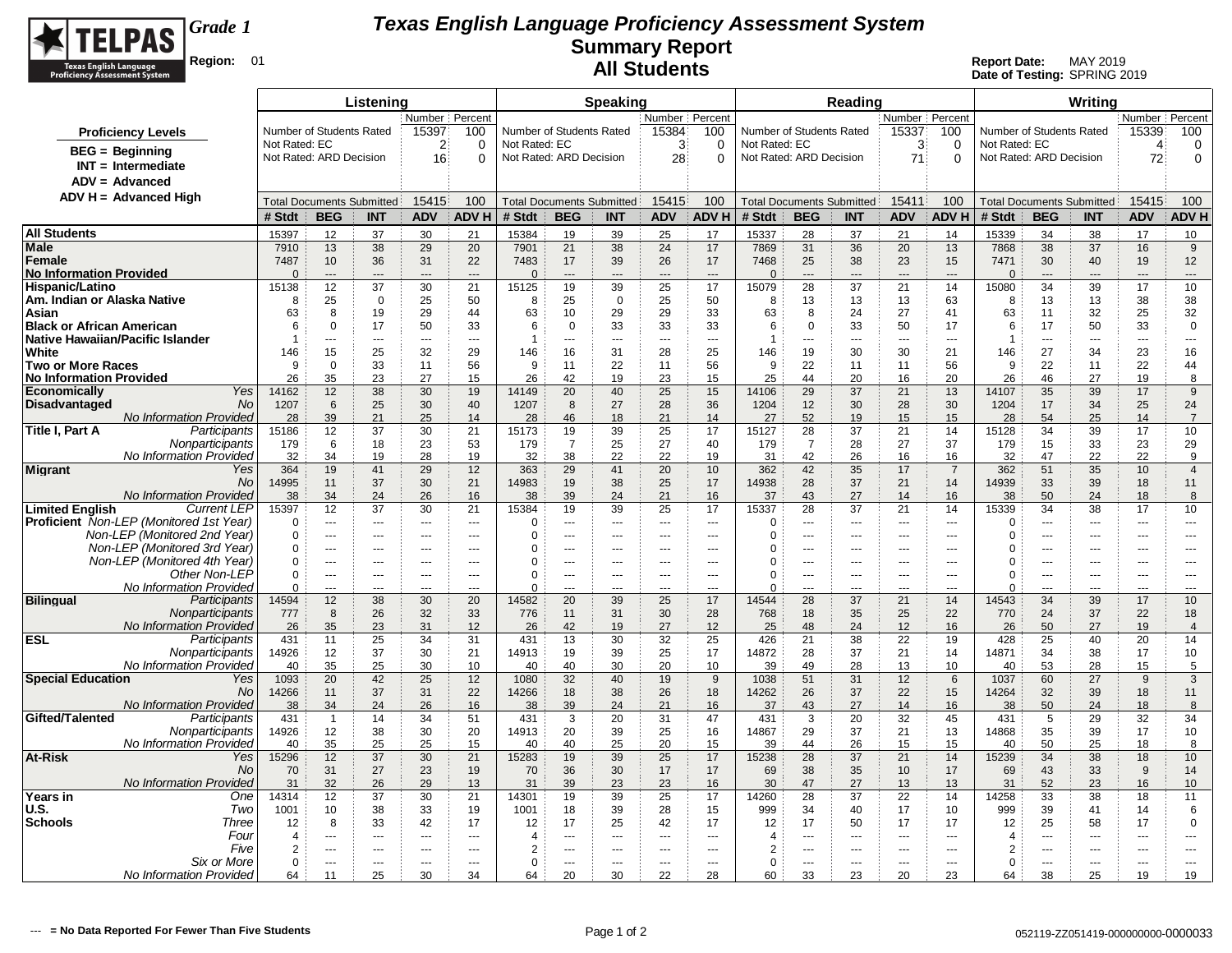

|                                                              |                      |                                                   | Listening             |                          |                                    |                       |                                  | <b>Speaking</b>  |                  |                                  |                                          |                           | Reading                          |                                |                                    |                       |                                 | Writing                          |                             |                       |
|--------------------------------------------------------------|----------------------|---------------------------------------------------|-----------------------|--------------------------|------------------------------------|-----------------------|----------------------------------|------------------|------------------|----------------------------------|------------------------------------------|---------------------------|----------------------------------|--------------------------------|------------------------------------|-----------------------|---------------------------------|----------------------------------|-----------------------------|-----------------------|
|                                                              |                      | Number Percent<br>Number of Students Rated<br>100 |                       |                          |                                    |                       |                                  | Number   Percent |                  |                                  |                                          |                           | Number Percent                   |                                |                                    |                       |                                 | Number   Percent                 |                             |                       |
| <b>Proficiency Levels</b>                                    |                      |                                                   |                       | 15397                    |                                    |                       | Number of Students Rated         |                  | 15384            | 100                              | Number of Students Rated                 |                           |                                  | 15337                          | 100                                |                       | Number of Students Rated        |                                  | 15339                       | 100                   |
| $BEG = Beginning$                                            | Not Rated: EC        | Not Rated: ARD Decision                           |                       | $\overline{2}$<br>16     | 0<br>$\Omega$                      | Not Rated: EC         | Not Rated: ARD Decision          |                  | 3<br>28          | 0<br>$\Omega$                    | Not Rated: EC<br>Not Rated: ARD Decision |                           |                                  | 3<br>71                        | 0<br>$\Omega$                      | Not Rated: EC         | Not Rated: ARD Decision         |                                  | $\boldsymbol{\Delta}$<br>72 | 0<br>0                |
| $INT = Intermediate$                                         |                      |                                                   |                       |                          |                                    |                       |                                  |                  |                  |                                  |                                          |                           |                                  |                                |                                    |                       |                                 |                                  |                             |                       |
| $ADV = Advanced$                                             |                      |                                                   |                       |                          |                                    |                       |                                  |                  |                  |                                  |                                          |                           |                                  |                                |                                    |                       |                                 |                                  |                             |                       |
| $ADV H = Advanced High$                                      |                      | <b>Total Documents Submitted</b>                  |                       | 15415                    | 100                                |                       | <b>Total Documents Submitted</b> |                  | 15415            | 100                              |                                          |                           | <b>Total Documents Submitted</b> | 15411                          | 100                                |                       |                                 | <b>Total Documents Submitted</b> | 15415                       | 100                   |
|                                                              | # Stdt               | <b>BEG</b>                                        | <b>INT</b>            | <b>ADV</b>               | <b>ADVH</b>                        | # Stdt                | <b>BEG</b>                       | <b>INT</b>       | <b>ADV</b>       | <b>ADVH</b>                      | # Stdt                                   | <b>BEG</b>                | <b>INT</b>                       | <b>ADV</b>                     | <b>ADV H</b>                       | # Stdt                | <b>BEG</b>                      | <b>INT</b>                       | <b>ADV</b>                  | <b>ADV H</b>          |
| <b>All Students</b>                                          | 15397                | 12                                                | 37                    | 30                       | 21                                 | 15384                 | 19                               | 39               | 25               | 17                               | 15337                                    | 28                        | 37                               | 21                             | 14                                 | 15339                 | 34                              | 38                               | 17                          | 10                    |
| Male                                                         | 7910                 | 13                                                | 38                    | 29                       | 20                                 | 7901                  | 21                               | 38               | 24               | 17                               | 7869                                     | 31                        | 36                               | 20                             | 13                                 | 7868                  | 38                              | 37                               | 16                          | 9                     |
| Female                                                       | 7487                 | 10                                                | 36                    | 31                       | 22                                 | 7483                  | 17                               | 39               | 26               | 17                               | 7468                                     | 25                        | 38                               | 23                             | 15                                 | 7471                  | 30                              | 40                               | 19                          | 12                    |
| <b>No Information Provided</b><br>Hispanic/Latino            | $\Omega$<br>15138    | $\overline{\phantom{a}}$<br>12                    | ---<br>37             | $\overline{a}$<br>30     | $\overline{a}$<br>21               | $\Omega$<br>15125     | $\overline{a}$<br>19             | ---<br>39        | ---<br>25        | $\overline{a}$<br>17             | $\Omega$<br>15079                        | $---$<br>28               | ---<br>37                        | $\overline{\phantom{a}}$<br>21 | $\overline{a}$<br>14               | $\Omega$<br>15080     | $---$<br>34                     | ---<br>39                        | $\overline{a}$<br>17        | ---<br>10             |
| Am. Indian or Alaska Native                                  | 8                    | 25                                                | $\mathbf 0$           | 25                       | 50                                 | 8                     | 25                               | $\overline{0}$   | 25               | 50                               | 8                                        | 13                        | 13                               | 13                             | 63                                 | 8                     | 13                              | 13                               | 38                          | 38                    |
| Asian                                                        | 63                   | 8                                                 | 19                    | 29                       | 44                                 | 63                    | 10                               | 29               | 29               | 33                               | 63                                       | 8                         | 24                               | 27                             | 41                                 | 63                    | 11                              | 32                               | 25                          | 32                    |
| <b>Black or African American</b>                             | 6                    | $\Omega$                                          | 17                    | 50                       | 33                                 | 6                     | $\mathbf 0$                      | 33               | 33               | 33                               | 6                                        | $\mathsf 0$               | 33                               | 50                             | 17                                 | 6                     | 17                              | 50                               | 33                          | $\mathbf 0$           |
| <b>Native Hawaiian/Pacific Islander</b><br>White             | 1<br>146             | $\overline{a}$<br>15                              | $\overline{a}$<br>25  | $\sim$<br>32             | $\sim$<br>29                       | $\overline{1}$<br>146 | $\overline{a}$                   | $\sim$<br>31     | $-$<br>28        | $\overline{a}$<br>25             | 1<br>146                                 | $\overline{a}$<br>19      | $\sim$<br>30                     | $\sim$<br>30                   | $\sim$<br>21                       | $\overline{1}$<br>146 | $\overline{a}$<br>27            | $-$<br>34                        | $\overline{a}$<br>23        | $\overline{a}$<br>16  |
| <b>Two or More Races</b>                                     | 9                    | $\mathbf 0$                                       | 33                    | 11                       | 56                                 | 9                     | 16<br>11                         | 22               | 11               | 56                               | 9                                        | 22                        | 11                               | 11                             | 56                                 | 9                     | 22                              | 11                               | 22                          | 44                    |
| <b>No Information Provided</b>                               | 26                   | 35                                                | 23                    | 27                       | 15                                 | 26                    | 42                               | 19               | 23               | 15                               | 25                                       | 44                        | 20                               | 16                             | 20                                 | 26                    | 46                              | 27                               | 19                          | 8                     |
| Yes<br><b>Economically</b>                                   | 14162                | 12                                                | 38                    | 30                       | 19                                 | 14149                 | 20                               | 40               | 25               | 15                               | 14106                                    | 29                        | 37                               | 21                             | 13                                 | 14107                 | 35                              | 39                               | 17                          | 9                     |
| <b>No</b><br>Disadvantaged<br><b>No Information Provided</b> | 1207                 | 6<br>39                                           | 25                    | 30                       | 40                                 | 1207                  | 8                                | 27               | 28               | 36                               | 1204                                     | 12<br>52                  | 30                               | 28                             | 30                                 | 1204                  | 17<br>54                        | 34                               | 25<br>14                    | 24                    |
| Participants<br>Title I, Part A                              | 28<br>15186          | 12                                                | 21<br>37              | 25<br>30                 | 14<br>21                           | 28<br>15173           | 46<br>19                         | 18<br>39         | 21<br>25         | 14<br>17                         | 27<br>15127                              | 28                        | 19<br>37                         | 15<br>21                       | 15<br>14                           | 28<br>15128           | 34                              | 25<br>39                         | 17                          | $\overline{7}$<br>10  |
| Nonparticipants                                              | 179                  | 6                                                 | 18                    | 23                       | 53                                 | 179                   | $\overline{7}$                   | 25               | 27               | 40                               | 179                                      | $\overline{7}$            | 28                               | 27                             | 37                                 | 179                   | 15                              | 33                               | 23                          | 29                    |
| No Information Provided                                      | 32                   | 34                                                | 19                    | 28                       | 19                                 | 32                    | 38                               | 22               | 22               | 19                               | 31                                       | 42                        | 26                               | 16                             | 16                                 | 32                    | 47                              | 22                               | 22                          | 9                     |
| <b>Migrant</b><br>Yes                                        | 364                  | 19                                                | 41                    | 29                       | 12                                 | 363                   | 29                               | 41               | 20               | 10                               | 362                                      | 42                        | 35                               | 17                             | $\overline{7}$                     | 362                   | 51                              | 35                               | 10                          | $\overline{4}$        |
| <b>No</b><br>No Information Provided                         | 14995<br>38          | 11<br>34                                          | 37<br>24              | 30<br>26                 | 21<br>16                           | 14983<br>38           | 19<br>39                         | 38<br>24         | 25<br>21         | 17<br>16                         | 14938<br>37                              | 28<br>43                  | 37<br>27                         | 21<br>14                       | 14<br>16                           | 14939<br>38           | 33<br>50                        | 39<br>24                         | 18<br>18                    | 11<br>8               |
| <b>Limited English</b><br><b>Current LEP</b>                 | 15397                | 12                                                | 37                    | 30                       | 21                                 | 15384                 | 19                               | 39               | 25               | 17                               | 15337                                    | 28                        | 37                               | 21                             | 14                                 | 15339                 | 34                              | 38                               | 17                          | 10                    |
| <b>Proficient</b> Non-LEP (Monitored 1st Year)               | $\Omega$             | $\overline{a}$                                    | $- - -$               | $\sim$ $\sim$ $\sim$     | $\sim$                             | $\Omega$              | $\overline{a}$                   | $---$            | $\sim$           | $\overline{a}$                   | $\Omega$                                 | $\overline{a}$            | $- - -$                          | $-$                            | $\sim$                             | $\mathbf 0$           | $\sim$                          | $\overline{a}$                   | $\overline{a}$              | $---$                 |
| Non-LEP (Monitored 2nd Year)                                 | $\Omega$             | ---                                               | $\cdots$              | $\sim$ $\sim$            | $\overline{\phantom{a}}$           | $\Omega$              | $\overline{a}$                   | ---              | ---              | $--$                             | $\Omega$                                 | ---                       | $\cdots$                         | $\hspace{0.05cm} \ldots$       | $\overline{\phantom{a}}$           | $\Omega$              | ---                             | $\cdots$                         | $\overline{\phantom{a}}$    | $---$                 |
| Non-LEP (Monitored 3rd Year)<br>Non-LEP (Monitored 4th Year) | $\Omega$<br>$\Omega$ | ---                                               | $---$<br>$---$        | $---$                    | $--$<br>$\sim$                     | $\Omega$<br>0         | ---                              | ---              | $---$<br>$\sim$  | $---$                            | $\Omega$<br>$\Omega$                     | ---                       | ---<br>$---$                     | $---$<br>$\overline{a}$        | $\overline{\phantom{a}}$<br>$\sim$ | 0<br>$\Omega$         | ---                             | ---                              | ---                         | $---$                 |
| Other Non-LEP                                                | 0                    | $\sim$<br>---                                     |                       | $-$                      | $\sim$                             | 0                     | ---<br>÷÷.                       | ---<br>---       | ---              | $\overline{a}$<br>$\overline{a}$ | $\Omega$                                 | $\overline{a}$<br>---     | ---                              | $\overline{a}$                 | $\overline{a}$                     | 0                     | $\overline{\phantom{a}}$<br>÷÷. | ---<br>---                       | $\overline{a}$<br>---       | $\overline{a}$<br>--- |
| No Information Provided                                      | $\Omega$             | ---                                               | ---                   | $\overline{a}$           | $\overline{a}$                     | $\Omega$              | ÷÷.                              | ---              | ---              | ---                              | $\Omega$                                 | ---                       | ---                              | $\overline{a}$                 |                                    | 0                     | $\overline{a}$                  | ---                              | ---                         | ---                   |
| Participants<br><b>Bilingual</b>                             | 14594                | 12                                                | 38                    | 30                       | 20                                 | 14582                 | 20                               | 39               | 25               | 17                               | 14544                                    | 28                        | 37                               | 21                             | 14                                 | 14543                 | 34                              | 39                               | 17                          | 10                    |
| Nonparticipants                                              | 777                  | 8                                                 | 26                    | 32                       | 33                                 | 776                   | 11                               | 31               | 30               | 28                               | 768                                      | 18                        | 35                               | 25                             | 22                                 | 770                   | 24                              | 37                               | 22                          | 18                    |
| <b>No Information Provided</b><br><b>ESL</b><br>Participants | 26<br>431            | 35<br>11                                          | 23<br>25              | 31<br>34                 | 12<br>31                           | 26<br>431             | 42<br>13                         | 19<br>30         | 27<br>32         | 12<br>25                         | 25<br>426                                | 48<br>21                  | 24<br>38                         | 12<br>22                       | 16<br>19                           | 26<br>428             | 50<br>25                        | 27<br>40                         | 19<br>20                    | $\overline{4}$<br>14  |
| Nonparticipants                                              | 14926                | 12                                                | 37                    | 30                       | 21                                 | 14913                 | 19                               | 39               | 25               | 17                               | 14872                                    | 28                        | 37                               | 21                             | 14                                 | 14871                 | 34                              | 38                               | 17                          | 10                    |
| No Information Provideo                                      | 40                   | 35                                                | 25                    | 30                       | 10                                 | 40                    | 40                               | 30               | 20               | 10                               | 39                                       | 49                        | 28                               | 13                             | 10                                 | 40                    | 53                              | 28                               | 15                          | 5                     |
| <b>Special Education</b><br>Yes                              | 1093                 | 20                                                | 42                    | 25                       | 12                                 | 1080                  | 32                               | 40               | 19               | 9                                | 1038                                     | 51                        | 31                               | 12                             | 6                                  | 1037                  | 60                              | 27                               | 9                           | 3                     |
| No<br>No Information Provided                                | 14266<br>38          | 11<br>34                                          | 37<br>24              | 31<br>26                 | 22<br>16                           | 14266<br>38           | 18<br>39                         | 38<br>24         | 26<br>21         | 18<br>16                         | 14262<br>37                              | 26<br>43                  | 37<br>27                         | 22<br>14                       | 15<br>16                           | 14264<br>38           | 32<br>50                        | 39<br>24                         | 18<br>18                    | 11<br>8               |
| Gifted/Talented<br>Participants                              | 431                  | $\mathbf{1}$                                      | 14                    | 34                       | 51                                 | 431                   | 3                                | 20               | 31               | 47                               | 431                                      | 3                         | 20                               | 32                             | 45                                 | 431                   | 5                               | 29                               | 32                          | 34                    |
| Nonparticipants                                              | 14926                | 12                                                | 38                    | 30                       | 20                                 | 14913                 | 20                               | 39               | 25               | 16                               | 14867                                    | 29                        | 37                               | 21                             | 13                                 | 14868                 | 35                              | 39                               | 17                          | 10                    |
| No Information Provideo                                      | 40                   | 35                                                | 25                    | 25                       | 15                                 | 40                    | 40                               | 25               | 20               | 15                               | 39                                       | 44                        | 26                               | 15                             | 15                                 | 40                    | 50                              | 25                               | 18                          | 8                     |
| At-Risk<br>Yes<br>No                                         | 15296<br>70          | 12<br>31                                          | 37<br>27              | 30<br>23                 | 21<br>19                           | 15283<br>70           | 19<br>36                         | 39<br>30         | 25<br>17         | 17<br>17                         | 15238<br>69                              | 28<br>38                  | 37<br>35                         | 21<br>10                       | 14<br>17                           | 15239<br>69           | 34<br>43                        | 38<br>33                         | 18<br>9                     | 10<br>14              |
| No Information Provideo                                      | 31                   | 32                                                | 26                    | 29                       | 13                                 | 31                    | 39                               | 23               | 23               | 16                               | 30                                       | 47                        | 27                               | 13                             | 13                                 | 31                    | 52                              | 23                               | 16                          | 10                    |
| Years in<br>One                                              | 14314                | 12                                                | 37                    | 30                       | 21                                 | 14301                 | 19                               | 39               | 25               | 17                               | 14260                                    | 28                        | 37                               | 22                             | 14                                 | 14258                 | 33                              | 38                               | 18                          | 11                    |
| U.S.<br>Two                                                  | 1001                 | 10                                                | 38                    | 33                       | 19                                 | 1001                  | 18                               | 39               | 28               | 15                               | 999                                      | 34                        | 40                               | 17                             | 10                                 | 999                   | 39                              | 41                               | 14                          | 6                     |
| <b>Schools</b><br><b>Three</b>                               | 12                   | 8                                                 | 33                    | 42                       | 17                                 | 12                    | 17                               | 25               | 42               | 17                               | 12<br>Δ                                  | 17                        | 50                               | 17                             | 17                                 | 12                    | 25                              | 58                               | 17                          | $\mathbf 0$           |
| Four<br>Five                                                 | $\overline{4}$<br>2  | ---<br>$\overline{a}$                             | ---<br>$\overline{a}$ | $\sim$<br>$\overline{a}$ | $\overline{\phantom{a}}$<br>$\sim$ | 4<br>$\overline{2}$   | $-$<br>$\overline{a}$            | ---<br>          | $\sim$<br>$\sim$ | ---<br>$\overline{a}$            | $\overline{2}$                           | $\overline{a}$<br><u></u> | ---<br>---                       | $- - -$<br>$\overline{a}$      | $\overline{a}$<br>$\sim$           | 4<br>$\overline{2}$   | ---<br>---                      | ---<br>---                       | ---<br>$\sim$               | ---<br>$---$          |
| Six or More                                                  | $\mathbf 0$          | ---                                               | ---                   | $\overline{a}$           | $\sim$                             | $\mathbf 0$           | ---                              | ---              | ---              | $\overline{a}$                   | $\Omega$                                 | ---                       | ---                              | $\overline{\phantom{a}}$       | $\overline{a}$                     | $\mathbf 0$           | ---                             | ---                              | ---                         | $\overline{a}$        |
| No Information Provideo                                      | 64                   | 11                                                | 25                    | 30                       | 34                                 | 64                    | 20                               | 30               | 22               | 28                               | 60                                       | 33                        | 23                               | 20                             | 23                                 | 64                    | 38                              | 25                               | 19                          | 19                    |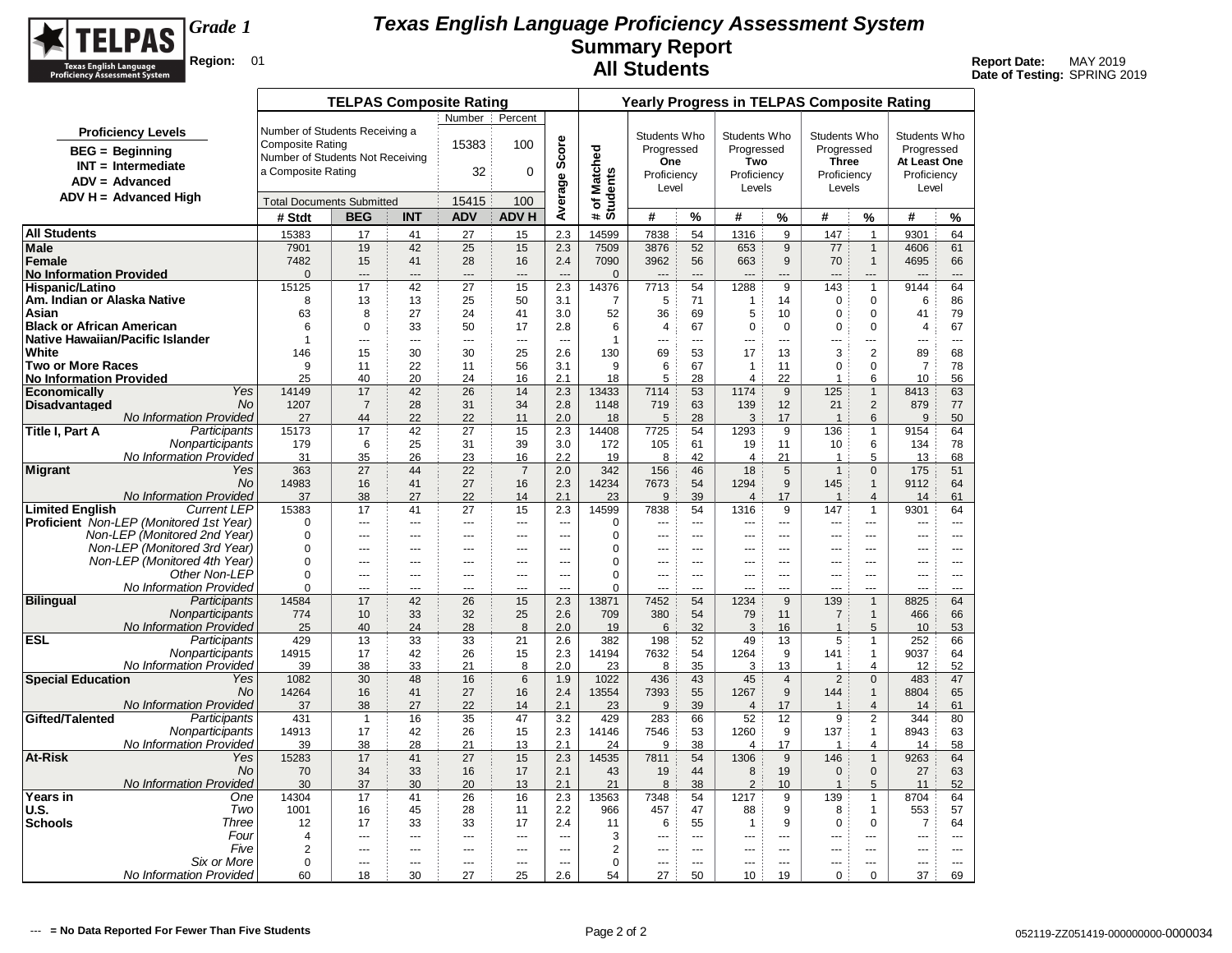

| Number<br>Percent<br>Number of Students Receiving a<br><b>Proficiency Levels</b><br>Students Who<br>Students Who<br>Students Who<br>Students Who<br>Average Score<br>15383<br><b>Composite Rating</b><br>100<br>Progressed<br>Progressed<br>Progressed<br>Progressed<br># of Matched<br>Students<br>$BEG = Beginning$<br>Number of Students Not Receiving<br>One<br>Two<br><b>Three</b><br>At Least One<br>$INT = Intermediate$<br>a Composite Rating<br>0<br>32<br>Proficiency<br>Proficiency<br>Proficiency<br>Proficiency<br>$ADV = Advanced$<br>Level<br>Level<br>Levels<br>Levels<br>$ADV H = Advanced High$<br>100<br>15415<br><b>Total Documents Submitted</b><br>%<br># Stdt<br><b>BEG</b><br><b>INT</b><br><b>ADV</b><br><b>ADV H</b><br>#<br>#<br>%<br>#<br>%<br>#<br>%<br><b>All Students</b><br>2.3<br>54<br>9<br>$\mathbf{1}$<br>15383<br>27<br>14599<br>7838<br>1316<br>147<br>9301<br>64<br>17<br>41<br>15<br>42<br>19<br>25<br>15<br>2.3<br>52<br>9<br>61<br>7901<br>7509<br>3876<br>653<br>77<br>$\mathbf{1}$<br>4606<br>7482<br>28<br>7090<br>3962<br>56<br>9<br>4695<br>66<br>15<br>41<br>16<br>2.4<br>663<br>70<br>$\mathbf{1}$<br><b>No Information Provided</b><br>$\mathbf{0}$<br>$\mathbf 0$<br>$\overline{a}$<br>---<br>$---$<br>$\overline{a}$<br>$\overline{a}$<br>$\overline{a}$<br><br><br>---<br><b>Hispanic/Latino</b><br>15125<br>17<br>42<br>27<br>15<br>2.3<br>14376<br>7713<br>54<br>1288<br>9<br>143<br>$\mathbf{1}$<br>9144<br>64<br>Am. Indian or Alaska Native<br>86<br>8<br>13<br>25<br>50<br>5<br>71<br>$\mathbf 0$<br>$\mathbf 0$<br>6<br>13<br>3.1<br>$\overline{7}$<br>14<br>1<br>8<br>27<br>79<br>Asian<br>63<br>24<br>41<br>3.0<br>52<br>36<br>69<br>5<br>10<br>$\mathbf 0$<br>$\mathbf 0$<br>41<br><b>Black or African American</b><br>6<br>0<br>33<br>50<br>17<br>2.8<br>6<br>$\overline{4}$<br>67<br>0<br>$\Omega$<br>0<br>0<br>$\overline{4}$<br>67<br>1<br>$\mathbf{1}$<br>---<br>$\overline{\phantom{a}}$<br>---<br>---<br>$\cdots$<br>---<br>---<br>---<br>$\overline{a}$<br>$\sim$<br>$\overline{a}$<br>$\overline{a}$<br>$\overline{a}$<br>25<br>130<br>69<br>3<br>2<br>89<br>146<br>15<br>30<br>30<br>2.6<br>53<br>17<br>13<br>68<br>9<br>11<br>22<br>11<br>56<br>3.1<br>9<br>6<br>67<br>11<br>$\mathbf 0$<br>$\mathbf 0$<br>$\overline{7}$<br>78<br>1<br>25<br>20<br>16<br>2.1<br>18<br>5<br>22<br>10<br>40<br>24<br>28<br>$\overline{4}$<br>1<br>6<br>56<br>Yes<br>14149<br>17<br>42<br>26<br>14<br>2.3<br>13433<br>7114<br>53<br>1174<br>9<br>125<br>$\mathbf{1}$<br>8413<br>63<br><b>Disadvantaged</b><br>No<br>1207<br>28<br>31<br>34<br>2.8<br>1148<br>63<br>139<br>12<br>21<br>$\overline{2}$<br>879<br>77<br>$\overline{7}$<br>719<br>No Information Provided<br>22<br>22<br>2.0<br>50<br>27<br>44<br>11<br>18<br>5<br>28<br>3<br>17<br>$\overline{1}$<br>6<br>9<br><b>Title I, Part A</b><br>Participants<br>17<br>42<br>27<br>15<br>2.3<br>14408<br>54<br>9<br>9154<br>64<br>15173<br>7725<br>1293<br>136<br>$\mathbf{1}$<br>25<br>31<br>78<br>Nonparticipants<br>179<br>39<br>3.0<br>172<br>61<br>11<br>6<br>134<br>6<br>105<br>19<br>10<br>No Information Provided<br>23<br>2.2<br>31<br>35<br>26<br>16<br>8<br>42<br>21<br>5<br>68<br>19<br>$\overline{4}$<br>$\overline{1}$<br>13<br>Yes<br>363<br>27<br>44<br>22<br>$\overline{7}$<br>2.0<br>342<br>46<br>18<br>5<br>$\mathbf{1}$<br>175<br>51<br>156<br>$\mathbf{0}$<br>14983<br>27<br>No<br>16<br>41<br>16<br>2.3<br>14234<br>7673<br>54<br>1294<br>9<br>9112<br>64<br>145<br>$\mathbf{1}$<br><b>No Information Provided</b><br>22<br>39<br>17<br>37<br>38<br>27<br>14<br>2.1<br>23<br>9<br>61<br>$\overline{1}$<br>$\overline{4}$<br>14<br>$\overline{4}$<br><b>Limited English</b><br><b>Current LEP</b><br>15383<br>17<br>41<br>27<br>15<br>2.3<br>14599<br>7838<br>9<br>147<br>$\mathbf{1}$<br>9301<br>64<br>54<br>1316<br><b>Proficient</b> Non-LEP (Monitored 1st Year)<br>$\mathbf 0$<br>0<br>$\sim$<br>$\sim$<br>$---$<br>$\overline{a}$<br>$-$<br>$\overline{a}$<br>---<br>$-$<br>$---$<br>$-$<br>$\overline{a}$<br>---<br>$\overline{a}$<br>Non-LEP (Monitored 2nd Year)<br>$\mathbf 0$<br>0<br>$---$<br>---<br>$---$<br>$\overline{a}$<br>$\overline{a}$<br>---<br>$\sim$<br>$\overline{a}$<br>$---$<br>$\overline{a}$<br>---<br>---<br>$---$<br>Non-LEP (Monitored 3rd Year)<br>$\mathbf 0$<br>0<br>$- - -$<br>---<br>$- - -$<br>$---$<br>$\overline{a}$<br>$---$<br>$- - -$<br>$- - -$<br>$- - -$<br>$- - -$<br>$\overline{a}$<br>---<br>$- - -$<br>Non-LEP (Monitored 4th Year)<br>$\mathbf 0$<br>0<br>$---$<br>---<br>$-$<br>$\overline{a}$<br>$-$<br>$\overline{a}$<br>$-$<br>$---$<br>$-$<br>$-$<br>$\overline{a}$<br>---<br>$-$<br>Other Non-LEP<br>$\Omega$<br>$\Omega$<br>$\overline{a}$<br>$\sim$<br>$\overline{a}$<br>$\sim$<br>$\overline{a}$<br>$---$<br>$\overline{a}$<br>$\overline{a}$<br>$---$<br>$---$<br>$\overline{a}$<br>$\overline{a}$<br>$\overline{a}$<br>No Information Provided<br>$\Omega$<br>0<br>---<br>---<br>$\sim$<br>$\overline{a}$<br>---<br>---<br>$\overline{a}$<br>---<br>---<br>---<br>---<br>---<br>$\overline{a}$<br>Participants<br>15<br>2.3<br>9<br>14584<br>17<br>42<br>26<br>13871<br>7452<br>54<br>1234<br>139<br>$\mathbf{1}$<br>8825<br>64<br>Nonparticipants<br>33<br>32<br>25<br>380<br>774<br>10<br>2.6<br>709<br>54<br>79<br>11<br>$\overline{7}$<br>$\mathbf{1}$<br>466<br>66<br><b>No Information Provided</b><br>8<br>40<br>24<br>28<br>2.0<br>32<br>53<br>25<br>19<br>6<br>3<br>16<br>$\overline{1}$<br>5<br>10<br><b>ESL</b><br>Participants<br>13<br>33<br>33<br>2.6<br>5<br>429<br>21<br>382<br>198<br>52<br>49<br>13<br>252<br>66<br>$\mathbf{1}$<br>Nonparticipants<br>14915<br>17<br>42<br>26<br>15<br>2.3<br>14194<br>7632<br>54<br>9<br>9037<br>64<br>1264<br>141<br>$\mathbf{1}$<br>No Information Provided<br>35<br>13<br>52<br>39<br>38<br>33<br>21<br>8<br>2.0<br>23<br>8<br>3<br>$\overline{4}$<br>12<br>-1<br><b>Special Education</b><br>1082<br>30<br>48<br>16<br>$6\phantom{1}6$<br>1.9<br>1022<br>436<br>43<br>$\overline{4}$<br>$\overline{2}$<br>$\mathbf 0$<br>483<br>47<br>Yes<br>45<br>No<br>41<br>27<br>2.4<br>55<br>9<br>8804<br>14264<br>16<br>16<br>13554<br>7393<br>1267<br>144<br>$\mathbf{1}$<br>65<br><b>No Information Provided</b><br>37<br>38<br>27<br>22<br>14<br>2.1<br>23<br>9<br>39<br>17<br>$\overline{1}$<br>$\overline{4}$<br>14<br>61<br>$\overline{4}$<br>Participants<br>35<br>47<br>429<br>283<br>52<br>12<br>9<br>$\overline{2}$<br>344<br>431<br>$\overline{1}$<br>16<br>3.2<br>66<br>80<br>Nonparticipants<br>14913<br>17<br>42<br>26<br>15<br>2.3<br>14146<br>7546<br>53<br>1260<br>9<br>137<br>$\mathbf{1}$<br>8943<br>63<br>No Information Provided<br>39<br>38<br>28<br>21<br>13<br>2.1<br>38<br>17<br>58<br>24<br>9<br>$\overline{4}$<br>$\overline{1}$<br>4<br>14<br>15283<br>17<br>41<br>27<br>14535<br>9<br>146<br>$\mathbf{1}$<br>9263<br>64<br>Yes<br>15<br>2.3<br>7811<br>54<br>1306<br>No<br>70<br>34<br>33<br>16<br>17<br>2.1<br>43<br>19<br>44<br>19<br>$\mathbf{0}$<br>$\mathbf{0}$<br>27<br>63<br>8<br><b>No Information Provided</b><br>30<br>37<br>30<br>20<br>13<br>38<br>$\overline{2}$<br>52<br>2.1<br>21<br>8<br>10<br>$\overline{1}$<br>5<br>11<br>Years in<br>26<br>8704<br>14304<br>17<br>41<br>16<br>2.3<br>13563<br>7348<br>54<br>9<br>139<br>64<br>One<br>1217<br>$\mathbf{1}$<br>57<br>U.S.<br>Two<br>1001<br>45<br>28<br>2.2<br>47<br>9<br>16<br>11<br>966<br>457<br>88<br>8<br>$\mathbf{1}$<br>553<br><b>Schools</b><br>Three<br>12<br>33<br>33<br>17<br>55<br>9<br>$\Omega$<br>$\overline{7}$<br>17<br>2.4<br>11<br>6<br>0<br>64<br>$\mathbf 1$<br>Four<br>3<br>$\overline{4}$<br>$\overline{a}$<br>---<br>$\overline{a}$<br>---<br>---<br>---<br>$\overline{a}$<br>---<br>---<br>---<br>---<br>---<br>$\overline{a}$<br>Five<br>$\overline{2}$<br>2<br>$\sim$ $\sim$<br>---<br>$\overline{\phantom{a}}$<br>---<br>---<br>---<br>$\overline{\phantom{a}}$<br>---<br>---<br>---<br>---<br>$\sim$<br>---<br>Six or More<br>$\Omega$<br>0<br>$\cdots$<br>---<br>$---$<br>$\sim$<br>$\sim$<br><br>$\sim$<br>$\overline{a}$<br>$\sim$<br>---<br><br>$\sim$<br>$-$<br>37<br>No Information Provided<br>30<br>27<br>25<br>2.6<br>27<br>50<br>10<br>0<br>$\mathbf 0$<br>69<br>60<br>18<br>54<br>19 |                                  | <b>TELPAS Composite Rating</b> |  |  | <b>Yearly Progress in TELPAS Composite Rating</b> |  |  |  |  |
|------------------------------------------------------------------------------------------------------------------------------------------------------------------------------------------------------------------------------------------------------------------------------------------------------------------------------------------------------------------------------------------------------------------------------------------------------------------------------------------------------------------------------------------------------------------------------------------------------------------------------------------------------------------------------------------------------------------------------------------------------------------------------------------------------------------------------------------------------------------------------------------------------------------------------------------------------------------------------------------------------------------------------------------------------------------------------------------------------------------------------------------------------------------------------------------------------------------------------------------------------------------------------------------------------------------------------------------------------------------------------------------------------------------------------------------------------------------------------------------------------------------------------------------------------------------------------------------------------------------------------------------------------------------------------------------------------------------------------------------------------------------------------------------------------------------------------------------------------------------------------------------------------------------------------------------------------------------------------------------------------------------------------------------------------------------------------------------------------------------------------------------------------------------------------------------------------------------------------------------------------------------------------------------------------------------------------------------------------------------------------------------------------------------------------------------------------------------------------------------------------------------------------------------------------------------------------------------------------------------------------------------------------------------------------------------------------------------------------------------------------------------------------------------------------------------------------------------------------------------------------------------------------------------------------------------------------------------------------------------------------------------------------------------------------------------------------------------------------------------------------------------------------------------------------------------------------------------------------------------------------------------------------------------------------------------------------------------------------------------------------------------------------------------------------------------------------------------------------------------------------------------------------------------------------------------------------------------------------------------------------------------------------------------------------------------------------------------------------------------------------------------------------------------------------------------------------------------------------------------------------------------------------------------------------------------------------------------------------------------------------------------------------------------------------------------------------------------------------------------------------------------------------------------------------------------------------------------------------------------------------------------------------------------------------------------------------------------------------------------------------------------------------------------------------------------------------------------------------------------------------------------------------------------------------------------------------------------------------------------------------------------------------------------------------------------------------------------------------------------------------------------------------------------------------------------------------------------------------------------------------------------------------------------------------------------------------------------------------------------------------------------------------------------------------------------------------------------------------------------------------------------------------------------------------------------------------------------------------------------------------------------------------------------------------------------------------------------------------------------------------------------------------------------------------------------------------------------------------------------------------------------------------------------------------------------------------------------------------------------------------------------------------------------------------------------------------------------------------------------------------------------------------------------------------------------------------------------------------------------------------------------------------------------------------------------------------------------------------------------------------------------------------------------------------------------------------------------------------------------------------------------------------------------------------------------------------------------------------------------------------------------------------------------------------------------------------------------------------------------------------------------------------------------------------------------------------------------------------------------------------------------------------------------------------------------------------------------------------------------------------------------------------------------------------------------------------------------------------------------------------------------------------------------------------------------------------------------------------------------------------------------------------------------------------------------------------------------------------------------------------------------------------------------------------------------------------------------------------------------------------------------------------------------------------------------------------------------------------------------------------------------------------------------------------------------------------------------------------------------------------------------------------------------------------------------------------------------------------------------------------------------------------------------------------------------------------------------------------------------------------------------------------------------------------------------------------------------------------------------------------------------------------------------------------------------------------------------------------------------------------------------------------------------------------------------------------------------------------------------------------------------------------------------------------------------------------------------------------------------------------------------------------------------------------------------------------------------------------------------------------------------------|----------------------------------|--------------------------------|--|--|---------------------------------------------------|--|--|--|--|
|                                                                                                                                                                                                                                                                                                                                                                                                                                                                                                                                                                                                                                                                                                                                                                                                                                                                                                                                                                                                                                                                                                                                                                                                                                                                                                                                                                                                                                                                                                                                                                                                                                                                                                                                                                                                                                                                                                                                                                                                                                                                                                                                                                                                                                                                                                                                                                                                                                                                                                                                                                                                                                                                                                                                                                                                                                                                                                                                                                                                                                                                                                                                                                                                                                                                                                                                                                                                                                                                                                                                                                                                                                                                                                                                                                                                                                                                                                                                                                                                                                                                                                                                                                                                                                                                                                                                                                                                                                                                                                                                                                                                                                                                                                                                                                                                                                                                                                                                                                                                                                                                                                                                                                                                                                                                                                                                                                                                                                                                                                                                                                                                                                                                                                                                                                                                                                                                                                                                                                                                                                                                                                                                                                                                                                                                                                                                                                                                                                                                                                                                                                                                                                                                                                                                                                                                                                                                                                                                                                                                                                                                                                                                                                                                                                                                                                                                                                                                                                                                                                                                                                                                                                                                                                                                                                                                                                                                                                                                                                                                                                                                                                                                                                                                                                                                        |                                  |                                |  |  |                                                   |  |  |  |  |
|                                                                                                                                                                                                                                                                                                                                                                                                                                                                                                                                                                                                                                                                                                                                                                                                                                                                                                                                                                                                                                                                                                                                                                                                                                                                                                                                                                                                                                                                                                                                                                                                                                                                                                                                                                                                                                                                                                                                                                                                                                                                                                                                                                                                                                                                                                                                                                                                                                                                                                                                                                                                                                                                                                                                                                                                                                                                                                                                                                                                                                                                                                                                                                                                                                                                                                                                                                                                                                                                                                                                                                                                                                                                                                                                                                                                                                                                                                                                                                                                                                                                                                                                                                                                                                                                                                                                                                                                                                                                                                                                                                                                                                                                                                                                                                                                                                                                                                                                                                                                                                                                                                                                                                                                                                                                                                                                                                                                                                                                                                                                                                                                                                                                                                                                                                                                                                                                                                                                                                                                                                                                                                                                                                                                                                                                                                                                                                                                                                                                                                                                                                                                                                                                                                                                                                                                                                                                                                                                                                                                                                                                                                                                                                                                                                                                                                                                                                                                                                                                                                                                                                                                                                                                                                                                                                                                                                                                                                                                                                                                                                                                                                                                                                                                                                                                        |                                  |                                |  |  |                                                   |  |  |  |  |
|                                                                                                                                                                                                                                                                                                                                                                                                                                                                                                                                                                                                                                                                                                                                                                                                                                                                                                                                                                                                                                                                                                                                                                                                                                                                                                                                                                                                                                                                                                                                                                                                                                                                                                                                                                                                                                                                                                                                                                                                                                                                                                                                                                                                                                                                                                                                                                                                                                                                                                                                                                                                                                                                                                                                                                                                                                                                                                                                                                                                                                                                                                                                                                                                                                                                                                                                                                                                                                                                                                                                                                                                                                                                                                                                                                                                                                                                                                                                                                                                                                                                                                                                                                                                                                                                                                                                                                                                                                                                                                                                                                                                                                                                                                                                                                                                                                                                                                                                                                                                                                                                                                                                                                                                                                                                                                                                                                                                                                                                                                                                                                                                                                                                                                                                                                                                                                                                                                                                                                                                                                                                                                                                                                                                                                                                                                                                                                                                                                                                                                                                                                                                                                                                                                                                                                                                                                                                                                                                                                                                                                                                                                                                                                                                                                                                                                                                                                                                                                                                                                                                                                                                                                                                                                                                                                                                                                                                                                                                                                                                                                                                                                                                                                                                                                                                        |                                  |                                |  |  |                                                   |  |  |  |  |
|                                                                                                                                                                                                                                                                                                                                                                                                                                                                                                                                                                                                                                                                                                                                                                                                                                                                                                                                                                                                                                                                                                                                                                                                                                                                                                                                                                                                                                                                                                                                                                                                                                                                                                                                                                                                                                                                                                                                                                                                                                                                                                                                                                                                                                                                                                                                                                                                                                                                                                                                                                                                                                                                                                                                                                                                                                                                                                                                                                                                                                                                                                                                                                                                                                                                                                                                                                                                                                                                                                                                                                                                                                                                                                                                                                                                                                                                                                                                                                                                                                                                                                                                                                                                                                                                                                                                                                                                                                                                                                                                                                                                                                                                                                                                                                                                                                                                                                                                                                                                                                                                                                                                                                                                                                                                                                                                                                                                                                                                                                                                                                                                                                                                                                                                                                                                                                                                                                                                                                                                                                                                                                                                                                                                                                                                                                                                                                                                                                                                                                                                                                                                                                                                                                                                                                                                                                                                                                                                                                                                                                                                                                                                                                                                                                                                                                                                                                                                                                                                                                                                                                                                                                                                                                                                                                                                                                                                                                                                                                                                                                                                                                                                                                                                                                                                        |                                  |                                |  |  |                                                   |  |  |  |  |
|                                                                                                                                                                                                                                                                                                                                                                                                                                                                                                                                                                                                                                                                                                                                                                                                                                                                                                                                                                                                                                                                                                                                                                                                                                                                                                                                                                                                                                                                                                                                                                                                                                                                                                                                                                                                                                                                                                                                                                                                                                                                                                                                                                                                                                                                                                                                                                                                                                                                                                                                                                                                                                                                                                                                                                                                                                                                                                                                                                                                                                                                                                                                                                                                                                                                                                                                                                                                                                                                                                                                                                                                                                                                                                                                                                                                                                                                                                                                                                                                                                                                                                                                                                                                                                                                                                                                                                                                                                                                                                                                                                                                                                                                                                                                                                                                                                                                                                                                                                                                                                                                                                                                                                                                                                                                                                                                                                                                                                                                                                                                                                                                                                                                                                                                                                                                                                                                                                                                                                                                                                                                                                                                                                                                                                                                                                                                                                                                                                                                                                                                                                                                                                                                                                                                                                                                                                                                                                                                                                                                                                                                                                                                                                                                                                                                                                                                                                                                                                                                                                                                                                                                                                                                                                                                                                                                                                                                                                                                                                                                                                                                                                                                                                                                                                                                        |                                  |                                |  |  |                                                   |  |  |  |  |
|                                                                                                                                                                                                                                                                                                                                                                                                                                                                                                                                                                                                                                                                                                                                                                                                                                                                                                                                                                                                                                                                                                                                                                                                                                                                                                                                                                                                                                                                                                                                                                                                                                                                                                                                                                                                                                                                                                                                                                                                                                                                                                                                                                                                                                                                                                                                                                                                                                                                                                                                                                                                                                                                                                                                                                                                                                                                                                                                                                                                                                                                                                                                                                                                                                                                                                                                                                                                                                                                                                                                                                                                                                                                                                                                                                                                                                                                                                                                                                                                                                                                                                                                                                                                                                                                                                                                                                                                                                                                                                                                                                                                                                                                                                                                                                                                                                                                                                                                                                                                                                                                                                                                                                                                                                                                                                                                                                                                                                                                                                                                                                                                                                                                                                                                                                                                                                                                                                                                                                                                                                                                                                                                                                                                                                                                                                                                                                                                                                                                                                                                                                                                                                                                                                                                                                                                                                                                                                                                                                                                                                                                                                                                                                                                                                                                                                                                                                                                                                                                                                                                                                                                                                                                                                                                                                                                                                                                                                                                                                                                                                                                                                                                                                                                                                                                        |                                  |                                |  |  |                                                   |  |  |  |  |
|                                                                                                                                                                                                                                                                                                                                                                                                                                                                                                                                                                                                                                                                                                                                                                                                                                                                                                                                                                                                                                                                                                                                                                                                                                                                                                                                                                                                                                                                                                                                                                                                                                                                                                                                                                                                                                                                                                                                                                                                                                                                                                                                                                                                                                                                                                                                                                                                                                                                                                                                                                                                                                                                                                                                                                                                                                                                                                                                                                                                                                                                                                                                                                                                                                                                                                                                                                                                                                                                                                                                                                                                                                                                                                                                                                                                                                                                                                                                                                                                                                                                                                                                                                                                                                                                                                                                                                                                                                                                                                                                                                                                                                                                                                                                                                                                                                                                                                                                                                                                                                                                                                                                                                                                                                                                                                                                                                                                                                                                                                                                                                                                                                                                                                                                                                                                                                                                                                                                                                                                                                                                                                                                                                                                                                                                                                                                                                                                                                                                                                                                                                                                                                                                                                                                                                                                                                                                                                                                                                                                                                                                                                                                                                                                                                                                                                                                                                                                                                                                                                                                                                                                                                                                                                                                                                                                                                                                                                                                                                                                                                                                                                                                                                                                                                                                        |                                  |                                |  |  |                                                   |  |  |  |  |
|                                                                                                                                                                                                                                                                                                                                                                                                                                                                                                                                                                                                                                                                                                                                                                                                                                                                                                                                                                                                                                                                                                                                                                                                                                                                                                                                                                                                                                                                                                                                                                                                                                                                                                                                                                                                                                                                                                                                                                                                                                                                                                                                                                                                                                                                                                                                                                                                                                                                                                                                                                                                                                                                                                                                                                                                                                                                                                                                                                                                                                                                                                                                                                                                                                                                                                                                                                                                                                                                                                                                                                                                                                                                                                                                                                                                                                                                                                                                                                                                                                                                                                                                                                                                                                                                                                                                                                                                                                                                                                                                                                                                                                                                                                                                                                                                                                                                                                                                                                                                                                                                                                                                                                                                                                                                                                                                                                                                                                                                                                                                                                                                                                                                                                                                                                                                                                                                                                                                                                                                                                                                                                                                                                                                                                                                                                                                                                                                                                                                                                                                                                                                                                                                                                                                                                                                                                                                                                                                                                                                                                                                                                                                                                                                                                                                                                                                                                                                                                                                                                                                                                                                                                                                                                                                                                                                                                                                                                                                                                                                                                                                                                                                                                                                                                                                        |                                  |                                |  |  |                                                   |  |  |  |  |
|                                                                                                                                                                                                                                                                                                                                                                                                                                                                                                                                                                                                                                                                                                                                                                                                                                                                                                                                                                                                                                                                                                                                                                                                                                                                                                                                                                                                                                                                                                                                                                                                                                                                                                                                                                                                                                                                                                                                                                                                                                                                                                                                                                                                                                                                                                                                                                                                                                                                                                                                                                                                                                                                                                                                                                                                                                                                                                                                                                                                                                                                                                                                                                                                                                                                                                                                                                                                                                                                                                                                                                                                                                                                                                                                                                                                                                                                                                                                                                                                                                                                                                                                                                                                                                                                                                                                                                                                                                                                                                                                                                                                                                                                                                                                                                                                                                                                                                                                                                                                                                                                                                                                                                                                                                                                                                                                                                                                                                                                                                                                                                                                                                                                                                                                                                                                                                                                                                                                                                                                                                                                                                                                                                                                                                                                                                                                                                                                                                                                                                                                                                                                                                                                                                                                                                                                                                                                                                                                                                                                                                                                                                                                                                                                                                                                                                                                                                                                                                                                                                                                                                                                                                                                                                                                                                                                                                                                                                                                                                                                                                                                                                                                                                                                                                                                        |                                  |                                |  |  |                                                   |  |  |  |  |
|                                                                                                                                                                                                                                                                                                                                                                                                                                                                                                                                                                                                                                                                                                                                                                                                                                                                                                                                                                                                                                                                                                                                                                                                                                                                                                                                                                                                                                                                                                                                                                                                                                                                                                                                                                                                                                                                                                                                                                                                                                                                                                                                                                                                                                                                                                                                                                                                                                                                                                                                                                                                                                                                                                                                                                                                                                                                                                                                                                                                                                                                                                                                                                                                                                                                                                                                                                                                                                                                                                                                                                                                                                                                                                                                                                                                                                                                                                                                                                                                                                                                                                                                                                                                                                                                                                                                                                                                                                                                                                                                                                                                                                                                                                                                                                                                                                                                                                                                                                                                                                                                                                                                                                                                                                                                                                                                                                                                                                                                                                                                                                                                                                                                                                                                                                                                                                                                                                                                                                                                                                                                                                                                                                                                                                                                                                                                                                                                                                                                                                                                                                                                                                                                                                                                                                                                                                                                                                                                                                                                                                                                                                                                                                                                                                                                                                                                                                                                                                                                                                                                                                                                                                                                                                                                                                                                                                                                                                                                                                                                                                                                                                                                                                                                                                                                        | Male                             |                                |  |  |                                                   |  |  |  |  |
|                                                                                                                                                                                                                                                                                                                                                                                                                                                                                                                                                                                                                                                                                                                                                                                                                                                                                                                                                                                                                                                                                                                                                                                                                                                                                                                                                                                                                                                                                                                                                                                                                                                                                                                                                                                                                                                                                                                                                                                                                                                                                                                                                                                                                                                                                                                                                                                                                                                                                                                                                                                                                                                                                                                                                                                                                                                                                                                                                                                                                                                                                                                                                                                                                                                                                                                                                                                                                                                                                                                                                                                                                                                                                                                                                                                                                                                                                                                                                                                                                                                                                                                                                                                                                                                                                                                                                                                                                                                                                                                                                                                                                                                                                                                                                                                                                                                                                                                                                                                                                                                                                                                                                                                                                                                                                                                                                                                                                                                                                                                                                                                                                                                                                                                                                                                                                                                                                                                                                                                                                                                                                                                                                                                                                                                                                                                                                                                                                                                                                                                                                                                                                                                                                                                                                                                                                                                                                                                                                                                                                                                                                                                                                                                                                                                                                                                                                                                                                                                                                                                                                                                                                                                                                                                                                                                                                                                                                                                                                                                                                                                                                                                                                                                                                                                                        | Female                           |                                |  |  |                                                   |  |  |  |  |
|                                                                                                                                                                                                                                                                                                                                                                                                                                                                                                                                                                                                                                                                                                                                                                                                                                                                                                                                                                                                                                                                                                                                                                                                                                                                                                                                                                                                                                                                                                                                                                                                                                                                                                                                                                                                                                                                                                                                                                                                                                                                                                                                                                                                                                                                                                                                                                                                                                                                                                                                                                                                                                                                                                                                                                                                                                                                                                                                                                                                                                                                                                                                                                                                                                                                                                                                                                                                                                                                                                                                                                                                                                                                                                                                                                                                                                                                                                                                                                                                                                                                                                                                                                                                                                                                                                                                                                                                                                                                                                                                                                                                                                                                                                                                                                                                                                                                                                                                                                                                                                                                                                                                                                                                                                                                                                                                                                                                                                                                                                                                                                                                                                                                                                                                                                                                                                                                                                                                                                                                                                                                                                                                                                                                                                                                                                                                                                                                                                                                                                                                                                                                                                                                                                                                                                                                                                                                                                                                                                                                                                                                                                                                                                                                                                                                                                                                                                                                                                                                                                                                                                                                                                                                                                                                                                                                                                                                                                                                                                                                                                                                                                                                                                                                                                                                        |                                  |                                |  |  |                                                   |  |  |  |  |
|                                                                                                                                                                                                                                                                                                                                                                                                                                                                                                                                                                                                                                                                                                                                                                                                                                                                                                                                                                                                                                                                                                                                                                                                                                                                                                                                                                                                                                                                                                                                                                                                                                                                                                                                                                                                                                                                                                                                                                                                                                                                                                                                                                                                                                                                                                                                                                                                                                                                                                                                                                                                                                                                                                                                                                                                                                                                                                                                                                                                                                                                                                                                                                                                                                                                                                                                                                                                                                                                                                                                                                                                                                                                                                                                                                                                                                                                                                                                                                                                                                                                                                                                                                                                                                                                                                                                                                                                                                                                                                                                                                                                                                                                                                                                                                                                                                                                                                                                                                                                                                                                                                                                                                                                                                                                                                                                                                                                                                                                                                                                                                                                                                                                                                                                                                                                                                                                                                                                                                                                                                                                                                                                                                                                                                                                                                                                                                                                                                                                                                                                                                                                                                                                                                                                                                                                                                                                                                                                                                                                                                                                                                                                                                                                                                                                                                                                                                                                                                                                                                                                                                                                                                                                                                                                                                                                                                                                                                                                                                                                                                                                                                                                                                                                                                                                        |                                  |                                |  |  |                                                   |  |  |  |  |
|                                                                                                                                                                                                                                                                                                                                                                                                                                                                                                                                                                                                                                                                                                                                                                                                                                                                                                                                                                                                                                                                                                                                                                                                                                                                                                                                                                                                                                                                                                                                                                                                                                                                                                                                                                                                                                                                                                                                                                                                                                                                                                                                                                                                                                                                                                                                                                                                                                                                                                                                                                                                                                                                                                                                                                                                                                                                                                                                                                                                                                                                                                                                                                                                                                                                                                                                                                                                                                                                                                                                                                                                                                                                                                                                                                                                                                                                                                                                                                                                                                                                                                                                                                                                                                                                                                                                                                                                                                                                                                                                                                                                                                                                                                                                                                                                                                                                                                                                                                                                                                                                                                                                                                                                                                                                                                                                                                                                                                                                                                                                                                                                                                                                                                                                                                                                                                                                                                                                                                                                                                                                                                                                                                                                                                                                                                                                                                                                                                                                                                                                                                                                                                                                                                                                                                                                                                                                                                                                                                                                                                                                                                                                                                                                                                                                                                                                                                                                                                                                                                                                                                                                                                                                                                                                                                                                                                                                                                                                                                                                                                                                                                                                                                                                                                                                        |                                  |                                |  |  |                                                   |  |  |  |  |
|                                                                                                                                                                                                                                                                                                                                                                                                                                                                                                                                                                                                                                                                                                                                                                                                                                                                                                                                                                                                                                                                                                                                                                                                                                                                                                                                                                                                                                                                                                                                                                                                                                                                                                                                                                                                                                                                                                                                                                                                                                                                                                                                                                                                                                                                                                                                                                                                                                                                                                                                                                                                                                                                                                                                                                                                                                                                                                                                                                                                                                                                                                                                                                                                                                                                                                                                                                                                                                                                                                                                                                                                                                                                                                                                                                                                                                                                                                                                                                                                                                                                                                                                                                                                                                                                                                                                                                                                                                                                                                                                                                                                                                                                                                                                                                                                                                                                                                                                                                                                                                                                                                                                                                                                                                                                                                                                                                                                                                                                                                                                                                                                                                                                                                                                                                                                                                                                                                                                                                                                                                                                                                                                                                                                                                                                                                                                                                                                                                                                                                                                                                                                                                                                                                                                                                                                                                                                                                                                                                                                                                                                                                                                                                                                                                                                                                                                                                                                                                                                                                                                                                                                                                                                                                                                                                                                                                                                                                                                                                                                                                                                                                                                                                                                                                                                        |                                  |                                |  |  |                                                   |  |  |  |  |
|                                                                                                                                                                                                                                                                                                                                                                                                                                                                                                                                                                                                                                                                                                                                                                                                                                                                                                                                                                                                                                                                                                                                                                                                                                                                                                                                                                                                                                                                                                                                                                                                                                                                                                                                                                                                                                                                                                                                                                                                                                                                                                                                                                                                                                                                                                                                                                                                                                                                                                                                                                                                                                                                                                                                                                                                                                                                                                                                                                                                                                                                                                                                                                                                                                                                                                                                                                                                                                                                                                                                                                                                                                                                                                                                                                                                                                                                                                                                                                                                                                                                                                                                                                                                                                                                                                                                                                                                                                                                                                                                                                                                                                                                                                                                                                                                                                                                                                                                                                                                                                                                                                                                                                                                                                                                                                                                                                                                                                                                                                                                                                                                                                                                                                                                                                                                                                                                                                                                                                                                                                                                                                                                                                                                                                                                                                                                                                                                                                                                                                                                                                                                                                                                                                                                                                                                                                                                                                                                                                                                                                                                                                                                                                                                                                                                                                                                                                                                                                                                                                                                                                                                                                                                                                                                                                                                                                                                                                                                                                                                                                                                                                                                                                                                                                                                        | Native Hawaiian/Pacific Islander |                                |  |  |                                                   |  |  |  |  |
|                                                                                                                                                                                                                                                                                                                                                                                                                                                                                                                                                                                                                                                                                                                                                                                                                                                                                                                                                                                                                                                                                                                                                                                                                                                                                                                                                                                                                                                                                                                                                                                                                                                                                                                                                                                                                                                                                                                                                                                                                                                                                                                                                                                                                                                                                                                                                                                                                                                                                                                                                                                                                                                                                                                                                                                                                                                                                                                                                                                                                                                                                                                                                                                                                                                                                                                                                                                                                                                                                                                                                                                                                                                                                                                                                                                                                                                                                                                                                                                                                                                                                                                                                                                                                                                                                                                                                                                                                                                                                                                                                                                                                                                                                                                                                                                                                                                                                                                                                                                                                                                                                                                                                                                                                                                                                                                                                                                                                                                                                                                                                                                                                                                                                                                                                                                                                                                                                                                                                                                                                                                                                                                                                                                                                                                                                                                                                                                                                                                                                                                                                                                                                                                                                                                                                                                                                                                                                                                                                                                                                                                                                                                                                                                                                                                                                                                                                                                                                                                                                                                                                                                                                                                                                                                                                                                                                                                                                                                                                                                                                                                                                                                                                                                                                                                                        | White                            |                                |  |  |                                                   |  |  |  |  |
|                                                                                                                                                                                                                                                                                                                                                                                                                                                                                                                                                                                                                                                                                                                                                                                                                                                                                                                                                                                                                                                                                                                                                                                                                                                                                                                                                                                                                                                                                                                                                                                                                                                                                                                                                                                                                                                                                                                                                                                                                                                                                                                                                                                                                                                                                                                                                                                                                                                                                                                                                                                                                                                                                                                                                                                                                                                                                                                                                                                                                                                                                                                                                                                                                                                                                                                                                                                                                                                                                                                                                                                                                                                                                                                                                                                                                                                                                                                                                                                                                                                                                                                                                                                                                                                                                                                                                                                                                                                                                                                                                                                                                                                                                                                                                                                                                                                                                                                                                                                                                                                                                                                                                                                                                                                                                                                                                                                                                                                                                                                                                                                                                                                                                                                                                                                                                                                                                                                                                                                                                                                                                                                                                                                                                                                                                                                                                                                                                                                                                                                                                                                                                                                                                                                                                                                                                                                                                                                                                                                                                                                                                                                                                                                                                                                                                                                                                                                                                                                                                                                                                                                                                                                                                                                                                                                                                                                                                                                                                                                                                                                                                                                                                                                                                                                                        | Two or More Races                |                                |  |  |                                                   |  |  |  |  |
|                                                                                                                                                                                                                                                                                                                                                                                                                                                                                                                                                                                                                                                                                                                                                                                                                                                                                                                                                                                                                                                                                                                                                                                                                                                                                                                                                                                                                                                                                                                                                                                                                                                                                                                                                                                                                                                                                                                                                                                                                                                                                                                                                                                                                                                                                                                                                                                                                                                                                                                                                                                                                                                                                                                                                                                                                                                                                                                                                                                                                                                                                                                                                                                                                                                                                                                                                                                                                                                                                                                                                                                                                                                                                                                                                                                                                                                                                                                                                                                                                                                                                                                                                                                                                                                                                                                                                                                                                                                                                                                                                                                                                                                                                                                                                                                                                                                                                                                                                                                                                                                                                                                                                                                                                                                                                                                                                                                                                                                                                                                                                                                                                                                                                                                                                                                                                                                                                                                                                                                                                                                                                                                                                                                                                                                                                                                                                                                                                                                                                                                                                                                                                                                                                                                                                                                                                                                                                                                                                                                                                                                                                                                                                                                                                                                                                                                                                                                                                                                                                                                                                                                                                                                                                                                                                                                                                                                                                                                                                                                                                                                                                                                                                                                                                                                                        | <b>No Information Provided</b>   |                                |  |  |                                                   |  |  |  |  |
|                                                                                                                                                                                                                                                                                                                                                                                                                                                                                                                                                                                                                                                                                                                                                                                                                                                                                                                                                                                                                                                                                                                                                                                                                                                                                                                                                                                                                                                                                                                                                                                                                                                                                                                                                                                                                                                                                                                                                                                                                                                                                                                                                                                                                                                                                                                                                                                                                                                                                                                                                                                                                                                                                                                                                                                                                                                                                                                                                                                                                                                                                                                                                                                                                                                                                                                                                                                                                                                                                                                                                                                                                                                                                                                                                                                                                                                                                                                                                                                                                                                                                                                                                                                                                                                                                                                                                                                                                                                                                                                                                                                                                                                                                                                                                                                                                                                                                                                                                                                                                                                                                                                                                                                                                                                                                                                                                                                                                                                                                                                                                                                                                                                                                                                                                                                                                                                                                                                                                                                                                                                                                                                                                                                                                                                                                                                                                                                                                                                                                                                                                                                                                                                                                                                                                                                                                                                                                                                                                                                                                                                                                                                                                                                                                                                                                                                                                                                                                                                                                                                                                                                                                                                                                                                                                                                                                                                                                                                                                                                                                                                                                                                                                                                                                                                                        | <b>Economically</b>              |                                |  |  |                                                   |  |  |  |  |
|                                                                                                                                                                                                                                                                                                                                                                                                                                                                                                                                                                                                                                                                                                                                                                                                                                                                                                                                                                                                                                                                                                                                                                                                                                                                                                                                                                                                                                                                                                                                                                                                                                                                                                                                                                                                                                                                                                                                                                                                                                                                                                                                                                                                                                                                                                                                                                                                                                                                                                                                                                                                                                                                                                                                                                                                                                                                                                                                                                                                                                                                                                                                                                                                                                                                                                                                                                                                                                                                                                                                                                                                                                                                                                                                                                                                                                                                                                                                                                                                                                                                                                                                                                                                                                                                                                                                                                                                                                                                                                                                                                                                                                                                                                                                                                                                                                                                                                                                                                                                                                                                                                                                                                                                                                                                                                                                                                                                                                                                                                                                                                                                                                                                                                                                                                                                                                                                                                                                                                                                                                                                                                                                                                                                                                                                                                                                                                                                                                                                                                                                                                                                                                                                                                                                                                                                                                                                                                                                                                                                                                                                                                                                                                                                                                                                                                                                                                                                                                                                                                                                                                                                                                                                                                                                                                                                                                                                                                                                                                                                                                                                                                                                                                                                                                                                        |                                  |                                |  |  |                                                   |  |  |  |  |
|                                                                                                                                                                                                                                                                                                                                                                                                                                                                                                                                                                                                                                                                                                                                                                                                                                                                                                                                                                                                                                                                                                                                                                                                                                                                                                                                                                                                                                                                                                                                                                                                                                                                                                                                                                                                                                                                                                                                                                                                                                                                                                                                                                                                                                                                                                                                                                                                                                                                                                                                                                                                                                                                                                                                                                                                                                                                                                                                                                                                                                                                                                                                                                                                                                                                                                                                                                                                                                                                                                                                                                                                                                                                                                                                                                                                                                                                                                                                                                                                                                                                                                                                                                                                                                                                                                                                                                                                                                                                                                                                                                                                                                                                                                                                                                                                                                                                                                                                                                                                                                                                                                                                                                                                                                                                                                                                                                                                                                                                                                                                                                                                                                                                                                                                                                                                                                                                                                                                                                                                                                                                                                                                                                                                                                                                                                                                                                                                                                                                                                                                                                                                                                                                                                                                                                                                                                                                                                                                                                                                                                                                                                                                                                                                                                                                                                                                                                                                                                                                                                                                                                                                                                                                                                                                                                                                                                                                                                                                                                                                                                                                                                                                                                                                                                                                        |                                  |                                |  |  |                                                   |  |  |  |  |
|                                                                                                                                                                                                                                                                                                                                                                                                                                                                                                                                                                                                                                                                                                                                                                                                                                                                                                                                                                                                                                                                                                                                                                                                                                                                                                                                                                                                                                                                                                                                                                                                                                                                                                                                                                                                                                                                                                                                                                                                                                                                                                                                                                                                                                                                                                                                                                                                                                                                                                                                                                                                                                                                                                                                                                                                                                                                                                                                                                                                                                                                                                                                                                                                                                                                                                                                                                                                                                                                                                                                                                                                                                                                                                                                                                                                                                                                                                                                                                                                                                                                                                                                                                                                                                                                                                                                                                                                                                                                                                                                                                                                                                                                                                                                                                                                                                                                                                                                                                                                                                                                                                                                                                                                                                                                                                                                                                                                                                                                                                                                                                                                                                                                                                                                                                                                                                                                                                                                                                                                                                                                                                                                                                                                                                                                                                                                                                                                                                                                                                                                                                                                                                                                                                                                                                                                                                                                                                                                                                                                                                                                                                                                                                                                                                                                                                                                                                                                                                                                                                                                                                                                                                                                                                                                                                                                                                                                                                                                                                                                                                                                                                                                                                                                                                                                        |                                  |                                |  |  |                                                   |  |  |  |  |
|                                                                                                                                                                                                                                                                                                                                                                                                                                                                                                                                                                                                                                                                                                                                                                                                                                                                                                                                                                                                                                                                                                                                                                                                                                                                                                                                                                                                                                                                                                                                                                                                                                                                                                                                                                                                                                                                                                                                                                                                                                                                                                                                                                                                                                                                                                                                                                                                                                                                                                                                                                                                                                                                                                                                                                                                                                                                                                                                                                                                                                                                                                                                                                                                                                                                                                                                                                                                                                                                                                                                                                                                                                                                                                                                                                                                                                                                                                                                                                                                                                                                                                                                                                                                                                                                                                                                                                                                                                                                                                                                                                                                                                                                                                                                                                                                                                                                                                                                                                                                                                                                                                                                                                                                                                                                                                                                                                                                                                                                                                                                                                                                                                                                                                                                                                                                                                                                                                                                                                                                                                                                                                                                                                                                                                                                                                                                                                                                                                                                                                                                                                                                                                                                                                                                                                                                                                                                                                                                                                                                                                                                                                                                                                                                                                                                                                                                                                                                                                                                                                                                                                                                                                                                                                                                                                                                                                                                                                                                                                                                                                                                                                                                                                                                                                                                        |                                  |                                |  |  |                                                   |  |  |  |  |
|                                                                                                                                                                                                                                                                                                                                                                                                                                                                                                                                                                                                                                                                                                                                                                                                                                                                                                                                                                                                                                                                                                                                                                                                                                                                                                                                                                                                                                                                                                                                                                                                                                                                                                                                                                                                                                                                                                                                                                                                                                                                                                                                                                                                                                                                                                                                                                                                                                                                                                                                                                                                                                                                                                                                                                                                                                                                                                                                                                                                                                                                                                                                                                                                                                                                                                                                                                                                                                                                                                                                                                                                                                                                                                                                                                                                                                                                                                                                                                                                                                                                                                                                                                                                                                                                                                                                                                                                                                                                                                                                                                                                                                                                                                                                                                                                                                                                                                                                                                                                                                                                                                                                                                                                                                                                                                                                                                                                                                                                                                                                                                                                                                                                                                                                                                                                                                                                                                                                                                                                                                                                                                                                                                                                                                                                                                                                                                                                                                                                                                                                                                                                                                                                                                                                                                                                                                                                                                                                                                                                                                                                                                                                                                                                                                                                                                                                                                                                                                                                                                                                                                                                                                                                                                                                                                                                                                                                                                                                                                                                                                                                                                                                                                                                                                                                        | Migrant                          |                                |  |  |                                                   |  |  |  |  |
|                                                                                                                                                                                                                                                                                                                                                                                                                                                                                                                                                                                                                                                                                                                                                                                                                                                                                                                                                                                                                                                                                                                                                                                                                                                                                                                                                                                                                                                                                                                                                                                                                                                                                                                                                                                                                                                                                                                                                                                                                                                                                                                                                                                                                                                                                                                                                                                                                                                                                                                                                                                                                                                                                                                                                                                                                                                                                                                                                                                                                                                                                                                                                                                                                                                                                                                                                                                                                                                                                                                                                                                                                                                                                                                                                                                                                                                                                                                                                                                                                                                                                                                                                                                                                                                                                                                                                                                                                                                                                                                                                                                                                                                                                                                                                                                                                                                                                                                                                                                                                                                                                                                                                                                                                                                                                                                                                                                                                                                                                                                                                                                                                                                                                                                                                                                                                                                                                                                                                                                                                                                                                                                                                                                                                                                                                                                                                                                                                                                                                                                                                                                                                                                                                                                                                                                                                                                                                                                                                                                                                                                                                                                                                                                                                                                                                                                                                                                                                                                                                                                                                                                                                                                                                                                                                                                                                                                                                                                                                                                                                                                                                                                                                                                                                                                                        |                                  |                                |  |  |                                                   |  |  |  |  |
|                                                                                                                                                                                                                                                                                                                                                                                                                                                                                                                                                                                                                                                                                                                                                                                                                                                                                                                                                                                                                                                                                                                                                                                                                                                                                                                                                                                                                                                                                                                                                                                                                                                                                                                                                                                                                                                                                                                                                                                                                                                                                                                                                                                                                                                                                                                                                                                                                                                                                                                                                                                                                                                                                                                                                                                                                                                                                                                                                                                                                                                                                                                                                                                                                                                                                                                                                                                                                                                                                                                                                                                                                                                                                                                                                                                                                                                                                                                                                                                                                                                                                                                                                                                                                                                                                                                                                                                                                                                                                                                                                                                                                                                                                                                                                                                                                                                                                                                                                                                                                                                                                                                                                                                                                                                                                                                                                                                                                                                                                                                                                                                                                                                                                                                                                                                                                                                                                                                                                                                                                                                                                                                                                                                                                                                                                                                                                                                                                                                                                                                                                                                                                                                                                                                                                                                                                                                                                                                                                                                                                                                                                                                                                                                                                                                                                                                                                                                                                                                                                                                                                                                                                                                                                                                                                                                                                                                                                                                                                                                                                                                                                                                                                                                                                                                                        |                                  |                                |  |  |                                                   |  |  |  |  |
|                                                                                                                                                                                                                                                                                                                                                                                                                                                                                                                                                                                                                                                                                                                                                                                                                                                                                                                                                                                                                                                                                                                                                                                                                                                                                                                                                                                                                                                                                                                                                                                                                                                                                                                                                                                                                                                                                                                                                                                                                                                                                                                                                                                                                                                                                                                                                                                                                                                                                                                                                                                                                                                                                                                                                                                                                                                                                                                                                                                                                                                                                                                                                                                                                                                                                                                                                                                                                                                                                                                                                                                                                                                                                                                                                                                                                                                                                                                                                                                                                                                                                                                                                                                                                                                                                                                                                                                                                                                                                                                                                                                                                                                                                                                                                                                                                                                                                                                                                                                                                                                                                                                                                                                                                                                                                                                                                                                                                                                                                                                                                                                                                                                                                                                                                                                                                                                                                                                                                                                                                                                                                                                                                                                                                                                                                                                                                                                                                                                                                                                                                                                                                                                                                                                                                                                                                                                                                                                                                                                                                                                                                                                                                                                                                                                                                                                                                                                                                                                                                                                                                                                                                                                                                                                                                                                                                                                                                                                                                                                                                                                                                                                                                                                                                                                                        |                                  |                                |  |  |                                                   |  |  |  |  |
|                                                                                                                                                                                                                                                                                                                                                                                                                                                                                                                                                                                                                                                                                                                                                                                                                                                                                                                                                                                                                                                                                                                                                                                                                                                                                                                                                                                                                                                                                                                                                                                                                                                                                                                                                                                                                                                                                                                                                                                                                                                                                                                                                                                                                                                                                                                                                                                                                                                                                                                                                                                                                                                                                                                                                                                                                                                                                                                                                                                                                                                                                                                                                                                                                                                                                                                                                                                                                                                                                                                                                                                                                                                                                                                                                                                                                                                                                                                                                                                                                                                                                                                                                                                                                                                                                                                                                                                                                                                                                                                                                                                                                                                                                                                                                                                                                                                                                                                                                                                                                                                                                                                                                                                                                                                                                                                                                                                                                                                                                                                                                                                                                                                                                                                                                                                                                                                                                                                                                                                                                                                                                                                                                                                                                                                                                                                                                                                                                                                                                                                                                                                                                                                                                                                                                                                                                                                                                                                                                                                                                                                                                                                                                                                                                                                                                                                                                                                                                                                                                                                                                                                                                                                                                                                                                                                                                                                                                                                                                                                                                                                                                                                                                                                                                                                                        |                                  |                                |  |  |                                                   |  |  |  |  |
|                                                                                                                                                                                                                                                                                                                                                                                                                                                                                                                                                                                                                                                                                                                                                                                                                                                                                                                                                                                                                                                                                                                                                                                                                                                                                                                                                                                                                                                                                                                                                                                                                                                                                                                                                                                                                                                                                                                                                                                                                                                                                                                                                                                                                                                                                                                                                                                                                                                                                                                                                                                                                                                                                                                                                                                                                                                                                                                                                                                                                                                                                                                                                                                                                                                                                                                                                                                                                                                                                                                                                                                                                                                                                                                                                                                                                                                                                                                                                                                                                                                                                                                                                                                                                                                                                                                                                                                                                                                                                                                                                                                                                                                                                                                                                                                                                                                                                                                                                                                                                                                                                                                                                                                                                                                                                                                                                                                                                                                                                                                                                                                                                                                                                                                                                                                                                                                                                                                                                                                                                                                                                                                                                                                                                                                                                                                                                                                                                                                                                                                                                                                                                                                                                                                                                                                                                                                                                                                                                                                                                                                                                                                                                                                                                                                                                                                                                                                                                                                                                                                                                                                                                                                                                                                                                                                                                                                                                                                                                                                                                                                                                                                                                                                                                                                                        |                                  |                                |  |  |                                                   |  |  |  |  |
|                                                                                                                                                                                                                                                                                                                                                                                                                                                                                                                                                                                                                                                                                                                                                                                                                                                                                                                                                                                                                                                                                                                                                                                                                                                                                                                                                                                                                                                                                                                                                                                                                                                                                                                                                                                                                                                                                                                                                                                                                                                                                                                                                                                                                                                                                                                                                                                                                                                                                                                                                                                                                                                                                                                                                                                                                                                                                                                                                                                                                                                                                                                                                                                                                                                                                                                                                                                                                                                                                                                                                                                                                                                                                                                                                                                                                                                                                                                                                                                                                                                                                                                                                                                                                                                                                                                                                                                                                                                                                                                                                                                                                                                                                                                                                                                                                                                                                                                                                                                                                                                                                                                                                                                                                                                                                                                                                                                                                                                                                                                                                                                                                                                                                                                                                                                                                                                                                                                                                                                                                                                                                                                                                                                                                                                                                                                                                                                                                                                                                                                                                                                                                                                                                                                                                                                                                                                                                                                                                                                                                                                                                                                                                                                                                                                                                                                                                                                                                                                                                                                                                                                                                                                                                                                                                                                                                                                                                                                                                                                                                                                                                                                                                                                                                                                                        |                                  |                                |  |  |                                                   |  |  |  |  |
|                                                                                                                                                                                                                                                                                                                                                                                                                                                                                                                                                                                                                                                                                                                                                                                                                                                                                                                                                                                                                                                                                                                                                                                                                                                                                                                                                                                                                                                                                                                                                                                                                                                                                                                                                                                                                                                                                                                                                                                                                                                                                                                                                                                                                                                                                                                                                                                                                                                                                                                                                                                                                                                                                                                                                                                                                                                                                                                                                                                                                                                                                                                                                                                                                                                                                                                                                                                                                                                                                                                                                                                                                                                                                                                                                                                                                                                                                                                                                                                                                                                                                                                                                                                                                                                                                                                                                                                                                                                                                                                                                                                                                                                                                                                                                                                                                                                                                                                                                                                                                                                                                                                                                                                                                                                                                                                                                                                                                                                                                                                                                                                                                                                                                                                                                                                                                                                                                                                                                                                                                                                                                                                                                                                                                                                                                                                                                                                                                                                                                                                                                                                                                                                                                                                                                                                                                                                                                                                                                                                                                                                                                                                                                                                                                                                                                                                                                                                                                                                                                                                                                                                                                                                                                                                                                                                                                                                                                                                                                                                                                                                                                                                                                                                                                                                                        |                                  |                                |  |  |                                                   |  |  |  |  |
|                                                                                                                                                                                                                                                                                                                                                                                                                                                                                                                                                                                                                                                                                                                                                                                                                                                                                                                                                                                                                                                                                                                                                                                                                                                                                                                                                                                                                                                                                                                                                                                                                                                                                                                                                                                                                                                                                                                                                                                                                                                                                                                                                                                                                                                                                                                                                                                                                                                                                                                                                                                                                                                                                                                                                                                                                                                                                                                                                                                                                                                                                                                                                                                                                                                                                                                                                                                                                                                                                                                                                                                                                                                                                                                                                                                                                                                                                                                                                                                                                                                                                                                                                                                                                                                                                                                                                                                                                                                                                                                                                                                                                                                                                                                                                                                                                                                                                                                                                                                                                                                                                                                                                                                                                                                                                                                                                                                                                                                                                                                                                                                                                                                                                                                                                                                                                                                                                                                                                                                                                                                                                                                                                                                                                                                                                                                                                                                                                                                                                                                                                                                                                                                                                                                                                                                                                                                                                                                                                                                                                                                                                                                                                                                                                                                                                                                                                                                                                                                                                                                                                                                                                                                                                                                                                                                                                                                                                                                                                                                                                                                                                                                                                                                                                                                                        |                                  |                                |  |  |                                                   |  |  |  |  |
|                                                                                                                                                                                                                                                                                                                                                                                                                                                                                                                                                                                                                                                                                                                                                                                                                                                                                                                                                                                                                                                                                                                                                                                                                                                                                                                                                                                                                                                                                                                                                                                                                                                                                                                                                                                                                                                                                                                                                                                                                                                                                                                                                                                                                                                                                                                                                                                                                                                                                                                                                                                                                                                                                                                                                                                                                                                                                                                                                                                                                                                                                                                                                                                                                                                                                                                                                                                                                                                                                                                                                                                                                                                                                                                                                                                                                                                                                                                                                                                                                                                                                                                                                                                                                                                                                                                                                                                                                                                                                                                                                                                                                                                                                                                                                                                                                                                                                                                                                                                                                                                                                                                                                                                                                                                                                                                                                                                                                                                                                                                                                                                                                                                                                                                                                                                                                                                                                                                                                                                                                                                                                                                                                                                                                                                                                                                                                                                                                                                                                                                                                                                                                                                                                                                                                                                                                                                                                                                                                                                                                                                                                                                                                                                                                                                                                                                                                                                                                                                                                                                                                                                                                                                                                                                                                                                                                                                                                                                                                                                                                                                                                                                                                                                                                                                                        | <b>Bilingual</b>                 |                                |  |  |                                                   |  |  |  |  |
|                                                                                                                                                                                                                                                                                                                                                                                                                                                                                                                                                                                                                                                                                                                                                                                                                                                                                                                                                                                                                                                                                                                                                                                                                                                                                                                                                                                                                                                                                                                                                                                                                                                                                                                                                                                                                                                                                                                                                                                                                                                                                                                                                                                                                                                                                                                                                                                                                                                                                                                                                                                                                                                                                                                                                                                                                                                                                                                                                                                                                                                                                                                                                                                                                                                                                                                                                                                                                                                                                                                                                                                                                                                                                                                                                                                                                                                                                                                                                                                                                                                                                                                                                                                                                                                                                                                                                                                                                                                                                                                                                                                                                                                                                                                                                                                                                                                                                                                                                                                                                                                                                                                                                                                                                                                                                                                                                                                                                                                                                                                                                                                                                                                                                                                                                                                                                                                                                                                                                                                                                                                                                                                                                                                                                                                                                                                                                                                                                                                                                                                                                                                                                                                                                                                                                                                                                                                                                                                                                                                                                                                                                                                                                                                                                                                                                                                                                                                                                                                                                                                                                                                                                                                                                                                                                                                                                                                                                                                                                                                                                                                                                                                                                                                                                                                                        |                                  |                                |  |  |                                                   |  |  |  |  |
|                                                                                                                                                                                                                                                                                                                                                                                                                                                                                                                                                                                                                                                                                                                                                                                                                                                                                                                                                                                                                                                                                                                                                                                                                                                                                                                                                                                                                                                                                                                                                                                                                                                                                                                                                                                                                                                                                                                                                                                                                                                                                                                                                                                                                                                                                                                                                                                                                                                                                                                                                                                                                                                                                                                                                                                                                                                                                                                                                                                                                                                                                                                                                                                                                                                                                                                                                                                                                                                                                                                                                                                                                                                                                                                                                                                                                                                                                                                                                                                                                                                                                                                                                                                                                                                                                                                                                                                                                                                                                                                                                                                                                                                                                                                                                                                                                                                                                                                                                                                                                                                                                                                                                                                                                                                                                                                                                                                                                                                                                                                                                                                                                                                                                                                                                                                                                                                                                                                                                                                                                                                                                                                                                                                                                                                                                                                                                                                                                                                                                                                                                                                                                                                                                                                                                                                                                                                                                                                                                                                                                                                                                                                                                                                                                                                                                                                                                                                                                                                                                                                                                                                                                                                                                                                                                                                                                                                                                                                                                                                                                                                                                                                                                                                                                                                                        |                                  |                                |  |  |                                                   |  |  |  |  |
|                                                                                                                                                                                                                                                                                                                                                                                                                                                                                                                                                                                                                                                                                                                                                                                                                                                                                                                                                                                                                                                                                                                                                                                                                                                                                                                                                                                                                                                                                                                                                                                                                                                                                                                                                                                                                                                                                                                                                                                                                                                                                                                                                                                                                                                                                                                                                                                                                                                                                                                                                                                                                                                                                                                                                                                                                                                                                                                                                                                                                                                                                                                                                                                                                                                                                                                                                                                                                                                                                                                                                                                                                                                                                                                                                                                                                                                                                                                                                                                                                                                                                                                                                                                                                                                                                                                                                                                                                                                                                                                                                                                                                                                                                                                                                                                                                                                                                                                                                                                                                                                                                                                                                                                                                                                                                                                                                                                                                                                                                                                                                                                                                                                                                                                                                                                                                                                                                                                                                                                                                                                                                                                                                                                                                                                                                                                                                                                                                                                                                                                                                                                                                                                                                                                                                                                                                                                                                                                                                                                                                                                                                                                                                                                                                                                                                                                                                                                                                                                                                                                                                                                                                                                                                                                                                                                                                                                                                                                                                                                                                                                                                                                                                                                                                                                                        |                                  |                                |  |  |                                                   |  |  |  |  |
|                                                                                                                                                                                                                                                                                                                                                                                                                                                                                                                                                                                                                                                                                                                                                                                                                                                                                                                                                                                                                                                                                                                                                                                                                                                                                                                                                                                                                                                                                                                                                                                                                                                                                                                                                                                                                                                                                                                                                                                                                                                                                                                                                                                                                                                                                                                                                                                                                                                                                                                                                                                                                                                                                                                                                                                                                                                                                                                                                                                                                                                                                                                                                                                                                                                                                                                                                                                                                                                                                                                                                                                                                                                                                                                                                                                                                                                                                                                                                                                                                                                                                                                                                                                                                                                                                                                                                                                                                                                                                                                                                                                                                                                                                                                                                                                                                                                                                                                                                                                                                                                                                                                                                                                                                                                                                                                                                                                                                                                                                                                                                                                                                                                                                                                                                                                                                                                                                                                                                                                                                                                                                                                                                                                                                                                                                                                                                                                                                                                                                                                                                                                                                                                                                                                                                                                                                                                                                                                                                                                                                                                                                                                                                                                                                                                                                                                                                                                                                                                                                                                                                                                                                                                                                                                                                                                                                                                                                                                                                                                                                                                                                                                                                                                                                                                                        |                                  |                                |  |  |                                                   |  |  |  |  |
|                                                                                                                                                                                                                                                                                                                                                                                                                                                                                                                                                                                                                                                                                                                                                                                                                                                                                                                                                                                                                                                                                                                                                                                                                                                                                                                                                                                                                                                                                                                                                                                                                                                                                                                                                                                                                                                                                                                                                                                                                                                                                                                                                                                                                                                                                                                                                                                                                                                                                                                                                                                                                                                                                                                                                                                                                                                                                                                                                                                                                                                                                                                                                                                                                                                                                                                                                                                                                                                                                                                                                                                                                                                                                                                                                                                                                                                                                                                                                                                                                                                                                                                                                                                                                                                                                                                                                                                                                                                                                                                                                                                                                                                                                                                                                                                                                                                                                                                                                                                                                                                                                                                                                                                                                                                                                                                                                                                                                                                                                                                                                                                                                                                                                                                                                                                                                                                                                                                                                                                                                                                                                                                                                                                                                                                                                                                                                                                                                                                                                                                                                                                                                                                                                                                                                                                                                                                                                                                                                                                                                                                                                                                                                                                                                                                                                                                                                                                                                                                                                                                                                                                                                                                                                                                                                                                                                                                                                                                                                                                                                                                                                                                                                                                                                                                                        |                                  |                                |  |  |                                                   |  |  |  |  |
|                                                                                                                                                                                                                                                                                                                                                                                                                                                                                                                                                                                                                                                                                                                                                                                                                                                                                                                                                                                                                                                                                                                                                                                                                                                                                                                                                                                                                                                                                                                                                                                                                                                                                                                                                                                                                                                                                                                                                                                                                                                                                                                                                                                                                                                                                                                                                                                                                                                                                                                                                                                                                                                                                                                                                                                                                                                                                                                                                                                                                                                                                                                                                                                                                                                                                                                                                                                                                                                                                                                                                                                                                                                                                                                                                                                                                                                                                                                                                                                                                                                                                                                                                                                                                                                                                                                                                                                                                                                                                                                                                                                                                                                                                                                                                                                                                                                                                                                                                                                                                                                                                                                                                                                                                                                                                                                                                                                                                                                                                                                                                                                                                                                                                                                                                                                                                                                                                                                                                                                                                                                                                                                                                                                                                                                                                                                                                                                                                                                                                                                                                                                                                                                                                                                                                                                                                                                                                                                                                                                                                                                                                                                                                                                                                                                                                                                                                                                                                                                                                                                                                                                                                                                                                                                                                                                                                                                                                                                                                                                                                                                                                                                                                                                                                                                                        |                                  |                                |  |  |                                                   |  |  |  |  |
|                                                                                                                                                                                                                                                                                                                                                                                                                                                                                                                                                                                                                                                                                                                                                                                                                                                                                                                                                                                                                                                                                                                                                                                                                                                                                                                                                                                                                                                                                                                                                                                                                                                                                                                                                                                                                                                                                                                                                                                                                                                                                                                                                                                                                                                                                                                                                                                                                                                                                                                                                                                                                                                                                                                                                                                                                                                                                                                                                                                                                                                                                                                                                                                                                                                                                                                                                                                                                                                                                                                                                                                                                                                                                                                                                                                                                                                                                                                                                                                                                                                                                                                                                                                                                                                                                                                                                                                                                                                                                                                                                                                                                                                                                                                                                                                                                                                                                                                                                                                                                                                                                                                                                                                                                                                                                                                                                                                                                                                                                                                                                                                                                                                                                                                                                                                                                                                                                                                                                                                                                                                                                                                                                                                                                                                                                                                                                                                                                                                                                                                                                                                                                                                                                                                                                                                                                                                                                                                                                                                                                                                                                                                                                                                                                                                                                                                                                                                                                                                                                                                                                                                                                                                                                                                                                                                                                                                                                                                                                                                                                                                                                                                                                                                                                                                                        |                                  |                                |  |  |                                                   |  |  |  |  |
|                                                                                                                                                                                                                                                                                                                                                                                                                                                                                                                                                                                                                                                                                                                                                                                                                                                                                                                                                                                                                                                                                                                                                                                                                                                                                                                                                                                                                                                                                                                                                                                                                                                                                                                                                                                                                                                                                                                                                                                                                                                                                                                                                                                                                                                                                                                                                                                                                                                                                                                                                                                                                                                                                                                                                                                                                                                                                                                                                                                                                                                                                                                                                                                                                                                                                                                                                                                                                                                                                                                                                                                                                                                                                                                                                                                                                                                                                                                                                                                                                                                                                                                                                                                                                                                                                                                                                                                                                                                                                                                                                                                                                                                                                                                                                                                                                                                                                                                                                                                                                                                                                                                                                                                                                                                                                                                                                                                                                                                                                                                                                                                                                                                                                                                                                                                                                                                                                                                                                                                                                                                                                                                                                                                                                                                                                                                                                                                                                                                                                                                                                                                                                                                                                                                                                                                                                                                                                                                                                                                                                                                                                                                                                                                                                                                                                                                                                                                                                                                                                                                                                                                                                                                                                                                                                                                                                                                                                                                                                                                                                                                                                                                                                                                                                                                                        | Gifted/Talented                  |                                |  |  |                                                   |  |  |  |  |
|                                                                                                                                                                                                                                                                                                                                                                                                                                                                                                                                                                                                                                                                                                                                                                                                                                                                                                                                                                                                                                                                                                                                                                                                                                                                                                                                                                                                                                                                                                                                                                                                                                                                                                                                                                                                                                                                                                                                                                                                                                                                                                                                                                                                                                                                                                                                                                                                                                                                                                                                                                                                                                                                                                                                                                                                                                                                                                                                                                                                                                                                                                                                                                                                                                                                                                                                                                                                                                                                                                                                                                                                                                                                                                                                                                                                                                                                                                                                                                                                                                                                                                                                                                                                                                                                                                                                                                                                                                                                                                                                                                                                                                                                                                                                                                                                                                                                                                                                                                                                                                                                                                                                                                                                                                                                                                                                                                                                                                                                                                                                                                                                                                                                                                                                                                                                                                                                                                                                                                                                                                                                                                                                                                                                                                                                                                                                                                                                                                                                                                                                                                                                                                                                                                                                                                                                                                                                                                                                                                                                                                                                                                                                                                                                                                                                                                                                                                                                                                                                                                                                                                                                                                                                                                                                                                                                                                                                                                                                                                                                                                                                                                                                                                                                                                                                        |                                  |                                |  |  |                                                   |  |  |  |  |
|                                                                                                                                                                                                                                                                                                                                                                                                                                                                                                                                                                                                                                                                                                                                                                                                                                                                                                                                                                                                                                                                                                                                                                                                                                                                                                                                                                                                                                                                                                                                                                                                                                                                                                                                                                                                                                                                                                                                                                                                                                                                                                                                                                                                                                                                                                                                                                                                                                                                                                                                                                                                                                                                                                                                                                                                                                                                                                                                                                                                                                                                                                                                                                                                                                                                                                                                                                                                                                                                                                                                                                                                                                                                                                                                                                                                                                                                                                                                                                                                                                                                                                                                                                                                                                                                                                                                                                                                                                                                                                                                                                                                                                                                                                                                                                                                                                                                                                                                                                                                                                                                                                                                                                                                                                                                                                                                                                                                                                                                                                                                                                                                                                                                                                                                                                                                                                                                                                                                                                                                                                                                                                                                                                                                                                                                                                                                                                                                                                                                                                                                                                                                                                                                                                                                                                                                                                                                                                                                                                                                                                                                                                                                                                                                                                                                                                                                                                                                                                                                                                                                                                                                                                                                                                                                                                                                                                                                                                                                                                                                                                                                                                                                                                                                                                                                        |                                  |                                |  |  |                                                   |  |  |  |  |
|                                                                                                                                                                                                                                                                                                                                                                                                                                                                                                                                                                                                                                                                                                                                                                                                                                                                                                                                                                                                                                                                                                                                                                                                                                                                                                                                                                                                                                                                                                                                                                                                                                                                                                                                                                                                                                                                                                                                                                                                                                                                                                                                                                                                                                                                                                                                                                                                                                                                                                                                                                                                                                                                                                                                                                                                                                                                                                                                                                                                                                                                                                                                                                                                                                                                                                                                                                                                                                                                                                                                                                                                                                                                                                                                                                                                                                                                                                                                                                                                                                                                                                                                                                                                                                                                                                                                                                                                                                                                                                                                                                                                                                                                                                                                                                                                                                                                                                                                                                                                                                                                                                                                                                                                                                                                                                                                                                                                                                                                                                                                                                                                                                                                                                                                                                                                                                                                                                                                                                                                                                                                                                                                                                                                                                                                                                                                                                                                                                                                                                                                                                                                                                                                                                                                                                                                                                                                                                                                                                                                                                                                                                                                                                                                                                                                                                                                                                                                                                                                                                                                                                                                                                                                                                                                                                                                                                                                                                                                                                                                                                                                                                                                                                                                                                                                        | At-Risk                          |                                |  |  |                                                   |  |  |  |  |
|                                                                                                                                                                                                                                                                                                                                                                                                                                                                                                                                                                                                                                                                                                                                                                                                                                                                                                                                                                                                                                                                                                                                                                                                                                                                                                                                                                                                                                                                                                                                                                                                                                                                                                                                                                                                                                                                                                                                                                                                                                                                                                                                                                                                                                                                                                                                                                                                                                                                                                                                                                                                                                                                                                                                                                                                                                                                                                                                                                                                                                                                                                                                                                                                                                                                                                                                                                                                                                                                                                                                                                                                                                                                                                                                                                                                                                                                                                                                                                                                                                                                                                                                                                                                                                                                                                                                                                                                                                                                                                                                                                                                                                                                                                                                                                                                                                                                                                                                                                                                                                                                                                                                                                                                                                                                                                                                                                                                                                                                                                                                                                                                                                                                                                                                                                                                                                                                                                                                                                                                                                                                                                                                                                                                                                                                                                                                                                                                                                                                                                                                                                                                                                                                                                                                                                                                                                                                                                                                                                                                                                                                                                                                                                                                                                                                                                                                                                                                                                                                                                                                                                                                                                                                                                                                                                                                                                                                                                                                                                                                                                                                                                                                                                                                                                                                        |                                  |                                |  |  |                                                   |  |  |  |  |
|                                                                                                                                                                                                                                                                                                                                                                                                                                                                                                                                                                                                                                                                                                                                                                                                                                                                                                                                                                                                                                                                                                                                                                                                                                                                                                                                                                                                                                                                                                                                                                                                                                                                                                                                                                                                                                                                                                                                                                                                                                                                                                                                                                                                                                                                                                                                                                                                                                                                                                                                                                                                                                                                                                                                                                                                                                                                                                                                                                                                                                                                                                                                                                                                                                                                                                                                                                                                                                                                                                                                                                                                                                                                                                                                                                                                                                                                                                                                                                                                                                                                                                                                                                                                                                                                                                                                                                                                                                                                                                                                                                                                                                                                                                                                                                                                                                                                                                                                                                                                                                                                                                                                                                                                                                                                                                                                                                                                                                                                                                                                                                                                                                                                                                                                                                                                                                                                                                                                                                                                                                                                                                                                                                                                                                                                                                                                                                                                                                                                                                                                                                                                                                                                                                                                                                                                                                                                                                                                                                                                                                                                                                                                                                                                                                                                                                                                                                                                                                                                                                                                                                                                                                                                                                                                                                                                                                                                                                                                                                                                                                                                                                                                                                                                                                                                        |                                  |                                |  |  |                                                   |  |  |  |  |
|                                                                                                                                                                                                                                                                                                                                                                                                                                                                                                                                                                                                                                                                                                                                                                                                                                                                                                                                                                                                                                                                                                                                                                                                                                                                                                                                                                                                                                                                                                                                                                                                                                                                                                                                                                                                                                                                                                                                                                                                                                                                                                                                                                                                                                                                                                                                                                                                                                                                                                                                                                                                                                                                                                                                                                                                                                                                                                                                                                                                                                                                                                                                                                                                                                                                                                                                                                                                                                                                                                                                                                                                                                                                                                                                                                                                                                                                                                                                                                                                                                                                                                                                                                                                                                                                                                                                                                                                                                                                                                                                                                                                                                                                                                                                                                                                                                                                                                                                                                                                                                                                                                                                                                                                                                                                                                                                                                                                                                                                                                                                                                                                                                                                                                                                                                                                                                                                                                                                                                                                                                                                                                                                                                                                                                                                                                                                                                                                                                                                                                                                                                                                                                                                                                                                                                                                                                                                                                                                                                                                                                                                                                                                                                                                                                                                                                                                                                                                                                                                                                                                                                                                                                                                                                                                                                                                                                                                                                                                                                                                                                                                                                                                                                                                                                                                        |                                  |                                |  |  |                                                   |  |  |  |  |
|                                                                                                                                                                                                                                                                                                                                                                                                                                                                                                                                                                                                                                                                                                                                                                                                                                                                                                                                                                                                                                                                                                                                                                                                                                                                                                                                                                                                                                                                                                                                                                                                                                                                                                                                                                                                                                                                                                                                                                                                                                                                                                                                                                                                                                                                                                                                                                                                                                                                                                                                                                                                                                                                                                                                                                                                                                                                                                                                                                                                                                                                                                                                                                                                                                                                                                                                                                                                                                                                                                                                                                                                                                                                                                                                                                                                                                                                                                                                                                                                                                                                                                                                                                                                                                                                                                                                                                                                                                                                                                                                                                                                                                                                                                                                                                                                                                                                                                                                                                                                                                                                                                                                                                                                                                                                                                                                                                                                                                                                                                                                                                                                                                                                                                                                                                                                                                                                                                                                                                                                                                                                                                                                                                                                                                                                                                                                                                                                                                                                                                                                                                                                                                                                                                                                                                                                                                                                                                                                                                                                                                                                                                                                                                                                                                                                                                                                                                                                                                                                                                                                                                                                                                                                                                                                                                                                                                                                                                                                                                                                                                                                                                                                                                                                                                                                        |                                  |                                |  |  |                                                   |  |  |  |  |
|                                                                                                                                                                                                                                                                                                                                                                                                                                                                                                                                                                                                                                                                                                                                                                                                                                                                                                                                                                                                                                                                                                                                                                                                                                                                                                                                                                                                                                                                                                                                                                                                                                                                                                                                                                                                                                                                                                                                                                                                                                                                                                                                                                                                                                                                                                                                                                                                                                                                                                                                                                                                                                                                                                                                                                                                                                                                                                                                                                                                                                                                                                                                                                                                                                                                                                                                                                                                                                                                                                                                                                                                                                                                                                                                                                                                                                                                                                                                                                                                                                                                                                                                                                                                                                                                                                                                                                                                                                                                                                                                                                                                                                                                                                                                                                                                                                                                                                                                                                                                                                                                                                                                                                                                                                                                                                                                                                                                                                                                                                                                                                                                                                                                                                                                                                                                                                                                                                                                                                                                                                                                                                                                                                                                                                                                                                                                                                                                                                                                                                                                                                                                                                                                                                                                                                                                                                                                                                                                                                                                                                                                                                                                                                                                                                                                                                                                                                                                                                                                                                                                                                                                                                                                                                                                                                                                                                                                                                                                                                                                                                                                                                                                                                                                                                                                        |                                  |                                |  |  |                                                   |  |  |  |  |
|                                                                                                                                                                                                                                                                                                                                                                                                                                                                                                                                                                                                                                                                                                                                                                                                                                                                                                                                                                                                                                                                                                                                                                                                                                                                                                                                                                                                                                                                                                                                                                                                                                                                                                                                                                                                                                                                                                                                                                                                                                                                                                                                                                                                                                                                                                                                                                                                                                                                                                                                                                                                                                                                                                                                                                                                                                                                                                                                                                                                                                                                                                                                                                                                                                                                                                                                                                                                                                                                                                                                                                                                                                                                                                                                                                                                                                                                                                                                                                                                                                                                                                                                                                                                                                                                                                                                                                                                                                                                                                                                                                                                                                                                                                                                                                                                                                                                                                                                                                                                                                                                                                                                                                                                                                                                                                                                                                                                                                                                                                                                                                                                                                                                                                                                                                                                                                                                                                                                                                                                                                                                                                                                                                                                                                                                                                                                                                                                                                                                                                                                                                                                                                                                                                                                                                                                                                                                                                                                                                                                                                                                                                                                                                                                                                                                                                                                                                                                                                                                                                                                                                                                                                                                                                                                                                                                                                                                                                                                                                                                                                                                                                                                                                                                                                                                        |                                  |                                |  |  |                                                   |  |  |  |  |
|                                                                                                                                                                                                                                                                                                                                                                                                                                                                                                                                                                                                                                                                                                                                                                                                                                                                                                                                                                                                                                                                                                                                                                                                                                                                                                                                                                                                                                                                                                                                                                                                                                                                                                                                                                                                                                                                                                                                                                                                                                                                                                                                                                                                                                                                                                                                                                                                                                                                                                                                                                                                                                                                                                                                                                                                                                                                                                                                                                                                                                                                                                                                                                                                                                                                                                                                                                                                                                                                                                                                                                                                                                                                                                                                                                                                                                                                                                                                                                                                                                                                                                                                                                                                                                                                                                                                                                                                                                                                                                                                                                                                                                                                                                                                                                                                                                                                                                                                                                                                                                                                                                                                                                                                                                                                                                                                                                                                                                                                                                                                                                                                                                                                                                                                                                                                                                                                                                                                                                                                                                                                                                                                                                                                                                                                                                                                                                                                                                                                                                                                                                                                                                                                                                                                                                                                                                                                                                                                                                                                                                                                                                                                                                                                                                                                                                                                                                                                                                                                                                                                                                                                                                                                                                                                                                                                                                                                                                                                                                                                                                                                                                                                                                                                                                                                        |                                  |                                |  |  |                                                   |  |  |  |  |
|                                                                                                                                                                                                                                                                                                                                                                                                                                                                                                                                                                                                                                                                                                                                                                                                                                                                                                                                                                                                                                                                                                                                                                                                                                                                                                                                                                                                                                                                                                                                                                                                                                                                                                                                                                                                                                                                                                                                                                                                                                                                                                                                                                                                                                                                                                                                                                                                                                                                                                                                                                                                                                                                                                                                                                                                                                                                                                                                                                                                                                                                                                                                                                                                                                                                                                                                                                                                                                                                                                                                                                                                                                                                                                                                                                                                                                                                                                                                                                                                                                                                                                                                                                                                                                                                                                                                                                                                                                                                                                                                                                                                                                                                                                                                                                                                                                                                                                                                                                                                                                                                                                                                                                                                                                                                                                                                                                                                                                                                                                                                                                                                                                                                                                                                                                                                                                                                                                                                                                                                                                                                                                                                                                                                                                                                                                                                                                                                                                                                                                                                                                                                                                                                                                                                                                                                                                                                                                                                                                                                                                                                                                                                                                                                                                                                                                                                                                                                                                                                                                                                                                                                                                                                                                                                                                                                                                                                                                                                                                                                                                                                                                                                                                                                                                                                        |                                  |                                |  |  |                                                   |  |  |  |  |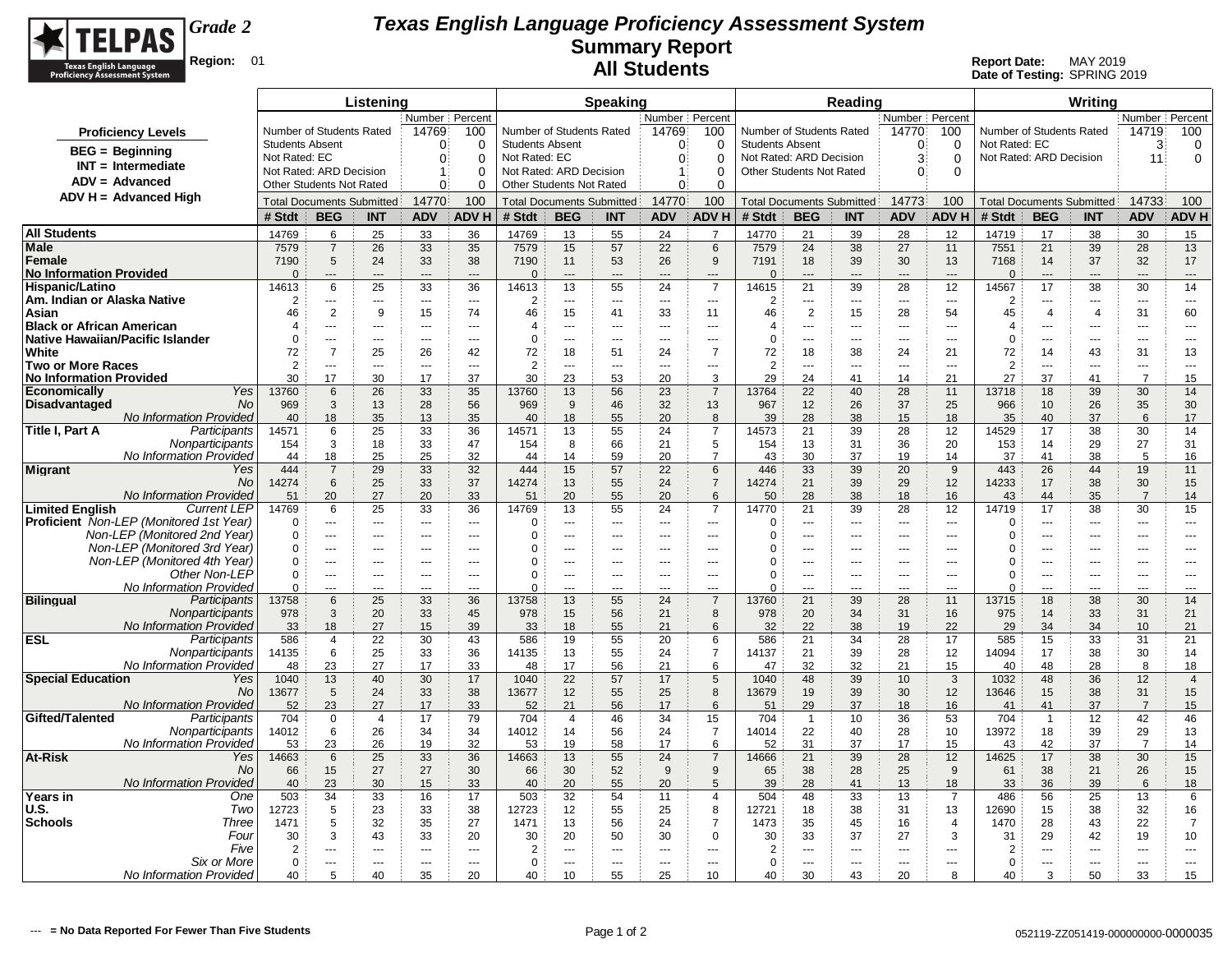

|                                                              |                            |                               | Listening                                                                                                        |                                            |                          |                               |                                  | <b>Speaking</b>       |                          |                               |                                                    |                      | Reading                                    |                                           |                     |                            |                                  | Writina                          |                          |                          |
|--------------------------------------------------------------|----------------------------|-------------------------------|------------------------------------------------------------------------------------------------------------------|--------------------------------------------|--------------------------|-------------------------------|----------------------------------|-----------------------|--------------------------|-------------------------------|----------------------------------------------------|----------------------|--------------------------------------------|-------------------------------------------|---------------------|----------------------------|----------------------------------|----------------------------------|--------------------------|--------------------------|
|                                                              |                            |                               | Number Percent<br>Number of Students Rated<br>14769<br>100<br>Number of Students Rated<br><b>Students Absent</b> |                                            |                          |                               |                                  |                       | Number   Percent         |                               |                                                    |                      |                                            | Number Percent                            |                     |                            |                                  |                                  | Number Percent           |                          |
| <b>Proficiency Levels</b>                                    | <b>Students Absent</b>     |                               |                                                                                                                  | ∩                                          | $\Omega$                 |                               |                                  |                       | 14769<br>$\Omega$        | 100<br>$\Omega$               | Number of Students Rated<br><b>Students Absent</b> |                      |                                            | 14770<br>∩                                | 100<br>$\Omega$     | Not Rated: EC              | Number of Students Rated         |                                  | 14719<br>3               | 100                      |
| $BEG = Beginning$                                            | Not Rated: EC              |                               |                                                                                                                  | $\Omega$                                   | 0                        | Not Rated: EC                 |                                  |                       | $\mathbf{0}$             | $\Omega$                      | Not Rated: ARD Decision                            |                      |                                            | 3                                         | $\mathbf 0$         |                            | Not Rated: ARD Decision          |                                  | 11                       | 0<br>$\mathbf 0$         |
| $INT = Intermediate$                                         |                            | Not Rated: ARD Decision       |                                                                                                                  | 1                                          | $\Omega$                 |                               | Not Rated: ARD Decision          |                       | $\mathbf{1}$             | $\Omega$                      | Other Students Not Rated                           |                      |                                            | $\Omega$                                  | $\Omega$            |                            |                                  |                                  |                          |                          |
| $ADV = Advanced$                                             |                            | Other Students Not Rated      |                                                                                                                  | $\Omega$                                   | 0                        |                               | Other Students Not Rated         |                       | $\mathbf{0}$             | $\Omega$                      |                                                    |                      |                                            |                                           |                     |                            |                                  |                                  |                          |                          |
| $ADV H = Advanced High$                                      |                            |                               | <b>Total Documents Submitted</b>                                                                                 | 14770                                      | 100                      |                               | <b>Total Documents Submitted</b> |                       | 14770                    | 100                           |                                                    |                      | <b>Total Documents Submitted</b>           | 14773                                     | 100                 |                            |                                  | <b>Total Documents Submitted</b> | 14733                    | 100                      |
|                                                              | # Stdt                     | <b>BEG</b>                    | <b>INT</b>                                                                                                       | <b>ADV</b>                                 | <b>ADVH</b>              | # Stdt                        | <b>BEG</b>                       | <b>INT</b>            | <b>ADV</b>               | <b>ADVH</b>                   | # Stdt                                             | <b>BEG</b>           | <b>INT</b>                                 | <b>ADV</b>                                | <b>ADV H</b>        | # Stdt                     | <b>BEG</b>                       | <b>INT</b>                       | <b>ADV</b>               | <b>ADVH</b>              |
| <b>All Students</b>                                          | 14769                      | 6                             | 25                                                                                                               | 33                                         | 36                       | 14769                         | 13                               | 55                    | 24                       | $\overline{7}$                | 14770                                              | 21                   | 39                                         | 28                                        | 12                  | 14719                      | 17                               | 38                               | 30                       | 15                       |
| Male                                                         | 7579                       | $\overline{7}$                | 26                                                                                                               | 33                                         | 35                       | 7579                          | 15                               | 57                    | 22                       | 6                             | 7579                                               | 24                   | 38                                         | 27                                        | 11                  | 7551                       | 21                               | 39                               | 28                       | 13                       |
| Female<br><b>No Information Provided</b>                     | 7190<br>$\cap$             | 5<br>$\overline{\phantom{a}}$ | 24<br>$-$ --                                                                                                     | 33<br>$---$                                | 38<br>$\overline{a}$     | 7190<br>$\Omega$              | 11<br>$\overline{a}$             | 53<br>$---$           | 26<br>$---$              | 9<br>$\overline{\phantom{a}}$ | 7191<br>$\Omega$                                   | 18<br>$\overline{a}$ | 39<br>$---$                                | 30<br>$---$                               | 13<br>$---$         | 7168<br>$\Omega$           | 14<br>$---$                      | 37<br>---                        | 32<br>$---$              | 17<br>---                |
| Hispanic/Latino                                              | 14613                      | 6                             | 25                                                                                                               | 33                                         | 36                       | 14613                         | 13                               | 55                    | 24                       | $\overline{7}$                | 14615                                              | 21                   | 39                                         | 28                                        | 12                  | 14567                      | 17                               | 38                               | 30                       | 14                       |
| Am. Indian or Alaska Native                                  | $\overline{2}$             | ---                           | $---$                                                                                                            | $---$                                      | $\sim$                   | 2                             | $\overline{a}$                   | ---                   | $- - -$                  | $\overline{a}$                | $\overline{2}$                                     | $\overline{a}$       | $---$                                      | $\overline{\phantom{a}}$                  | $\sim$              | $\overline{2}$             | ---                              | $\overline{a}$                   | $\overline{a}$           | $---$                    |
| Asian                                                        | 46                         | $\overline{2}$                | 9                                                                                                                | 15                                         | 74                       | 46                            | 15                               | 41                    | 33                       | 11                            | 46                                                 | $\overline{2}$       | 15                                         | 28                                        | 54                  | 45                         | $\overline{4}$                   | $\overline{4}$                   | 31                       | 60                       |
| <b>Black or African American</b>                             | $\overline{4}$<br>$\Omega$ | ---<br>$\overline{a}$         | ---<br>---                                                                                                       | $\overline{a}$<br>$\overline{a}$           | $\overline{a}$<br>$\sim$ | 4<br>$\mathbf 0$              | ---<br>$\overline{a}$            | ---<br>               | $\overline{a}$<br>       | $\overline{a}$<br>$\sim$      | 4<br>$\Omega$                                      | ---                  | ---<br>---                                 | $\overline{a}$<br>$\sim$                  | ---<br>$\sim$       | $\overline{4}$<br>$\Omega$ | $\overline{a}$<br>$\overline{a}$ | ---<br>---                       | ---<br>                  | $\overline{a}$<br>$\sim$ |
| <b>Native Hawaiian/Pacific Islander</b><br>White             | 72                         | $\overline{7}$                | 25                                                                                                               | 26                                         | 42                       | 72                            | 18                               | 51                    | 24                       | $\overline{7}$                | 72                                                 | ---<br>18            | 38                                         | 24                                        | 21                  | 72                         | 14                               | 43                               | 31                       | 13                       |
| <b>Two or More Races</b>                                     | 2                          | ---                           | ---                                                                                                              | $\overline{a}$                             | $\sim$                   | $\overline{2}$                | ---                              | ---                   | ---                      | $\overline{a}$                | $\overline{2}$                                     | ---                  | $\overline{a}$                             | $\overline{\phantom{a}}$                  | $\sim$              | 2                          | ---                              | ---                              | ---                      | ---                      |
| <b>No Information Provided</b>                               | 30                         | 17                            | 30                                                                                                               | 17                                         | 37                       | 30                            | 23                               | 53                    | 20                       | 3                             | 29                                                 | 24                   | 41                                         | 14                                        | 21                  | 27                         | 37                               | 41                               | $\overline{7}$           | 15                       |
| Yes<br><b>Economically</b>                                   | 13760                      | 6                             | 26                                                                                                               | 33                                         | 35                       | 13760                         | 13                               | 56                    | 23                       | $\overline{7}$                | 13764                                              | 22                   | 40                                         | 28                                        | 11                  | 13718                      | 18                               | 39                               | 30                       | 14                       |
| <b>Disadvantaged</b><br>No<br><b>No Information Provided</b> | 969<br>40                  | 3<br>18                       | 13<br>35                                                                                                         | 28<br>13                                   | 56<br>35                 | 969<br>40                     | 9<br>18                          | 46<br>55              | 32<br>20                 | 13<br>8                       | 967<br>39                                          | 12<br>28             | 26<br>38                                   | 37<br>15                                  | 25<br>18            | 966<br>35                  | 10<br>40                         | 26<br>37                         | 35<br>6                  | 30<br>17                 |
| Participants<br>Title I, Part A                              | 14571                      | 6                             | 25                                                                                                               | 33                                         | 36                       | 14571                         | 13                               | 55                    | 24                       | $\overline{7}$                | 14573                                              | 21                   | 39                                         | 28                                        | 12                  | 14529                      | 17                               | 38                               | 30                       | 14                       |
| Nonparticipants                                              | 154                        | 3                             | 18                                                                                                               | 33                                         | 47                       | 154                           | 8                                | 66                    | 21                       | 5                             | 154                                                | 13                   | 31                                         | 36                                        | 20                  | 153                        | 14                               | 29                               | 27                       | 31                       |
| No Information Provided                                      | 44                         | 18                            | 25                                                                                                               | 25                                         | 32                       | 44                            | 14                               | 59                    | 20                       | $\overline{7}$                | 43                                                 | 30                   | 37                                         | 19                                        | 14                  | 37                         | 41                               | 38                               | 5                        | 16                       |
| <b>Migrant</b><br>Yes                                        | 444                        | $\overline{7}$                | 29                                                                                                               | 33                                         | 32                       | 444                           | 15                               | 57                    | 22                       | 6                             | 446                                                | 33                   | 39                                         | 20                                        | 9                   | 443                        | 26                               | 44                               | 19                       | 11                       |
| <b>No</b><br><b>No Information Provided</b>                  | 14274<br>51                | 6<br>20                       | 25<br>27                                                                                                         | 33<br>20                                   | 37<br>33                 | 14274<br>51                   | 13<br>20                         | 55<br>55              | 24<br>20                 | $\overline{7}$<br>6           | 14274<br>50                                        | 21<br>28             | 39<br>38                                   | 29<br>18                                  | 12<br>16            | 14233<br>43                | 17<br>44                         | 38<br>35                         | 30<br>$\overline{7}$     | 15<br>14                 |
| <b>Limited English</b><br><b>Current LEP</b>                 | 14769                      | 6                             | 25                                                                                                               | 33                                         | 36                       | 14769                         | 13                               | 55                    | 24                       | $\overline{7}$                | 14770                                              | 21                   | 39                                         | 28                                        | 12                  | 14719                      | 17                               | 38                               | 30                       | 15                       |
| Proficient Non-LEP (Monitored 1st Year)                      | $\Omega$                   | $\overline{a}$                | $- - -$                                                                                                          | $\sim$ $\sim$ $\sim$                       | $---$                    | 0                             | $-$                              | $\overline{a}$        | $- - -$                  | $\sim$ $\sim$                 | $\Omega$                                           | $\overline{a}$       | $- - -$                                    | $-$                                       | $\sim$              | $\mathbf 0$                | $\overline{a}$                   | $\overline{a}$                   | $\overline{a}$           | $---$                    |
| Non-LEP (Monitored 2nd Year)                                 | $\Omega$                   | ---                           | ---                                                                                                              | $-$                                        | $\sim$ $\sim$            | $\Omega$                      | $-$                              | ---                   | $- - -$                  | ---                           | $\Omega$                                           | ---                  | ---                                        | $-$                                       | $\sim$              | $\Omega$                   | ---                              | $\overline{a}$                   | $\overline{a}$           | ---                      |
| Non-LEP (Monitored 3rd Year)<br>Non-LEP (Monitored 4th Year) | $\Omega$<br>$\Omega$       | ---<br>---                    | $\cdots$                                                                                                         | $---$                                      | $--$<br>$\sim$           | 0<br>0                        | ---<br>÷÷.                       | ---<br>---            | $---$<br>---             | $---$<br>$\overline{a}$       | 0<br>0                                             | ---<br>---           | ---<br>---                                 | $---$<br>$\overline{\phantom{a}}$         | ---                 | 0<br>0                     | ---<br>$\overline{a}$            | ---<br>---                       | ---<br>---               | $---$<br>$\overline{a}$  |
| Other Non-LEP                                                | $\mathbf 0$                | $\overline{a}$                | ---                                                                                                              | $---$<br>---                               | $\overline{a}$           | $\mathbf 0$                   | ---                              | ---                   | ---                      | ---                           | $\Omega$                                           | ---                  | ---                                        | ---                                       | $\sim$              | $\mathbf 0$                | $\overline{a}$                   |                                  | ---                      | ---                      |
| No Information Provided                                      | $\mathbf 0$                | ---                           |                                                                                                                  | $\overline{a}$                             |                          | $\Omega$                      |                                  | Ξ.                    |                          | ---                           | $\Omega$                                           | ---                  | $\overline{a}$                             | ---                                       |                     | $\Omega$                   | $\overline{a}$                   |                                  | ---                      | ---                      |
| <b>Bilingual</b><br>Participants                             | 13758                      | 6                             | 25                                                                                                               | 33                                         | 36                       | 13758                         | 13                               | 55                    | 24                       | $\overline{7}$                | 13760                                              | 21                   | 39                                         | 28                                        | 11                  | 13715                      | 18                               | 38                               | 30                       | 14                       |
| Nonparticipants                                              | 978                        | 3                             | 20                                                                                                               | 33                                         | 45                       | 978                           | 15                               | 56                    | 21                       | 8                             | 978                                                | 20                   | 34                                         | 31                                        | 16                  | 975                        | 14                               | 33                               | 31                       | 21                       |
| <b>No Information Provided</b><br><b>ESL</b><br>Participants | 33<br>586                  | 18<br>$\overline{4}$          | 27<br>22                                                                                                         | 15<br>30                                   | 39<br>43                 | 33<br>586                     | 18<br>19                         | 55<br>55              | 21<br>20                 | 6<br>6                        | 32<br>586                                          | 22<br>21             | 38<br>34                                   | 19<br>28                                  | 22<br>17            | 29<br>585                  | 34<br>15                         | 34<br>33                         | 10<br>31                 | 21<br>21                 |
| Nonparticipants                                              | 14135                      | 6                             | 25                                                                                                               | 33                                         | 36                       | 14135                         | 13                               | 55                    | 24                       | $\overline{7}$                | 14137                                              | 21                   | 39                                         | 28                                        | 12                  | 14094                      | 17                               | 38                               | 30                       | 14                       |
| No Information Provideo                                      | 48                         | 23                            | 27                                                                                                               | 17                                         | 33                       | 48                            | 17                               | 56                    | 21                       | 6                             | 47                                                 | 32                   | 32                                         | 21                                        | 15                  | 40                         | 48                               | 28                               | 8                        | 18                       |
| <b>Special Education</b><br>Yes                              | 1040                       | 13                            | 40                                                                                                               | 30                                         | 17                       | 1040                          | 22                               | 57                    | 17                       | 5                             | 1040                                               | 48                   | 39                                         | 10                                        | 3                   | 1032                       | 48                               | 36                               | 12                       | $\overline{4}$           |
| No<br>No Information Provided                                | 13677<br>52                | 5<br>23                       | 24<br>27                                                                                                         | 33<br>17                                   | 38<br>33                 | 13677<br>52                   | 12<br>21                         | 55<br>56              | 25<br>17                 | 8<br>6                        | 13679<br>51                                        | 19<br>29             | 39<br>37                                   | 30<br>18                                  | 12<br>16            | 13646<br>41                | 15<br>41                         | 38<br>37                         | 31<br>$\overline{7}$     | 15<br>15                 |
| Gifted/Talented<br>Participants                              | 704                        | $\mathbf 0$                   | $\overline{4}$                                                                                                   | 17                                         | 79                       | 704                           | $\overline{4}$                   | 46                    | 34                       | 15                            | 704                                                | $\overline{1}$       | 10                                         | 36                                        | 53                  | 704                        | $\overline{1}$                   | 12                               | 42                       | 46                       |
| Nonparticipants                                              | 14012                      | 6                             | 26                                                                                                               | 34                                         | 34                       | 14012                         | 14                               | 56                    | 24                       | $\overline{7}$                | 14014                                              | 22                   | 40                                         | 28                                        | 10                  | 13972                      | 18                               | 39                               | 29                       | 13                       |
| No Information Provided                                      | 53                         | 23                            | 26                                                                                                               | 19                                         | 32                       | 53                            | 19                               | 58                    | 17                       | 6                             | 52                                                 | 31                   | 37                                         | 17                                        | 15                  | 43                         | 42                               | 37                               | $\overline{7}$           | 14                       |
| At-Risk<br>Yes                                               | 14663                      | 6                             | 25                                                                                                               | 33                                         | 36                       | 14663                         | 13                               | 55                    | 24                       | $\overline{7}$                | 14666                                              | 21                   | 39                                         | 28                                        | 12                  | 14625                      | 17                               | 38                               | 30                       | 15                       |
| No<br>No Information Provideo                                | 66<br>40                   | 15<br>23                      | 27<br>30                                                                                                         | 27<br>15                                   | 30<br>33                 | 66<br>40                      | 30<br>20                         | 52<br>55              | 9<br>20                  | 9<br>5                        | 65<br>39                                           | 38<br>28             | 28<br>41                                   | 25<br>13                                  | 9<br>18             | 61<br>33                   | 38<br>36                         | 21<br>39                         | 26<br>6                  | 15<br>18                 |
| Years in<br>One                                              | 503                        | 34                            | 33                                                                                                               | 16                                         | 17                       | 503                           | 32                               | 54                    | 11                       | $\overline{4}$                | 504                                                | 48                   | 33                                         | 13                                        | $\overline{7}$      | 486                        | 56                               | 25                               | 13                       | 6                        |
| U.S.<br>Two                                                  | 12723                      | 5                             | 23                                                                                                               | 33                                         | 38                       | 12723                         | 12                               | 55                    | 25                       | 8                             | 12721                                              | 18                   | 38                                         | 31                                        | 13                  | 12690                      | 15                               | 38                               | 32                       | 16                       |
| <b>Schools</b><br>Three                                      | 1471                       | 5                             | 32                                                                                                               | 35                                         | 27                       | 1471                          | 13                               | 56                    | 24                       | $\overline{7}$                | 1473                                               | 35                   | 45                                         | 16                                        | $\overline{4}$      | 1470                       | 28                               | 43                               | 22                       | $\overline{7}$           |
| Four<br>Five                                                 | 30<br>$\overline{2}$       | 3                             | 43<br>$-$                                                                                                        | 33                                         | 20                       | 30                            | 20                               | 50                    | 30                       | $\mathbf 0$                   | 30<br>$\overline{2}$                               | 33                   | 37                                         | 27                                        | 3<br>$\overline{a}$ | 31<br>$\overline{2}$       | 29<br>---                        | 42                               | 19                       | 10                       |
| Six or More                                                  | $\Omega$                   | ---<br>---                    | $\overline{a}$                                                                                                   | $\overline{a}$<br>$\overline{\phantom{a}}$ | $\sim$<br>$\sim$         | $\overline{2}$<br>$\mathbf 0$ | ---<br>$\overline{a}$            | ---<br>$\overline{a}$ | $\overline{a}$<br>$\sim$ | $\overline{a}$<br>$\sim$      | $\Omega$                                           | ---<br>$\sim$        | $\overline{a}$<br>$\overline{\phantom{a}}$ | $\overline{\phantom{a}}$<br>$\sim$ $\sim$ | $\sim$              | $\Omega$                   | $\overline{\phantom{a}}$         | ---<br>---                       | $\overline{a}$<br>$\sim$ | $\overline{a}$<br>$\sim$ |
| No Information Provided                                      | 40                         | 5                             | 40                                                                                                               | 35                                         | 20                       | 40                            | 10                               | 55                    | 25                       | 10                            | 40                                                 | 30                   | 43                                         | 20                                        | 8                   | 40                         | 3                                | 50                               | 33                       | 15                       |
|                                                              |                            |                               |                                                                                                                  |                                            |                          |                               |                                  |                       |                          |                               |                                                    |                      |                                            |                                           |                     |                            |                                  |                                  |                          |                          |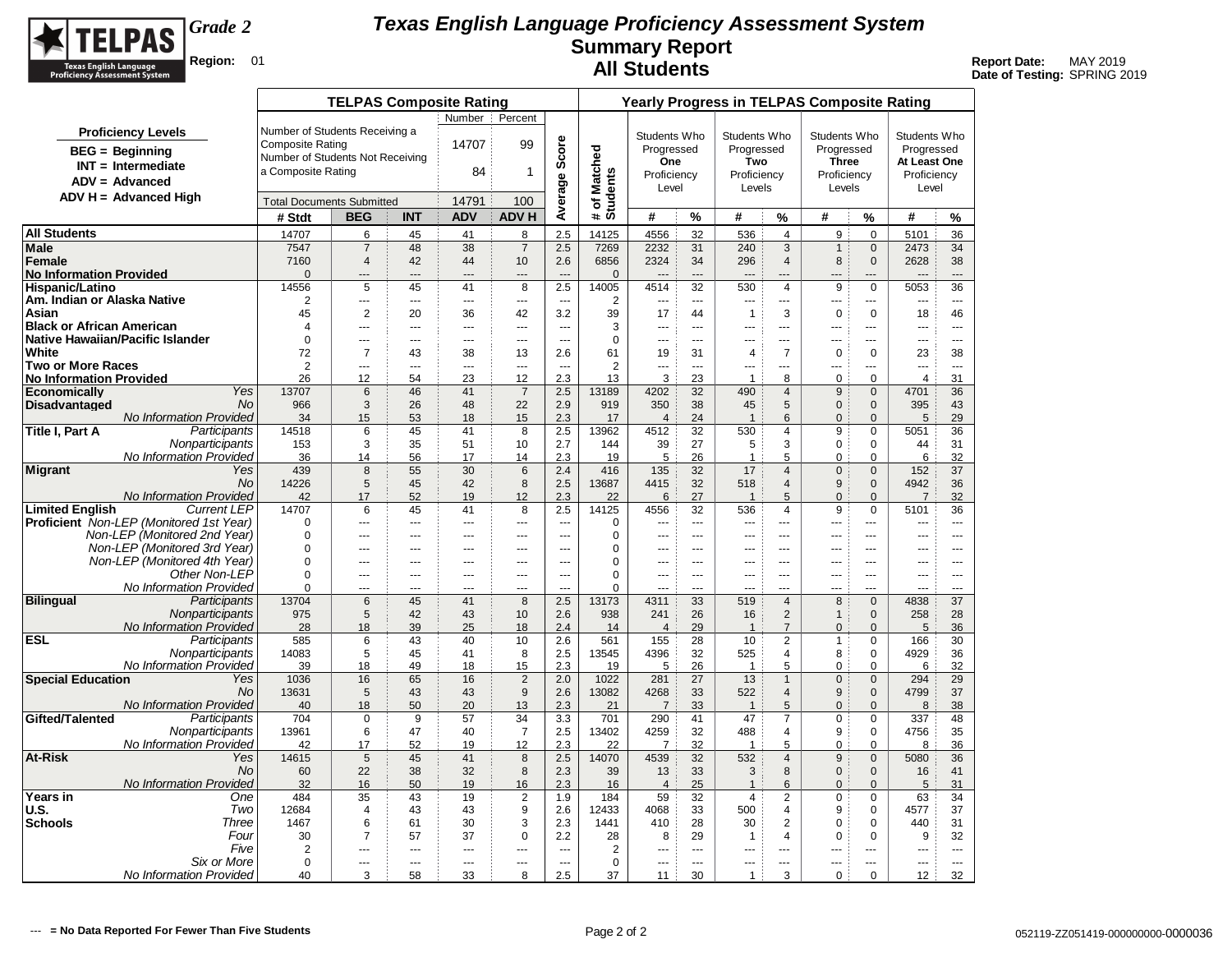

|                                                       |                                                      |                                  | <b>TELPAS Composite Rating</b> |                          |                          |                          |                          |                          |                       |                          |                      |                                  | <b>Yearly Progress in TELPAS Composite Rating</b> |                              |                        |                      |
|-------------------------------------------------------|------------------------------------------------------|----------------------------------|--------------------------------|--------------------------|--------------------------|--------------------------|--------------------------|--------------------------|-----------------------|--------------------------|----------------------|----------------------------------|---------------------------------------------------|------------------------------|------------------------|----------------------|
|                                                       |                                                      |                                  |                                |                          | Number:                  | Percent                  |                          |                          |                       |                          |                      |                                  |                                                   |                              |                        |                      |
|                                                       | <b>Proficiency Levels</b>                            | Number of Students Receiving a   |                                |                          |                          |                          |                          |                          | Students Who          |                          | Students Who         |                                  | Students Who                                      |                              | Students Who           |                      |
|                                                       | $BEG =$ Beginning                                    | <b>Composite Rating</b>          |                                |                          | 14707                    | 99                       |                          |                          | Progressed            |                          | Progressed           |                                  | Progressed                                        |                              | Progressed             |                      |
|                                                       | $INT = Intermediate$                                 | Number of Students Not Receiving |                                |                          |                          |                          |                          |                          | <b>One</b>            |                          | Two                  |                                  | <b>Three</b>                                      |                              | At Least One           |                      |
|                                                       | $ADV = Advanced$                                     | a Composite Rating               |                                |                          | 84                       | $\mathbf{1}$             |                          |                          | Proficiency           |                          | Proficiency          |                                  | Proficiency                                       |                              | Proficiency            |                      |
|                                                       | $ADV H = Advanced High$                              |                                  |                                |                          |                          |                          |                          |                          | Level                 |                          | Levels               |                                  | Levels                                            |                              | Level                  |                      |
|                                                       |                                                      | <b>Total Documents Submitted</b> |                                |                          | 14791                    | 100                      | Average Score            | # of Matched<br>Students |                       |                          |                      |                                  |                                                   |                              |                        |                      |
|                                                       |                                                      | # Stdt                           | <b>BEG</b>                     | <b>INT</b>               | <b>ADV</b>               | <b>ADVH</b>              |                          |                          | #                     | %                        | #                    | $\%$                             | #                                                 | %                            | #                      | %                    |
| <b>All Students</b>                                   |                                                      | 14707                            | 6                              | 45                       | 41                       | 8                        | 2.5                      | 14125                    | 4556                  | 32                       | 536                  | $\overline{4}$                   | 9                                                 | $\Omega$                     | 5101                   | 36                   |
| <b>Male</b>                                           |                                                      | 7547                             | $\overline{7}$                 | 48                       | 38                       | $\overline{7}$           | 2.5                      | 7269                     | 2232                  | 31                       | 240                  | 3                                | $\mathbf{1}$                                      | $\mathbf 0$                  | 2473                   | 34                   |
| Female                                                |                                                      | 7160                             | 4                              | 42                       | 44                       | 10                       | 2.6                      | 6856                     | 2324                  | 34                       | 296                  | $\overline{4}$                   | 8                                                 | $\mathbf{0}$                 | 2628                   | 38                   |
| <b>No Information Provided</b>                        |                                                      | $\mathbf{0}$<br>14556            | $---$<br>5                     | ---<br>45                | $---$<br>41              | ---<br>8                 | 2.5                      | $\mathbf 0$<br>14005     | 4514                  | 32                       | 530                  | ---<br>$\overline{4}$            | 9                                                 | $\mathbf 0$                  | ---<br>5053            | $\overline{a}$<br>36 |
| <b>Hispanic/Latino</b><br>Am. Indian or Alaska Native |                                                      | 2                                | $\sim$                         | ---                      | $\sim$                   | $\sim$                   | $\sim$                   | 2                        |                       | $\sim$                   | $\overline{a}$       |                                  | $\overline{a}$                                    |                              |                        | $\sim$               |
| Asian                                                 |                                                      | 45                               | $\overline{2}$                 | 20                       | 36                       | 42                       | 3.2                      | 39                       | 17                    | 44                       | $\mathbf{1}$         | 3                                | $\mathbf 0$                                       | $\mathbf 0$                  | 18                     | 46                   |
| <b>Black or African American</b>                      |                                                      | $\overline{4}$                   | $\overline{a}$                 | $\overline{a}$           | $\overline{a}$           | $\overline{a}$           | $\sim$                   | 3                        | ---                   | $\sim$                   | $\overline{a}$       | ---                              | $\overline{a}$                                    | ---                          | ---                    | $\sim$               |
| Native Hawaiian/Pacific Islander                      |                                                      | $\mathbf 0$                      | $\sim$                         | ---                      | $\overline{\phantom{a}}$ | $\overline{\phantom{a}}$ | $\overline{a}$           | 0                        | ---                   | $\sim$                   | ---                  | ---                              | $\overline{\phantom{a}}$                          | ---                          | ---                    | $\sim$               |
| White                                                 |                                                      | 72                               | $\overline{7}$                 | 43                       | 38                       | 13                       | 2.6                      | 61                       | 19                    | 31                       | $\overline{4}$       | $\overline{7}$                   | $\mathbf 0$                                       | $\mathbf 0$                  | 23                     | 38                   |
| <b>Two or More Races</b>                              |                                                      | 2                                | $\overline{a}$                 | $\overline{a}$           | $\overline{a}$           | $\overline{a}$           | $\sim$                   | $\overline{2}$           | ---                   | $\sim$                   | ---                  | ---                              | ---                                               | ---                          | ---                    | $\overline{a}$       |
| <b>No Information Provided</b>                        | Yes                                                  | 26                               | 12                             | 54                       | 23                       | 12<br>$\overline{7}$     | 2.3                      | 13                       | 3<br>4202             | 23                       | $\overline{1}$       | 8                                | $\mathbf 0$<br>9                                  | $\mathbf 0$                  | $\overline{4}$<br>4701 | 31                   |
| <b>Economically</b><br><b>Disadvantaged</b>           | <b>No</b>                                            | 13707<br>966                     | 6<br>3                         | 46<br>26                 | 41<br>48                 | 22                       | 2.5<br>2.9               | 13189<br>919             | 350                   | 32<br>38                 | 490<br>45            | $\overline{4}$<br>5              | $\mathbf{0}$                                      | $\mathbf{0}$<br>$\mathbf{0}$ | 395                    | 36<br>43             |
|                                                       | No Information Provided                              | 34                               | 15                             | 53                       | 18                       | 15                       | 2.3                      | 17                       | $\overline{4}$        | 24                       | $\mathbf{1}$         | 6                                | $\mathbf{0}$                                      | $\mathbf{0}$                 | 5                      | 29                   |
| Title I, Part A                                       | Participants                                         | 14518                            | 6                              | 45                       | 41                       | 8                        | 2.5                      | 13962                    | 4512                  | 32                       | 530                  | 4                                | 9                                                 | $\Omega$                     | 5051                   | 36                   |
|                                                       | Nonparticipants                                      | 153                              | 3                              | 35                       | 51                       | 10                       | 2.7                      | 144                      | 39                    | 27                       | 5                    | 3                                | $\mathbf 0$                                       | $\mathbf 0$                  | 44                     | 31                   |
|                                                       | No Information Provided                              | 36                               | 14                             | 56                       | 17                       | 14                       | 2.3                      | 19                       | 5                     | 26                       | 1                    | 5                                | 0                                                 | $\mathbf 0$                  | 6                      | 32                   |
| Migrant                                               | Yes                                                  | 439                              | 8                              | 55                       | 30                       | $6\phantom{1}6$          | 2.4                      | 416                      | 135                   | 32                       | 17                   | $\overline{4}$                   | $\Omega$                                          | $\Omega$                     | 152                    | 37                   |
|                                                       | <b>No</b>                                            | 14226                            | 5                              | 45                       | 42                       | 8                        | 2.5                      | 13687                    | 4415                  | 32                       | 518                  | $\overline{4}$                   | 9                                                 | $\mathbf{0}$                 | 4942                   | 36                   |
| <b>Limited English</b>                                | <b>No Information Provided</b><br><b>Current LEP</b> | 42<br>14707                      | 17<br>6                        | 52<br>45                 | 19<br>41                 | 12<br>8                  | 2.3<br>2.5               | 22<br>14125              | 6<br>4556             | 27<br>32                 | $\mathbf{1}$<br>536  | $\overline{5}$<br>$\overline{4}$ | $\Omega$<br>9                                     | $\mathbf{0}$<br>$\mathbf 0$  | $\overline{7}$<br>5101 | 32<br>36             |
|                                                       | <b>Proficient</b> Non-LEP (Monitored 1st Year)       | 0                                | $---$                          | $\overline{a}$           | $---$                    | $\overline{a}$           | $-$                      | 0                        | ---                   | $---$                    | $---$                | $\overline{a}$                   | $-$                                               | $\overline{a}$               | $\overline{a}$         | $-$                  |
|                                                       | Non-LEP (Monitored 2nd Year)                         | $\mathbf 0$                      | $\overline{a}$                 | ---                      | ---                      | ---                      | ---                      | $\mathbf 0$              | ---                   | $\overline{a}$           |                      | ---                              | ---                                               | ---                          | ---                    | $\overline{a}$       |
|                                                       | Non-LEP (Monitored 3rd Year)                         | $\mathbf 0$                      | $-$                            | $\overline{a}$           | $-$                      | $-$                      | $\overline{a}$           | 0                        | $-$                   | $-$                      | $\sim$               | $\overline{a}$                   | $\overline{a}$                                    | $\overline{a}$               | $\overline{a}$         | $-$                  |
|                                                       | Non-LEP (Monitored 4th Year)                         | $\mathbf 0$                      | $---$                          | ---                      | $-$                      | $\overline{a}$           | $\overline{a}$           | 0                        | ---                   | $\sim$                   | $---$                | $-$                              | $-$                                               | $\overline{a}$               | ---                    | $---$                |
|                                                       | Other Non-LEP                                        | $\Omega$                         | $- - -$                        | $---$                    | $- - -$                  | $\overline{a}$           |                          | $\Omega$                 | $\overline{a}$        | $\sim$                   | $- - -$              | $- - -$                          | $\overline{a}$                                    | $\overline{a}$               | $\overline{a}$         | $- - -$              |
|                                                       | No Information Provided                              | $\mathbf 0$                      | $-$                            | $\overline{a}$           | $\sim$                   | $\sim$                   | $\sim$                   | 0                        | $\sim$                | $\sim$                   | $\sim$               | $\overline{a}$                   | $\sim$                                            | ---                          | $\overline{a}$         | $\sim$               |
| <b>Bilingual</b>                                      | Participants<br>Nonparticipants                      | 13704                            | 6                              | 45                       | 41                       | 8                        | 2.5                      | 13173<br>938             | 4311<br>241           | 33                       | 519                  | $\overline{4}$                   | 8<br>$\mathbf{1}$                                 | $\Omega$<br>$\mathbf{0}$     | 4838                   | 37                   |
|                                                       | No Information Provided                              | 975<br>28                        | 5<br>18                        | 42<br>39                 | 43<br>25                 | 10<br>18                 | 2.6<br>2.4               | 14                       | $\overline{4}$        | 26<br>29                 | 16                   | $\overline{2}$<br>$\overline{7}$ | $\mathbf{0}$                                      | $\Omega$                     | 258<br>5               | 28<br>36             |
| <b>ESL</b>                                            | Participants                                         | 585                              | 6                              | 43                       | 40                       | 10                       | 2.6                      | 561                      | 155                   | 28                       | 10                   | $\overline{\mathbf{c}}$          | $\overline{1}$                                    | $\Omega$                     | 166                    | 30                   |
|                                                       | Nonparticipants                                      | 14083                            | 5                              | 45                       | 41                       | 8                        | 2.5                      | 13545                    | 4396                  | 32                       | 525                  | $\overline{4}$                   | 8                                                 | $\mathbf 0$                  | 4929                   | 36                   |
|                                                       | No Information Provided                              | 39                               | 18                             | 49                       | 18                       | 15                       | 2.3                      | 19                       | 5                     | 26                       | $\mathbf{1}$         | 5                                | $\mathbf 0$                                       | $\mathbf 0$                  | 6                      | 32                   |
| <b>Special Education</b>                              | Yes                                                  | 1036                             | 16                             | 65                       | 16                       | $\overline{2}$           | 2.0                      | 1022                     | 281                   | 27                       | 13                   | $\mathbf{1}$                     | $\mathbf 0$                                       | $\mathbf 0$                  | 294                    | 29                   |
|                                                       | No.                                                  | 13631                            | 5                              | 43                       | 43                       | 9                        | 2.6                      | 13082                    | 4268                  | 33                       | 522                  | $\overline{4}$                   | 9                                                 | $\mathbf{0}$                 | 4799                   | 37                   |
| Gifted/Talented                                       | <b>No Information Provided</b><br>Participants       | 40<br>704                        | 18<br>$\mathbf 0$              | 50<br>9                  | 20<br>57                 | 13<br>34                 | 2.3<br>3.3               | 21<br>701                | $\overline{7}$<br>290 | 33<br>41                 | $\overline{1}$<br>47 | 5<br>7                           | $\overline{0}$<br>0                               | $\mathbf{0}$<br>0            | 8<br>337               | 38<br>48             |
|                                                       | Nonparticipants                                      | 13961                            | 6                              | 47                       | 40                       | $\overline{7}$           | 2.5                      | 13402                    | 4259                  | 32                       | 488                  | 4                                | 9                                                 | $\mathbf 0$                  | 4756                   | 35                   |
|                                                       | No Information Provided                              | 42                               | 17                             | 52                       | 19                       | 12                       | 2.3                      | 22                       | $\overline{7}$        | 32                       | $\mathbf{1}$         | 5                                | $\Omega$                                          | $\Omega$                     | 8                      | 36                   |
| At-Risk                                               | Yes                                                  | 14615                            | 5                              | 45                       | 41                       | 8                        | 2.5                      | 14070                    | 4539                  | 32                       | 532                  | $\overline{4}$                   | 9                                                 | $\mathbf{0}$                 | 5080                   | 36                   |
|                                                       | No                                                   | 60                               | 22                             | 38                       | 32                       | 8                        | 2.3                      | 39                       | 13                    | 33                       | 3                    | 8                                | $\Omega$                                          | $\mathbf 0$                  | 16                     | 41                   |
|                                                       | <b>No Information Provided</b>                       | 32                               | 16                             | 50                       | 19                       | 16                       | 2.3                      | 16                       | $\overline{4}$        | 25                       | $\mathbf{1}$         | 6                                | $\mathbf{0}$                                      | $\Omega$                     | 5                      | 31                   |
| Years in                                              | One                                                  | 484                              | 35                             | 43                       | 19                       | $\sqrt{2}$               | 1.9                      | 184                      | 59                    | 32                       | $\overline{4}$       | $\overline{2}$                   | $\mathbf 0$                                       | $\mathbf 0$                  | 63                     | 34                   |
| U.S.<br><b>Schools</b>                                | Two                                                  | 12684                            | 4                              | 43                       | 43                       | 9<br>3                   | 2.6                      | 12433                    | 4068                  | 33                       | 500                  | 4                                | 9                                                 | $\Omega$                     | 4577                   | 37                   |
|                                                       | Three<br>Four                                        | 1467<br>30                       | 6<br>$\overline{7}$            | 61<br>57                 | 30<br>37                 | $\mathbf 0$              | 2.3<br>2.2               | 1441<br>28               | 410<br>8              | 28<br>29                 | 30<br>$\mathbf{1}$   | $\overline{2}$<br>4              | $\mathbf 0$<br>$\mathbf 0$                        | $\Omega$<br>$\mathbf 0$      | 440<br>9               | 31<br>32             |
|                                                       | Five                                                 | 2                                | $\sim$                         | $\overline{\phantom{a}}$ | $\overline{\phantom{a}}$ | ---                      | $\overline{\phantom{a}}$ | $\overline{2}$           | ---                   | $\overline{\phantom{a}}$ | ---                  | ---                              | ---                                               | ---                          | ---                    | $\sim$ $\sim$        |
|                                                       | Six or More                                          | $\Omega$                         | $\sim$                         | $\sim$                   | $\sim$                   | ---                      | $\sim$                   | $\mathbf 0$              |                       | $\sim$                   | <u></u>              | <u></u>                          |                                                   | ---                          |                        | $\sim$               |
|                                                       | No Information Provided                              | 40                               | 3                              | 58                       | 33                       | 8                        | 2.5                      | 37                       | 11                    | 30                       | $\mathbf{1}$         | 3                                | 0                                                 | $\mathbf 0$                  | 12                     | 32                   |
|                                                       |                                                      |                                  |                                |                          |                          |                          |                          |                          |                       |                          |                      |                                  |                                                   |                              |                        |                      |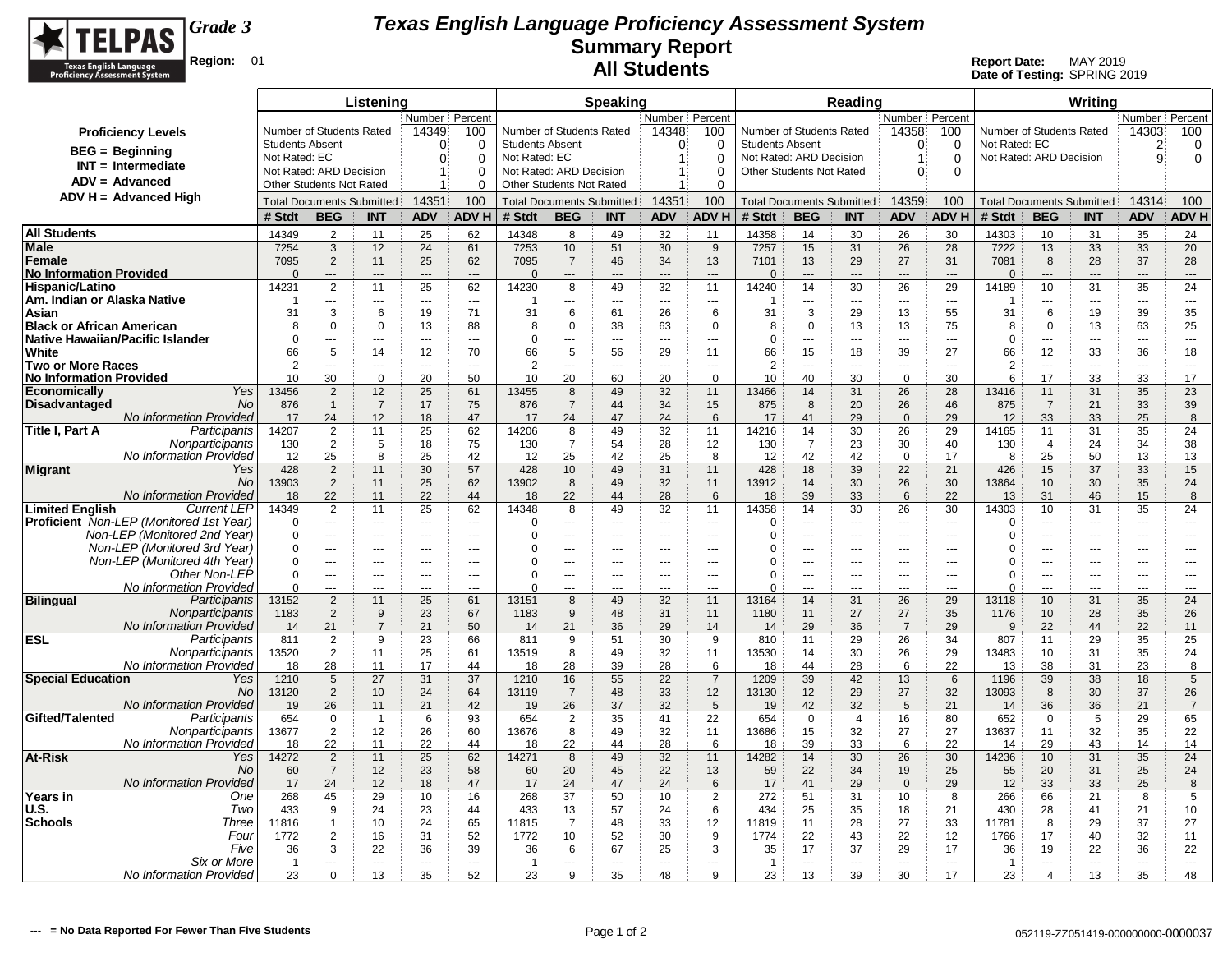

|                                                                                |                                         |                                            | Listening                         |                               |                          |                                         |                                  | <b>Speaking</b> |                          |                        |                                                   |                         | Reading              |                                |                          |                        |                          | Writing                          |                      |                      |
|--------------------------------------------------------------------------------|-----------------------------------------|--------------------------------------------|-----------------------------------|-------------------------------|--------------------------|-----------------------------------------|----------------------------------|-----------------|--------------------------|------------------------|---------------------------------------------------|-------------------------|----------------------|--------------------------------|--------------------------|------------------------|--------------------------|----------------------------------|----------------------|----------------------|
|                                                                                |                                         |                                            |                                   | Number Percent                |                          |                                         |                                  |                 | Number Percent           |                        |                                                   |                         |                      | Number Percent                 |                          |                        |                          |                                  | Number Percent       |                      |
| <b>Proficiency Levels</b>                                                      |                                         | Number of Students Rated                   |                                   | 14349                         | 100                      |                                         | Number of Students Rated         |                 | 14348                    | 100                    | Number of Students Rated                          |                         |                      | 14358                          | 100                      |                        | Number of Students Rated |                                  | 14303                | 100                  |
| <b>BEG</b> = Beginning                                                         | <b>Students Absent</b><br>Not Rated: EC |                                            |                                   | $\Omega$<br>$\Omega$          | $\Omega$<br>$\Omega$     | <b>Students Absent</b><br>Not Rated: EC |                                  |                 | $\Omega$<br>$\mathbf{1}$ | $\Omega$<br>$\Omega$   | <b>Students Absent</b><br>Not Rated: ARD Decision |                         |                      | $\Omega$<br>-1                 | $\Omega$<br>$\mathbf 0$  | Not Rated: EC          | Not Rated: ARD Decision  |                                  | $\overline{2}$<br>9  | 0<br>0               |
| $INT = Intermediate$                                                           |                                         | Not Rated: ARD Decision                    |                                   |                               | $\Omega$                 |                                         | Not Rated: ARD Decision          |                 | $\mathbf{1}$             | $\Omega$               | Other Students Not Rated                          |                         |                      | $\Omega$                       | $\Omega$                 |                        |                          |                                  |                      |                      |
| $ADV = Advanced$                                                               |                                         | <b>Other Students Not Rated</b>            |                                   |                               | 0                        |                                         | <b>Other Students Not Rated</b>  |                 | 1                        | $\Omega$               |                                                   |                         |                      |                                |                          |                        |                          |                                  |                      |                      |
| $ADV H = Advanced High$                                                        |                                         | <b>Total Documents Submitted</b>           |                                   | 14351                         | 100                      |                                         | <b>Total Documents Submitted</b> |                 | 14351                    | 100                    | <b>Total Documents Submitted</b>                  |                         |                      | 14359                          | 100                      |                        |                          | <b>Total Documents Submitted</b> | 14314                | 100                  |
|                                                                                | # Stdt                                  | <b>BEG</b>                                 | <b>INT</b>                        | <b>ADV</b>                    | <b>ADV H</b>             | # Stdt                                  | <b>BEG</b>                       | <b>INT</b>      | <b>ADV</b>               | <b>ADV H</b>           | # Stdt                                            | <b>BEG</b>              | <b>INT</b>           | <b>ADV</b>                     | <b>ADV H</b>             | # Stdt                 | <b>BEG</b>               | <b>INT</b>                       | <b>ADV</b>           | <b>ADV H</b>         |
| <b>All Students</b>                                                            | 14349                                   | 2                                          | 11                                | 25                            | 62                       | 14348                                   | 8                                | 49              | 32                       | 11                     | 14358                                             | 14                      | 30                   | 26                             | 30                       | 14303                  | 10                       | 31                               | 35                   | 24                   |
| Male                                                                           | 7254                                    | 3                                          | 12                                | 24                            | 61                       | 7253                                    | 10                               | 51              | 30                       | 9                      | 7257                                              | 15                      | 31                   | 26                             | 28                       | 7222                   | 13                       | 33                               | 33                   | 20                   |
| Female<br><b>No Information Provided</b>                                       | 7095<br>$\Omega$                        | $\overline{2}$<br>$\overline{\phantom{a}}$ | 11<br>---                         | 25<br>$---$                   | 62<br>$\sim$             | 7095<br>$\Omega$                        | $\overline{7}$<br>$---$          | 46<br>$---$     | 34<br>$\overline{a}$     | 13<br>$\overline{a}$   | 7101<br>$\Omega$                                  | 13<br>$---$             | 29<br>$---$          | 27<br>$---$                    | 31<br>$\overline{a}$     | 7081<br>$\overline{0}$ | 8<br>$---$               | 28<br>$---$                      | 37<br>$---$          | 28<br>$---$          |
| Hispanic/Latino                                                                | 14231                                   | $\overline{2}$                             | 11                                | 25                            | 62                       | 14230                                   | 8                                | 49              | 32                       | 11                     | 14240                                             | 14                      | 30                   | 26                             | 29                       | 14189                  | 10                       | 31                               | 35                   | 24                   |
| Am. Indian or Alaska Native                                                    | -1                                      | ---                                        | ---                               | $---$                         | $\cdots$                 | -1                                      | $\overline{a}$                   | ---             | $\overline{\phantom{a}}$ | $\overline{a}$         | 1                                                 | $\overline{a}$          | $\overline{a}$       | $\sim$ $\sim$                  | $\overline{\phantom{a}}$ |                        | ---                      | $\overline{a}$                   | $\overline{a}$       | ---                  |
| Asian                                                                          | 31                                      | 3                                          | 6                                 | 19                            | 71                       | 31                                      | 6                                | 61              | 26                       | 6                      | 31                                                | 3                       | 29                   | 13                             | 55                       | 31                     | 6                        | 19                               | 39                   | 35                   |
| <b>Black or African American</b><br><b>Native Hawaiian/Pacific Islander</b>    | 8<br>$\Omega$                           | $\Omega$<br>---                            | $\mathbf 0$<br>$\overline{a}$     | 13<br>$\sim$                  | 88<br>$\sim$             | 8<br>$\mathbf 0$                        | $\Omega$<br>$-$                  | 38<br>          | 63<br>$\sim$             | $\mathbf 0$<br>---     | 8<br>$\Omega$                                     | $\mathbf 0$<br>---      | 13<br>---            | 13<br>$\sim$                   | 75<br>$\overline{a}$     | 8<br>$\Omega$          | $\Omega$<br>$\sim$       | 13<br>---                        | 63<br>---            | 25<br>$\sim$         |
| White                                                                          | 66                                      | 5                                          | 14                                | 12                            | 70                       | 66                                      | 5                                | 56              | 29                       | 11                     | 66                                                | 15                      | 18                   | 39                             | 27                       | 66                     | 12                       | 33                               | 36                   | 18                   |
| <b>Two or More Races</b>                                                       | 2                                       | $\overline{a}$                             | ---                               | $\sim$                        | $\sim$                   | $\overline{2}$                          | $-$                              | $-$             | $\sim$                   | $\overline{a}$         | $\overline{2}$                                    | $\overline{a}$          | $-$                  | $\overline{a}$                 | $\sim$                   | $\overline{2}$         | $\overline{a}$           | $\overline{a}$                   | $\overline{a}$       | $---$                |
| <b>No Information Provided</b>                                                 | 10                                      | 30                                         | $\mathbf 0$                       | 20                            | 50                       | 10                                      | 20                               | 60              | 20                       | $\mathbf 0$            | 10                                                | 40                      | 30                   | $\mathbf 0$                    | 30                       | 6                      | 17                       | 33                               | 33                   | 17                   |
| Yes<br><b>Economically</b><br><b>No</b>                                        | 13456<br>876                            | $\overline{2}$<br>$\mathbf{1}$             | 12                                | 25<br>17                      | 61<br>75                 | 13455                                   | 8<br>$\overline{7}$              | 49<br>44        | 32<br>34                 | 11                     | 13466                                             | 14                      | 31<br>20             | 26                             | 28<br>46                 | 13416                  | 11<br>$\overline{7}$     | 31                               | 35                   | 23                   |
| <b>Disadvantaged</b><br><b>No Information Provided</b>                         | 17                                      | 24                                         | $\overline{7}$<br>12 <sup>2</sup> | 18                            | 47                       | 876<br>17                               | 24                               | 47              | 24                       | 15<br>6                | 875<br>17                                         | 8<br>41                 | 29                   | 26<br>$\mathbf 0$              | 29                       | 875<br>12              | 33                       | 21<br>33                         | 33<br>25             | 39<br>8              |
| Participants<br>Title I, Part A                                                | 14207                                   | $\overline{2}$                             | 11                                | 25                            | 62                       | 14206                                   | 8                                | 49              | 32                       | 11                     | 14216                                             | 14                      | 30                   | 26                             | 29                       | 14165                  | 11                       | 31                               | 35                   | 24                   |
| Nonparticipants                                                                | 130                                     | $\overline{2}$                             | 5                                 | 18                            | 75                       | 130                                     | $\overline{7}$                   | 54              | 28                       | 12                     | 130                                               | $\overline{7}$          | 23                   | 30                             | 40                       | 130                    | $\overline{4}$           | 24                               | 34                   | 38                   |
| No Information Provided                                                        | 12                                      | 25                                         | 8                                 | 25                            | 42                       | 12                                      | 25                               | 42              | 25                       | 8                      | 12                                                | 42                      | 42                   | $\overline{0}$                 | 17                       | 8                      | 25                       | 50                               | 13                   | 13                   |
| <b>Migrant</b><br>Yes<br><b>No</b>                                             | 428<br>13903                            | $\overline{2}$<br>2                        | 11<br>11                          | 30<br>25                      | 57<br>62                 | 428<br>13902                            | 10<br>8                          | 49<br>49        | 31<br>32                 | 11<br>11               | 428<br>13912                                      | 18<br>14                | 39<br>30             | 22<br>26                       | 21<br>30                 | 426<br>13864           | 15<br>10                 | 37<br>30                         | 33<br>35             | 15<br>24             |
| <b>No Information Provided</b>                                                 | 18                                      | 22                                         | 11                                | 22                            | 44                       | 18                                      | 22                               | 44              | 28                       | 6                      | 18                                                | 39                      | 33                   | 6                              | 22                       | 13                     | 31                       | 46                               | 15                   | 8                    |
| <b>Limited English</b><br><b>Current LEP</b>                                   | 14349                                   | 2                                          | 11                                | 25                            | 62                       | 14348                                   | 8                                | 49              | 32                       | 11                     | 14358                                             | 14                      | 30                   | 26                             | 30                       | 14303                  | 10                       | 31                               | 35                   | 24                   |
| <b>Proficient</b> Non-LEP (Monitored 1st Year)<br>Non-LEP (Monitored 2nd Year) | $\Omega$<br>$\Omega$                    | $\overline{a}$                             | $- - -$                           | $\sim$ $\sim$                 | $---$                    | $\mathbf 0$<br>$\Omega$                 | $---$                            | $---$           | ---                      | $\sim$ $\sim$          | $\Omega$<br>$\Omega$                              | $---$                   | $- - -$              | $\sim$ $\sim$                  | $\sim$ $\sim$            | 0<br>$\Omega$          | ---<br>---               | ---                              | ---                  | $---$                |
| Non-LEP (Monitored 3rd Year)                                                   | $\Omega$                                | ---<br>$\overline{a}$                      | $\cdots$<br>$---$                 | $---$<br>$\sim$ $\sim$ $\sim$ | $\sim$<br>$- - -$        | $\Omega$                                | ---<br>$\overline{a}$            | ---<br>$---$    | $---$<br>$- - -$         | $---$<br>$\sim$ $\sim$ | U                                                 | $\overline{a}$<br>$---$ | $\cdots$<br>$- - -$  | $--$<br>$\sim$ $\sim$          | $\sim$<br>$\overline{a}$ | 0                      | $\overline{a}$           | $\overline{a}$<br>$---$          | ---<br>$- - -$       | $---$<br>$---$       |
| Non-LEP (Monitored 4th Year)                                                   | $\Omega$                                | $\sim$ $\sim$                              | ---                               | $---$                         | $\overline{\phantom{a}}$ | 0                                       | ---                              | ---             | ---                      | ---                    | ∩                                                 | ---                     | $\cdots$             | $---$                          | $\overline{\phantom{a}}$ | 0                      | ---                      | $\overline{a}$                   | ---                  | ---                  |
| Other Non-LEP                                                                  | $\mathbf 0$                             | ---                                        | ---                               |                               | $\sim$                   | 0                                       |                                  | ÷÷.             |                          | $\overline{a}$         | $\Omega$                                          | ---                     | ---                  | $\overline{a}$                 | $\overline{a}$           | $\Omega$               | ÷÷.                      | ---                              | ---                  | ---                  |
| No Information Provided<br>Participants<br><b>Bilingual</b>                    | $\Omega$<br>13152                       | ---<br>$\overline{2}$                      | 11                                | ---<br>25                     | 61                       | $\Omega$<br>13151                       | ÷÷.<br>8                         | ÷÷.<br>49       | ---<br>32                | 11                     | $\Omega$                                          | ---<br>14               | 31                   | $\overline{\phantom{a}}$<br>26 | 29                       | $\Omega$               | $\overline{a}$<br>10     | ---<br>31                        | ---<br>35            | ---<br>24            |
| Nonparticipants                                                                | 1183                                    | $\overline{2}$                             | 9                                 | 23                            | 67                       | 1183                                    | 9                                | 48              | 31                       | 11                     | 13164<br>1180                                     | 11                      | 27                   | 27                             | 35                       | 13118<br>1176          | 10                       | 28                               | 35                   | 26                   |
| <b>No Information Provided</b>                                                 | 14                                      | 21                                         | $\overline{7}$                    | 21                            | 50                       | 14                                      | 21                               | 36              | 29                       | 14                     | 14                                                | 29                      | 36                   | $\overline{7}$                 | 29                       | 9                      | 22                       | 44                               | 22                   | 11                   |
| <b>ESL</b><br>Participants                                                     | 811                                     | $\overline{2}$                             | 9                                 | 23                            | 66                       | 811                                     | 9                                | 51              | 30                       | 9                      | 810                                               | 11                      | 29                   | 26                             | 34                       | 807                    | 11                       | 29                               | 35                   | 25                   |
| Nonparticipants<br>No Information Provideo                                     | 13520<br>18                             | 2<br>28                                    | 11<br>11                          | 25<br>17                      | 61<br>44                 | 13519<br>18                             | 8<br>28                          | 49<br>39        | 32<br>28                 | 11<br>6                | 13530<br>18                                       | 14<br>44                | 30<br>28             | 26<br>6                        | 29<br>22                 | 13483<br>13            | 10<br>38                 | 31<br>31                         | 35<br>23             | 24<br>8              |
| <b>Special Education</b><br>Yes                                                | 1210                                    | 5                                          | 27                                | 31                            | 37                       | 1210                                    | 16                               | 55              | 22                       | $\overline{7}$         | 1209                                              | 39                      | 42                   | 13                             | 6                        | 1196                   | 39                       | 38                               | 18                   | 5                    |
| <b>No</b>                                                                      | 13120                                   | 2                                          | 10 <sup>1</sup>                   | 24                            | 64                       | 13119                                   | $\overline{7}$                   | 48              | 33                       | 12                     | 13130                                             | 12                      | 29                   | 27                             | 32                       | 13093                  | 8                        | 30                               | 37                   | 26                   |
| <b>No Information Provided</b>                                                 | 19                                      | 26                                         | 11                                | 21                            | 42                       | 19                                      | 26                               | 37              | 32                       | 5                      | 19                                                | 42                      | 32                   | 5                              | 21                       | 14                     | 36                       | 36                               | 21                   | $\overline{7}$       |
| Gifted/Talented<br>Participants<br>Nonparticipants                             | 654<br>13677                            | $\Omega$<br>2                              | -1<br>12                          | 6<br>26                       | 93<br>60                 | 654<br>13676                            | $\overline{2}$<br>8              | 35<br>49        | 41<br>32                 | 22<br>11               | 654<br>13686                                      | $\mathbf 0$<br>15       | 4<br>32              | 16<br>27                       | 80<br>27                 | 652<br>13637           | $\mathbf 0$<br>11        | 5<br>32                          | 29<br>35             | 65<br>22             |
| No Information Provideo                                                        | 18                                      | 22                                         | 11                                | 22                            | 44                       | 18                                      | 22                               | 44              | 28                       | 6                      | 18                                                | 39                      | 33                   | 6                              | 22                       | 14                     | 29                       | 43                               | 14                   | 14                   |
| <b>At-Risk</b><br>Yes                                                          | 14272                                   | $\overline{2}$                             | 11                                | 25                            | 62                       | 14271                                   | 8                                | 49              | 32                       | 11                     | 14282                                             | 14                      | 30                   | 26                             | 30                       | 14236                  | 10                       | 31                               | 35                   | 24                   |
| <b>No</b>                                                                      | 60                                      | $\overline{7}$                             | 12                                | 23                            | 58                       | 60                                      | 20                               | 45              | 22                       | 13                     | 59                                                | 22                      | 34                   | 19                             | 25                       | 55                     | 20                       | 31                               | 25                   | 24                   |
| No Information Provideo<br>Years in<br>One                                     | 17<br>268                               | 24<br>45                                   | 12<br>29                          | 18<br>10                      | 47<br>16                 | 17<br>268                               | 24<br>37                         | 47<br>50        | 24<br>10                 | 6<br>$\overline{2}$    | 17<br>272                                         | 41<br>51                | 29<br>31             | $\mathbf{0}$<br>10             | 29<br>8                  | 12<br>266              | 33<br>66                 | 33<br>21                         | 25<br>8              | 8<br>5               |
| U.S.<br>Two                                                                    | 433                                     | 9                                          | 24                                | 23                            | 44                       | 433                                     | 13                               | 57              | 24                       | 6                      | 434                                               | 25                      | 35                   | 18                             | 21                       | 430                    | 28                       | 41                               | 21                   | 10                   |
| <b>Schools</b><br>Three                                                        | 11816                                   | $\mathbf{1}$                               | 10                                | 24                            | 65                       | 11815                                   | 7                                | 48              | 33                       | 12                     | 11819                                             | 11                      | 28                   | 27                             | 33                       | 11781                  | 8                        | 29                               | 37                   | 27                   |
| Four                                                                           | 1772                                    | $\overline{2}$                             | 16                                | 31                            | 52                       | 1772                                    | 10                               | 52              | 30                       | 9                      | 1774                                              | 22                      | 43                   | 22                             | 12                       | 1766                   | 17                       | 40                               | 32                   | 11                   |
| Five<br>Six or More                                                            | 36<br>$\overline{1}$                    | 3<br>---                                   | 22<br>---                         | 36<br>$\overline{a}$          | 39<br>$\overline{a}$     | 36<br>$\overline{1}$                    | 6<br>---                         | 67<br>---       | 25<br>$\overline{a}$     | 3<br>$\overline{a}$    | 35<br>$\overline{1}$                              | 17<br>---               | 37<br>$\overline{a}$ | 29<br>$\overline{a}$           | 17<br>$\overline{a}$     | 36<br>-1               | 19<br>$\overline{a}$     | 22<br>---                        | 36<br>$\overline{a}$ | 22<br>$\overline{a}$ |
| No Information Provided                                                        | 23                                      | $\mathbf 0$                                | 13                                | 35                            | 52                       | 23                                      | 9                                | 35              | 48                       | 9                      | 23                                                | 13                      | 39                   | 30                             | 17                       | 23                     | $\overline{4}$           | 13                               | 35                   | 48                   |
|                                                                                |                                         |                                            |                                   |                               |                          |                                         |                                  |                 |                          |                        |                                                   |                         |                      |                                |                          |                        |                          |                                  |                      |                      |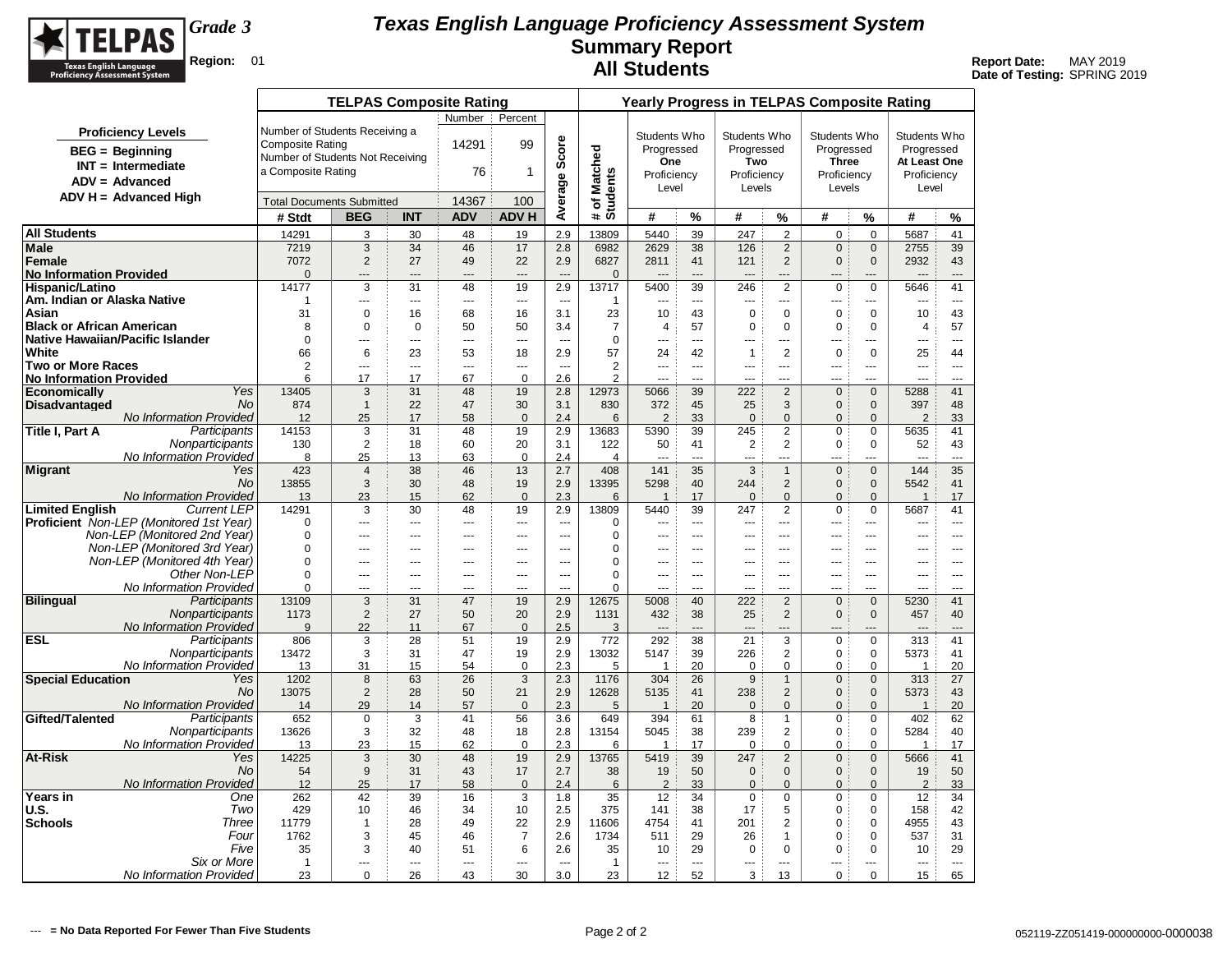

|                                                       |                                                                      |                                  | <b>TELPAS Composite Rating</b> |                      |                |                      |                          |                          |                        |                |                    |                               | <b>Yearly Progress in TELPAS Composite Rating</b> |                               |                        |                |
|-------------------------------------------------------|----------------------------------------------------------------------|----------------------------------|--------------------------------|----------------------|----------------|----------------------|--------------------------|--------------------------|------------------------|----------------|--------------------|-------------------------------|---------------------------------------------------|-------------------------------|------------------------|----------------|
|                                                       |                                                                      |                                  |                                |                      | Number         | Percent              |                          |                          |                        |                |                    |                               |                                                   |                               |                        |                |
|                                                       | <b>Proficiency Levels</b>                                            | Number of Students Receiving a   |                                |                      |                |                      |                          |                          | Students Who           |                | Students Who       |                               | Students Who                                      |                               | Students Who           |                |
|                                                       | $BEG = Beginning$                                                    | <b>Composite Rating</b>          |                                |                      | 14291          | 99                   |                          |                          | Progressed             |                | Progressed         |                               | Progressed                                        |                               | Progressed             |                |
|                                                       | $INT = Intermediate$                                                 | Number of Students Not Receiving |                                |                      |                |                      |                          |                          | One                    |                | Two                |                               | <b>Three</b>                                      |                               | At Least One           |                |
|                                                       | $ADV = Advanced$                                                     | a Composite Rating               |                                |                      | 76             | 1                    |                          |                          | Proficiency            |                | Proficiency        |                               | Proficiency                                       |                               | Proficiency            |                |
|                                                       |                                                                      |                                  |                                |                      |                |                      |                          |                          | Level                  |                | Levels             |                               | Levels                                            |                               | Level                  |                |
|                                                       | $ADV H = Advanced High$                                              | <b>Total Documents Submitted</b> |                                |                      | 14367          | 100                  | Average Score            | # of Matched<br>Students |                        |                |                    |                               |                                                   |                               |                        |                |
|                                                       |                                                                      | # Stdt                           | <b>BEG</b>                     | <b>INT</b>           | <b>ADV</b>     | <b>ADV H</b>         |                          |                          | #                      | %              | #                  | %                             | #                                                 | $\%$                          | #                      | %              |
| <b>All Students</b>                                   |                                                                      | 14291                            | 3                              | 30                   | 48             | 19                   | 2.9                      | 13809                    | 5440                   | 39             | 247                | $\overline{2}$                | 0                                                 | $\Omega$                      | 5687                   | 41             |
| Male                                                  |                                                                      | 7219                             | 3                              | 34                   | 46             | 17                   | 2.8                      | 6982                     | 2629                   | 38             | 126                | $\overline{2}$                | $\mathbf{0}$                                      | $\mathbf{0}$                  | 2755                   | 39             |
| Female                                                |                                                                      | 7072                             | $\overline{2}$                 | 27                   | 49             | 22                   | 2.9                      | 6827                     | 2811                   | 41             | 121                | 2                             | $\mathbf{0}$                                      | $\mathbf{0}$                  | 2932                   | 43             |
| <b>No Information Provided</b>                        |                                                                      | $\mathbf{0}$                     | ---                            | ---                  | $---$          | $---$                | $\overline{\phantom{a}}$ | $\mathbf 0$              | ---                    | $---$          |                    | ---                           |                                                   | ---                           | ---                    | $---$          |
| <b>Hispanic/Latino</b><br>Am. Indian or Alaska Native |                                                                      | 14177<br>-1                      | 3<br>$\sim$                    | 31<br>$\sim$         | 48<br>$\sim$   | 19                   | 2.9<br>$\sim$            | 13717                    | 5400<br>$\overline{a}$ | 39<br>$\sim$   | 246<br>$---$       | $\overline{2}$                | $\pmb{0}$<br>$-$                                  | $\mathbf 0$<br>---            | 5646<br>---            | 41<br>$\sim$   |
| Asian                                                 |                                                                      | 31                               | $\mathbf 0$                    | 16                   | 68             | ---<br>16            | 3.1                      | -1<br>23                 | 10                     | 43             | $\mathbf 0$        | $\cdots$<br>$\mathbf 0$       | $\mathbf 0$                                       | $\mathbf 0$                   | 10                     | 43             |
| <b>Black or African American</b>                      |                                                                      | 8                                | 0                              | $\mathbf 0$          | 50             | 50                   | 3.4                      | $\overline{7}$           | $\overline{4}$         | 57             | 0                  | $\mathbf 0$                   | 0                                                 | $\mathbf 0$                   | $\overline{4}$         | 57             |
| Native Hawaiian/Pacific Islander                      |                                                                      | $\mathbf 0$                      | $---$                          | ---                  | $\sim$         | $\sim$               | $-$                      | 0                        |                        | $\sim$         | $\overline{a}$     | $---$                         | $\overline{a}$                                    | ---                           | ---                    | $---$          |
| White                                                 |                                                                      | 66                               | 6                              | 23                   | 53             | 18                   | 2.9                      | 57                       | 24                     | 42             | $\mathbf 1$        | $\overline{2}$                | 0                                                 | $\Omega$                      | 25                     | 44             |
| Two or More Races                                     |                                                                      | 2                                | $\sim$                         | $\sim$               | $\sim$         | $\sim$               | $\sim$                   | $\overline{2}$           | $\sim$                 | $\sim$         | $\overline{a}$     | $---$                         | $-$                                               | $\overline{a}$                | $\sim$                 | $\sim$         |
| <b>No Information Provided</b>                        |                                                                      | 6                                | 17                             | 17                   | 67             | $\Omega$             | 2.6                      | $\overline{2}$           | $\sim$                 | $-$            | $\overline{a}$     | ---                           | $\overline{a}$                                    |                               |                        | $-$            |
| <b>Economically</b>                                   | Yes                                                                  | 13405                            | 3                              | 31                   | 48             | 19                   | 2.8                      | 12973                    | 5066                   | 39             | 222                | $\overline{2}$                | $\mathbf{0}$                                      | $\mathbf{0}$                  | 5288                   | 41             |
| <b>Disadvantaged</b>                                  | <b>No</b><br>No Information Provided                                 | 874<br>12                        | $\overline{1}$<br>25           | 22<br>17             | 47<br>58       | 30<br>$\mathbf 0$    | 3.1<br>2.4               | 830<br>6                 | 372<br>2               | 45<br>33       | 25<br>$\mathbf 0$  | 3<br>$\mathbf{0}$             | $\mathbf{0}$<br>$\mathbf{0}$                      | $\mathbf{0}$<br>$\mathbf{0}$  | 397<br>$\overline{2}$  | 48<br>33       |
| Title I, Part A                                       | Participants                                                         | 14153                            | 3                              | 31                   | 48             | 19                   | 2.9                      | 13683                    | 5390                   | 39             | 245                | $\overline{2}$                | $\Omega$                                          | $\Omega$                      | 5635                   | 41             |
|                                                       | Nonparticipants                                                      | 130                              | $\overline{2}$                 | 18                   | 60             | 20                   | 3.1                      | 122                      | 50                     | 41             | $\overline{2}$     | $\overline{2}$                | $\mathbf 0$                                       | $\mathbf 0$                   | 52                     | 43             |
|                                                       | No Information Provided                                              | 8                                | 25                             | 13                   | 63             | $\mathbf 0$          | 2.4                      | $\overline{4}$           |                        | $\sim$         | ---                | ---                           |                                                   | $\overline{a}$                | $\overline{a}$         | $\sim$         |
| Migrant                                               | Yes                                                                  | 423                              | $\overline{4}$                 | 38                   | 46             | 13                   | 2.7                      | 408                      | 141                    | 35             | 3                  | $\mathbf{1}$                  | $\mathbf{0}$                                      | $\mathbf{0}$                  | 144                    | 35             |
|                                                       | <b>No</b>                                                            | 13855                            | 3                              | 30                   | 48             | 19                   | 2.9                      | 13395                    | 5298                   | 40             | 244                | $\overline{2}$                | $\mathbf{0}$                                      | $\mathbf{0}$                  | 5542                   | 41             |
|                                                       | <b>No Information Provided</b>                                       | 13                               | 23                             | 15                   | 62             | $\mathbf{0}$         | 2.3                      | 6                        | $\overline{1}$         | 17             | $\mathbf 0$        | $\mathbf{0}$                  | $\mathbf{0}$                                      | $\mathbf{0}$                  | $\overline{1}$         | 17             |
| <b>Limited English</b>                                | <b>Current LEP</b><br><b>Proficient</b> Non-LEP (Monitored 1st Year) | 14291<br>$\mathbf 0$             | 3<br>$---$                     | 30<br>$\overline{a}$ | 48<br>$---$    | 19<br>$\overline{a}$ | 2.9<br>$\sim$            | 13809<br>0               | 5440<br>---            | 39<br>$\sim$   | 247<br>$- - -$     | $\overline{2}$<br>$---$       | 0<br>$\overline{a}$                               | $\mathbf 0$<br>$\overline{a}$ | 5687<br>$\overline{a}$ | 41<br>$---$    |
|                                                       | Non-LEP (Monitored 2nd Year)                                         | 0                                | $---$                          | ---                  | $\overline{a}$ | ---                  | $\sim$                   | 0                        | ---                    | $\sim$         | ---                | $---$                         | ---                                               | $-$                           | ---                    | $---$          |
|                                                       | Non-LEP (Monitored 3rd Year)                                         | $\Omega$                         | $- - -$                        | ---                  | $--$           | $\overline{a}$       | $\overline{a}$           | $\Omega$                 | $\overline{a}$         | $\sim$         | $---$              | $- - -$                       | $- - -$                                           | $\overline{a}$                | ---                    | $---$          |
|                                                       | Non-LEP (Monitored 4th Year)                                         | $\mathbf 0$                      | $- - -$                        | ---                  | $- - -$        | $\overline{a}$       | $\overline{a}$           | 0                        | ---                    | $- - -$        | $- - -$            | ---                           | $\overline{a}$                                    | $\overline{a}$                | ---                    | $- - -$        |
|                                                       | Other Non-LEP                                                        | $\Omega$                         | $\cdots$                       | ---                  | ---            | $\overline{a}$       | ---                      | $\Omega$                 | ---                    | $\overline{a}$ | $---$              | $\cdots$                      | ---                                               | ---                           | ---                    | $\overline{a}$ |
|                                                       | No Information Provided                                              | 0                                |                                |                      | $\sim$         | $\sim$               | $\overline{a}$           | 0                        |                        | ---            | ---                |                               | ---                                               | ---                           |                        | <u></u>        |
| <b>Bilingual</b>                                      | Participants                                                         | 13109                            | 3                              | 31                   | 47             | 19                   | 2.9                      | 12675                    | 5008                   | 40             | 222                | 2                             | $\mathbf{0}$                                      | $\Omega$                      | 5230                   | 41             |
|                                                       | Nonparticipants                                                      | 1173                             | 2                              | 27                   | 50             | 20                   | 2.9                      | 1131                     | 432                    | 38             | 25                 | 2                             | $\mathbf{0}$                                      | $\mathbf{0}$                  | 457                    | 40             |
|                                                       | No Information Provided                                              | 9                                | 22                             | 11                   | 67             | $\mathbf 0$          | 2.5                      | 3                        |                        | $\overline{a}$ |                    |                               |                                                   |                               |                        | ---            |
| <b>ESL</b>                                            | Participants<br>Nonparticipants                                      | 806<br>13472                     | 3<br>3                         | 28<br>31             | 51<br>47       | 19<br>19             | 2.9<br>2.9               | 772<br>13032             | 292<br>5147            | 38<br>39       | 21<br>226          | 3<br>$\overline{2}$           | 0<br>$\mathbf 0$                                  | $\mathbf 0$<br>$\mathbf 0$    | 313<br>5373            | 41<br>41       |
|                                                       | No Information Provided                                              | 13                               | 31                             | 15                   | 54             | $\mathbf 0$          | 2.3                      | 5                        | $\mathbf{1}$           | 20             | $\mathbf 0$        | $\mathbf 0$                   | 0                                                 | $\mathbf 0$                   | $\overline{1}$         | 20             |
| <b>Special Education</b>                              | Yes                                                                  | 1202                             | 8                              | 63                   | 26             | 3                    | 2.3                      | 1176                     | 304                    | 26             | 9                  | $\mathbf{1}$                  | $\mathbf 0$                                       | $\mathbf 0$                   | 313                    | 27             |
|                                                       | <b>No</b>                                                            | 13075                            | 2                              | 28                   | 50             | 21                   | 2.9                      | 12628                    | 5135                   | 41             | 238                | $\overline{2}$                | $\overline{0}$                                    | $\mathbf{0}$                  | 5373                   | 43             |
|                                                       | <b>No Information Provided</b>                                       | 14                               | 29                             | 14                   | 57             | $\mathbf 0$          | 2.3                      | 5                        | $\overline{1}$         | 20             | $\mathbf 0$        | $\mathbf{0}$                  | $\mathbf 0$                                       | $\mathbf{0}$                  | $\overline{1}$         | 20             |
| Gifted/Talented                                       | Participants                                                         | 652                              | $\mathbf 0$                    | 3                    | 41             | 56                   | 3.6                      | 649                      | 394                    | 61             | 8                  | $\mathbf{1}$                  | 0                                                 | $\Omega$                      | 402                    | 62             |
|                                                       | Nonparticipants                                                      | 13626                            | 3                              | 32                   | 48             | 18                   | 2.8                      | 13154                    | 5045                   | 38             | 239                | $\overline{2}$                | 0                                                 | 0                             | 5284                   | 40             |
| <b>At-Risk</b>                                        | No Information Provided<br>Yes                                       | 13<br>14225                      | 23<br>3                        | 15<br>30             | 62<br>48       | $\mathbf 0$<br>19    | 2.3<br>2.9               | 6<br>13765               | $\overline{1}$<br>5419 | 17<br>39       | $\mathbf 0$<br>247 | $\mathbf 0$<br>$\overline{2}$ | 0<br>0                                            | $\Omega$<br>$\mathbf{0}$      | $\mathbf{1}$<br>5666   | 17<br>41       |
|                                                       | <b>No</b>                                                            | 54                               | 9                              | 31                   | 43             | 17                   | 2.7                      | 38                       | 19                     | 50             | $\mathbf{0}$       | $\Omega$                      | $\mathbf{0}$                                      | $\mathbf{0}$                  | 19                     | 50             |
|                                                       | <b>No Information Provided</b>                                       | 12                               | 25                             | 17                   | 58             | $\mathbf 0$          | 2.4                      | 6                        | 2                      | 33             | $\overline{0}$     | $\mathbf 0$                   | $\mathbf{0}$                                      | $\mathbf{0}$                  | 2                      | 33             |
| Years in                                              | One                                                                  | 262                              | 42                             | 39                   | 16             | 3                    | 1.8                      | 35                       | 12                     | 34             | $\mathbf 0$        | $\mathbf 0$                   | $\mathbf 0$                                       | $\mathbf 0$                   | 12                     | 34             |
| <b>U.S.</b>                                           | Two                                                                  | 429                              | 10                             | 46                   | 34             | 10                   | 2.5                      | 375                      | 141                    | 38             | 17                 | 5                             | 0                                                 | $\mathbf 0$                   | 158                    | 42             |
| <b>Schools</b>                                        | Three                                                                | 11779                            | $\overline{1}$                 | 28                   | 49             | 22                   | 2.9                      | 11606                    | 4754                   | 41             | 201                | $\overline{2}$                | $\mathbf 0$                                       | $\mathbf 0$                   | 4955                   | 43             |
|                                                       | Four                                                                 | 1762                             | 3                              | 45                   | 46             | $\overline{7}$       | 2.6                      | 1734                     | 511                    | 29             | 26                 | $\mathbf{1}$                  | $\mathbf 0$                                       | $\mathbf 0$                   | 537                    | 31             |
|                                                       | Five                                                                 | 35                               | 3                              | 40                   | 51             | 6                    | 2.6                      | 35                       | 10                     | 29             | $\Omega$           | 0                             | 0                                                 | 0                             | 10                     | 29             |
|                                                       | Six or More                                                          | $\overline{1}$                   | $\overline{a}$                 | $\overline{a}$       | $\overline{a}$ | $\overline{a}$       | $\sim$                   | $\mathbf{1}$             | ---                    | $\sim$         | ---                | ---                           | ---                                               | $\overline{a}$                | $\overline{a}$         | $---$          |
|                                                       | No Information Provided                                              | 23                               | $\mathsf 0$                    | 26                   | 43             | 30                   | 3.0                      | 23                       | 12                     | 52             | 3                  | 13                            | 0                                                 | $\mathbf 0$                   | 15                     | 65             |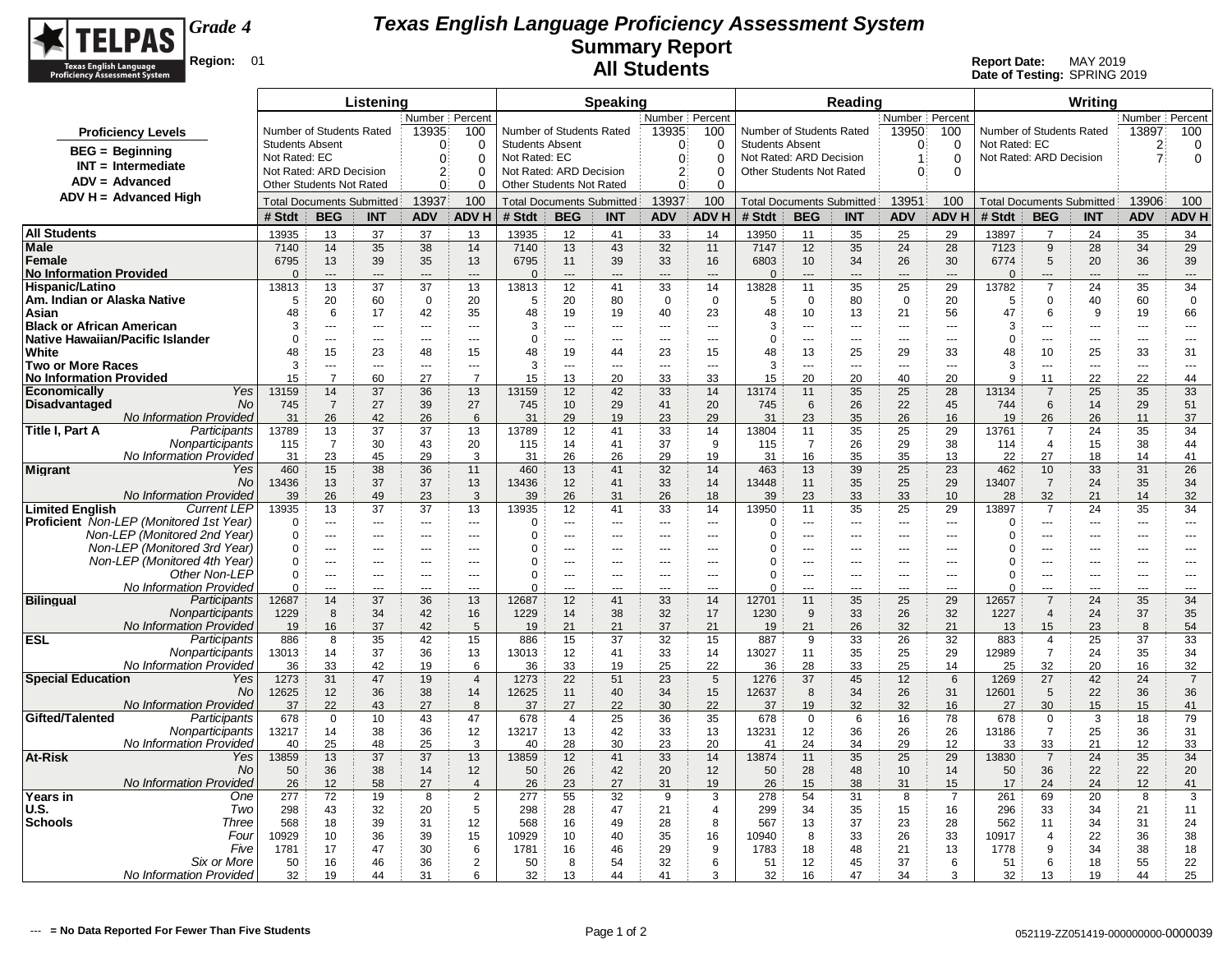

|                                                              |                        |                                            | Listening                        |                            |                          |                        |                                  | <b>Speaking</b> |                                   |                      |                                                     |                   | Reading                          |                                            |                          |               |                          | Writina                          |                |                   |
|--------------------------------------------------------------|------------------------|--------------------------------------------|----------------------------------|----------------------------|--------------------------|------------------------|----------------------------------|-----------------|-----------------------------------|----------------------|-----------------------------------------------------|-------------------|----------------------------------|--------------------------------------------|--------------------------|---------------|--------------------------|----------------------------------|----------------|-------------------|
|                                                              |                        | Number Percent<br>Number of Students Rated |                                  |                            |                          |                        |                                  |                 | Number Percent                    |                      |                                                     |                   |                                  | Number Percent                             |                          |               |                          |                                  | Number Percent |                   |
| <b>Proficiency Levels</b>                                    |                        |                                            |                                  | 13935                      | 100                      |                        | Number of Students Rated         |                 | 13935                             | 100                  | Number of Students Rated                            |                   |                                  | 13950                                      | 100                      |               | Number of Students Rated |                                  | 13897          | 100               |
| <b>BEG</b> = Beginning                                       | <b>Students Absent</b> |                                            |                                  | $\Omega$                   | $\Omega$                 | <b>Students Absent</b> |                                  |                 | $\Omega$                          | $\Omega$             | <b>Students Absent</b>                              |                   |                                  | $\Omega$                                   | $\Omega$                 | Not Rated: EC |                          |                                  | $\overline{2}$ | 0                 |
| $INT = Intermediate$                                         | Not Rated: EC          | Not Rated: ARD Decision                    |                                  | $\Omega$<br>2 <sup>3</sup> | $\Omega$<br>$\Omega$     | Not Rated: EC          | Not Rated: ARD Decision          |                 | $\mathbf{0}$<br>$2^{\frac{1}{2}}$ | $\Omega$<br>$\Omega$ | Not Rated: ARD Decision<br>Other Students Not Rated |                   |                                  | $\mathbf 1$<br>$\Omega$                    | $\mathbf 0$<br>$\Omega$  |               | Not Rated: ARD Decision  |                                  | $\mathbf{7}$   | 0                 |
| $ADV = Advanced$                                             |                        | <b>Other Students Not Rated</b>            |                                  | $\mathbf{0}$               | $\Omega$                 |                        | Other Students Not Rated         |                 | $\Omega$                          | $\Omega$             |                                                     |                   |                                  |                                            |                          |               |                          |                                  |                |                   |
| $ADV H = Advanced High$                                      |                        |                                            | <b>Total Documents Submitted</b> | 13937                      | 100                      |                        | <b>Total Documents Submitted</b> |                 | 13937                             | 100                  |                                                     |                   | <b>Total Documents Submitted</b> | 13951                                      | 100                      |               |                          | <b>Total Documents Submitted</b> | 13906          | 100               |
|                                                              | # Stdt                 | <b>BEG</b>                                 | <b>INT</b>                       | <b>ADV</b>                 | <b>ADVH</b>              | # Stdt                 | <b>BEG</b>                       | <b>INT</b>      | <b>ADV</b>                        | <b>ADV H</b>         | # Stdt                                              | <b>BEG</b>        | <b>INT</b>                       | <b>ADV</b>                                 | <b>ADV H</b>             | # Stdt        | <b>BEG</b>               | <b>INT</b>                       | <b>ADV</b>     | <b>ADV H</b>      |
| <b>All Students</b>                                          | 13935                  | 13                                         | 37                               | 37                         | 13                       | 13935                  | 12                               | 41              | 33                                | 14                   | 13950                                               | 11                | 35                               | 25                                         | 29                       | 13897         | $\overline{7}$           | 24                               | 35             | 34                |
| Male                                                         | 7140                   | 14                                         | 35                               | 38                         | 14                       | 7140                   | 13                               | 43              | 32                                | 11                   | 7147                                                | 12                | 35                               | 24                                         | 28                       | 7123          | $9\,$                    | 28                               | 34             | 29                |
| Female                                                       | 6795                   | 13                                         | 39                               | 35                         | 13                       | 6795                   | 11                               | 39              | 33                                | 16                   | 6803                                                | 10                | 34                               | 26                                         | 30                       | 6774          | $5\phantom{.0}$          | 20                               | 36             | 39                |
| <b>No Information Provided</b>                               | $\Omega$               | $\overline{a}$                             | $---$                            | $---$                      | $\overline{a}$           | $\Omega$               | $---$                            | ---             | $\overline{a}$                    | $---$                | $\Omega$                                            | $---$             | $\overline{a}$                   | $---$                                      | $\overline{a}$           | $\Omega$      | $---$<br>$\overline{7}$  | ---                              | $---$          | $---$             |
| Hispanic/Latino<br>Am. Indian or Alaska Native               | 13813<br>5             | 13<br>20                                   | 37<br>60                         | 37<br>$\mathbf 0$          | 13<br>20                 | 13813<br>5             | 12<br>20                         | 41<br>80        | 33<br>$\overline{0}$              | 14<br>$\mathbf 0$    | 13828<br>5                                          | 11<br>$\mathbf 0$ | 35<br>80                         | 25<br>$\overline{0}$                       | 29<br>20                 | 13782<br>5    | $\Omega$                 | 24<br>40                         | 35<br>60       | 34<br>$\mathbf 0$ |
| Asian                                                        | 48                     | 6                                          | 17                               | 42                         | 35                       | 48                     | 19                               | 19              | 40                                | 23                   | 48                                                  | 10                | 13                               | 21                                         | 56                       | 47            | 6                        | 9                                | 19             | 66                |
| <b>Black or African American</b>                             | 3                      | ---                                        | ---                              | $\overline{a}$             | $\sim$                   | 3                      | ÷÷.                              | ---             | ---                               | $\overline{a}$       | 3                                                   | ---               | $\overline{a}$                   | $\overline{\phantom{a}}$                   | $\sim$                   | 3             | $\overline{a}$           | ---                              | ---            | $\overline{a}$    |
| <b>Native Hawaiian/Pacific Islander</b>                      | $\Omega$               | ---                                        | ---                              | $\overline{a}$             | $\sim$                   | $\mathbf 0$            | ÷÷.                              | ---             | ---                               | $\overline{a}$       | $\Omega$                                            | ---               | $\overline{a}$                   | $\overline{a}$                             | $\overline{a}$           | $\Omega$      | ÷÷.                      | ---                              | ---            | ---               |
| White                                                        | 48                     | 15                                         | 23                               | 48                         | 15                       | 48                     | 19                               | 44              | 23                                | 15                   | 48                                                  | 13                | 25                               | 29                                         | 33                       | 48            | 10                       | 25                               | 33             | 31                |
| <b>Two or More Races</b>                                     | 3                      | $---$                                      | $- - -$                          | $\sim$ $\sim$ $\sim$       | $- - -$                  | 3                      | $---$                            | $\overline{a}$  | $- - -$                           | $---$                | 3                                                   | $---$             | $- - -$                          | $-$                                        | $\sim$ $\sim$            | 3             | $\sim$                   | $---$                            | $\overline{a}$ | $---$             |
| <b>No Information Provided</b><br>Yes<br><b>Economically</b> | 15<br>13159            | $\overline{7}$<br>14                       | 60<br>37                         | 27<br>36                   | $\overline{7}$<br>13     | 15<br>13159            | 13<br>12                         | 20<br>42        | 33<br>33                          | 33<br>14             | 15<br>13174                                         | 20<br>11          | 20<br>35                         | 40<br>25                                   | 20<br>28                 | 9<br>13134    | 11<br>$\overline{7}$     | 22<br>25                         | 22<br>35       | 44<br>33          |
| <b>No</b><br>Disadvantaged                                   | 745                    | $\overline{7}$                             | 27                               | 39                         | 27                       | 745                    | 10                               | 29              | 41                                | 20                   | 745                                                 | 6                 | 26                               | 22                                         | 45                       | 744           | 6                        | 14                               | 29             | 51                |
| <b>No Information Provided</b>                               | 31                     | 26                                         | 42                               | 26                         | 6                        | 31                     | 29                               | 19              | 23                                | 29                   | 31                                                  | 23                | 35                               | 26                                         | 16                       | 19            | 26                       | 26                               | 11             | 37                |
| Participants<br>Title I, Part A                              | 13789                  | 13                                         | 37                               | 37                         | 13                       | 13789                  | 12                               | 41              | 33                                | 14                   | 13804                                               | 11                | 35                               | 25                                         | 29                       | 13761         | 7                        | 24                               | 35             | 34                |
| Nonparticipants                                              | 115                    | $\overline{7}$                             | 30                               | 43                         | 20                       | 115                    | 14                               | 41              | 37                                | 9                    | 115                                                 | $\overline{7}$    | 26                               | 29                                         | 38                       | 114           | $\overline{4}$           | 15                               | 38             | 44                |
| No Information Provided                                      | 31                     | 23                                         | 45                               | 29                         | 3                        | 31                     | 26                               | 26              | 29                                | 19                   | 31                                                  | 16                | 35                               | 35                                         | 13                       | 22            | 27                       | 18                               | 14             | 41                |
| <b>Migrant</b><br>Yes                                        | 460                    | 15                                         | 38                               | 36                         | 11                       | 460                    | 13                               | 41              | 32                                | 14                   | 463                                                 | 13                | 39                               | 25                                         | 23                       | 462           | 10                       | 33                               | 31             | 26                |
| No<br>No Information Provideo                                | 13436<br>39            | 13<br>26                                   | 37<br>49                         | 37<br>23                   | 13<br>3                  | 13436<br>39            | 12<br>26                         | 41<br>31        | 33<br>26                          | 14<br>18             | 13448<br>39                                         | 11<br>23          | 35<br>33                         | 25<br>33                                   | 29<br>10                 | 13407<br>28   | $\overline{7}$<br>32     | 24<br>21                         | 35<br>14       | 34<br>32          |
| <b>Limited English</b><br><b>Current LEP</b>                 | 13935                  | 13                                         | 37                               | 37                         | 13                       | 13935                  | 12                               | 41              | 33                                | 14                   | 13950                                               | 11                | 35                               | 25                                         | 29                       | 13897         | $\overline{7}$           | 24                               | 35             | 34                |
| <b>Proficient</b> Non-LEP (Monitored 1st Year)               | $\mathbf 0$            | ---                                        | $---$                            | $---$                      | $\overline{\phantom{a}}$ | $\Omega$               | ---                              | ---             | ---                               | $---$                | $\Omega$                                            | ---               | ---                              | $--$                                       | $\overline{\phantom{a}}$ | $\mathbf 0$   | ---                      | ---                              | ---            | $---$             |
| Non-LEP (Monitored 2nd Year)                                 | $\Omega$               | ---                                        | ---                              | $\overline{a}$             | $\sim$                   | $\Omega$               | ---                              | ---             | $\overline{a}$                    | $\overline{a}$       | 0                                                   | ---               | ---                              | $\overline{\phantom{a}}$                   | ---                      | $\Omega$      | $\overline{\phantom{a}}$ | ---                              | $\overline{a}$ | $\overline{a}$    |
| Non-LEP (Monitored 3rd Year)                                 | $\Omega$               | $\overline{a}$                             | ---                              | $- - -$                    | $\sim$                   | 0                      | $-$                              | $-$             | $\sim$                            | $---$                | ſ                                                   | $\overline{a}$    | ---                              | $\overline{a}$                             | $\overline{a}$           | 0             | $\sim$                   | ---                              | ---            | $---$             |
| Non-LEP (Monitored 4th Year)<br>Other Non-LEP                | $\Omega$<br>$\Omega$   | ---<br>---                                 | $\overline{a}$<br>---            | $\overline{a}$             | $\sim$                   | 0<br>$\mathbf 0$       | ÷÷.                              | ---<br>---      | ---                               | $\overline{a}$       | 0<br>$\Omega$                                       | ---<br>---        | $\sim$<br>---                    | $\overline{\phantom{a}}$<br>$\overline{a}$ | $\sim$<br>$\overline{a}$ | 0<br>$\Omega$ | ---<br>$\overline{a}$    | ---<br>---                       | ---            | $\overline{a}$    |
| No Information Provided                                      | $\mathbf 0$            | ---                                        | ---                              | ---<br>$---$               | ---<br>$\sim$            | $\Omega$               | ---<br>$\overline{a}$            | ---             | ---<br>---                        | ---<br>---           | $\Omega$                                            | $\overline{a}$    | ---                              | $\overline{a}$                             | $\overline{a}$           | 0             | $\overline{a}$           | ---                              | ---<br>---     | ---<br>---        |
| <b>Bilingual</b><br>Participants                             | 12687                  | 14                                         | 37                               | 36                         | 13                       | 12687                  | 12                               | 41              | 33                                | 14                   | 12701                                               | 11                | 35                               | 25                                         | 29                       | 12657         | $\overline{7}$           | 24                               | 35             | 34                |
| Nonparticipants                                              | 1229                   | 8                                          | 34                               | 42                         | 16                       | 1229                   | 14                               | 38              | 32                                | 17                   | 1230                                                | 9                 | 33                               | 26                                         | 32                       | 1227          | $\overline{4}$           | 24                               | 37             | 35                |
| <b>No Information Provided</b>                               | 19                     | 16                                         | 37                               | 42                         | 5                        | 19                     | 21                               | 21              | 37                                | 21                   | 19                                                  | 21                | 26                               | 32                                         | 21                       | 13            | 15                       | 23                               | 8              | 54                |
| <b>ESL</b><br>Participants                                   | 886                    | 8                                          | 35                               | 42                         | 15                       | 886                    | 15                               | 37              | 32                                | 15                   | 887                                                 | 9                 | 33                               | 26                                         | 32                       | 883           | 4                        | 25                               | 37             | 33                |
| Nonparticipants<br>No Information Provideo                   | 13013                  | 14<br>33                                   | 37<br>42                         | 36                         | 13                       | 13013                  | 12                               | 41<br>19        | 33<br>25                          | 14<br>22             | 13027                                               | 11<br>28          | 35                               | 25<br>25                                   | 29                       | 12989         | $\overline{7}$<br>32     | 24<br>20                         | 35<br>16       | 34<br>32          |
| <b>Special Education</b><br>Yes                              | 36<br>1273             | 31                                         | 47                               | 19<br>19                   | 6<br>$\overline{4}$      | 36<br>1273             | 33<br>22                         | 51              | 23                                | 5                    | 36<br>1276                                          | 37                | 33<br>45                         | 12                                         | 14<br>6                  | 25<br>1269    | 27                       | 42                               | 24             | $\overline{7}$    |
| <b>No</b>                                                    | 12625                  | 12                                         | 36                               | 38                         | 14                       | 12625                  | 11                               | 40              | 34                                | 15                   | 12637                                               | 8                 | 34                               | 26                                         | 31                       | 12601         | 5                        | 22                               | 36             | 36                |
| <b>No Information Provided</b>                               | 37                     | 22                                         | 43                               | 27                         | 8                        | 37                     | 27                               | 22              | 30                                | 22                   | 37                                                  | 19                | 32                               | 32                                         | 16                       | 27            | 30                       | 15                               | 15             | 41                |
| Gifted/Talented<br>Participants                              | 678                    | $\mathbf 0$                                | 10                               | 43                         | 47                       | 678                    | $\overline{4}$                   | 25              | 36                                | 35                   | 678                                                 | $\mathbf 0$       | 6                                | 16                                         | 78                       | 678           | $\mathbf 0$              | 3                                | 18             | 79                |
| Nonparticipants                                              | 13217                  | 14                                         | 38                               | 36                         | 12                       | 13217                  | 13                               | 42              | 33                                | 13                   | 13231                                               | 12                | 36                               | 26                                         | 26                       | 13186         | $\overline{7}$           | 25                               | 36             | 31                |
| No Information Provided                                      | 40                     | 25                                         | 48                               | 25                         | 3                        | 40                     | 28                               | 30              | 23                                | 20                   | 41                                                  | 24                | 34                               | 29                                         | 12                       | 33            | 33                       | 21                               | 12             | 33                |
| At-Risk<br>Yes<br>No                                         | 13859<br>50            | 13<br>36                                   | 37<br>38                         | 37<br>14                   | 13<br>12                 | 13859<br>50            | 12<br>26                         | 41<br>42        | 33<br>20                          | 14<br>12             | 13874<br>50                                         | 11<br>28          | 35<br>48                         | 25<br>10                                   | 29<br>14                 | 13830<br>50   | $\overline{7}$<br>36     | 24<br>22                         | 35<br>22       | 34<br>20          |
| No Information Provideo                                      | 26                     | 12                                         | 58                               | 27                         | $\boldsymbol{\Delta}$    | 26                     | 23                               | 27              | 31                                | 19                   | 26                                                  | 15                | 38                               | 31                                         | 15                       | 17            | 24                       | 24                               | 12             | 41                |
| Years in<br>One                                              | 277                    | 72                                         | 19                               | 8                          | $\overline{2}$           | 277                    | 55                               | 32              | 9                                 | 3                    | 278                                                 | 54                | 31                               | 8                                          | $\overline{7}$           | 261           | 69                       | 20                               | 8              | 3                 |
| <b>U.S.</b><br>Two                                           | 298                    | 43                                         | 32                               | 20                         | 5                        | 298                    | 28                               | 47              | 21                                | $\overline{4}$       | 299                                                 | 34                | 35                               | 15                                         | 16                       | 296           | 33                       | 34                               | 21             | 11                |
| <b>Schools</b><br>Three                                      | 568                    | 18                                         | 39                               | 31                         | 12                       | 568                    | 16                               | 49              | 28                                | 8                    | 567                                                 | 13                | 37                               | 23                                         | 28                       | 562           | 11                       | 34                               | 31             | 24                |
| Four                                                         | 10929                  | 10                                         | 36                               | 39                         | 15                       | 10929                  | 10                               | 40              | 35                                | 16                   | 10940                                               | 8                 | 33                               | 26                                         | 33                       | 10917         | $\overline{4}$           | 22                               | 36             | 38                |
| Five                                                         | 1781                   | 17                                         | 47                               | 30                         | 6                        | 1781                   | 16                               | 46              | 29                                | 9                    | 1783                                                | 18                | 48                               | 21                                         | 13                       | 1778          | 9                        | 34                               | 38             | 18                |
| Six or More<br>No Information Provided                       | 50<br>32               | 16<br>19                                   | 46<br>44                         | 36<br>31                   | $\overline{2}$<br>6      | 50<br>32               | 8<br>13                          | 54<br>44        | 32<br>41                          | 6<br>3               | 51<br>32                                            | 12<br>16          | 45<br>47                         | 37<br>34                                   | 6<br>3                   | 51<br>32      | 6<br>13                  | 18<br>19                         | 55<br>44       | 22<br>25          |
|                                                              |                        |                                            |                                  |                            |                          |                        |                                  |                 |                                   |                      |                                                     |                   |                                  |                                            |                          |               |                          |                                  |                |                   |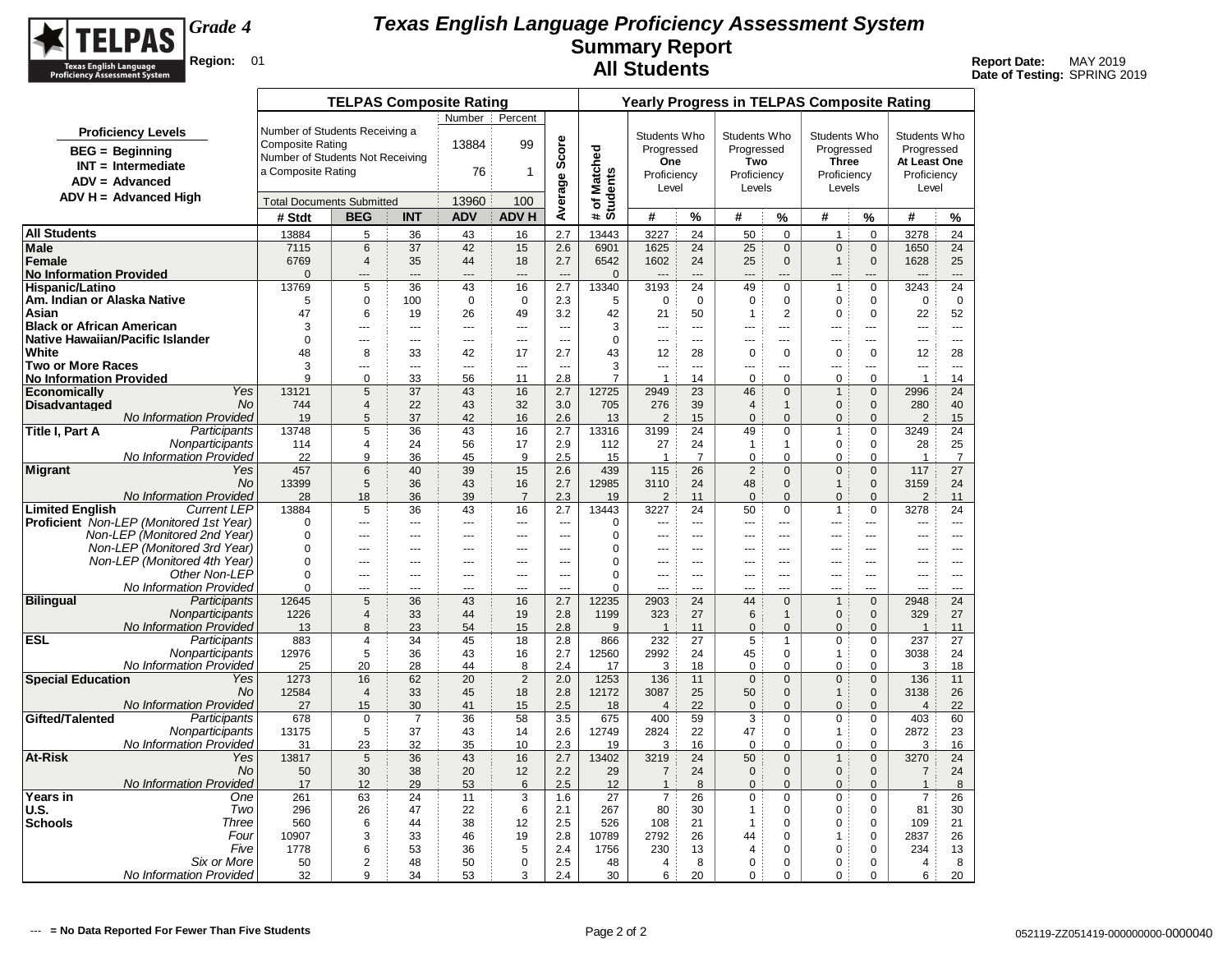

|                                                              |                                            |                                  | <b>TELPAS Composite Rating</b>   |                       |                         |                       |                                 |                            |                          |                      | <b>Yearly Progress in TELPAS Composite Rating</b> |                                  |                     |                          |                        |                          |
|--------------------------------------------------------------|--------------------------------------------|----------------------------------|----------------------------------|-----------------------|-------------------------|-----------------------|---------------------------------|----------------------------|--------------------------|----------------------|---------------------------------------------------|----------------------------------|---------------------|--------------------------|------------------------|--------------------------|
|                                                              |                                            |                                  |                                  |                       | Number Percent          |                       |                                 |                            |                          |                      |                                                   |                                  |                     |                          |                        |                          |
| <b>Proficiency Levels</b>                                    |                                            | Number of Students Receiving a   |                                  |                       |                         |                       |                                 |                            | Students Who             |                      | Students Who                                      |                                  | Students Who        |                          | Students Who           |                          |
| $BEG = Beginning$                                            |                                            | <b>Composite Rating</b>          |                                  |                       | 13884                   | 99                    |                                 |                            | Progressed               |                      | Progressed                                        |                                  | Progressed          |                          | Progressed             |                          |
| $INT = Intermediate$                                         |                                            | Number of Students Not Receiving |                                  |                       |                         |                       |                                 |                            | One                      |                      | Two                                               |                                  | <b>Three</b>        |                          | At Least One           |                          |
| $ADV = Advanced$                                             |                                            | a Composite Rating               |                                  |                       | 76                      | 1                     |                                 |                            | Proficiency              |                      | Proficiency                                       |                                  | Proficiency         |                          | Proficiency            |                          |
| $ADV H = Advanced High$                                      |                                            |                                  |                                  |                       |                         |                       |                                 |                            | Level                    |                      | Levels                                            |                                  | Levels              |                          | Level                  |                          |
|                                                              |                                            | <b>Total Documents Submitted</b> |                                  |                       | 13960                   | 100                   | Average Score                   | # of Matched<br>Students   |                          |                      |                                                   |                                  |                     |                          |                        |                          |
|                                                              |                                            | # Stdt                           | <b>BEG</b>                       | <b>INT</b>            | <b>ADV</b>              | <b>ADVH</b>           |                                 |                            | #                        | %                    | #                                                 | %                                | #                   | %                        | #                      | %                        |
| <b>All Students</b>                                          |                                            | 13884                            | 5                                | 36                    | 43                      | 16                    | 2.7                             | 13443                      | 3227                     | 24                   | 50                                                | $\Omega$                         | $\mathbf{1}$        | $\Omega$                 | 3278                   | 24                       |
| <b>Male</b>                                                  |                                            | 7115                             | 6                                | 37                    | 42                      | 15                    | 2.6                             | 6901                       | 1625                     | 24                   | 25                                                | $\mathbf{0}$                     | $\mathbf{0}$        | $\mathbf 0$              | 1650                   | 24                       |
| Female<br><b>No Information Provided</b>                     |                                            | 6769<br>$\mathbf{0}$             | $\overline{4}$<br>---            | 35<br>$\overline{a}$  | 44<br>$\overline{a}$    | 18<br>---             | 2.7<br>$\overline{a}$           | 6542<br>$\Omega$           | 1602                     | 24<br>$-$            | 25                                                | $\mathbf{0}$<br>---              | $\mathbf{1}$<br>--- | $\mathbf{0}$             | 1628<br>$\overline{a}$ | 25<br>$\overline{a}$     |
| Hispanic/Latino                                              |                                            | 13769                            | 5                                | 36                    | 43                      | 16                    | 2.7                             | 13340                      | 3193                     | 24                   | 49                                                | 0                                | $\overline{1}$      | $\mathbf 0$              | 3243                   | 24                       |
| Am. Indian or Alaska Native                                  |                                            | 5                                | 0                                | 100                   | $\mathbf 0$             | $\mathbf 0$           | 2.3                             | 5                          | 0                        | $\mathbf 0$          | 0                                                 | $\mathbf 0$                      | $\mathbf 0$         | $\mathbf 0$              | $\mathbf 0$            | 0                        |
| Asian                                                        |                                            | 47                               | 6                                | 19                    | 26                      | 49                    | 3.2                             | 42                         | 21                       | 50                   | $\mathbf{1}$                                      | $\overline{2}$                   | $\mathbf 0$         | $\mathbf 0$              | 22                     | 52                       |
| <b>Black or African American</b>                             |                                            | 3                                | $\overline{a}$                   | ---                   | $\overline{a}$          | ---                   | ---                             | 3                          | $\overline{\phantom{a}}$ | $\overline{a}$       | ---                                               | ---                              | ---                 | $\overline{\phantom{a}}$ | ---                    | $\overline{a}$           |
| Native Hawaiian/Pacific Islander                             |                                            | 0                                | $\overline{a}$                   | ---                   | $\sim$                  | ---                   | $\overline{a}$                  | $\mathbf 0$                | $\overline{a}$           | $\overline{a}$       | ---                                               | $\overline{a}$                   | ---                 | ---                      |                        | $---$                    |
| White<br><b>Two or More Races</b>                            |                                            | 48<br>3                          | 8                                | 33                    | 42                      | 17                    | 2.7                             | 43<br>3                    | 12                       | 28                   | $\mathbf 0$                                       | $\mathbf 0$                      | $\mathbf 0$         | $\mathbf 0$              | 12                     | 28                       |
| <b>No Information Provided</b>                               |                                            | 9                                | ---<br>0                         | ---<br>33             | $\overline{a}$<br>56    | ---<br>11             | $\overline{\phantom{a}}$<br>2.8 | $\overline{7}$             | ---<br>$\overline{1}$    | ---<br>14            | ---<br>0                                          | $\overline{a}$<br>0              | ---<br>0            | ---<br>$\mathbf 0$       | ---<br>$\mathbf{1}$    | $\overline{a}$<br>14     |
| <b>Economically</b>                                          | Yes                                        | 13121                            | 5                                | 37                    | 43                      | 16                    | 2.7                             | 12725                      | 2949                     | 23                   | 46                                                | $\mathbf{0}$                     | $\mathbf{1}$        | $\mathbf{0}$             | 2996                   | 24                       |
| Disadvantaged                                                | <b>No</b>                                  | 744                              | $\overline{4}$                   | 22                    | 43                      | 32                    | 3.0                             | 705                        | 276                      | 39                   | $\overline{4}$                                    | $\mathbf{1}$                     | $\mathbf{0}$        | $\mathbf{0}$             | 280                    | 40                       |
|                                                              | No Information Provided                    | 19                               | 5                                | 37                    | 42                      | 16                    | 2.6                             | 13                         | 2                        | 15                   | $\pmb{0}$                                         | $\mathbf{0}$                     | $\mathbf{0}$        | $\mathbf{0}$             | $\overline{2}$         | 15                       |
| Title I, Part A                                              | Participants                               | 13748                            | 5                                | 36                    | 43                      | 16                    | 2.7                             | 13316                      | 3199                     | 24                   | 49                                                | $\Omega$                         | $\mathbf{1}$        | 0                        | 3249                   | 24                       |
|                                                              | Nonparticipants<br>No Information Provided | 114<br>22                        | $\overline{4}$<br>9              | 24<br>36              | 56<br>45                | 17<br>9               | 2.9<br>2.5                      | 112<br>15                  | 27<br>$\overline{1}$     | 24<br>$\overline{7}$ | 1<br>$\mathbf 0$                                  | 1<br>$\mathbf 0$                 | $\mathbf 0$<br>0    | 0<br>$\mathbf 0$         | 28<br>$\overline{1}$   | 25<br>$\overline{7}$     |
| <b>Migrant</b>                                               | Yes                                        | 457                              | $6\phantom{1}6$                  | 40                    | 39                      | 15                    | 2.6                             | 439                        | 115                      | 26                   | $\overline{2}$                                    | $\Omega$                         | $\mathbf 0$         | $\Omega$                 | 117                    | 27                       |
|                                                              | <b>No</b>                                  | 13399                            | 5                                | 36                    | 43                      | 16                    | 2.7                             | 12985                      | 3110                     | 24                   | 48                                                | $\mathbf{0}$                     | $\mathbf{1}$        | $\mathbf{0}$             | 3159                   | 24                       |
|                                                              | <b>No Information Provided</b>             | 28                               | 18                               | 36                    | 39                      | $\overline{7}$        | 2.3                             | 19                         | $\overline{2}$           | 11                   | $\mathbf{0}$                                      | $\Omega$                         | $\Omega$            | $\mathbf{0}$             | $\overline{2}$         | 11                       |
| <b>Limited English</b>                                       | <b>Current LEP</b>                         | 13884                            | 5                                | 36                    | 43                      | 16                    | 2.7                             | 13443                      | 3227                     | 24                   | 50                                                | $\mathbf 0$                      | $\mathbf{1}$        | $\mathbf 0$              | 3278                   | 24                       |
| <b>Proficient</b> Non-LEP (Monitored 1st Year)               |                                            | 0                                | $\overline{a}$                   | ---                   | $\overline{a}$          | $\overline{a}$        | $\sim$                          | 0                          | $\overline{a}$           | $\sim$               | ---                                               | $\overline{a}$                   | ---                 | ---                      | ---                    | $---$                    |
| Non-LEP (Monitored 2nd Year)                                 |                                            | 0<br>$\mathbf 0$                 | $\overline{a}$<br>$\overline{a}$ | ---<br>$\overline{a}$ | $\overline{a}$<br>$---$ | ---<br>$\overline{a}$ | $\sim$<br>$\overline{a}$        | $\mathbf 0$<br>$\mathbf 0$ | ---<br>$\overline{a}$    | $\sim$<br>$-$        | ---<br>$\overline{a}$                             | $\overline{a}$<br>$\overline{a}$ | ---<br>$-$          | $\overline{a}$<br>$-$    | ---<br>$\overline{a}$  | $---$<br>$-$             |
| Non-LEP (Monitored 3rd Year)<br>Non-LEP (Monitored 4th Year) |                                            | $\mathbf 0$                      | $\overline{a}$                   | $\overline{a}$        | $---$                   | ---                   | $\overline{a}$                  | $\mathbf 0$                | $\overline{a}$           | $\overline{a}$       | $\overline{a}$                                    | $\overline{a}$                   | ---                 | ---                      | ---                    | $---$                    |
|                                                              | Other Non-LEP                              | 0                                | $\overline{a}$                   | $\overline{a}$        | $---$                   | $\overline{a}$        | $\overline{a}$                  | $\Omega$                   | $\overline{a}$           | $\sim$               | ---                                               | $---$                            | $- - -$             | ---                      | $\overline{a}$         | $\overline{a}$           |
|                                                              | No Information Provided                    | 0                                | $\overline{a}$                   | $\overline{a}$        | $-$                     | $\overline{a}$        | $\sim$                          | $\mathbf 0$                | $\sim$                   | $\sim$               | ---                                               | $\overline{a}$                   | $-$                 | $\overline{\phantom{a}}$ | $\overline{a}$         | $\overline{\phantom{a}}$ |
| <b>Bilingual</b>                                             | Participants                               | 12645                            | 5                                | 36                    | 43                      | 16                    | 2.7                             | 12235                      | 2903                     | 24                   | 44                                                | $\mathbf 0$                      | $\mathbf{1}$        | $\Omega$                 | 2948                   | 24                       |
|                                                              | Nonparticipants                            | 1226                             | $\overline{4}$                   | 33                    | 44                      | 19                    | 2.8                             | 1199                       | 323                      | 27                   | 6                                                 | $\mathbf{1}$                     | $\mathbf{0}$        | $\mathbf{0}$             | 329                    | 27                       |
|                                                              | No Information Provided                    | 13                               | 8                                | 23                    | 54                      | 15                    | 2.8                             | 9                          | $\overline{1}$           | 11                   | $\pmb{0}$                                         | $\Omega$                         | $\Omega$            | $\Omega$                 | $\overline{1}$<br>237  | 11                       |
| <b>ESL</b>                                                   | Participants<br>Nonparticipants            | 883<br>12976                     | 4<br>5                           | 34<br>36              | 45<br>43                | 18<br>16              | 2.8<br>2.7                      | 866<br>12560               | 232<br>2992              | 27<br>24             | 5<br>45                                           | $\mathbf{1}$<br>$\mathbf 0$      | 0<br>$\mathbf{1}$   | $\Omega$<br>$\mathbf 0$  | 3038                   | 27<br>24                 |
|                                                              | No Information Provided                    | 25                               | 20                               | 28                    | 44                      | 8                     | 2.4                             | 17                         | 3                        | 18                   | $\mathbf 0$                                       | 0                                | 0                   | $\mathbf 0$              | 3                      | 18                       |
| <b>Special Education</b>                                     | Yes                                        | 1273                             | 16                               | 62                    | 20                      | 2                     | 2.0                             | 1253                       | 136                      | 11                   | $\mathbf 0$                                       | 0                                | $\mathbf 0$         | $\mathbf 0$              | 136                    | 11                       |
|                                                              | No                                         | 12584                            | $\overline{4}$                   | 33                    | 45                      | 18                    | 2.8                             | 12172                      | 3087                     | 25                   | 50                                                | $\Omega$                         | $\mathbf{1}$        | $\mathbf{0}$             | 3138                   | 26                       |
|                                                              | <b>No Information Provided</b>             | 27                               | 15                               | 30                    | 41                      | 15                    | 2.5                             | 18                         | $\overline{4}$           | 22                   | $\mathbf 0$                                       | $\overline{0}$                   | $\overline{0}$      | $\mathbf{0}$             | $\overline{4}$         | 22                       |
| Gifted/Talented                                              | Participants<br>Nonparticipants            | 678<br>13175                     | $\mathbf 0$<br>5                 | $\overline{7}$<br>37  | 36<br>43                | 58<br>14              | 3.5<br>2.6                      | 675<br>12749               | 400<br>2824              | 59<br>22             | 3<br>47                                           | 0<br>0                           | 0<br>$\mathbf{1}$   | 0<br>$\mathbf 0$         | 403<br>2872            | 60<br>23                 |
|                                                              | No Information Provided                    | 31                               | 23                               | 32                    | 35                      | 10                    | 2.3                             | 19                         | 3                        | 16                   | $\mathbf 0$                                       | $\Omega$                         | 0                   | $\mathbf 0$              | 3                      | 16                       |
| <b>At-Risk</b>                                               | Yes                                        | 13817                            | 5                                | 36                    | 43                      | 16                    | 2.7                             | 13402                      | 3219                     | 24                   | 50                                                | $\overline{0}$                   | $\mathbf{1}$        | $\mathbf{0}$             | 3270                   | 24                       |
|                                                              | No                                         | 50                               | 30                               | 38                    | 20                      | 12                    | 2.2                             | 29                         | 7                        | 24                   | $\pmb{0}$                                         | $\Omega$                         | $\mathbf 0$         | $\mathbf 0$              | 7                      | 24                       |
|                                                              | No Information Provided                    | 17                               | 12                               | 29                    | 53                      | 6                     | 2.5                             | 12                         | $\mathbf{1}$             | 8                    | $\mathbf 0$                                       | $\Omega$                         | $\overline{0}$      | $\Omega$                 | $\mathbf{1}$           | 8                        |
| Years in                                                     | One                                        | 261                              | 63                               | 24                    | 11                      | 3                     | 1.6                             | 27                         | $\overline{7}$           | 26                   | $\mathbf 0$                                       | $\Omega$                         | 0                   | $\mathbf 0$              | $\overline{7}$         | 26                       |
| <b>U.S.</b><br><b>Schools</b>                                | Two                                        | 296                              | 26                               | 47                    | 22<br>38                | $6\phantom{1}6$       | 2.1                             | 267                        | 80                       | 30                   | 1                                                 | $\Omega$                         | $\Omega$            | $\Omega$<br>$\Omega$     | 81                     | 30                       |
|                                                              | Three<br>Four                              | 560<br>10907                     | 6<br>3                           | 44<br>33              | 46                      | 12<br>19              | 2.5<br>2.8                      | 526<br>10789               | 108<br>2792              | 21<br>26             | $\mathbf{1}$<br>44                                | $\Omega$<br>0                    | 0<br>$\overline{1}$ | $\mathbf 0$              | 109<br>2837            | 21<br>26                 |
|                                                              | Five                                       | 1778                             | 6                                | 53                    | 36                      | 5                     | 2.4                             | 1756                       | 230                      | 13                   | 4                                                 | 0                                | $\pmb{0}$           | 0                        | 234                    | 13                       |
|                                                              | Six or More                                | 50                               | $\overline{2}$                   | 48                    | 50                      | $\mathbf 0$           | 2.5                             | 48                         | 4                        | 8                    | $\mathbf 0$                                       | $\Omega$                         | 0                   | $\mathbf 0$              | $\overline{4}$         | 8                        |
|                                                              | No Information Provided                    | 32                               | 9                                | 34                    | 53                      | 3                     | 2.4                             | 30                         | 6                        | 20                   | $\mathbf 0$                                       | 0                                | 0                   | 0                        | 6                      | 20                       |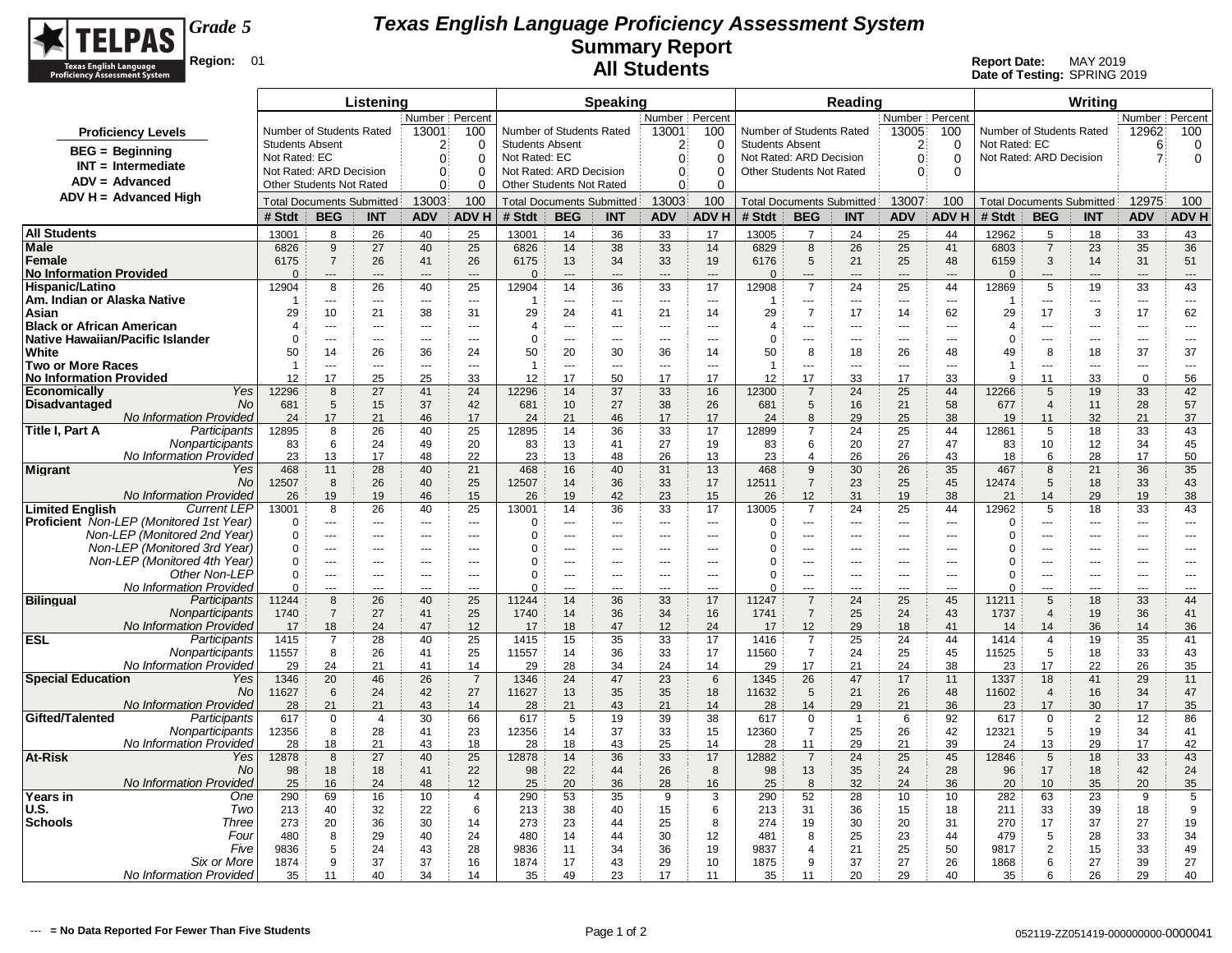

|                                                              |                        |                                                     | Listening                        |                          |                                 |                                                    |                                  | Speaking                        |                      |                      |                                                    |                      | <b>Reading</b>       |                          |                          |                                           |                       | Writina                          |                      |                          |
|--------------------------------------------------------------|------------------------|-----------------------------------------------------|----------------------------------|--------------------------|---------------------------------|----------------------------------------------------|----------------------------------|---------------------------------|----------------------|----------------------|----------------------------------------------------|----------------------|----------------------|--------------------------|--------------------------|-------------------------------------------|-----------------------|----------------------------------|----------------------|--------------------------|
|                                                              |                        | Number Percent<br>Number of Students Rated<br>13001 |                                  |                          |                                 |                                                    |                                  |                                 | Number Percent       |                      |                                                    |                      |                      | Number Percent           |                          |                                           |                       |                                  | Number Percent       |                          |
| <b>Proficiency Levels</b>                                    | <b>Students Absent</b> |                                                     |                                  |                          | 100<br>$\Omega$                 | Number of Students Rated<br><b>Students Absent</b> |                                  |                                 | 13001<br>2           | 100                  | Number of Students Rated<br><b>Students Absent</b> |                      |                      | 13005<br>$\overline{2}$  | 100<br>$\Omega$          | Number of Students Rated<br>Not Rated: EC |                       |                                  | 12962<br>6           | 100                      |
| <b>BEG</b> = Beginning                                       | Not Rated: EC          |                                                     |                                  | 2<br>0                   | $\Omega$                        | Not Rated: EC                                      |                                  |                                 | $\mathbf{0}$         | 0<br>$\Omega$        | Not Rated: ARD Decision                            |                      |                      | $\mathbf{0}$             | $\mathbf 0$              | Not Rated: ARD Decision                   |                       |                                  | $\mathbf{7}$         | 0<br>$\mathbf 0$         |
| $INT = Intermediate$                                         |                        | Not Rated: ARD Decision                             |                                  | $\mathbf{0}$             | $\Omega$                        | Not Rated: ARD Decision                            |                                  |                                 | $\mathbf{0}$         | 0                    | Other Students Not Rated                           |                      |                      | $\mathbf{0}$             | $\Omega$                 |                                           |                       |                                  |                      |                          |
| $ADV = Advanced$                                             |                        | <b>Other Students Not Rated</b>                     |                                  | 0                        | $\Omega$                        | Other Students Not Rated                           |                                  |                                 | $\overline{0}$       | 0                    |                                                    |                      |                      |                          |                          |                                           |                       |                                  |                      |                          |
| $ADV H = Advanced High$                                      |                        |                                                     | <b>Total Documents Submitted</b> | 13003                    | 100                             |                                                    | <b>Total Documents Submitted</b> |                                 | 13003                | 100                  | <b>Total Documents Submitted</b>                   |                      |                      | 13007                    | 100                      |                                           |                       | <b>Total Documents Submitted</b> | 12975                | 100                      |
|                                                              | # Stdt                 | <b>BEG</b>                                          | <b>INT</b>                       | <b>ADV</b>               | <b>ADVH</b>                     | # Stdt                                             | <b>BEG</b>                       | <b>INT</b>                      | <b>ADV</b>           | <b>ADV H</b>         | # Stdt                                             | <b>BEG</b>           | <b>INT</b>           | <b>ADV</b>               | <b>ADVH</b>              | # Stdt                                    | <b>BEG</b>            | <b>INT</b>                       | <b>ADV</b>           | <b>ADV H</b>             |
| <b>All Students</b>                                          | 13001                  | 8                                                   | 26                               | 40                       | 25                              | 13001                                              | 14                               | 36                              | 33                   | 17                   | 13005                                              | $\overline{7}$       | 24                   | 25                       | 44                       | 12962                                     | 5                     | 18                               | 33                   | 43                       |
| Male                                                         | 6826                   | 9                                                   | 27                               | 40                       | 25                              | 6826                                               | 14                               | 38                              | 33                   | 14                   | 6829                                               | 8                    | 26                   | 25                       | 41                       | 6803                                      | $\overline{7}$        | 23                               | 35                   | 36                       |
| Female<br><b>No Information Provided</b>                     | 6175<br>$\Omega$       | $\overline{7}$                                      | 26                               | 41                       | 26<br>$\overline{a}$            | 6175<br>$\Omega$                                   | 13<br>---                        | 34<br>---                       | 33<br>$\overline{a}$ | 19<br>$\overline{a}$ | 6176<br>$\Omega$                                   | 5<br>---             | 21<br>$\overline{a}$ | 25<br>$\overline{a}$     | 48                       | 6159<br>$\Omega$                          | 3<br>$\overline{a}$   | 14<br>---                        | 31<br>---            | 51<br>---                |
| Hispanic/Latino                                              | 12904                  | 8                                                   | 26                               | 40                       | 25                              | 12904                                              | 14                               | 36                              | 33                   | 17                   | 12908                                              | $\overline{7}$       | 24                   | 25                       | 44                       | 12869                                     | 5                     | 19                               | 33                   | 43                       |
| Am. Indian or Alaska Native                                  | -1                     | ---                                                 | $\overline{\phantom{a}}$         | $\sim$                   | $---$                           | -1                                                 | ---                              | $\overline{a}$                  | $\overline{a}$       | $\overline{a}$       | -1                                                 | ---                  | $\overline{a}$       | $\overline{\phantom{a}}$ | $\overline{\phantom{a}}$ | 1                                         | ---                   | $\overline{a}$                   | $\overline{a}$       | $\overline{a}$           |
| Asian                                                        | 29                     | 10                                                  | 21                               | 38                       | 31                              | 29                                                 | 24                               | 41                              | 21                   | 14                   | 29                                                 | $\overline{7}$       | 17                   | 14                       | 62                       | 29                                        | 17                    | 3                                | 17                   | 62                       |
| Black or African American                                    | $\overline{4}$         | $\overline{a}$                                      | ---                              | $\overline{\phantom{a}}$ | $\cdots$                        | $\overline{4}$                                     | ---                              | ---                             | ---                  | ---                  | 4                                                  | ---                  | ---                  | $\overline{\phantom{a}}$ | $---$                    | 4                                         | ---<br>$\overline{a}$ | ---                              | ---                  | $\overline{\phantom{a}}$ |
| Native Hawaiian/Pacific Islander<br>White                    | $\Omega$<br>50         | $-$<br>14                                           | $-$<br>26                        | $-$<br>36                | $-$<br>24                       | $\Omega$<br>50                                     | $\overline{a}$<br>20             | $\sim$<br>30                    | $\overline{a}$<br>36 | $-$<br>14            | $\Omega$<br>50                                     | ---<br>8             | $\overline{a}$<br>18 | $\sim$<br>26             | $\sim$<br>48             | $\Omega$<br>49                            | 8                     | $\overline{a}$<br>18             | $\overline{a}$<br>37 | $-$<br>37                |
| Two or More Races                                            | $\overline{1}$         | $-$                                                 | $\sim$                           | $\overline{a}$           | $\sim$                          | $\overline{1}$                                     | $\overline{a}$                   | $---$                           | $\overline{a}$       | $\overline{a}$       | -1                                                 | $\overline{a}$       | $---$                | $\overline{\phantom{a}}$ | $\sim$                   | 1                                         |                       | $\overline{a}$                   | $\sim$               | $\overline{a}$           |
| <b>No Information Provided</b>                               | 12                     | 17                                                  | 25                               | 25                       | 33                              | 12                                                 | 17                               | 50                              | 17                   | 17                   | 12                                                 | 17                   | 33                   | 17                       | 33                       | 9                                         | 11                    | 33                               | $\mathbf 0$          | 56                       |
| Yes<br><b>Economically</b>                                   | 12296                  | 8                                                   | 27                               | 41                       | 24                              | 12296                                              | 14                               | 37                              | 33                   | 16                   | 12300                                              | $\overline{7}$       | 24                   | 25                       | 44                       | 12266                                     | 5                     | 19                               | 33                   | 42                       |
| <b>No</b><br><b>Disadvantaged</b><br>No Information Provided | 681<br>24              | 5<br>17                                             | 15<br>21                         | 37<br>46                 | 42<br>17                        | 681<br>24                                          | 10 <sup>1</sup><br>21            | 27<br>46                        | 38<br>17             | 26<br>17             | 681<br>24                                          | 5<br>8               | 16<br>29             | 21<br>25                 | 58<br>38                 | 677<br>19                                 | $\overline{4}$<br>11  | 11<br>32                         | 28<br>21             | 57<br>37                 |
| Participants<br>Title I, Part A                              | 12895                  | 8                                                   | 26                               | 40                       | 25                              | 12895                                              | 14                               | 36                              | 33                   | 17                   | 12899                                              | $\overline{7}$       | 24                   | 25                       | 44                       | 12861                                     | 5                     | 18                               | 33                   | 43                       |
| Nonparticipants                                              | 83                     | 6                                                   | 24                               | 49                       | 20                              | 83                                                 | 13                               | 41                              | 27                   | 19                   | 83                                                 | 6                    | 20                   | 27                       | 47                       | 83                                        | 10                    | 12                               | 34                   | 45                       |
| No Information Provided                                      | 23                     | 13                                                  | 17                               | 48                       | 22                              | 23                                                 | 13                               | 48                              | 26                   | 13                   | 23                                                 | 4                    | 26                   | 26                       | 43                       | 18                                        | 6                     | 28                               | 17                   | 50                       |
| Migrant<br>Yes                                               | 468                    | 11                                                  | 28                               | 40                       | 21                              | 468                                                | 16                               | 40                              | 31                   | 13                   | 468                                                | 9                    | 30                   | 26                       | 35                       | 467                                       | 8                     | 21                               | 36                   | 35                       |
| N <sub>O</sub><br>No Information Provided                    | 12507<br>26            | 8<br>19                                             | 26<br>19                         | 40<br>46                 | 25<br>15                        | 12507<br>26                                        | 14<br>19                         | 36<br>42                        | 33<br>23             | 17<br>15             | 12511<br>26                                        | $\overline{7}$<br>12 | 23<br>31             | 25<br>19                 | 45<br>38                 | 12474<br>21                               | 5<br>14               | 18<br>29                         | 33<br>19             | 43<br>38                 |
| <b>Limited English</b><br><b>Current LEP</b>                 | 13001                  | 8                                                   | 26                               | 40                       | 25                              | 13001                                              | 14                               | 36                              | 33                   | 17                   | 13005                                              | $\overline{7}$       | 24                   | 25                       | 44                       | 12962                                     | 5                     | 18                               | 33                   | 43                       |
| <b>Proficient</b> Non-LEP (Monitored 1st Year)               | $\Omega$               | ---                                                 | $\overline{a}$                   | $- - -$                  | $\sim$                          | $\Omega$                                           | ---                              | $\overline{a}$                  | $\sim$               | $\overline{a}$       | $\Omega$                                           | ---                  | $\overline{a}$       | $\sim$                   | $\overline{a}$           | 0                                         | ---                   | ---                              | ---                  | $\overline{a}$           |
| Non-LEP (Monitored 2nd Year                                  | $\Omega$               | $\overline{a}$                                      | $\overline{a}$                   | $\overline{\phantom{a}}$ | $\overline{a}$                  | 0                                                  | ---                              | $\overline{a}$                  | ---                  | $---$                | $\Omega$                                           | ---                  | ---                  | ---                      | $\overline{\phantom{a}}$ | $\Omega$                                  | ---                   | ---                              | $\overline{a}$       | ---                      |
| Non-LEP (Monitored 3rd Year)<br>Non-LEP (Monitored 4th Year) | $\Omega$<br>$\Omega$   | ---<br>$\overline{a}$                               | $\overline{a}$                   | $\sim$                   | ---<br>$\overline{\phantom{a}}$ | $\Omega$<br>$\Omega$                               | ---                              | ---<br>$\overline{\phantom{a}}$ | ---<br>---           | ---<br>---           | $\Omega$<br>0                                      | ---<br>---           | ---                  | ---<br>---               | $\overline{a}$<br>---    | 0<br>0                                    | ÷÷.<br>---            | ---                              | ---                  | ---<br>---               |
| Other Non-LEP                                                | $\mathbf 0$            | $---$                                               | $\overline{a}$                   | $- - -$                  | $\sim$                          | 0                                                  | ÷÷                               | $\overline{a}$                  | $\overline{a}$       | $\overline{a}$       | $\Omega$                                           | ---                  | $\overline{a}$       | $\sim$                   | $\overline{a}$           | 0                                         | ---                   | $\overline{a}$                   | ---                  | $\overline{a}$           |
| No Information Provided                                      | $\Omega$               | $\overline{a}$                                      | ---                              | $\sim$                   | $-$ - $-$                       | $\Omega$                                           | ÷÷                               | ---                             |                      | $\overline{a}$       | $\Omega$                                           | ---                  | $\overline{a}$       | $\sim$                   | $\sim$                   | $\Omega$                                  | ---                   | ---                              | ---                  | ---                      |
| <b>Bilingual</b><br>Participants                             | 11244                  | 8                                                   | 26                               | 40                       | 25                              | 11244                                              | 14                               | 36                              | 33                   | 17                   | 11247                                              | $\overline{7}$       | 24                   | 25                       | 45                       | 11211                                     | $\sqrt{5}$            | 18                               | 33                   | 44                       |
| Nonparticipants<br>No Information Provided                   | 1740                   | $\overline{7}$                                      | 27<br>24                         | 41<br>47                 | 25                              | 1740                                               | 14                               | 36                              | 34                   | 16<br>24             | 1741                                               | $\overline{7}$       | 25                   | 24                       | 43<br>41                 | 1737                                      | $\overline{4}$<br>14  | 19                               | 36<br>14             | 41                       |
| ESL<br>Participants                                          | 17<br>1415             | 18<br>$\overline{7}$                                | 28                               | 40                       | 12<br>25                        | 17<br>1415                                         | 18<br>15                         | 47<br>35                        | 12<br>33             | 17                   | 17<br>1416                                         | 12<br>$\overline{7}$ | 29<br>25             | 18<br>24                 | 44                       | 14<br>1414                                | $\overline{4}$        | 36<br>19                         | 35                   | 36<br>41                 |
| Nonparticipants                                              | 11557                  | 8                                                   | 26                               | 41                       | 25                              | 11557                                              | 14                               | 36                              | 33                   | 17                   | 11560                                              | $\overline{7}$       | 24                   | 25                       | 45                       | 11525                                     | 5                     | 18                               | 33                   | 43                       |
| No Information Provided                                      | 29                     | 24                                                  | 21                               | 41                       | 14                              | 29                                                 | 28                               | 34                              | 24                   | 14                   | 29                                                 | 17                   | 21                   | 24                       | 38                       | 23                                        | 17                    | 22                               | 26                   | 35                       |
| <b>Special Education</b><br>Yes                              | 1346                   | 20                                                  | 46                               | 26                       | $\overline{7}$                  | 1346                                               | 24                               | 47                              | 23                   | 6                    | 1345                                               | 26                   | 47                   | 17                       | 11                       | 1337                                      | 18                    | 41                               | 29                   | 11                       |
| N <sub>O</sub><br>No Information Provided                    | 11627<br>28            | 6<br>21                                             | 24<br>21                         | 42<br>43                 | 27<br>14                        | 11627<br>28                                        | 13<br>21                         | 35<br>43                        | 35<br>21             | 18<br>14             | 11632<br>28                                        | 5<br>14              | 21<br>29             | 26<br>21                 | 48<br>36                 | 11602<br>23                               | $\overline{4}$<br>17  | 16<br>30                         | 34<br>17             | 47<br>35                 |
| Gifted/Talented<br>Participants                              | 617                    | 0                                                   | $\overline{4}$                   | 30                       | 66                              | 617                                                | 5                                | 19                              | 39                   | 38                   | 617                                                | 0                    | $\overline{1}$       | 6                        | 92                       | 617                                       | $\mathbf 0$           | 2                                | 12                   | 86                       |
| Nonparticipants                                              | 12356                  | 8                                                   | 28                               | 41                       | 23                              | 12356                                              | 14                               | 37                              | 33                   | 15                   | 12360                                              | $\overline{7}$       | 25                   | 26                       | 42                       | 12321                                     | 5                     | 19                               | 34                   | 41                       |
| No Information Provided                                      | 28                     | 18                                                  | 21                               | 43                       | 18                              | 28                                                 | 18                               | 43                              | 25                   | 14                   | 28                                                 | 11                   | 29                   | 21                       | 39                       | 24                                        | 13                    | 29                               | 17                   | 42                       |
| At-Risk<br>Yes<br>No                                         | 12878<br>98            | 8<br>18                                             | 27<br>18                         | 40<br>41                 | 25<br>22                        | 12878<br>98                                        | 14<br>22                         | 36<br>44                        | 33<br>26             | 17<br>8              | 12882<br>98                                        | $\overline{7}$<br>13 | 24<br>35             | 25<br>24                 | 45<br>28                 | 12846<br>96                               | 5<br>17               | 18<br>18                         | 33<br>42             | 43<br>24                 |
| No Information Provided                                      | 25                     | 16                                                  | 24                               | 48                       | 12                              | 25                                                 | 20                               | 36                              | 28                   | 16                   | 25                                                 | 8                    | 32                   | 24                       | 36                       | 20                                        | 10                    | 35                               | 20                   | 35                       |
| Years in<br>One                                              | 290                    | 69                                                  | 16                               | 10                       | 4                               | 290                                                | 53                               | 35                              | 9                    | 3                    | 290                                                | 52                   | 28                   | 10                       | 10                       | 282                                       | 63                    | 23                               | 9                    | 5                        |
| U.S.<br>Two                                                  | 213                    | 40                                                  | 32                               | 22                       | 6                               | 213                                                | 38                               | 40                              | 15                   | 6                    | 213                                                | 31                   | 36                   | 15                       | 18                       | 211                                       | 33                    | 39                               | 18                   | 9                        |
| <b>Schools</b><br>Three                                      | 273                    | 20                                                  | 36                               | 30                       | 14                              | 273                                                | 23                               | 44                              | 25                   | 8                    | 274                                                | 19                   | 30                   | 20                       | 31                       | 270                                       | 17                    | 37                               | 27                   | 19                       |
| Four<br>Five                                                 | 480<br>9836            | 8<br>5                                              | 29<br>24                         | 40<br>43                 | 24<br>28                        | 480<br>9836                                        | 14<br>11                         | 44<br>34                        | 30<br>36             | 12<br>19             | 481<br>9837                                        | 8<br>$\overline{4}$  | 25<br>21             | 23<br>25                 | 44<br>50                 | 479<br>9817                               | 5<br>$\overline{2}$   | 28<br>15                         | 33<br>33             | 34<br>49                 |
| Six or More                                                  | 1874                   | 9                                                   | 37                               | 37                       | 16                              | 1874                                               | 17                               | 43                              | 29                   | 10                   | 1875                                               | 9                    | 37                   | 27                       | 26                       | 1868                                      | 6                     | 27                               | 39                   | 27                       |
| No Information Provided                                      | 35                     | 11                                                  | 40                               | 34                       | 14                              | 35                                                 | 49                               | 23                              | 17                   | 11                   | 35                                                 | 11                   | 20                   | 29                       | 40                       | 35                                        | ĥ                     | 26                               | 29                   | 40                       |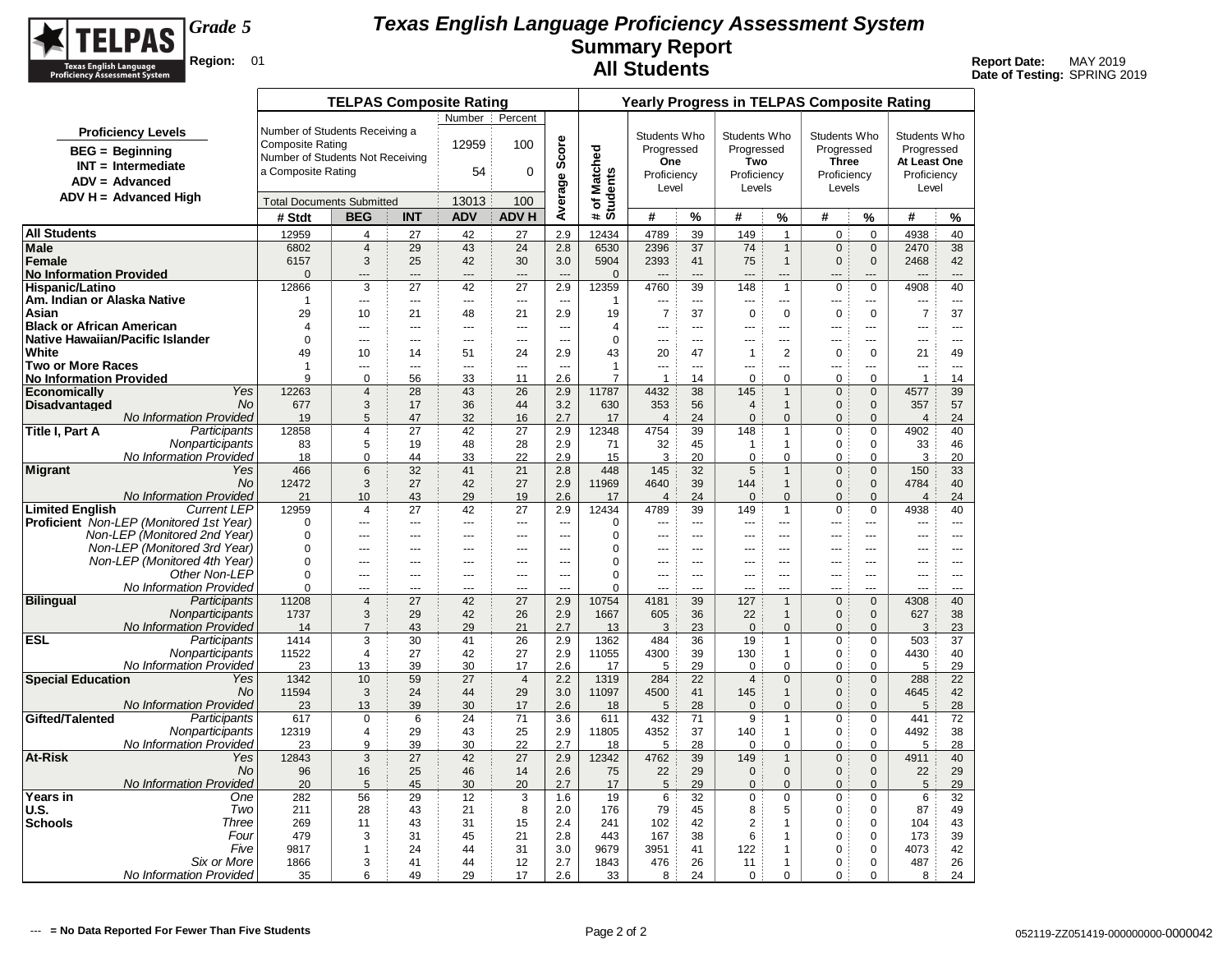

|                                          |                                                |                                  | <b>TELPAS Composite Rating</b> |                          |                          |                          |                  |                                |                          |                 |                       |                                | <b>Yearly Progress in TELPAS Composite Rating</b> |                                  |                                  |                      |
|------------------------------------------|------------------------------------------------|----------------------------------|--------------------------------|--------------------------|--------------------------|--------------------------|------------------|--------------------------------|--------------------------|-----------------|-----------------------|--------------------------------|---------------------------------------------------|----------------------------------|----------------------------------|----------------------|
|                                          |                                                |                                  |                                |                          | Number :                 | Percent                  |                  |                                |                          |                 |                       |                                |                                                   |                                  |                                  |                      |
|                                          | <b>Proficiency Levels</b>                      | Number of Students Receiving a   |                                |                          |                          |                          |                  |                                | Students Who             |                 | Students Who          |                                | Students Who                                      |                                  | Students Who                     |                      |
|                                          | $BEG = Beginning$                              | <b>Composite Rating</b>          |                                |                          | 12959                    | 100                      | Average Score    |                                | Progressed               |                 | Progressed            |                                | Progressed                                        |                                  | Progressed                       |                      |
|                                          | $INT = Intermediate$                           | Number of Students Not Receiving |                                |                          |                          |                          |                  |                                | <b>One</b>               |                 | Two                   |                                | <b>Three</b>                                      |                                  | At Least One                     |                      |
|                                          | $ADV = Advanced$                               | a Composite Rating               |                                |                          | 54                       | 0                        |                  |                                | Proficiency              |                 | Proficiency           |                                | Proficiency                                       |                                  | Proficiency                      |                      |
|                                          | $ADV H = Advanced High$                        |                                  |                                |                          |                          |                          |                  |                                | Level                    |                 | Levels                |                                | Levels                                            |                                  | Level                            |                      |
|                                          |                                                | <b>Total Documents Submitted</b> |                                |                          | 13013                    | 100                      |                  | # of Matched<br>Students       |                          |                 |                       |                                |                                                   |                                  |                                  |                      |
|                                          |                                                | # Stdt                           | <b>BEG</b>                     | <b>INT</b>               | <b>ADV</b>               | <b>ADVH</b>              |                  |                                | #                        | %               | #                     | %                              | #                                                 | %                                | #                                | %                    |
| <b>All Students</b>                      |                                                | 12959                            | 4                              | 27                       | 42                       | 27                       | 2.9              | 12434                          | 4789                     | 39              | 149                   | $\overline{1}$                 | 0                                                 | $\mathbf 0$                      | 4938                             | 40                   |
| Male                                     |                                                | 6802                             | $\overline{4}$                 | 29                       | 43                       | 24                       | 2.8              | 6530                           | 2396                     | 37              | 74                    | $\mathbf{1}$                   | $\mathbf 0$                                       | $\mathbf 0$                      | 2470                             | 38                   |
| Female<br><b>No Information Provided</b> |                                                | 6157<br>$\mathbf{0}$             | 3<br>---                       | 25<br>---                | 42<br>$\overline{a}$     | 30<br>$\overline{a}$     | 3.0              | 5904<br>$\mathbf 0$            | 2393                     | 41<br>$\sim$    | 75                    | $\mathbf{1}$<br>$\overline{a}$ | $\mathbf{0}$                                      | $\mathbf{0}$                     | 2468<br>---                      | 42<br>$\overline{a}$ |
| <b>Hispanic/Latino</b>                   |                                                | 12866                            | $\overline{3}$                 | $\overline{27}$          | $\overline{42}$          | $\overline{27}$          | 2.9              | 12359                          | 4760                     | $\overline{39}$ | 148                   | $\mathbf{1}$                   | $\pmb{0}$                                         | $\mathbf 0$                      | 4908                             | 40                   |
| Am. Indian or Alaska Native              |                                                | -1                               | $\overline{a}$                 | $\sim$                   | $\sim$                   | $\sim$                   | $\sim$           | 1                              | $\overline{a}$           | $\sim$          | $-$                   | $\sim$                         | ---                                               | ---                              | ---                              |                      |
| Asian                                    |                                                | 29                               | 10                             | 21                       | 48                       | 21                       | 2.9              | 19                             | $\overline{7}$           | 37              | $\mathbf 0$           | $\mathbf 0$                    | $\mathbf 0$                                       | $\mathbf 0$                      | $\overline{7}$                   | 37                   |
| <b>Black or African American</b>         |                                                | $\overline{4}$                   | $\sim$                         | ---                      | $\sim$                   | $\overline{a}$           | $\overline{a}$   | $\overline{4}$                 |                          | $\sim$          | ---                   |                                | $\sim$                                            | ---                              | ---                              | $---$                |
| Native Hawaiian/Pacific Islander         |                                                | $\Omega$                         | ---                            | ---                      | $---$                    | ---                      | $\overline{a}$   | $\Omega$                       | ---                      | $---$           | ---                   | ---                            | ---                                               | ---                              |                                  | $\cdots$             |
| White                                    |                                                | 49                               | 10                             | 14                       | 51                       | 24                       | 2.9              | 43                             | 20                       | 47              | $\mathbf{1}$          | $\overline{2}$                 | 0                                                 | $\mathbf 0$                      | 21                               | 49                   |
| <b>Two or More Races</b>                 |                                                | $\mathbf{1}$<br>9                | $\sim$                         | ---                      | $\overline{\phantom{a}}$ | $\overline{\phantom{a}}$ | $\overline{a}$   | $\mathbf{1}$<br>$\overline{7}$ | ---                      | $\sim$          | ---                   | ---                            | ---                                               | ---                              | ---<br>$\mathbf{1}$              | $\sim$               |
| No Information Provided<br>Economically  | Yes                                            | 12263                            | $\mathbf 0$<br>$\overline{4}$  | 56<br>28                 | 33<br>43                 | 11<br>26                 | 2.6<br>2.9       | 11787                          | $\overline{1}$<br>4432   | 14<br>38        | $\mathbf 0$<br>145    | $\mathbf 0$<br>$\mathbf{1}$    | 0<br>$\mathbf 0$                                  | $\mathbf 0$<br>$\mathbf 0$       | 4577                             | 14<br>39             |
| <b>Disadvantaged</b>                     | No                                             | 677                              | 3                              | 17                       | 36                       | 44                       | 3.2              | 630                            | 353                      | 56              | $\overline{4}$        | $\mathbf{1}$                   | $\mathbf{0}$                                      | $\mathbf 0$                      | 357                              | 57                   |
|                                          | <b>No Information Provided</b>                 | 19                               | 5                              | 47                       | 32                       | 16                       | 2.7              | 17                             | $\overline{4}$           | 24              | $\mathbf{0}$          | $\mathbf{0}$                   | $\mathbf{0}$                                      | $\Omega$                         | $\overline{4}$                   | 24                   |
| Title I, Part A                          | Participants                                   | 12858                            | $\overline{4}$                 | 27                       | 42                       | 27                       | 2.9              | 12348                          | 4754                     | 39              | 148                   | $\mathbf{1}$                   | $\mathbf 0$                                       | $\mathbf 0$                      | 4902                             | 40                   |
|                                          | Nonparticipants                                | 83                               | 5                              | 19                       | 48                       | 28                       | 2.9              | 71                             | 32                       | 45              | $\mathbf{1}$          | $\mathbf{1}$                   | $\mathbf 0$                                       | 0                                | 33                               | 46                   |
|                                          | No Information Provided                        | 18                               | $\Omega$                       | 44                       | 33                       | 22                       | 2.9              | 15                             | 3                        | 20              | $\mathbf 0$           | $\Omega$                       | $\Omega$                                          | $\Omega$                         | 3                                | 20                   |
| Migrant                                  | Yes<br>No.                                     | 466<br>12472                     | 6<br>3                         | 32<br>27                 | 41<br>42                 | 21<br>27                 | 2.8<br>2.9       | 448<br>11969                   | 145<br>4640              | 32<br>39        | 5<br>144              | $\mathbf{1}$<br>$\mathbf{1}$   | $\mathbf{0}$<br>$\mathbf{0}$                      | $\mathbf{0}$<br>$\mathbf{0}$     | 150<br>4784                      | 33<br>40             |
|                                          | <b>No Information Provided</b>                 | 21                               | 10                             | 43                       | 29                       | 19                       | 2.6              | 17                             | $\overline{4}$           | 24              | $\Omega$              | $\Omega$                       | $\Omega$                                          | $\Omega$                         | $\overline{4}$                   | 24                   |
| <b>Limited English</b>                   | <b>Current LEP</b>                             | 12959                            | 4                              | 27                       | 42                       | 27                       | 2.9              | 12434                          | 4789                     | 39              | 149                   | $\mathbf{1}$                   | $\mathbf 0$                                       | $\mathbf 0$                      | 4938                             | 40                   |
|                                          | <b>Proficient</b> Non-LEP (Monitored 1st Year) | $\mathbf 0$                      | $\sim$                         | $\overline{\phantom{a}}$ | $\sim$                   | $\overline{\phantom{a}}$ | $\sim$           | 0                              |                          | $\sim$          | $\overline{a}$        |                                |                                                   | ---                              | ---                              | $\sim$               |
|                                          | Non-LEP (Monitored 2nd Year)                   | $\Omega$                         | $\cdots$                       | ---                      | $\sim$                   | ---                      |                  | $\Omega$                       | ---                      | $\sim$          | ---                   | ---                            | ---                                               |                                  | ---                              | $\sim$               |
|                                          | Non-LEP (Monitored 3rd Year)                   | 0                                | $-$                            | $\overline{a}$           | $-$                      | $\overline{a}$           | $\overline{a}$   | $\mathbf 0$                    | ---                      | $-$             | $\overline{a}$        | $\overline{a}$                 | $\sim$                                            | $\overline{a}$                   | $\overline{a}$                   | $-$                  |
|                                          | Non-LEP (Monitored 4th Year)                   | $\mathbf 0$                      | ---                            | ---                      | ---                      | ---                      | ---              | 0                              | ---                      | ---             | ---                   | ---                            | ---                                               | ---                              | ---                              | ---                  |
|                                          | Other Non-LEP                                  | $\Omega$                         | $---$                          | $-$                      | $-$                      | $\overline{a}$           | $\sim$<br>$\sim$ | $\Omega$                       | $\overline{a}$<br>$\sim$ | $\sim$<br>$-$   | $\sim$                | $-$<br>$\overline{a}$          | $\overline{a}$                                    | $\overline{a}$<br>$\overline{a}$ | $\overline{a}$<br>$\overline{a}$ | $-$<br>$-$           |
| <b>Bilingual</b>                         | No Information Provided<br>Participants        | $\mathbf 0$<br>11208             | ---<br>$\overline{4}$          | ---<br>27                | $\overline{a}$<br>42     | $\overline{a}$<br>27     | 2.9              | 0<br>10754                     | 4181                     | 39              | ---<br>127            | $\mathbf{1}$                   | $- - -$<br>$\mathsf 0$                            | $\mathbf{0}$                     | 4308                             | 40                   |
|                                          | Nonparticipants                                | 1737                             | 3                              | 29                       | 42                       | 26                       | 2.9              | 1667                           | 605                      | 36              | 22                    | $\mathbf{1}$                   | $\mathbf 0$                                       | $\mathbf 0$                      | 627                              | 38                   |
|                                          | No Information Provided                        | 14                               | $\overline{7}$                 | 43                       | 29                       | 21                       | 2.7              | 13                             | 3                        | 23              | $\mathbf{0}$          | $\mathbf 0$                    | $\Omega$                                          | $\Omega$                         | 3                                | 23                   |
| <b>ESL</b>                               | Participants                                   | 1414                             | 3                              | 30                       | 41                       | 26                       | 2.9              | 1362                           | 484                      | 36              | 19                    | $\mathbf{1}$                   | $\mathbf 0$                                       | $\mathbf 0$                      | 503                              | 37                   |
|                                          | Nonparticipants                                | 11522                            | 4                              | 27                       | 42                       | 27                       | 2.9              | 11055                          | 4300                     | 39              | 130                   | $\mathbf{1}$                   | $\mathbf 0$                                       | 0                                | 4430                             | 40                   |
|                                          | No Information Provided                        | 23                               | 13                             | 39                       | 30                       | 17                       | 2.6              | 17                             | 5                        | 29              | 0                     | $\Omega$                       | $\Omega$                                          | $\Omega$                         | 5                                | 29                   |
| <b>Special Education</b>                 | Yes                                            | 1342                             | 10                             | 59                       | 27                       | $\overline{4}$           | 2.2              | 1319                           | 284                      | 22              | $\overline{4}$        | $\mathbf 0$                    | $\mathbf{0}$                                      | $\mathbf{0}$                     | 288                              | 22                   |
|                                          | No.<br><b>No Information Provided</b>          | 11594<br>23                      | 3<br>13                        | 24<br>39                 | 44<br>30                 | 29<br>17                 | 3.0<br>2.6       | 11097<br>18                    | 4500<br>5                | 41<br>28        | 145<br>$\overline{0}$ | $\mathbf{1}$<br>$\Omega$       | $\mathbf{0}$<br>$\overline{0}$                    | $\mathbf{0}$<br>$\Omega$         | 4645<br>5                        | 42<br>28             |
| Gifted/Talented                          | Participants                                   | 617                              | $\mathbf 0$                    | 6                        | 24                       | 71                       | 3.6              | 611                            | 432                      | 71              | 9                     | $\mathbf{1}$                   | 0                                                 | $\mathbf 0$                      | 441                              | 72                   |
|                                          | Nonparticipants                                | 12319                            | 4                              | 29                       | 43                       | 25                       | 2.9              | 11805                          | 4352                     | 37              | 140                   | $\mathbf{1}$                   | $\mathbf 0$                                       | 0                                | 4492                             | 38                   |
|                                          | No Information Provided                        | 23                               | 9                              | 39                       | 30                       | 22                       | 2.7              | 18                             | 5                        | 28              | $\mathbf 0$           | 0                              | 0                                                 | $\Omega$                         | 5                                | 28                   |
| At-Risk                                  | Yes                                            | 12843                            | 3                              | 27                       | 42                       | 27                       | 2.9              | 12342                          | 4762                     | 39              | 149                   | $\mathbf{1}$                   | $\mathbf{0}$                                      | $\mathbf{0}$                     | 4911                             | 40                   |
|                                          | No                                             | 96                               | 16                             | 25                       | 46                       | 14                       | 2.6              | 75                             | 22                       | 29              | $\mathbf 0$           | $\mathbf{0}$                   | $\mathbf 0$                                       | $\mathbf 0$                      | 22                               | 29                   |
|                                          | No Information Provided                        | 20                               | 5                              | 45                       | 30                       | 20                       | 2.7              | 17                             | $\,$ 5 $\,$              | 29              | $\pmb{0}$             | $\mathbf{0}$                   | $\overline{0}$                                    | $\Omega$                         | $\sqrt{5}$                       | 29                   |
| Years in<br>U.S.                         | One<br>Two                                     | 282<br>211                       | 56<br>28                       | 29<br>43                 | 12<br>21                 | 3<br>8                   | 1.6<br>2.0       | 19<br>176                      | 6<br>79                  | 32<br>45        | $\mathbf 0$<br>8      | $\mathbf 0$<br>5               | $\mathbf 0$<br>0                                  | $\mathbf 0$<br>0                 | 6<br>87                          | 32<br>49             |
| <b>Schools</b>                           | Three                                          | 269                              | 11                             | 43                       | 31                       | 15                       | 2.4              | 241                            | 102                      | 42              | $\overline{c}$        | $\overline{1}$                 | $\Omega$                                          | $\Omega$                         | 104                              | 43                   |
|                                          | Four                                           | 479                              | 3                              | 31                       | 45                       | 21                       | 2.8              | 443                            | 167                      | 38              | 6                     | $\mathbf{1}$                   | $\mathbf 0$                                       | $\mathbf 0$                      | 173                              | 39                   |
|                                          | Five                                           | 9817                             | $\mathbf{1}$                   | 24                       | 44                       | 31                       | 3.0              | 9679                           | 3951                     | 41              | 122                   | $\mathbf{1}$                   | 0                                                 | $\mathbf 0$                      | 4073                             | 42                   |
|                                          | Six or More                                    | 1866                             | 3                              | 41                       | 44                       | 12                       | 2.7              | 1843                           | 476                      | 26              | 11                    | $\mathbf{1}$                   | 0                                                 | $\Omega$                         | 487                              | 26                   |
|                                          | No Information Provided                        | 35                               | 6                              | 49                       | 29                       | 17                       | 2.6              | 33                             | 8                        | 24              | $\mathbf 0$           | $\mathbf 0$                    | 0                                                 | $\mathbf 0$                      | 8                                | 24                   |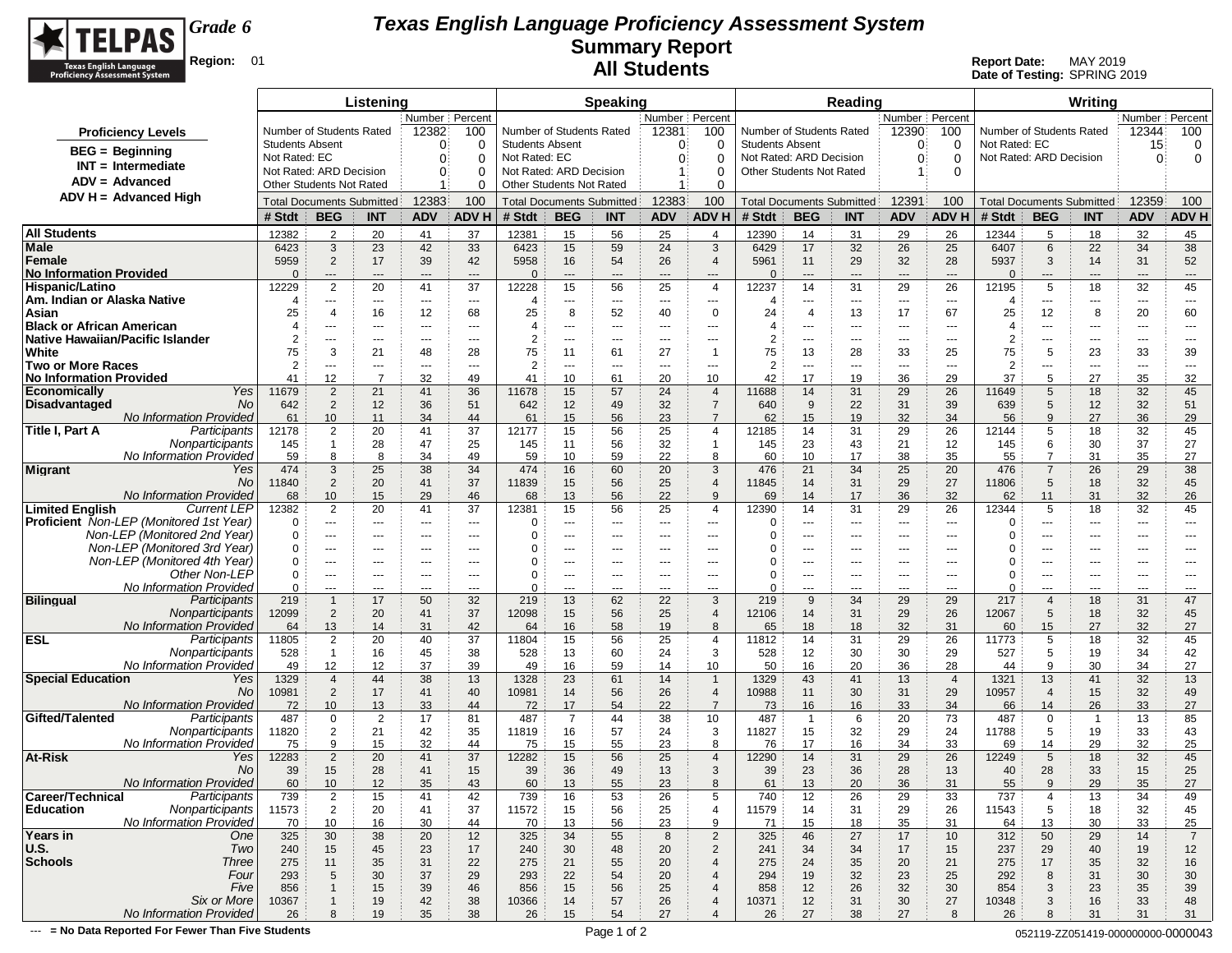

**Date of Testing:** SPRING 2019

|                                                     |                        |                                 | Listening                        |                      |                  |                        |                                  | <b>Speaking</b> |                         |                                  |                          |                                  | Reading        |                                          |                          |                          |                     | Writing                          |                               |                          |
|-----------------------------------------------------|------------------------|---------------------------------|----------------------------------|----------------------|------------------|------------------------|----------------------------------|-----------------|-------------------------|----------------------------------|--------------------------|----------------------------------|----------------|------------------------------------------|--------------------------|--------------------------|---------------------|----------------------------------|-------------------------------|--------------------------|
|                                                     |                        |                                 |                                  |                      | Number   Percent |                        |                                  |                 | Number   Percent        |                                  |                          |                                  |                | Number Percent                           |                          |                          |                     |                                  | Number   Percent              |                          |
| <b>Proficiency Levels</b>                           |                        | Number of Students Rated        |                                  | 12382                | 100              |                        | Number of Students Rated         |                 | 12381                   | 100                              | Number of Students Rated |                                  |                | 12390                                    | 100                      | Number of Students Rated |                     |                                  | 12344                         | 100                      |
| <b>BEG</b> = Beginning                              | <b>Students Absent</b> |                                 |                                  | $\Omega$             | 0                | <b>Students Absent</b> |                                  |                 | $\Omega$                | 0                                | <b>Students Absent</b>   |                                  |                | 0                                        | 0                        | Not Rated: EC            |                     |                                  | 15                            | 0                        |
| $INT = Intermediate$                                | Not Rated: EC          |                                 |                                  | $\Omega$             | $\Omega$         | Not Rated: EC          |                                  |                 | 0                       | 0                                | Not Rated: ARD Decision  |                                  |                | 0                                        | $\Omega$                 | Not Rated: ARD Decision  |                     |                                  | $\Omega$                      | 0                        |
|                                                     |                        | Not Rated: ARD Decision         |                                  | $\mathbf{0}$         | $\Omega$         |                        | Not Rated: ARD Decision          |                 | 1                       | 0                                | Other Students Not Rated |                                  |                |                                          | $\Omega$                 |                          |                     |                                  |                               |                          |
| $ADV = Advanced$                                    |                        | <b>Other Students Not Rated</b> |                                  |                      | $\Omega$         |                        | Other Students Not Rated         |                 |                         | 0                                |                          |                                  |                |                                          |                          |                          |                     |                                  |                               |                          |
| ADV H = Advanced High                               |                        |                                 | <b>Total Documents Submitted</b> | 12383                | 100              |                        | <b>Total Documents Submitted</b> |                 | 12383                   | 100                              |                          | <b>Total Documents Submitted</b> |                | 12391                                    | 100                      |                          |                     | <b>Total Documents Submitted</b> | 12359                         | 100                      |
|                                                     | # Stdt                 | <b>BEG</b>                      | <b>INT</b>                       | <b>ADV</b>           | <b>ADV H</b>     | # Stdt                 | <b>BEG</b>                       | <b>INT</b>      | <b>ADV</b>              | <b>ADV H</b>                     | # Stdt                   | <b>BEG</b>                       | <b>INT</b>     | <b>ADV</b>                               | <b>ADV H</b>             | # Stdt                   | <b>BEG</b>          | <b>INT</b>                       | <b>ADV</b>                    | ADV H                    |
| <b>All Students</b>                                 | 12382                  | 2                               | 20                               | 41                   | 37               | 12381                  | 15                               | 56              | 25                      | $\overline{4}$                   | 12390                    | 14                               | 31             | 29                                       | 26                       | 12344                    | 5                   | 18                               | 32                            | 45                       |
| <b>Male</b>                                         | 6423                   | 3                               | 23                               | 42                   | 33               | 6423                   | 15                               | 59              | 24                      | $\mathbf{3}$                     | 6429                     | 17                               | 32             | 26                                       | 25                       | 6407                     | 6                   | 22                               | 34                            | 38                       |
| Female                                              | 5959                   | 2                               | 17                               | 39                   | 42               | 5958                   | 16                               | 54              | 26                      | $\overline{4}$                   | 5961                     | 11                               | 29             | 32                                       | 28                       | 5937                     | 3                   | 14                               | 31                            | 52                       |
| No Information Provided                             | $\Omega$               | $\hspace{1.5cm} \textbf{---}$   | $---$                            | $---$                | $---$            | $\Omega$               | $\hspace{0.05cm} \ldots$         | $\overline{a}$  | $\hspace{1.5cm} \cdots$ | $\overline{\phantom{a}}$         | $\Omega$                 | $\qquad \qquad -\qquad$          | $\overline{a}$ | $\hspace{0.05cm} \ldots \hspace{0.05cm}$ | $---$                    | O                        | $---$               | ---                              | $\qquad \qquad \cdots$        | $\hspace{0.05cm} \ldots$ |
| Hispanic/Latino                                     | 12229                  | $\overline{2}$                  | 20                               | 41                   | 37               | 12228                  | 15                               | 56              | 25                      | $\overline{4}$                   | 12237                    | 14                               | 31             | 29                                       | 26                       | 12195                    | 5                   | 18                               | 32                            | 45                       |
| Am. Indian or Alaska Native                         | 4                      | $\overline{\phantom{a}}$        | $---$                            | $\sim$ $\sim$ $\sim$ | $- - -$          | 4                      | ---                              | ---             | $- - -$                 | $\cdots$                         | 4                        | $\cdots$                         | $--$           | $\hspace{0.05cm} \ldots$                 | $\overline{\phantom{a}}$ | 4                        | $\cdots$            | ---                              | $\scriptstyle\cdots$          | $- - -$                  |
| Asian                                               | 25                     | $\overline{4}$                  | 16                               | 12                   | 68               | 25                     | 8                                | 52              | 40                      | $\mathbf 0$                      | 24                       | $\overline{4}$                   | 13             | 17                                       | 67                       | 25                       | 12                  | 8                                | 20                            | 60                       |
| <b>Black or African American</b>                    | 4                      | ---                             | ---                              | ---                  | $---$            | $\overline{4}$         | ---                              | ---             | ---                     | ---                              | 4                        | $\cdots$                         | ---            | $---$                                    | $- - -$                  | 4                        | ---                 | ---                              | ---                           | ---                      |
| Native Hawaiian/Pacific Islander                    | $\overline{2}$         | $\cdots$                        | $--$                             | ---                  | $---$            | $\overline{2}$         | $---$                            | $---$           | ---                     | ---                              | $\overline{2}$           | $\cdots$                         | $\cdots$       | $\cdots$                                 | $\cdots$                 | $\overline{2}$           | ---                 | $---$                            | $---$                         | $---$                    |
| White                                               | 75                     | 3                               | 21                               | 48                   | 28               | 75                     | 11                               | 61              | 27                      | -1                               | 75                       | 13                               | 28             | 33                                       | 25                       | 75                       | 5                   | 23                               | 33                            | 39                       |
| <b>Two or More Races</b>                            | $\overline{2}$         | $---$                           | $\cdots$                         | $---$                | $---$            | 2                      | ---                              | ---             | ---                     | $\cdots$                         | $\overline{2}$           | $\cdots$                         | $- - -$        | $\overline{\phantom{a}}$                 | ---                      | 2                        | ---                 | ---                              | $\hspace{1.5cm} \textbf{---}$ | $---$                    |
| No Information Provided                             | 41                     | 12                              | $\overline{7}$                   | 32                   | 49               | 41                     | 10                               | 61              | 20                      | 10                               | 42                       | 17                               | 19             | 36                                       | 29                       | 37                       | 5                   | 27                               | 35                            | 32                       |
| Yes<br><b>Economically</b><br>No                    | 11679                  | $\overline{2}$                  | 21                               | 41                   | 36               | 11678                  | 15                               | 57              | 24                      | $\overline{4}$<br>$\overline{7}$ | 11688                    | 14                               | 31             | 29                                       | 26                       | 11649                    | 5<br>5              | 18                               | 32                            | 45                       |
| Disadvantaged<br><b>No Information Provided</b>     | 642                    | $\overline{2}$<br>10            | 12<br>11                         | 36<br>34             | 51<br>44         | 642<br>61              | 12<br>15                         | 49              | 32                      | $\overline{7}$                   | 640<br>62                | 9                                | 22<br>19       | 31                                       | 39<br>34                 | 639<br>56                | $\mathbf{q}$        | 12<br>27                         | 32<br>36                      | 51<br>29                 |
| Participants<br>Title I, Part A                     | 61<br>12178            | $\overline{2}$                  | 20                               | 41                   | 37               | 12177                  | 15                               | 56<br>56        | 23<br>25                | $\overline{4}$                   | 12185                    | 15<br>14                         | 31             | 32<br>29                                 | 26                       | 12144                    | 5                   | 18                               | 32                            | 45                       |
| Nonparticipants                                     | 145                    | $\mathbf{1}$                    | 28                               | 47                   | 25               | 145                    | 11                               | 56              | 32                      | $\overline{1}$                   | 145                      | 23                               | 43             | 21                                       | 12                       | 145                      | 6                   | 30                               | 37                            | 27                       |
| No Information Provided                             | 59                     | 8                               | 8                                | 34                   | 49               | 59                     | 10                               | 59              | 22                      | 8                                | 60                       | 10                               | 17             | 38                                       | 35                       | 55                       | $\overline{7}$      | 31                               | 35                            | 27                       |
| <b>Migrant</b><br>Yes                               | 474                    | 3                               | 25                               | 38                   | 34               | 474                    | 16                               | 60              | 20                      | 3                                | 476                      | 21                               | 34             | 25                                       | 20                       | 476                      | $\overline{7}$      | 26                               | 29                            | 38                       |
| No                                                  | 11840                  | $\overline{2}$                  | 20                               | 41                   | 37               | 11839                  | 15                               | 56              | 25                      | $\overline{4}$                   | 11845                    | 14                               | 31             | 29                                       | 27                       | 11806                    | 5                   | 18                               | 32                            | 45                       |
| <b>No Information Provided</b>                      | 68                     | 10                              | 15                               | 29                   | 46               | 68                     | 13                               | 56              | 22                      | 9                                | 69                       | 14                               | 17             | 36                                       | 32                       | 62                       | 11                  | 31                               | 32                            | 26                       |
| <b>Limited English</b><br><b>Current LEP</b>        | 12382                  | $\overline{2}$                  | 20                               | 41                   | 37               | 12381                  | 15                               | 56              | 25                      | $\overline{4}$                   | 12390                    | 14                               | 31             | 29                                       | 26                       | 12344                    | 5                   | 18                               | 32                            | 45                       |
| <b>Proficient</b> Non-LEP (Monitored 1st Year)      |                        | ---                             | $\cdots$                         | $\cdots$             | $---$            | 0                      | ---                              | ---             | ---                     | ---                              | $\Omega$                 | $\cdots$                         | ---            | $---$                                    | $---$                    | 0                        | ---                 | ---                              | ---                           | ---                      |
| Non-LEP (Monitored 2nd Year)                        |                        | $---$                           | $\cdots$                         | $\cdots$             | $---$            | $\Omega$               | $\cdots$                         | $---$           | $---$                   | $\cdots$                         | O                        | $\cdots$                         | ---            | $\cdots$                                 | $\cdots$                 | 0                        | ---                 | $---$                            | $---$                         | $---$                    |
| Non-LEP (Monitored 3rd Year)                        | $\Omega$               | $---$                           | $\cdots$                         | ---                  | $---$            | $\Omega$               | ---                              | ---             | ---                     | $\cdots$                         |                          | $\cdots$                         | ---            | $---$                                    | $---$                    | 0                        | ---                 | ---                              | ---                           | ---                      |
| Non-LEP (Monitored 4th Year)                        | $\Omega$               | $---$                           | $---$                            | $---$                | $---$            | 0                      | $---$                            | $---$           | $---$                   | $---$                            |                          | $\cdots$                         | ---            | $---$                                    | $---$                    | 0                        | $---$               | $---$                            | $---$                         | $---$                    |
| Other Non-LEP                                       | $\Omega$               | $---$                           | $\cdots$                         | $---$                | $---$            | 0                      | $---$                            | $---$           | ---                     | $--$                             | 0                        | $\cdots$                         | ---            | $--$                                     | $---$                    | 0                        | ---                 | ---                              | $---$                         | $---$                    |
| No Information Provided                             | $\Omega$               | ---                             | $---$                            | $---$                | $- - -$          | $\Omega$               | $---$                            | ---             | $\overline{a}$          | ---<br>3                         | $\Omega$                 | $\cdots$                         | ---<br>34      | $---$                                    | $- - -$                  | 0                        | ---                 | ---                              | ---                           | $\overline{a}$           |
| <b>Bilingual</b><br>Participants<br>Nonparticipants | 219<br>12099           | $\mathbf{1}$<br>$\overline{2}$  | 17<br>20                         | 50<br>41             | 32<br>37         | 219<br>12098           | 13<br>15                         | 62<br>56        | 22<br>25                | $\overline{4}$                   | 219<br>12106             | 9<br>14                          | 31             | 29<br>29                                 | 29<br>26                 | 217<br>12067             | $\overline{4}$<br>5 | 18                               | 31<br>32                      | 47<br>45                 |
| No Information Provided                             | 64                     | 13                              | 14                               | 31                   | 42               | 64                     | 16                               | 58              | 19                      | 8                                | 65                       | 18                               | 18             | 32                                       | 31                       | 60                       | 15                  | 18<br>27                         | 32                            | 27                       |
| <b>ESL</b><br>Participants                          | 11805                  | $\overline{2}$                  | 20                               | 40                   | 37               | 11804                  | 15                               | 56              | 25                      | $\overline{4}$                   | 11812                    | 14                               | 31             | 29                                       | 26                       | 11773                    | 5                   | 18                               | 32                            | 45                       |
| Nonparticipants                                     | 528                    | $\mathbf{1}$                    | 16                               | 45                   | 38               | 528                    | 13                               | 60              | 24                      | 3                                | 528                      | 12                               | 30             | 30                                       | 29                       | 527                      | 5                   | 19                               | 34                            | 42                       |
| No Information Provided                             | 49                     | 12                              | 12                               | 37                   | 39               | 49                     | 16                               | 59              | 14                      | 10                               | 50                       | 16                               | 20             | 36                                       | 28                       | 44                       | 9                   | 30                               | 34                            | 27                       |
| <b>Special Education</b><br>Yes                     | 1329                   | $\overline{4}$                  | 44                               | 38                   | 13               | 1328                   | 23                               | 61              | 14                      | $\overline{1}$                   | 1329                     | 43                               | 41             | 13                                       | $\overline{4}$           | 1321                     | 13                  | 41                               | 32                            | 13                       |
| No                                                  | 10981                  | $\overline{2}$                  | 17                               | 41                   | 40               | 10981                  | 14                               | 56              | 26                      | $\overline{4}$                   | 10988                    | 11                               | 30             | 31                                       | 29                       | 10957                    | $\overline{4}$      | 15                               | 32                            | 49                       |
| <b>No Information Provided</b>                      | 72                     | 10                              | 13                               | 33                   | 44               | 72                     | 17                               | 54              | 22                      | $\overline{7}$                   | 73                       | 16                               | 16             | 33                                       | 34                       | 66                       | 14                  | 26                               | 33                            | 27                       |
| Gifted/Talented<br>Participants                     | 487                    | $\mathbf 0$                     | $\overline{2}$                   | 17                   | 81               | 487                    | 7                                | 44              | 38                      | 10                               | 487                      | $\overline{1}$                   | 6              | 20                                       | 73                       | 487                      | $\Omega$            | $\overline{1}$                   | 13                            | 85                       |
| Nonparticipants                                     | 11820                  | $\overline{2}$                  | 21                               | 42                   | 35               | 11819                  | 16                               | 57              | 24                      | 3                                | 11827                    | 15                               | 32             | 29                                       | 24                       | 11788                    | 5                   | 19                               | 33                            | 43                       |
| No Information Provided                             | 75                     | 9                               | 15                               | 32                   | 44               | 75                     | 15                               | 55              | 23                      | 8                                | 76                       | 17                               | 16             | 34                                       | 33                       | 69                       | 14                  | 29                               | 32                            | 25                       |
| At-Risk<br>Yes                                      | 12283                  | $\overline{2}$                  | 20                               | 41                   | 37               | 12282                  | 15                               | 56              | 25                      | $\overline{4}$                   | 12290                    | 14                               | 31             | 29                                       | 26                       | 12249                    | 5                   | 18                               | 32                            | 45                       |
| No<br>No Information Provided                       | 39                     | 15                              | 28<br>12 <sup>2</sup>            | 41                   | 15<br>43         | 39                     | 36                               | 49              | 13<br>23                | 3<br>8                           | 39                       | 23                               | 36             | 28                                       | 13                       | 40                       | 28<br>a             | 33<br>29                         | 15<br>35                      | 25                       |
| Participants<br>Career/Technical                    | 60<br>739              | 10<br>$\overline{2}$            | 15                               | 35<br>41             | 42               | 60<br>739              | 13<br>16                         | 55<br>53        |                         | 5                                | 61<br>740                | 13<br>12                         | 20<br>26       | 36                                       | 31                       | 55<br>737                | 4                   |                                  | 34                            | 27<br>49                 |
| <b>Education</b><br>Nonparticipants                 | 11573                  | $\overline{2}$                  | 20                               | 41                   | 37               | 11572                  | 15                               | 56              | 26<br>25                | $\overline{4}$                   | 11579                    | 14                               | 31             | 29<br>29                                 | 33<br>26                 | 11543                    | 5                   | 13<br>18                         | 32                            | 45                       |
| No Information Provided                             | 70                     | 10                              | 16                               | 30                   | 44               | 70                     | 13                               | 56              | 23                      | 9                                | 71                       | 15                               | 18             | 35                                       | 31                       | 64                       | 13                  | 30                               | 33                            | 25                       |
| Years in<br>One                                     | 325                    | 30                              | 38                               | 20                   | 12               | 325                    | 34                               | 55              | 8                       | $\overline{2}$                   | 325                      | 46                               | 27             | 17                                       | 10                       | 312                      | 50                  | 29                               | 14                            | $\overline{7}$           |
| U.S.<br>Two                                         | 240                    | 15                              | 45                               | 23                   | 17               | 240                    | 30                               | 48              | 20                      | $\overline{c}$                   | 241                      | 34                               | 34             | 17                                       | 15                       | 237                      | 29                  | 40                               | 19                            | 12                       |
| <b>Schools</b><br><b>Three</b>                      | 275                    | 11                              | 35                               | 31                   | 22               | 275                    | 21                               | 55              | 20                      | $\overline{4}$                   | 275                      | 24                               | 35             | 20                                       | 21                       | 275                      | 17                  | 35                               | 32                            | 16                       |
| Four                                                | 293                    | 5                               | 30                               | 37                   | 29               | 293                    | 22                               | 54              | 20                      | $\overline{4}$                   | 294                      | 19                               | 32             | 23                                       | 25                       | 292                      | 8                   | 31                               | 30                            | 30                       |
| Five                                                | 856                    | $\overline{1}$                  | 15                               | 39                   | 46               | 856                    | 15                               | 56              | 25                      | $\overline{4}$                   | 858                      | 12                               | 26             | 32                                       | 30                       | 854                      | 3                   | 23                               | 35                            | 39                       |
| Six or More                                         | 10367                  | $\mathbf{1}$                    | 19                               | 42                   | 38               | 10366                  | 14                               | 57              | 26                      | $\overline{4}$                   | 10371                    | 12                               | 31             | 30                                       | 27                       | 10348                    | 3                   | 16                               | 33                            | 48                       |
| No Information Provided                             | 26                     | 8                               | 19                               | 35                   | 38               | 26                     | 15                               | 54              | 27                      |                                  | 26                       | 27                               | 38             | 27                                       | 8                        | 26                       | 8                   | 31                               | 31                            | 31                       |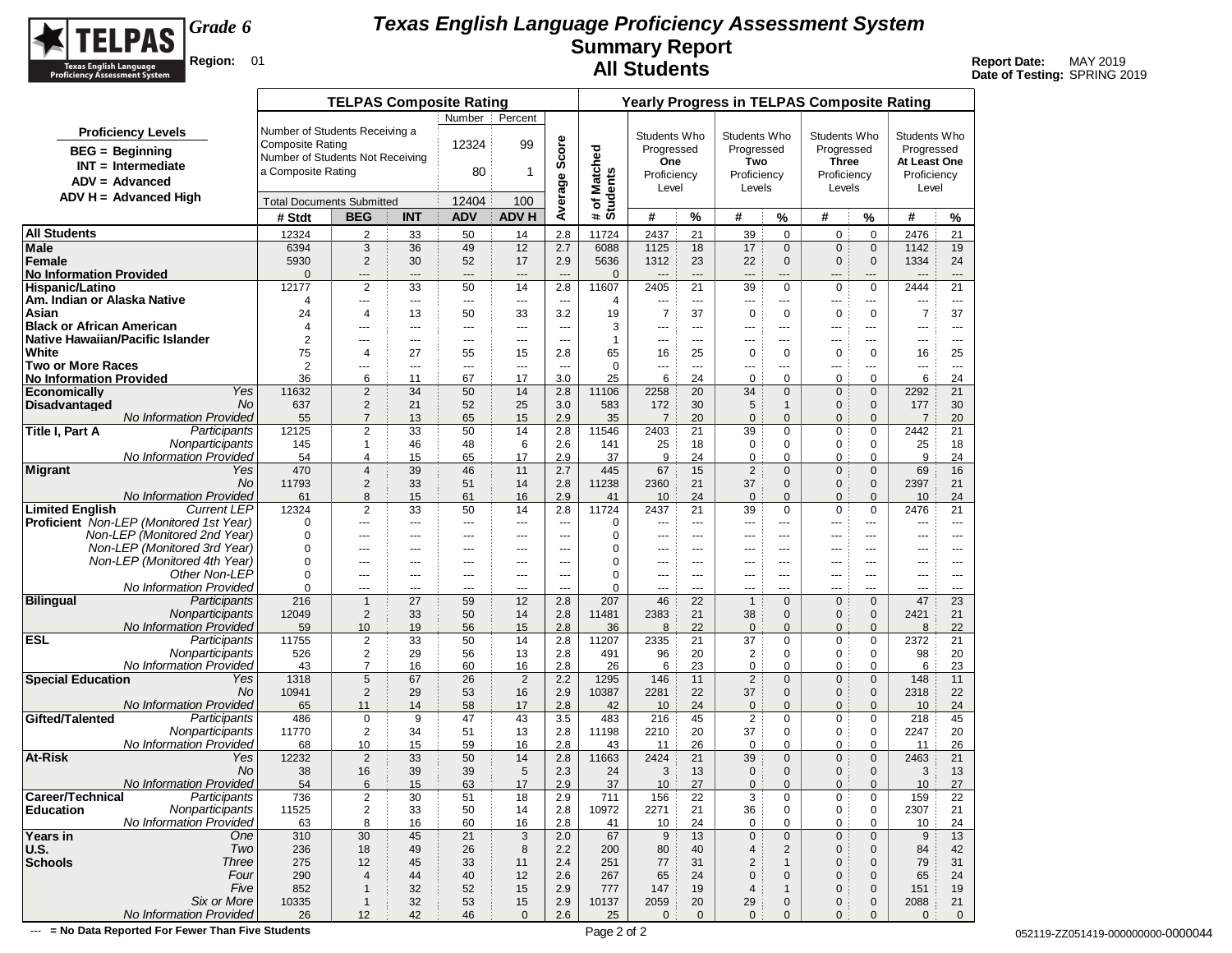

**Date of Testing:** SPRING 2019

|                                                            |                         | <b>TELPAS Composite Rating</b>           |                |                          |                |                                 |                            |                        |                      | <b>Yearly Progress in TELPAS Composite Rating</b> |                              |                                |                             |                |                                |
|------------------------------------------------------------|-------------------------|------------------------------------------|----------------|--------------------------|----------------|---------------------------------|----------------------------|------------------------|----------------------|---------------------------------------------------|------------------------------|--------------------------------|-----------------------------|----------------|--------------------------------|
|                                                            |                         |                                          |                | Number                   | Percent        |                                 |                            |                        |                      |                                                   |                              |                                |                             |                |                                |
| <b>Proficiency Levels</b>                                  |                         | Number of Students Receiving a           |                |                          |                |                                 |                            | Students Who           |                      | Students Who                                      |                              | Students Who                   |                             | Students Who   |                                |
| <b>BEG</b> = Beginning                                     | <b>Composite Rating</b> |                                          |                | 12324                    | 99             | Average Score                   |                            | Progressed             |                      | Progressed                                        |                              | Progressed                     |                             | Progressed     |                                |
| $INT = Intermediate$                                       |                         | Number of Students Not Receiving         |                |                          |                |                                 | # of Matched<br>Students   | One                    |                      | Two                                               |                              | <b>Three</b>                   |                             | At Least One   |                                |
| $ADV = Advanced$                                           | a Composite Rating      |                                          |                | 80                       | 1              |                                 |                            | Proficiency            |                      | Proficiency                                       |                              | Proficiency                    |                             | Proficiency    |                                |
| ADV H = Advanced High                                      |                         |                                          |                |                          |                |                                 |                            | Level                  |                      | Levels                                            |                              | Levels                         |                             | Level          |                                |
|                                                            |                         | <b>Total Documents Submitted</b>         |                | 12404                    | 100            |                                 |                            |                        |                      |                                                   |                              |                                |                             |                |                                |
|                                                            | # Stdt                  | <b>BEG</b>                               | <b>INT</b>     | <b>ADV</b>               | <b>ADV H</b>   |                                 |                            | #                      | %                    | #                                                 | %                            | #                              | %                           | #              | %                              |
| <b>All Students</b>                                        | 12324                   | $\overline{2}$                           | 33             | 50                       | 14             | 2.8                             | 11724                      | 2437                   | 21                   | 39                                                | $\mathbf 0$                  | 0                              | $\mathbf 0$                 | 2476           | 21                             |
| Male                                                       | 6394                    | $\sqrt{3}$                               | 36             | 49                       | 12             | 2.7                             | 6088                       | 1125                   | 18                   | 17                                                | $\mathbf{0}$                 | $\mathbf{0}$                   | $\mathbf 0$                 | 1142           | 19                             |
| Female                                                     | 5930                    | $\overline{2}$                           | 30             | 52                       | 17             | 2.9                             | 5636                       | 1312                   | 23                   | 22                                                | $\mathbf{0}$                 | $\mathbf{0}$                   | $\mathbf 0$                 | 1334           | 24                             |
| <b>No Information Provided</b><br>Hispanic/Latino          | $\Omega$<br>12177       | ---<br>$\overline{2}$                    | ---<br>33      | $\overline{a}$<br>50     | ---<br>14      | $-$<br>2.8                      | $\mathbf{0}$<br>11607      | $\overline{a}$<br>2405 | $\overline{a}$<br>21 | $---$<br>39                                       | $---$<br>$\mathbf 0$         | $---$<br>$\mathbf 0$           | ---<br>$\mathbf 0$          | $---$<br>2444  | $---$<br>21                    |
| Am. Indian or Alaska Native                                | 4                       | ---                                      | $\cdots$       | $\cdots$                 | ---            | $\overline{\phantom{a}}$        | $\overline{4}$             | ---                    | ---                  | ---                                               | ---                          | ---                            | ---                         | ---            | $\sim$ $\sim$ $\sim$           |
| Asian                                                      | 24                      | 4                                        | 13             | 50                       | 33             | 3.2                             | 19                         | $\overline{7}$         | 37                   | $\mathbf 0$                                       | 0                            | 0                              | $\mathbf 0$                 | $\overline{7}$ | 37                             |
| <b>Black or African American</b>                           | 4                       | ---                                      | ---            | $\overline{\phantom{a}}$ | ---            | $\overline{a}$                  | 3                          | ---                    | ---                  | ---                                               | ---                          | ---                            | ---                         | ---            | $- - -$                        |
| Native Hawaiian/Pacific Islander                           | $\overline{2}$          | $---$                                    | $---$          | $- - -$                  | $\overline{a}$ | $- - -$                         | $\mathbf{1}$               | $---$                  | $---$                | $---$                                             | $---$                        | $---$                          | ---                         | ---            | $---$                          |
| White                                                      | 75                      | $\overline{4}$                           | 27             | 55                       | 15             | 2.8                             | 65                         | 16                     | 25                   | $\mathbf 0$                                       | 0                            | 0                              | $\mathbf 0$                 | 16             | 25                             |
| <b>Two or More Races</b><br><b>No Information Provided</b> | 2<br>36                 | ---<br>6                                 | $\cdots$<br>11 | $\cdots$<br>67           | ---<br>17      | $\overline{\phantom{a}}$<br>3.0 | $\mathbf 0$<br>25          | ---<br>6               | ---<br>24            | ---<br>0                                          | ---<br>$\Omega$              | ---<br>0                       | ---<br>$\mathbf 0$          | ---<br>6       | $\hspace{0.05cm} \ldots$<br>24 |
| Yes<br><b>Economically</b>                                 | 11632                   | $\overline{2}$                           | 34             | 50                       | 14             | 2.8                             | 11106                      | 2258                   | 20                   | 34                                                | $\mathbf{0}$                 | $\mathbf 0$                    | $\mathbf 0$                 | 2292           | 21                             |
| <b>Disadvantaged</b><br>No                                 | 637                     | $\overline{2}$                           | 21             | 52                       | 25             | 3.0                             | 583                        | 172                    | 30                   | 5                                                 | $\mathbf{1}$                 | $\mathbf{0}$                   | $\mathbf 0$                 | 177            | 30                             |
| No Information Provided                                    | 55                      | $\overline{7}$                           | 13             | 65                       | 15             | 2.9                             | 35                         | $\overline{7}$         | 20                   | $\mathbf 0$                                       | $\mathbf{0}$                 | 0                              | $\mathbf{0}$                | $\overline{7}$ | 20                             |
| <b>Title I, Part A</b><br>Participants                     | 12125                   | $\overline{2}$                           | 33             | 50                       | 14             | 2.8                             | 11546                      | 2403                   | 21                   | 39                                                | 0                            | 0                              | 0                           | 2442           | 21                             |
| Nonparticipants                                            | 145                     | 1                                        | 46             | 48                       | 6              | 2.6                             | 141                        | 25                     | 18                   | $\mathbf 0$                                       | 0                            | 0                              | 0                           | 25             | 18                             |
| <b>No Information Provided</b>                             | 54                      | 4                                        | 15             | 65                       | 17             | 2.9                             | 37                         | 9                      | 24                   | 0                                                 | 0                            | 0                              | 0                           | 9              | 24                             |
| <b>Migrant</b><br>Yes<br>No                                | 470<br>11793            | 4<br>$\overline{2}$                      | 39<br>33       | 46<br>51                 | 11<br>14       | 2.7<br>2.8                      | 445<br>11238               | 67<br>2360             | 15<br>21             | $\overline{2}$<br>37                              | $\mathbf{0}$<br>$\mathbf{0}$ | $\overline{0}$<br>$\mathbf{0}$ | $\mathbf 0$<br>$\mathbf 0$  | 69<br>2397     | 16<br>21                       |
| No Information Provided                                    | 61                      | 8                                        | 15             | 61                       | 16             | 2.9                             | 41                         | 10                     | 24                   | $\mathbf 0$                                       | $\mathbf{0}$                 | $\mathbf{0}$                   | $\mathbf{0}$                | 10             | 24                             |
| <b>Limited English</b><br><b>Current LEP</b>               | 12324                   | 2                                        | 33             | 50                       | 14             | 2.8                             | 11724                      | 2437                   | 21                   | 39                                                | $\mathbf 0$                  | 0                              | $\mathbf 0$                 | 2476           | 21                             |
| <b>Proficient</b> Non-LEP (Monitored 1st Year)             | 0                       | ---                                      | ---            | $\overline{\phantom{a}}$ | ---            | $\overline{a}$                  | 0                          | ---                    | ---                  | ---                                               | $\overline{a}$               | ---                            | ---                         | ---            | $- - -$                        |
| Non-LEP (Monitored 2nd Year)                               | 0                       | $---$                                    | $---$          | $---$                    | $---$          | $- - -$                         | $\mathbf 0$                | $---$                  | $---$                | $---$                                             | $---$                        | $---$                          | $- - -$                     | ---            | $- - -$                        |
| Non-LEP (Monitored 3rd Year)                               | 0                       | ---                                      | ---            | ---                      | ---            | ---                             | $\mathbf 0$                | ---                    | ---                  | ---                                               | ---                          | $\overline{a}$                 | ---                         | ---            | ---                            |
| Non-LEP (Monitored 4th Year)                               | 0                       | ---                                      | $---$          | ---                      | $\overline{a}$ | $\overline{a}$                  | 0                          | ---                    | $---$                | ---                                               | $---$                        | $--$                           | ---                         | ---            | $- - -$                        |
| Other Non-LEP<br>No Information Provided                   | 0<br>0                  | $---$                                    | $---$<br>---   | $---$<br>---             | ---<br>---     | $\overline{a}$<br>---           | $\mathbf 0$<br>$\mathbf 0$ | ---<br>---             | ---<br>$---$         | $---$<br>---                                      | $---$<br>---                 | $--$<br>---                    | ---<br>---                  | ---<br>---     | $\cdots$<br>$\cdots$           |
| <b>Bilingual</b><br>Participants                           | 216                     | $\hspace{0.05cm} \ldots$<br>$\mathbf{1}$ | 27             | 59                       | 12             | 2.8                             | 207                        | 46                     | 22                   | $\mathbf{1}$                                      | $\mathbf{0}$                 | 0                              | $\mathbf{0}$                | 47             | 23                             |
| Nonparticipants                                            | 12049                   | $\overline{2}$                           | 33             | 50                       | 14             | 2.8                             | 11481                      | 2383                   | 21                   | 38                                                | $\mathbf{0}$                 | $\mathbf{0}$                   | $\mathbf 0$                 | 2421           | 21                             |
| No Information Provided                                    | 59                      | 10                                       | 19             | 56                       | 15             | 2.8                             | 36                         | 8                      | 22                   | $\mathbf{0}$                                      | $\Omega$                     | $\Omega$                       | $\mathbf{0}$                | 8              | 22                             |
| <b>ESL</b><br>Participants                                 | 11755                   | $\overline{2}$                           | 33             | 50                       | 14             | 2.8                             | 11207                      | 2335                   | 21                   | 37                                                | $\mathbf 0$                  | 0                              | $\mathbf 0$                 | 2372           | 21                             |
| Nonparticipants                                            | 526                     | 2                                        | 29             | 56                       | 13             | 2.8                             | 491                        | 96                     | 20                   | 2                                                 | 0                            | 0                              | 0                           | 98             | 20                             |
| No Information Provided<br><b>Special Education</b>        | 43                      | 7<br>5                                   | 16<br>67       | 60<br>26                 | 16<br>2        | 2.8<br>2.2                      | 26                         | 6<br>146               | 23<br>11             | $\mathbf 0$<br>$\overline{2}$                     | $\Omega$<br>$\mathbf{0}$     | 0<br>$\mathbf{0}$              | $\mathbf 0$<br>$\mathbf{0}$ | 6<br>148       | 23                             |
| Yes<br>No                                                  | 1318<br>10941           | $\overline{2}$                           | 29             | 53                       | 16             | 2.9                             | 1295<br>10387              | 2281                   | 22                   | 37                                                | $\mathbf{0}$                 | 0                              | $\mathbf 0$                 | 2318           | 11<br>22                       |
| No Information Provided                                    | 65                      | 11                                       | 14             | 58                       | 17             | 2.8                             | 42                         | 10                     | 24                   | $\mathbf 0$                                       | $\Omega$                     | $\mathbf{0}$                   | $\mathbf{0}$                | 10             | 24                             |
| Gifted/Talented<br>Participants                            | 486                     | $\mathbf 0$                              | 9              | 47                       | 43             | 3.5                             | 483                        | 216                    | 45                   | 2                                                 | 0                            | 0                              | 0                           | 218            | 45                             |
| Nonparticipants                                            | 11770                   | $\overline{2}$                           | 34             | 51                       | 13             | 2.8                             | 11198                      | 2210                   | 20                   | 37                                                | 0                            | 0                              | 0                           | 2247           | 20                             |
| No Information Provided                                    | 68                      | 10                                       | 15             | 59                       | 16             | 2.8                             | 43                         | 11                     | 26                   | $\mathbf 0$                                       | $\mathbf 0$                  | 0                              | $\mathbf 0$                 | 11             | 26                             |
| At-Risk<br>Yes                                             | 12232                   | $\overline{2}$                           | 33             | 50                       | 14             | 2.8                             | 11663                      | 2424                   | 21                   | 39                                                | $\mathbf{0}$                 | 0                              | $\mathbf 0$                 | 2463           | 21                             |
| No<br>No Information Provided                              | 38<br>54                | 16<br>6                                  | 39<br>15       | 39<br>63                 | 5<br>17        | 2.3<br>2.9                      | 24<br>37                   | 3<br>10                | 13<br>27             | $\mathbf 0$<br>$\mathbf{0}$                       | $\mathbf{0}$<br>$\mathbf{0}$ | $\mathbf{0}$<br>$\mathbf{0}$   | $\mathbf 0$<br>$\mathbf{0}$ | 3<br>10        | 13<br>27                       |
| Career/Technical<br>Participants                           | 736                     | 2                                        | 30             | 51                       | 18             | 2.9                             | 711                        | 156                    | 22                   | 3                                                 | 0                            | 0                              | 0                           | 159            | 22                             |
| Nonparticipants<br><b>Education</b>                        | 11525                   | $\sqrt{2}$                               | 33             | 50                       | 14             | 2.8                             | 10972                      | 2271                   | 21                   | 36                                                | 0                            | 0                              | 0                           | 2307           | 21                             |
| No Information Provided                                    | 63                      | 8                                        | 16             | 60                       | 16             | 2.8                             | 41                         | 10                     | 24                   | $\mathbf 0$                                       | 0                            | 0                              | 0                           | 10             | 24                             |
| Years in<br>One                                            | 310                     | 30                                       | 45             | 21                       | $\mathbf{3}$   | 2.0                             | 67                         | 9                      | 13                   | $\pmb{0}$                                         | $\mathbf 0$                  | $\mathbf 0$                    | $\mathbf 0$                 | 9              | 13                             |
| Two<br><b>U.S.</b>                                         | 236                     | 18                                       | 49             | 26                       | 8              | 2.2                             | 200                        | 80                     | 40                   | $\overline{4}$                                    | 2                            | $\mathbf 0$                    | $\mathbf 0$                 | 84             | 42                             |
| <b>Schools</b><br><b>Three</b>                             | 275                     | 12                                       | 45             | 33                       | 11             | 2.4                             | 251                        | 77                     | 31                   | $\overline{2}$                                    | $\mathbf{1}$                 | 0                              | $\mathbf 0$                 | 79             | 31                             |
| Four<br>Five                                               | 290<br>852              | $\overline{4}$<br>$\mathbf{1}$           | 44<br>32       | 40<br>52                 | 12<br>15       | 2.6                             | 267                        | 65                     | 24<br>19             | $\mathbf 0$<br>$\overline{4}$                     | $\mathbf 0$<br>$\mathbf{1}$  | 0<br>0                         | $\mathbf 0$                 | 65             | 24<br>19                       |
| Six or More                                                | 10335                   | $\mathbf{1}$                             | 32             | 53                       | 15             | 2.9<br>2.9                      | 777<br>10137               | 147<br>2059            | 20                   | 29                                                | $\mathbf 0$                  | 0                              | $\mathbf 0$<br>$\mathbf 0$  | 151<br>2088    | 21                             |
| No Information Provided                                    | 26                      | 12                                       | 42             | 46                       | $\mathbf 0$    | 2.6                             | 25                         | $\mathbf 0$            | $\mathbf 0$          | $\mathbf 0$                                       | $\mathbf{0}$                 | $\overline{0}$                 | $\mathbf{0}$                | $\mathbf{0}$   | $\mathbf 0$                    |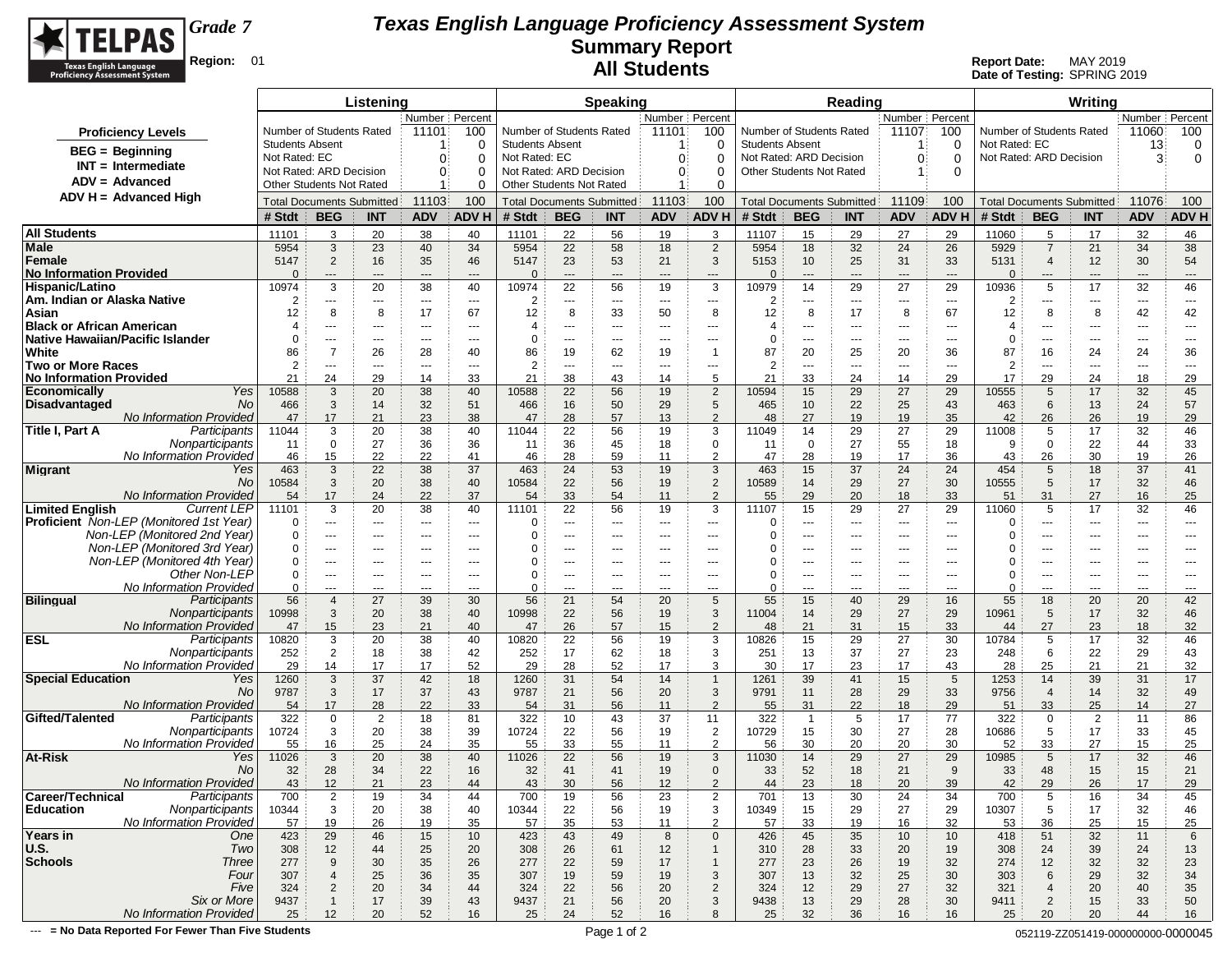

**Date of Testing:** SPRING 2019

| Number   Percent<br>Number   Percent<br>Number Percent<br>Number   Percent<br>Number of Students Rated<br>11101<br>Number of Students Rated<br>11101<br>100<br>Number of Students Rated<br>11107<br>100<br>Number of Students Rated<br>11060<br>100<br>100<br><b>Proficiency Levels</b><br>Not Rated: EC<br><b>Students Absent</b><br><b>Students Absent</b><br><b>Students Absent</b><br>13<br>0<br>0<br>$\Omega$<br>0<br><b>BEG</b> = Beginning<br>Not Rated: EC<br>$\Omega$<br>Not Rated: EC<br>$\Omega$<br>$\Omega$<br>Not Rated: ARD Decision<br>$\Omega$<br>$\Omega$<br>Not Rated: ARD Decision<br>3<br>0<br>$\Omega$<br>$INT = Intermediate$<br>Not Rated: ARD Decision<br>Not Rated: ARD Decision<br>Other Students Not Rated<br>$\Omega$<br>$\Omega$<br>$\mathbf{0}$<br>$\Omega$<br>$\Omega$<br>$ADV = Advanced$<br>Other Students Not Rated<br>Other Students Not Rated<br>$\Omega$<br>$\Omega$<br>ADV H = Advanced High<br>11103<br>100<br>11103<br>100<br>11076<br>100<br>11109<br>100<br><b>Total Documents Submitted</b><br><b>Total Documents Submitted</b><br><b>Total Documents Submitted</b><br><b>Total Documents Submitted</b><br>ADV H<br><b>BEG</b><br><b>ADVH</b><br><b>BEG</b><br><b>ADV H</b><br><b>BEG</b><br><b>ADV</b><br>ADV H<br># Stdt<br><b>BEG</b><br><b>ADV</b><br># Stdt<br><b>INT</b><br><b>ADV</b><br># Stdt<br><b>INT</b><br><b>ADV</b><br># Stdt<br><b>INT</b><br><b>INT</b><br><b>All Students</b><br>22<br>11101<br>3<br>20<br>38<br>40<br>11101<br>56<br>19<br>3<br>11107<br>15<br>29<br>27<br>29<br>11060<br>5<br>17<br>32<br>46<br>34<br>Male<br>3<br>23<br>22<br>58<br>$\overline{2}$<br>5954<br>18<br>5929<br>34<br>38<br>5954<br>40<br>5954<br>18<br>32<br>24<br>26<br>$\overline{7}$<br>21<br>Female<br>5147<br>$\overline{2}$<br>35<br>46<br>23<br>53<br>21<br>3<br>5153<br>10<br>25<br>31<br>33<br>5131<br>12<br>30<br>16<br>5147<br>$\overline{4}$<br>54<br><b>No Information Provided</b><br>$\Omega$<br>$\Omega$<br>$\Omega$<br>O<br>$\overline{a}$<br>---<br>$---$<br>$\overline{a}$<br>---<br>$---$<br>$---$<br>$---$<br>$---$<br>$---$<br>$\hspace{0.05cm} \ldots$<br>$---$<br>$---$<br>$---$<br>$---$<br>$---$<br>3<br>22<br>3<br>17<br>32<br>Hispanic/Latino<br>10974<br>20<br>38<br>40<br>10974<br>56<br>10979<br>14<br>27<br>29<br>5<br>46<br>19<br>29<br>10936<br>2<br>$\overline{2}$<br>2<br>2<br>$\scriptstyle\cdots$<br>---<br>---<br>$---$<br>$---$<br>---<br>---<br>---<br>---<br>---<br>$\cdots$<br>$---$<br>---<br>---<br>---<br>---<br>8<br>8<br>17<br>67<br>8<br>33<br>8<br>8<br>17<br>8<br>67<br>12<br>8<br>8<br>42<br>12<br>12<br>50<br>12<br>42<br><b>Black or African American</b><br>4<br>$\overline{4}$<br>4<br>---<br>4<br>---<br>---<br>---<br>$---$<br>$\overline{\phantom{a}}$<br>---<br>---<br>---<br>---<br>---<br>$---$<br>$\overline{\phantom{a}}$<br>---<br>---<br>---<br>Native Hawaiian/Pacific Islander<br>0<br>$\Omega$<br>0<br>0<br>---<br>$---$<br>$---$<br>$---$<br>$---$<br>$--$<br>$---$<br>$---$<br>---<br>$---$<br>$\hspace{0.05cm} \ldots$<br>$  -$<br>$---$<br>$---$<br>---<br>$---$<br>White<br>86<br>$\overline{7}$<br>87<br>87<br>16<br>26<br>28<br>40<br>86<br>19<br>62<br>20<br>24<br>36<br>19<br>$\overline{1}$<br>20<br>25<br>36<br>24<br>$\overline{2}$<br><b>Two or More Races</b><br>$\overline{2}$<br>$\overline{2}$<br>$\overline{2}$<br>---<br>---<br>---<br>---<br>---<br>$---$<br>$\overline{\phantom{a}}$<br>---<br>---<br>---<br>---<br>---<br>$---$<br>$\overline{\phantom{a}}$<br>---<br>---<br>21<br>24<br>29<br>33<br>38<br>43<br>5<br>33<br>29<br>17<br>29<br>24<br>18<br>29<br><b>No Information Provided</b><br>14<br>21<br>14<br>21<br>24<br>14<br>Yes<br>32<br>10588<br>3<br>20<br>38<br>40<br>10588<br>22<br>56<br>19<br>$\overline{2}$<br>10594<br>29<br>27<br>29<br>10555<br>5<br>17<br>45<br>15<br>No<br>3<br>32<br>16<br>50<br>5<br>24<br>466<br>14<br>51<br>466<br>29<br>465<br>10<br>22<br>25<br>43<br>463<br>6<br>13<br>57<br><b>No Information Provided</b><br>17<br>57<br>$\overline{2}$<br>26<br>47<br>21<br>23<br>38<br>47<br>28<br>13<br>48<br>27<br>19<br>35<br>42<br>26<br>19<br>29<br>19<br>Title I, Part A<br>Participants<br>3<br>20<br>22<br>3<br>29<br>17<br>32<br>46<br>11044<br>38<br>40<br>11044<br>56<br>19<br>11049<br>14<br>27<br>29<br>11008<br>5<br>Nonparticipants<br>$\mathbf 0$<br>27<br>36<br>36<br>36<br>45<br>$\mathbf 0$<br>$\mathbf 0$<br>27<br>55<br>18<br>11<br>18<br>9<br>0<br>22<br>44<br>33<br>11<br>11<br>No Information Provideo<br>22<br>$\overline{2}$<br>46<br>15<br>22<br>41<br>46<br>28<br>59<br>47<br>28<br>19<br>17<br>36<br>43<br>26<br>30<br>19<br>26<br>11<br>37<br>3<br>37<br>463<br>3<br>22<br>38<br>463<br>24<br>53<br>19<br>37<br>24<br>24<br>18<br><b>Migrant</b><br>Yes<br>463<br>15<br>454<br>5<br>41<br>3<br>22<br>$\overline{2}$<br>No<br>10584<br>20<br>38<br>40<br>10584<br>56<br>10589<br>27<br>30<br>10555<br>5<br>17<br>32<br>19<br>14<br>29<br>46<br>No Information Provided<br>17<br>22<br>37<br>33<br>54<br>$\overline{2}$<br>29<br>33<br>31<br>27<br>25<br>54<br>24<br>54<br>11<br>55<br>20<br>18<br>51<br>16<br><b>Limited English</b><br><b>Current LEP</b><br>3<br>20<br>38<br>22<br>56<br>32<br>11101<br>40<br>11101<br>3<br>11107<br>15<br>29<br>27<br>29<br>11060<br>5<br>17<br>46<br>19<br><b>Proficient</b> Non-LEP (Monitored 1st Year)<br>$\Omega$<br>0<br>0<br>0<br>---<br>---<br>---<br>$\cdots$<br>$---$<br>$---$<br>---<br>$\overline{\phantom{a}}$<br>$\overline{\phantom{a}}$<br>---<br>$\cdots$<br>$\hspace{0.05cm} \ldots$<br>$\overline{\phantom{a}}$<br>---<br>---<br>$\cdots$<br>Non-LEP (Monitored 2nd Year)<br>0<br>0<br>0<br>0<br>$---$<br>---<br>---<br>$---$<br>$---$<br>$---$<br>$---$<br>$---$<br>$---$<br>---<br>$---$<br>$- - -$<br>$--$<br>---<br>$---$<br>$---$<br>Non-LEP (Monitored 3rd Year)<br>0<br>0<br>0<br>O<br>$\cdots$<br>$---$<br>$--$<br>$--$<br>$--$<br>---<br>---<br>$---$<br>$---$<br>---<br>---<br>$---$<br>---<br>---<br>---<br>$---$<br>Non-LEP (Monitored 4th Year)<br>0<br>0<br>0<br>---<br>---<br>---<br>$---$<br>$---$<br>---<br>---<br>---<br>---<br>---<br>---<br>---<br>$--$<br>---<br>---<br>$---$<br>Other Non-LEP<br>$\Omega$<br>0<br>0<br>0<br>---<br>---<br>$\sim$ $\sim$<br>---<br>---<br>$---$<br>$---$<br>$---$<br>$---$<br>$--$<br>$\cdots$<br>$\hspace{0.05cm} \ldots$<br>$\cdots$<br>---<br>$---$<br>$\qquad \qquad \cdots$<br>No Information Provideo<br>$\Omega$<br>0<br>$\Omega$<br>0<br>---<br>---<br>---<br>---<br>---<br>---<br>---<br>---<br>---<br>---<br>Participants<br>56<br>56<br>5<br>55<br>55<br>$\overline{4}$<br>27<br>39<br>30<br>21<br>54<br>20<br>15<br>40<br>29<br>16<br>18<br>20<br>20<br>42<br>22<br>Nonparticipants<br>3<br>38<br>10998<br>56<br>3<br>27<br>29<br>$\sqrt{5}$<br>17<br>32<br>10998<br>20<br>40<br>19<br>14<br>29<br>10961<br>46<br>11004<br>No Information Provideo<br>26<br>57<br>$\overline{2}$<br>33<br>27<br>23<br>32<br>47<br>15<br>23<br>21<br>40<br>47<br>15<br>48<br>21<br>31<br>15<br>18<br>44<br><b>ESL</b><br>Participants<br>3<br>20<br>38<br>40<br>22<br>56<br>3<br>30<br>32<br>46<br>10820<br>10820<br>19<br>10826<br>15<br>29<br>27<br>10784<br>5<br>17<br>Nonparticipants<br>252<br>$\overline{2}$<br>18<br>38<br>42<br>252<br>17<br>62<br>18<br>3<br>13<br>37<br>27<br>23<br>248<br>6<br>22<br>29<br>43<br>251<br>No Information Provideo<br>52<br>28<br>3<br>14<br>17<br>52<br>43<br>25<br>21<br>32<br>29<br>17<br>29<br>17<br>30<br>17<br>23<br>17<br>28<br>21<br>37<br>42<br>14<br>3<br>18<br>31<br>54<br>14<br>39<br>41<br>15<br>5<br>39<br>31<br>17<br>Yes<br>1260<br>1260<br>$\overline{1}$<br>1261<br>1253<br>3<br>37<br>3<br>32<br>No<br>9787<br>17<br>43<br>9787<br>21<br>56<br>20<br>9791<br>11<br>28<br>29<br>33<br>9756<br>$\overline{4}$<br>14<br>49<br>No Information Provided<br>$\overline{2}$<br>33<br>17<br>28<br>22<br>33<br>31<br>56<br>55<br>31<br>22<br>29<br>25<br>14<br>27<br>54<br>54<br>11<br>18<br>51<br>Gifted/Talented<br>Participants<br>322<br>$\mathbf 0$<br>$\overline{2}$<br>18<br>81<br>322<br>10<br>43<br>37<br>11<br>322<br>5<br>17<br>77<br>322<br>$\overline{2}$<br>11<br>86<br>$\overline{1}$<br>$\mathbf 0$<br>Nonparticipants<br>3<br>38<br>39<br>22<br>56<br>$\overline{2}$<br>28<br>10724<br>20<br>10724<br>19<br>10729<br>15<br>30<br>27<br>10686<br>5<br>17<br>33<br>45<br>No Information Provideo<br>33<br>$\overline{2}$<br>33<br>55<br>16<br>25<br>24<br>35<br>55<br>55<br>56<br>30<br>20<br>20<br>30<br>52<br>27<br>15<br>25<br>11<br>14<br>29<br>5<br>40<br>3 |                             |       |   | Listening |    |       |    | <b>Speaking</b> |    |       | Reading |    |    |       | Writing |    |    |
|-----------------------------------------------------------------------------------------------------------------------------------------------------------------------------------------------------------------------------------------------------------------------------------------------------------------------------------------------------------------------------------------------------------------------------------------------------------------------------------------------------------------------------------------------------------------------------------------------------------------------------------------------------------------------------------------------------------------------------------------------------------------------------------------------------------------------------------------------------------------------------------------------------------------------------------------------------------------------------------------------------------------------------------------------------------------------------------------------------------------------------------------------------------------------------------------------------------------------------------------------------------------------------------------------------------------------------------------------------------------------------------------------------------------------------------------------------------------------------------------------------------------------------------------------------------------------------------------------------------------------------------------------------------------------------------------------------------------------------------------------------------------------------------------------------------------------------------------------------------------------------------------------------------------------------------------------------------------------------------------------------------------------------------------------------------------------------------------------------------------------------------------------------------------------------------------------------------------------------------------------------------------------------------------------------------------------------------------------------------------------------------------------------------------------------------------------------------------------------------------------------------------------------------------------------------------------------------------------------------------------------------------------------------------------------------------------------------------------------------------------------------------------------------------------------------------------------------------------------------------------------------------------------------------------------------------------------------------------------------------------------------------------------------------------------------------------------------------------------------------------------------------------------------------------------------------------------------------------------------------------------------------------------------------------------------------------------------------------------------------------------------------------------------------------------------------------------------------------------------------------------------------------------------------------------------------------------------------------------------------------------------------------------------------------------------------------------------------------------------------------------------------------------------------------------------------------------------------------------------------------------------------------------------------------------------------------------------------------------------------------------------------------------------------------------------------------------------------------------------------------------------------------------------------------------------------------------------------------------------------------------------------------------------------------------------------------------------------------------------------------------------------------------------------------------------------------------------------------------------------------------------------------------------------------------------------------------------------------------------------------------------------------------------------------------------------------------------------------------------------------------------------------------------------------------------------------------------------------------------------------------------------------------------------------------------------------------------------------------------------------------------------------------------------------------------------------------------------------------------------------------------------------------------------------------------------------------------------------------------------------------------------------------------------------------------------------------------------------------------------------------------------------------------------------------------------------------------------------------------------------------------------------------------------------------------------------------------------------------------------------------------------------------------------------------------------------------------------------------------------------------------------------------------------------------------------------------------------------------------------------------------------------------------------------------------------------------------------------------------------------------------------------------------------------------------------------------------------------------------------------------------------------------------------------------------------------------------------------------------------------------------------------------------------------------------------------------------------------------------------------------------------------------------------------------------------------------------------------------------------------------------------------------------------------------------------------------------------------------------------------------------------------------------------------------------------------------------------------------------------------------------------------------------------------------------------------------------------------------------------------------------------------------------------------------------------------------------------------------------------------------------------------------------------------------------------------------------------------------------------------------------------------------------------------------------------------------------------------------------------------------------------------------------------------------------------------------------------------------------------------------------------------------------------------------------------------------------------------------------------------------------------------------------------------------------------------------------------------------------------------------------------------------------------------------------------------------------------------------------------------------------------------------------------------------------------------------------------------------------------------------------------------------------------------------------------------------------------------------------------------------------------------------------------------------------------------------------------------------------------------------------------------------------------------------------------------------------------------------------------------------------------------------------------------------------------------------------------------------------------------------------------------------------------------------------------------------------------------------------------------------------------------------------------------|-----------------------------|-------|---|-----------|----|-------|----|-----------------|----|-------|---------|----|----|-------|---------|----|----|
|                                                                                                                                                                                                                                                                                                                                                                                                                                                                                                                                                                                                                                                                                                                                                                                                                                                                                                                                                                                                                                                                                                                                                                                                                                                                                                                                                                                                                                                                                                                                                                                                                                                                                                                                                                                                                                                                                                                                                                                                                                                                                                                                                                                                                                                                                                                                                                                                                                                                                                                                                                                                                                                                                                                                                                                                                                                                                                                                                                                                                                                                                                                                                                                                                                                                                                                                                                                                                                                                                                                                                                                                                                                                                                                                                                                                                                                                                                                                                                                                                                                                                                                                                                                                                                                                                                                                                                                                                                                                                                                                                                                                                                                                                                                                                                                                                                                                                                                                                                                                                                                                                                                                                                                                                                                                                                                                                                                                                                                                                                                                                                                                                                                                                                                                                                                                                                                                                                                                                                                                                                                                                                                                                                                                                                                                                                                                                                                                                                                                                                                                                                                                                                                                                                                                                                                                                                                                                                                                                                                                                                                                                                                                                                                                                                                                                                                                                                                                                                                                                                                                                                                                                                                                                                                                                                                                                                                                                                                                                                                                                                                                                                                                                                                                                                                                                                                                                                                                                                                                                                                                               |                             |       |   |           |    |       |    |                 |    |       |         |    |    |       |         |    |    |
|                                                                                                                                                                                                                                                                                                                                                                                                                                                                                                                                                                                                                                                                                                                                                                                                                                                                                                                                                                                                                                                                                                                                                                                                                                                                                                                                                                                                                                                                                                                                                                                                                                                                                                                                                                                                                                                                                                                                                                                                                                                                                                                                                                                                                                                                                                                                                                                                                                                                                                                                                                                                                                                                                                                                                                                                                                                                                                                                                                                                                                                                                                                                                                                                                                                                                                                                                                                                                                                                                                                                                                                                                                                                                                                                                                                                                                                                                                                                                                                                                                                                                                                                                                                                                                                                                                                                                                                                                                                                                                                                                                                                                                                                                                                                                                                                                                                                                                                                                                                                                                                                                                                                                                                                                                                                                                                                                                                                                                                                                                                                                                                                                                                                                                                                                                                                                                                                                                                                                                                                                                                                                                                                                                                                                                                                                                                                                                                                                                                                                                                                                                                                                                                                                                                                                                                                                                                                                                                                                                                                                                                                                                                                                                                                                                                                                                                                                                                                                                                                                                                                                                                                                                                                                                                                                                                                                                                                                                                                                                                                                                                                                                                                                                                                                                                                                                                                                                                                                                                                                                                                               |                             |       |   |           |    |       |    |                 |    |       |         |    |    |       |         |    |    |
|                                                                                                                                                                                                                                                                                                                                                                                                                                                                                                                                                                                                                                                                                                                                                                                                                                                                                                                                                                                                                                                                                                                                                                                                                                                                                                                                                                                                                                                                                                                                                                                                                                                                                                                                                                                                                                                                                                                                                                                                                                                                                                                                                                                                                                                                                                                                                                                                                                                                                                                                                                                                                                                                                                                                                                                                                                                                                                                                                                                                                                                                                                                                                                                                                                                                                                                                                                                                                                                                                                                                                                                                                                                                                                                                                                                                                                                                                                                                                                                                                                                                                                                                                                                                                                                                                                                                                                                                                                                                                                                                                                                                                                                                                                                                                                                                                                                                                                                                                                                                                                                                                                                                                                                                                                                                                                                                                                                                                                                                                                                                                                                                                                                                                                                                                                                                                                                                                                                                                                                                                                                                                                                                                                                                                                                                                                                                                                                                                                                                                                                                                                                                                                                                                                                                                                                                                                                                                                                                                                                                                                                                                                                                                                                                                                                                                                                                                                                                                                                                                                                                                                                                                                                                                                                                                                                                                                                                                                                                                                                                                                                                                                                                                                                                                                                                                                                                                                                                                                                                                                                                               |                             |       |   |           |    |       |    |                 |    |       |         |    |    |       |         |    |    |
|                                                                                                                                                                                                                                                                                                                                                                                                                                                                                                                                                                                                                                                                                                                                                                                                                                                                                                                                                                                                                                                                                                                                                                                                                                                                                                                                                                                                                                                                                                                                                                                                                                                                                                                                                                                                                                                                                                                                                                                                                                                                                                                                                                                                                                                                                                                                                                                                                                                                                                                                                                                                                                                                                                                                                                                                                                                                                                                                                                                                                                                                                                                                                                                                                                                                                                                                                                                                                                                                                                                                                                                                                                                                                                                                                                                                                                                                                                                                                                                                                                                                                                                                                                                                                                                                                                                                                                                                                                                                                                                                                                                                                                                                                                                                                                                                                                                                                                                                                                                                                                                                                                                                                                                                                                                                                                                                                                                                                                                                                                                                                                                                                                                                                                                                                                                                                                                                                                                                                                                                                                                                                                                                                                                                                                                                                                                                                                                                                                                                                                                                                                                                                                                                                                                                                                                                                                                                                                                                                                                                                                                                                                                                                                                                                                                                                                                                                                                                                                                                                                                                                                                                                                                                                                                                                                                                                                                                                                                                                                                                                                                                                                                                                                                                                                                                                                                                                                                                                                                                                                                                               |                             |       |   |           |    |       |    |                 |    |       |         |    |    |       |         |    |    |
|                                                                                                                                                                                                                                                                                                                                                                                                                                                                                                                                                                                                                                                                                                                                                                                                                                                                                                                                                                                                                                                                                                                                                                                                                                                                                                                                                                                                                                                                                                                                                                                                                                                                                                                                                                                                                                                                                                                                                                                                                                                                                                                                                                                                                                                                                                                                                                                                                                                                                                                                                                                                                                                                                                                                                                                                                                                                                                                                                                                                                                                                                                                                                                                                                                                                                                                                                                                                                                                                                                                                                                                                                                                                                                                                                                                                                                                                                                                                                                                                                                                                                                                                                                                                                                                                                                                                                                                                                                                                                                                                                                                                                                                                                                                                                                                                                                                                                                                                                                                                                                                                                                                                                                                                                                                                                                                                                                                                                                                                                                                                                                                                                                                                                                                                                                                                                                                                                                                                                                                                                                                                                                                                                                                                                                                                                                                                                                                                                                                                                                                                                                                                                                                                                                                                                                                                                                                                                                                                                                                                                                                                                                                                                                                                                                                                                                                                                                                                                                                                                                                                                                                                                                                                                                                                                                                                                                                                                                                                                                                                                                                                                                                                                                                                                                                                                                                                                                                                                                                                                                                                               |                             |       |   |           |    |       |    |                 |    |       |         |    |    |       |         |    |    |
|                                                                                                                                                                                                                                                                                                                                                                                                                                                                                                                                                                                                                                                                                                                                                                                                                                                                                                                                                                                                                                                                                                                                                                                                                                                                                                                                                                                                                                                                                                                                                                                                                                                                                                                                                                                                                                                                                                                                                                                                                                                                                                                                                                                                                                                                                                                                                                                                                                                                                                                                                                                                                                                                                                                                                                                                                                                                                                                                                                                                                                                                                                                                                                                                                                                                                                                                                                                                                                                                                                                                                                                                                                                                                                                                                                                                                                                                                                                                                                                                                                                                                                                                                                                                                                                                                                                                                                                                                                                                                                                                                                                                                                                                                                                                                                                                                                                                                                                                                                                                                                                                                                                                                                                                                                                                                                                                                                                                                                                                                                                                                                                                                                                                                                                                                                                                                                                                                                                                                                                                                                                                                                                                                                                                                                                                                                                                                                                                                                                                                                                                                                                                                                                                                                                                                                                                                                                                                                                                                                                                                                                                                                                                                                                                                                                                                                                                                                                                                                                                                                                                                                                                                                                                                                                                                                                                                                                                                                                                                                                                                                                                                                                                                                                                                                                                                                                                                                                                                                                                                                                                               |                             |       |   |           |    |       |    |                 |    |       |         |    |    |       |         |    |    |
|                                                                                                                                                                                                                                                                                                                                                                                                                                                                                                                                                                                                                                                                                                                                                                                                                                                                                                                                                                                                                                                                                                                                                                                                                                                                                                                                                                                                                                                                                                                                                                                                                                                                                                                                                                                                                                                                                                                                                                                                                                                                                                                                                                                                                                                                                                                                                                                                                                                                                                                                                                                                                                                                                                                                                                                                                                                                                                                                                                                                                                                                                                                                                                                                                                                                                                                                                                                                                                                                                                                                                                                                                                                                                                                                                                                                                                                                                                                                                                                                                                                                                                                                                                                                                                                                                                                                                                                                                                                                                                                                                                                                                                                                                                                                                                                                                                                                                                                                                                                                                                                                                                                                                                                                                                                                                                                                                                                                                                                                                                                                                                                                                                                                                                                                                                                                                                                                                                                                                                                                                                                                                                                                                                                                                                                                                                                                                                                                                                                                                                                                                                                                                                                                                                                                                                                                                                                                                                                                                                                                                                                                                                                                                                                                                                                                                                                                                                                                                                                                                                                                                                                                                                                                                                                                                                                                                                                                                                                                                                                                                                                                                                                                                                                                                                                                                                                                                                                                                                                                                                                                               |                             |       |   |           |    |       |    |                 |    |       |         |    |    |       |         |    |    |
|                                                                                                                                                                                                                                                                                                                                                                                                                                                                                                                                                                                                                                                                                                                                                                                                                                                                                                                                                                                                                                                                                                                                                                                                                                                                                                                                                                                                                                                                                                                                                                                                                                                                                                                                                                                                                                                                                                                                                                                                                                                                                                                                                                                                                                                                                                                                                                                                                                                                                                                                                                                                                                                                                                                                                                                                                                                                                                                                                                                                                                                                                                                                                                                                                                                                                                                                                                                                                                                                                                                                                                                                                                                                                                                                                                                                                                                                                                                                                                                                                                                                                                                                                                                                                                                                                                                                                                                                                                                                                                                                                                                                                                                                                                                                                                                                                                                                                                                                                                                                                                                                                                                                                                                                                                                                                                                                                                                                                                                                                                                                                                                                                                                                                                                                                                                                                                                                                                                                                                                                                                                                                                                                                                                                                                                                                                                                                                                                                                                                                                                                                                                                                                                                                                                                                                                                                                                                                                                                                                                                                                                                                                                                                                                                                                                                                                                                                                                                                                                                                                                                                                                                                                                                                                                                                                                                                                                                                                                                                                                                                                                                                                                                                                                                                                                                                                                                                                                                                                                                                                                                               |                             |       |   |           |    |       |    |                 |    |       |         |    |    |       |         |    |    |
|                                                                                                                                                                                                                                                                                                                                                                                                                                                                                                                                                                                                                                                                                                                                                                                                                                                                                                                                                                                                                                                                                                                                                                                                                                                                                                                                                                                                                                                                                                                                                                                                                                                                                                                                                                                                                                                                                                                                                                                                                                                                                                                                                                                                                                                                                                                                                                                                                                                                                                                                                                                                                                                                                                                                                                                                                                                                                                                                                                                                                                                                                                                                                                                                                                                                                                                                                                                                                                                                                                                                                                                                                                                                                                                                                                                                                                                                                                                                                                                                                                                                                                                                                                                                                                                                                                                                                                                                                                                                                                                                                                                                                                                                                                                                                                                                                                                                                                                                                                                                                                                                                                                                                                                                                                                                                                                                                                                                                                                                                                                                                                                                                                                                                                                                                                                                                                                                                                                                                                                                                                                                                                                                                                                                                                                                                                                                                                                                                                                                                                                                                                                                                                                                                                                                                                                                                                                                                                                                                                                                                                                                                                                                                                                                                                                                                                                                                                                                                                                                                                                                                                                                                                                                                                                                                                                                                                                                                                                                                                                                                                                                                                                                                                                                                                                                                                                                                                                                                                                                                                                                               |                             |       |   |           |    |       |    |                 |    |       |         |    |    |       |         |    |    |
|                                                                                                                                                                                                                                                                                                                                                                                                                                                                                                                                                                                                                                                                                                                                                                                                                                                                                                                                                                                                                                                                                                                                                                                                                                                                                                                                                                                                                                                                                                                                                                                                                                                                                                                                                                                                                                                                                                                                                                                                                                                                                                                                                                                                                                                                                                                                                                                                                                                                                                                                                                                                                                                                                                                                                                                                                                                                                                                                                                                                                                                                                                                                                                                                                                                                                                                                                                                                                                                                                                                                                                                                                                                                                                                                                                                                                                                                                                                                                                                                                                                                                                                                                                                                                                                                                                                                                                                                                                                                                                                                                                                                                                                                                                                                                                                                                                                                                                                                                                                                                                                                                                                                                                                                                                                                                                                                                                                                                                                                                                                                                                                                                                                                                                                                                                                                                                                                                                                                                                                                                                                                                                                                                                                                                                                                                                                                                                                                                                                                                                                                                                                                                                                                                                                                                                                                                                                                                                                                                                                                                                                                                                                                                                                                                                                                                                                                                                                                                                                                                                                                                                                                                                                                                                                                                                                                                                                                                                                                                                                                                                                                                                                                                                                                                                                                                                                                                                                                                                                                                                                                               |                             |       |   |           |    |       |    |                 |    |       |         |    |    |       |         |    |    |
|                                                                                                                                                                                                                                                                                                                                                                                                                                                                                                                                                                                                                                                                                                                                                                                                                                                                                                                                                                                                                                                                                                                                                                                                                                                                                                                                                                                                                                                                                                                                                                                                                                                                                                                                                                                                                                                                                                                                                                                                                                                                                                                                                                                                                                                                                                                                                                                                                                                                                                                                                                                                                                                                                                                                                                                                                                                                                                                                                                                                                                                                                                                                                                                                                                                                                                                                                                                                                                                                                                                                                                                                                                                                                                                                                                                                                                                                                                                                                                                                                                                                                                                                                                                                                                                                                                                                                                                                                                                                                                                                                                                                                                                                                                                                                                                                                                                                                                                                                                                                                                                                                                                                                                                                                                                                                                                                                                                                                                                                                                                                                                                                                                                                                                                                                                                                                                                                                                                                                                                                                                                                                                                                                                                                                                                                                                                                                                                                                                                                                                                                                                                                                                                                                                                                                                                                                                                                                                                                                                                                                                                                                                                                                                                                                                                                                                                                                                                                                                                                                                                                                                                                                                                                                                                                                                                                                                                                                                                                                                                                                                                                                                                                                                                                                                                                                                                                                                                                                                                                                                                                               |                             |       |   |           |    |       |    |                 |    |       |         |    |    |       |         |    |    |
|                                                                                                                                                                                                                                                                                                                                                                                                                                                                                                                                                                                                                                                                                                                                                                                                                                                                                                                                                                                                                                                                                                                                                                                                                                                                                                                                                                                                                                                                                                                                                                                                                                                                                                                                                                                                                                                                                                                                                                                                                                                                                                                                                                                                                                                                                                                                                                                                                                                                                                                                                                                                                                                                                                                                                                                                                                                                                                                                                                                                                                                                                                                                                                                                                                                                                                                                                                                                                                                                                                                                                                                                                                                                                                                                                                                                                                                                                                                                                                                                                                                                                                                                                                                                                                                                                                                                                                                                                                                                                                                                                                                                                                                                                                                                                                                                                                                                                                                                                                                                                                                                                                                                                                                                                                                                                                                                                                                                                                                                                                                                                                                                                                                                                                                                                                                                                                                                                                                                                                                                                                                                                                                                                                                                                                                                                                                                                                                                                                                                                                                                                                                                                                                                                                                                                                                                                                                                                                                                                                                                                                                                                                                                                                                                                                                                                                                                                                                                                                                                                                                                                                                                                                                                                                                                                                                                                                                                                                                                                                                                                                                                                                                                                                                                                                                                                                                                                                                                                                                                                                                                               |                             |       |   |           |    |       |    |                 |    |       |         |    |    |       |         |    |    |
|                                                                                                                                                                                                                                                                                                                                                                                                                                                                                                                                                                                                                                                                                                                                                                                                                                                                                                                                                                                                                                                                                                                                                                                                                                                                                                                                                                                                                                                                                                                                                                                                                                                                                                                                                                                                                                                                                                                                                                                                                                                                                                                                                                                                                                                                                                                                                                                                                                                                                                                                                                                                                                                                                                                                                                                                                                                                                                                                                                                                                                                                                                                                                                                                                                                                                                                                                                                                                                                                                                                                                                                                                                                                                                                                                                                                                                                                                                                                                                                                                                                                                                                                                                                                                                                                                                                                                                                                                                                                                                                                                                                                                                                                                                                                                                                                                                                                                                                                                                                                                                                                                                                                                                                                                                                                                                                                                                                                                                                                                                                                                                                                                                                                                                                                                                                                                                                                                                                                                                                                                                                                                                                                                                                                                                                                                                                                                                                                                                                                                                                                                                                                                                                                                                                                                                                                                                                                                                                                                                                                                                                                                                                                                                                                                                                                                                                                                                                                                                                                                                                                                                                                                                                                                                                                                                                                                                                                                                                                                                                                                                                                                                                                                                                                                                                                                                                                                                                                                                                                                                                                               | Am. Indian or Alaska Native |       |   |           |    |       |    |                 |    |       |         |    |    |       |         |    |    |
|                                                                                                                                                                                                                                                                                                                                                                                                                                                                                                                                                                                                                                                                                                                                                                                                                                                                                                                                                                                                                                                                                                                                                                                                                                                                                                                                                                                                                                                                                                                                                                                                                                                                                                                                                                                                                                                                                                                                                                                                                                                                                                                                                                                                                                                                                                                                                                                                                                                                                                                                                                                                                                                                                                                                                                                                                                                                                                                                                                                                                                                                                                                                                                                                                                                                                                                                                                                                                                                                                                                                                                                                                                                                                                                                                                                                                                                                                                                                                                                                                                                                                                                                                                                                                                                                                                                                                                                                                                                                                                                                                                                                                                                                                                                                                                                                                                                                                                                                                                                                                                                                                                                                                                                                                                                                                                                                                                                                                                                                                                                                                                                                                                                                                                                                                                                                                                                                                                                                                                                                                                                                                                                                                                                                                                                                                                                                                                                                                                                                                                                                                                                                                                                                                                                                                                                                                                                                                                                                                                                                                                                                                                                                                                                                                                                                                                                                                                                                                                                                                                                                                                                                                                                                                                                                                                                                                                                                                                                                                                                                                                                                                                                                                                                                                                                                                                                                                                                                                                                                                                                                               | Asian                       |       |   |           |    |       |    |                 |    |       |         |    |    |       |         |    |    |
|                                                                                                                                                                                                                                                                                                                                                                                                                                                                                                                                                                                                                                                                                                                                                                                                                                                                                                                                                                                                                                                                                                                                                                                                                                                                                                                                                                                                                                                                                                                                                                                                                                                                                                                                                                                                                                                                                                                                                                                                                                                                                                                                                                                                                                                                                                                                                                                                                                                                                                                                                                                                                                                                                                                                                                                                                                                                                                                                                                                                                                                                                                                                                                                                                                                                                                                                                                                                                                                                                                                                                                                                                                                                                                                                                                                                                                                                                                                                                                                                                                                                                                                                                                                                                                                                                                                                                                                                                                                                                                                                                                                                                                                                                                                                                                                                                                                                                                                                                                                                                                                                                                                                                                                                                                                                                                                                                                                                                                                                                                                                                                                                                                                                                                                                                                                                                                                                                                                                                                                                                                                                                                                                                                                                                                                                                                                                                                                                                                                                                                                                                                                                                                                                                                                                                                                                                                                                                                                                                                                                                                                                                                                                                                                                                                                                                                                                                                                                                                                                                                                                                                                                                                                                                                                                                                                                                                                                                                                                                                                                                                                                                                                                                                                                                                                                                                                                                                                                                                                                                                                                               |                             |       |   |           |    |       |    |                 |    |       |         |    |    |       |         |    |    |
|                                                                                                                                                                                                                                                                                                                                                                                                                                                                                                                                                                                                                                                                                                                                                                                                                                                                                                                                                                                                                                                                                                                                                                                                                                                                                                                                                                                                                                                                                                                                                                                                                                                                                                                                                                                                                                                                                                                                                                                                                                                                                                                                                                                                                                                                                                                                                                                                                                                                                                                                                                                                                                                                                                                                                                                                                                                                                                                                                                                                                                                                                                                                                                                                                                                                                                                                                                                                                                                                                                                                                                                                                                                                                                                                                                                                                                                                                                                                                                                                                                                                                                                                                                                                                                                                                                                                                                                                                                                                                                                                                                                                                                                                                                                                                                                                                                                                                                                                                                                                                                                                                                                                                                                                                                                                                                                                                                                                                                                                                                                                                                                                                                                                                                                                                                                                                                                                                                                                                                                                                                                                                                                                                                                                                                                                                                                                                                                                                                                                                                                                                                                                                                                                                                                                                                                                                                                                                                                                                                                                                                                                                                                                                                                                                                                                                                                                                                                                                                                                                                                                                                                                                                                                                                                                                                                                                                                                                                                                                                                                                                                                                                                                                                                                                                                                                                                                                                                                                                                                                                                                               |                             |       |   |           |    |       |    |                 |    |       |         |    |    |       |         |    |    |
|                                                                                                                                                                                                                                                                                                                                                                                                                                                                                                                                                                                                                                                                                                                                                                                                                                                                                                                                                                                                                                                                                                                                                                                                                                                                                                                                                                                                                                                                                                                                                                                                                                                                                                                                                                                                                                                                                                                                                                                                                                                                                                                                                                                                                                                                                                                                                                                                                                                                                                                                                                                                                                                                                                                                                                                                                                                                                                                                                                                                                                                                                                                                                                                                                                                                                                                                                                                                                                                                                                                                                                                                                                                                                                                                                                                                                                                                                                                                                                                                                                                                                                                                                                                                                                                                                                                                                                                                                                                                                                                                                                                                                                                                                                                                                                                                                                                                                                                                                                                                                                                                                                                                                                                                                                                                                                                                                                                                                                                                                                                                                                                                                                                                                                                                                                                                                                                                                                                                                                                                                                                                                                                                                                                                                                                                                                                                                                                                                                                                                                                                                                                                                                                                                                                                                                                                                                                                                                                                                                                                                                                                                                                                                                                                                                                                                                                                                                                                                                                                                                                                                                                                                                                                                                                                                                                                                                                                                                                                                                                                                                                                                                                                                                                                                                                                                                                                                                                                                                                                                                                                               |                             |       |   |           |    |       |    |                 |    |       |         |    |    |       |         |    |    |
|                                                                                                                                                                                                                                                                                                                                                                                                                                                                                                                                                                                                                                                                                                                                                                                                                                                                                                                                                                                                                                                                                                                                                                                                                                                                                                                                                                                                                                                                                                                                                                                                                                                                                                                                                                                                                                                                                                                                                                                                                                                                                                                                                                                                                                                                                                                                                                                                                                                                                                                                                                                                                                                                                                                                                                                                                                                                                                                                                                                                                                                                                                                                                                                                                                                                                                                                                                                                                                                                                                                                                                                                                                                                                                                                                                                                                                                                                                                                                                                                                                                                                                                                                                                                                                                                                                                                                                                                                                                                                                                                                                                                                                                                                                                                                                                                                                                                                                                                                                                                                                                                                                                                                                                                                                                                                                                                                                                                                                                                                                                                                                                                                                                                                                                                                                                                                                                                                                                                                                                                                                                                                                                                                                                                                                                                                                                                                                                                                                                                                                                                                                                                                                                                                                                                                                                                                                                                                                                                                                                                                                                                                                                                                                                                                                                                                                                                                                                                                                                                                                                                                                                                                                                                                                                                                                                                                                                                                                                                                                                                                                                                                                                                                                                                                                                                                                                                                                                                                                                                                                                                               |                             |       |   |           |    |       |    |                 |    |       |         |    |    |       |         |    |    |
|                                                                                                                                                                                                                                                                                                                                                                                                                                                                                                                                                                                                                                                                                                                                                                                                                                                                                                                                                                                                                                                                                                                                                                                                                                                                                                                                                                                                                                                                                                                                                                                                                                                                                                                                                                                                                                                                                                                                                                                                                                                                                                                                                                                                                                                                                                                                                                                                                                                                                                                                                                                                                                                                                                                                                                                                                                                                                                                                                                                                                                                                                                                                                                                                                                                                                                                                                                                                                                                                                                                                                                                                                                                                                                                                                                                                                                                                                                                                                                                                                                                                                                                                                                                                                                                                                                                                                                                                                                                                                                                                                                                                                                                                                                                                                                                                                                                                                                                                                                                                                                                                                                                                                                                                                                                                                                                                                                                                                                                                                                                                                                                                                                                                                                                                                                                                                                                                                                                                                                                                                                                                                                                                                                                                                                                                                                                                                                                                                                                                                                                                                                                                                                                                                                                                                                                                                                                                                                                                                                                                                                                                                                                                                                                                                                                                                                                                                                                                                                                                                                                                                                                                                                                                                                                                                                                                                                                                                                                                                                                                                                                                                                                                                                                                                                                                                                                                                                                                                                                                                                                                               | <b>Economically</b>         |       |   |           |    |       |    |                 |    |       |         |    |    |       |         |    |    |
|                                                                                                                                                                                                                                                                                                                                                                                                                                                                                                                                                                                                                                                                                                                                                                                                                                                                                                                                                                                                                                                                                                                                                                                                                                                                                                                                                                                                                                                                                                                                                                                                                                                                                                                                                                                                                                                                                                                                                                                                                                                                                                                                                                                                                                                                                                                                                                                                                                                                                                                                                                                                                                                                                                                                                                                                                                                                                                                                                                                                                                                                                                                                                                                                                                                                                                                                                                                                                                                                                                                                                                                                                                                                                                                                                                                                                                                                                                                                                                                                                                                                                                                                                                                                                                                                                                                                                                                                                                                                                                                                                                                                                                                                                                                                                                                                                                                                                                                                                                                                                                                                                                                                                                                                                                                                                                                                                                                                                                                                                                                                                                                                                                                                                                                                                                                                                                                                                                                                                                                                                                                                                                                                                                                                                                                                                                                                                                                                                                                                                                                                                                                                                                                                                                                                                                                                                                                                                                                                                                                                                                                                                                                                                                                                                                                                                                                                                                                                                                                                                                                                                                                                                                                                                                                                                                                                                                                                                                                                                                                                                                                                                                                                                                                                                                                                                                                                                                                                                                                                                                                                               | Disadvantaged               |       |   |           |    |       |    |                 |    |       |         |    |    |       |         |    |    |
|                                                                                                                                                                                                                                                                                                                                                                                                                                                                                                                                                                                                                                                                                                                                                                                                                                                                                                                                                                                                                                                                                                                                                                                                                                                                                                                                                                                                                                                                                                                                                                                                                                                                                                                                                                                                                                                                                                                                                                                                                                                                                                                                                                                                                                                                                                                                                                                                                                                                                                                                                                                                                                                                                                                                                                                                                                                                                                                                                                                                                                                                                                                                                                                                                                                                                                                                                                                                                                                                                                                                                                                                                                                                                                                                                                                                                                                                                                                                                                                                                                                                                                                                                                                                                                                                                                                                                                                                                                                                                                                                                                                                                                                                                                                                                                                                                                                                                                                                                                                                                                                                                                                                                                                                                                                                                                                                                                                                                                                                                                                                                                                                                                                                                                                                                                                                                                                                                                                                                                                                                                                                                                                                                                                                                                                                                                                                                                                                                                                                                                                                                                                                                                                                                                                                                                                                                                                                                                                                                                                                                                                                                                                                                                                                                                                                                                                                                                                                                                                                                                                                                                                                                                                                                                                                                                                                                                                                                                                                                                                                                                                                                                                                                                                                                                                                                                                                                                                                                                                                                                                                               |                             |       |   |           |    |       |    |                 |    |       |         |    |    |       |         |    |    |
|                                                                                                                                                                                                                                                                                                                                                                                                                                                                                                                                                                                                                                                                                                                                                                                                                                                                                                                                                                                                                                                                                                                                                                                                                                                                                                                                                                                                                                                                                                                                                                                                                                                                                                                                                                                                                                                                                                                                                                                                                                                                                                                                                                                                                                                                                                                                                                                                                                                                                                                                                                                                                                                                                                                                                                                                                                                                                                                                                                                                                                                                                                                                                                                                                                                                                                                                                                                                                                                                                                                                                                                                                                                                                                                                                                                                                                                                                                                                                                                                                                                                                                                                                                                                                                                                                                                                                                                                                                                                                                                                                                                                                                                                                                                                                                                                                                                                                                                                                                                                                                                                                                                                                                                                                                                                                                                                                                                                                                                                                                                                                                                                                                                                                                                                                                                                                                                                                                                                                                                                                                                                                                                                                                                                                                                                                                                                                                                                                                                                                                                                                                                                                                                                                                                                                                                                                                                                                                                                                                                                                                                                                                                                                                                                                                                                                                                                                                                                                                                                                                                                                                                                                                                                                                                                                                                                                                                                                                                                                                                                                                                                                                                                                                                                                                                                                                                                                                                                                                                                                                                                               |                             |       |   |           |    |       |    |                 |    |       |         |    |    |       |         |    |    |
|                                                                                                                                                                                                                                                                                                                                                                                                                                                                                                                                                                                                                                                                                                                                                                                                                                                                                                                                                                                                                                                                                                                                                                                                                                                                                                                                                                                                                                                                                                                                                                                                                                                                                                                                                                                                                                                                                                                                                                                                                                                                                                                                                                                                                                                                                                                                                                                                                                                                                                                                                                                                                                                                                                                                                                                                                                                                                                                                                                                                                                                                                                                                                                                                                                                                                                                                                                                                                                                                                                                                                                                                                                                                                                                                                                                                                                                                                                                                                                                                                                                                                                                                                                                                                                                                                                                                                                                                                                                                                                                                                                                                                                                                                                                                                                                                                                                                                                                                                                                                                                                                                                                                                                                                                                                                                                                                                                                                                                                                                                                                                                                                                                                                                                                                                                                                                                                                                                                                                                                                                                                                                                                                                                                                                                                                                                                                                                                                                                                                                                                                                                                                                                                                                                                                                                                                                                                                                                                                                                                                                                                                                                                                                                                                                                                                                                                                                                                                                                                                                                                                                                                                                                                                                                                                                                                                                                                                                                                                                                                                                                                                                                                                                                                                                                                                                                                                                                                                                                                                                                                                               |                             |       |   |           |    |       |    |                 |    |       |         |    |    |       |         |    |    |
|                                                                                                                                                                                                                                                                                                                                                                                                                                                                                                                                                                                                                                                                                                                                                                                                                                                                                                                                                                                                                                                                                                                                                                                                                                                                                                                                                                                                                                                                                                                                                                                                                                                                                                                                                                                                                                                                                                                                                                                                                                                                                                                                                                                                                                                                                                                                                                                                                                                                                                                                                                                                                                                                                                                                                                                                                                                                                                                                                                                                                                                                                                                                                                                                                                                                                                                                                                                                                                                                                                                                                                                                                                                                                                                                                                                                                                                                                                                                                                                                                                                                                                                                                                                                                                                                                                                                                                                                                                                                                                                                                                                                                                                                                                                                                                                                                                                                                                                                                                                                                                                                                                                                                                                                                                                                                                                                                                                                                                                                                                                                                                                                                                                                                                                                                                                                                                                                                                                                                                                                                                                                                                                                                                                                                                                                                                                                                                                                                                                                                                                                                                                                                                                                                                                                                                                                                                                                                                                                                                                                                                                                                                                                                                                                                                                                                                                                                                                                                                                                                                                                                                                                                                                                                                                                                                                                                                                                                                                                                                                                                                                                                                                                                                                                                                                                                                                                                                                                                                                                                                                                               |                             |       |   |           |    |       |    |                 |    |       |         |    |    |       |         |    |    |
|                                                                                                                                                                                                                                                                                                                                                                                                                                                                                                                                                                                                                                                                                                                                                                                                                                                                                                                                                                                                                                                                                                                                                                                                                                                                                                                                                                                                                                                                                                                                                                                                                                                                                                                                                                                                                                                                                                                                                                                                                                                                                                                                                                                                                                                                                                                                                                                                                                                                                                                                                                                                                                                                                                                                                                                                                                                                                                                                                                                                                                                                                                                                                                                                                                                                                                                                                                                                                                                                                                                                                                                                                                                                                                                                                                                                                                                                                                                                                                                                                                                                                                                                                                                                                                                                                                                                                                                                                                                                                                                                                                                                                                                                                                                                                                                                                                                                                                                                                                                                                                                                                                                                                                                                                                                                                                                                                                                                                                                                                                                                                                                                                                                                                                                                                                                                                                                                                                                                                                                                                                                                                                                                                                                                                                                                                                                                                                                                                                                                                                                                                                                                                                                                                                                                                                                                                                                                                                                                                                                                                                                                                                                                                                                                                                                                                                                                                                                                                                                                                                                                                                                                                                                                                                                                                                                                                                                                                                                                                                                                                                                                                                                                                                                                                                                                                                                                                                                                                                                                                                                                               |                             |       |   |           |    |       |    |                 |    |       |         |    |    |       |         |    |    |
|                                                                                                                                                                                                                                                                                                                                                                                                                                                                                                                                                                                                                                                                                                                                                                                                                                                                                                                                                                                                                                                                                                                                                                                                                                                                                                                                                                                                                                                                                                                                                                                                                                                                                                                                                                                                                                                                                                                                                                                                                                                                                                                                                                                                                                                                                                                                                                                                                                                                                                                                                                                                                                                                                                                                                                                                                                                                                                                                                                                                                                                                                                                                                                                                                                                                                                                                                                                                                                                                                                                                                                                                                                                                                                                                                                                                                                                                                                                                                                                                                                                                                                                                                                                                                                                                                                                                                                                                                                                                                                                                                                                                                                                                                                                                                                                                                                                                                                                                                                                                                                                                                                                                                                                                                                                                                                                                                                                                                                                                                                                                                                                                                                                                                                                                                                                                                                                                                                                                                                                                                                                                                                                                                                                                                                                                                                                                                                                                                                                                                                                                                                                                                                                                                                                                                                                                                                                                                                                                                                                                                                                                                                                                                                                                                                                                                                                                                                                                                                                                                                                                                                                                                                                                                                                                                                                                                                                                                                                                                                                                                                                                                                                                                                                                                                                                                                                                                                                                                                                                                                                                               |                             |       |   |           |    |       |    |                 |    |       |         |    |    |       |         |    |    |
|                                                                                                                                                                                                                                                                                                                                                                                                                                                                                                                                                                                                                                                                                                                                                                                                                                                                                                                                                                                                                                                                                                                                                                                                                                                                                                                                                                                                                                                                                                                                                                                                                                                                                                                                                                                                                                                                                                                                                                                                                                                                                                                                                                                                                                                                                                                                                                                                                                                                                                                                                                                                                                                                                                                                                                                                                                                                                                                                                                                                                                                                                                                                                                                                                                                                                                                                                                                                                                                                                                                                                                                                                                                                                                                                                                                                                                                                                                                                                                                                                                                                                                                                                                                                                                                                                                                                                                                                                                                                                                                                                                                                                                                                                                                                                                                                                                                                                                                                                                                                                                                                                                                                                                                                                                                                                                                                                                                                                                                                                                                                                                                                                                                                                                                                                                                                                                                                                                                                                                                                                                                                                                                                                                                                                                                                                                                                                                                                                                                                                                                                                                                                                                                                                                                                                                                                                                                                                                                                                                                                                                                                                                                                                                                                                                                                                                                                                                                                                                                                                                                                                                                                                                                                                                                                                                                                                                                                                                                                                                                                                                                                                                                                                                                                                                                                                                                                                                                                                                                                                                                                               |                             |       |   |           |    |       |    |                 |    |       |         |    |    |       |         |    |    |
|                                                                                                                                                                                                                                                                                                                                                                                                                                                                                                                                                                                                                                                                                                                                                                                                                                                                                                                                                                                                                                                                                                                                                                                                                                                                                                                                                                                                                                                                                                                                                                                                                                                                                                                                                                                                                                                                                                                                                                                                                                                                                                                                                                                                                                                                                                                                                                                                                                                                                                                                                                                                                                                                                                                                                                                                                                                                                                                                                                                                                                                                                                                                                                                                                                                                                                                                                                                                                                                                                                                                                                                                                                                                                                                                                                                                                                                                                                                                                                                                                                                                                                                                                                                                                                                                                                                                                                                                                                                                                                                                                                                                                                                                                                                                                                                                                                                                                                                                                                                                                                                                                                                                                                                                                                                                                                                                                                                                                                                                                                                                                                                                                                                                                                                                                                                                                                                                                                                                                                                                                                                                                                                                                                                                                                                                                                                                                                                                                                                                                                                                                                                                                                                                                                                                                                                                                                                                                                                                                                                                                                                                                                                                                                                                                                                                                                                                                                                                                                                                                                                                                                                                                                                                                                                                                                                                                                                                                                                                                                                                                                                                                                                                                                                                                                                                                                                                                                                                                                                                                                                                               |                             |       |   |           |    |       |    |                 |    |       |         |    |    |       |         |    |    |
|                                                                                                                                                                                                                                                                                                                                                                                                                                                                                                                                                                                                                                                                                                                                                                                                                                                                                                                                                                                                                                                                                                                                                                                                                                                                                                                                                                                                                                                                                                                                                                                                                                                                                                                                                                                                                                                                                                                                                                                                                                                                                                                                                                                                                                                                                                                                                                                                                                                                                                                                                                                                                                                                                                                                                                                                                                                                                                                                                                                                                                                                                                                                                                                                                                                                                                                                                                                                                                                                                                                                                                                                                                                                                                                                                                                                                                                                                                                                                                                                                                                                                                                                                                                                                                                                                                                                                                                                                                                                                                                                                                                                                                                                                                                                                                                                                                                                                                                                                                                                                                                                                                                                                                                                                                                                                                                                                                                                                                                                                                                                                                                                                                                                                                                                                                                                                                                                                                                                                                                                                                                                                                                                                                                                                                                                                                                                                                                                                                                                                                                                                                                                                                                                                                                                                                                                                                                                                                                                                                                                                                                                                                                                                                                                                                                                                                                                                                                                                                                                                                                                                                                                                                                                                                                                                                                                                                                                                                                                                                                                                                                                                                                                                                                                                                                                                                                                                                                                                                                                                                                                               |                             |       |   |           |    |       |    |                 |    |       |         |    |    |       |         |    |    |
|                                                                                                                                                                                                                                                                                                                                                                                                                                                                                                                                                                                                                                                                                                                                                                                                                                                                                                                                                                                                                                                                                                                                                                                                                                                                                                                                                                                                                                                                                                                                                                                                                                                                                                                                                                                                                                                                                                                                                                                                                                                                                                                                                                                                                                                                                                                                                                                                                                                                                                                                                                                                                                                                                                                                                                                                                                                                                                                                                                                                                                                                                                                                                                                                                                                                                                                                                                                                                                                                                                                                                                                                                                                                                                                                                                                                                                                                                                                                                                                                                                                                                                                                                                                                                                                                                                                                                                                                                                                                                                                                                                                                                                                                                                                                                                                                                                                                                                                                                                                                                                                                                                                                                                                                                                                                                                                                                                                                                                                                                                                                                                                                                                                                                                                                                                                                                                                                                                                                                                                                                                                                                                                                                                                                                                                                                                                                                                                                                                                                                                                                                                                                                                                                                                                                                                                                                                                                                                                                                                                                                                                                                                                                                                                                                                                                                                                                                                                                                                                                                                                                                                                                                                                                                                                                                                                                                                                                                                                                                                                                                                                                                                                                                                                                                                                                                                                                                                                                                                                                                                                                               |                             |       |   |           |    |       |    |                 |    |       |         |    |    |       |         |    |    |
|                                                                                                                                                                                                                                                                                                                                                                                                                                                                                                                                                                                                                                                                                                                                                                                                                                                                                                                                                                                                                                                                                                                                                                                                                                                                                                                                                                                                                                                                                                                                                                                                                                                                                                                                                                                                                                                                                                                                                                                                                                                                                                                                                                                                                                                                                                                                                                                                                                                                                                                                                                                                                                                                                                                                                                                                                                                                                                                                                                                                                                                                                                                                                                                                                                                                                                                                                                                                                                                                                                                                                                                                                                                                                                                                                                                                                                                                                                                                                                                                                                                                                                                                                                                                                                                                                                                                                                                                                                                                                                                                                                                                                                                                                                                                                                                                                                                                                                                                                                                                                                                                                                                                                                                                                                                                                                                                                                                                                                                                                                                                                                                                                                                                                                                                                                                                                                                                                                                                                                                                                                                                                                                                                                                                                                                                                                                                                                                                                                                                                                                                                                                                                                                                                                                                                                                                                                                                                                                                                                                                                                                                                                                                                                                                                                                                                                                                                                                                                                                                                                                                                                                                                                                                                                                                                                                                                                                                                                                                                                                                                                                                                                                                                                                                                                                                                                                                                                                                                                                                                                                                               |                             |       |   |           |    |       |    |                 |    |       |         |    |    |       |         |    |    |
|                                                                                                                                                                                                                                                                                                                                                                                                                                                                                                                                                                                                                                                                                                                                                                                                                                                                                                                                                                                                                                                                                                                                                                                                                                                                                                                                                                                                                                                                                                                                                                                                                                                                                                                                                                                                                                                                                                                                                                                                                                                                                                                                                                                                                                                                                                                                                                                                                                                                                                                                                                                                                                                                                                                                                                                                                                                                                                                                                                                                                                                                                                                                                                                                                                                                                                                                                                                                                                                                                                                                                                                                                                                                                                                                                                                                                                                                                                                                                                                                                                                                                                                                                                                                                                                                                                                                                                                                                                                                                                                                                                                                                                                                                                                                                                                                                                                                                                                                                                                                                                                                                                                                                                                                                                                                                                                                                                                                                                                                                                                                                                                                                                                                                                                                                                                                                                                                                                                                                                                                                                                                                                                                                                                                                                                                                                                                                                                                                                                                                                                                                                                                                                                                                                                                                                                                                                                                                                                                                                                                                                                                                                                                                                                                                                                                                                                                                                                                                                                                                                                                                                                                                                                                                                                                                                                                                                                                                                                                                                                                                                                                                                                                                                                                                                                                                                                                                                                                                                                                                                                                               |                             |       |   |           |    |       |    |                 |    |       |         |    |    |       |         |    |    |
|                                                                                                                                                                                                                                                                                                                                                                                                                                                                                                                                                                                                                                                                                                                                                                                                                                                                                                                                                                                                                                                                                                                                                                                                                                                                                                                                                                                                                                                                                                                                                                                                                                                                                                                                                                                                                                                                                                                                                                                                                                                                                                                                                                                                                                                                                                                                                                                                                                                                                                                                                                                                                                                                                                                                                                                                                                                                                                                                                                                                                                                                                                                                                                                                                                                                                                                                                                                                                                                                                                                                                                                                                                                                                                                                                                                                                                                                                                                                                                                                                                                                                                                                                                                                                                                                                                                                                                                                                                                                                                                                                                                                                                                                                                                                                                                                                                                                                                                                                                                                                                                                                                                                                                                                                                                                                                                                                                                                                                                                                                                                                                                                                                                                                                                                                                                                                                                                                                                                                                                                                                                                                                                                                                                                                                                                                                                                                                                                                                                                                                                                                                                                                                                                                                                                                                                                                                                                                                                                                                                                                                                                                                                                                                                                                                                                                                                                                                                                                                                                                                                                                                                                                                                                                                                                                                                                                                                                                                                                                                                                                                                                                                                                                                                                                                                                                                                                                                                                                                                                                                                                               | <b>Bilingual</b>            |       |   |           |    |       |    |                 |    |       |         |    |    |       |         |    |    |
|                                                                                                                                                                                                                                                                                                                                                                                                                                                                                                                                                                                                                                                                                                                                                                                                                                                                                                                                                                                                                                                                                                                                                                                                                                                                                                                                                                                                                                                                                                                                                                                                                                                                                                                                                                                                                                                                                                                                                                                                                                                                                                                                                                                                                                                                                                                                                                                                                                                                                                                                                                                                                                                                                                                                                                                                                                                                                                                                                                                                                                                                                                                                                                                                                                                                                                                                                                                                                                                                                                                                                                                                                                                                                                                                                                                                                                                                                                                                                                                                                                                                                                                                                                                                                                                                                                                                                                                                                                                                                                                                                                                                                                                                                                                                                                                                                                                                                                                                                                                                                                                                                                                                                                                                                                                                                                                                                                                                                                                                                                                                                                                                                                                                                                                                                                                                                                                                                                                                                                                                                                                                                                                                                                                                                                                                                                                                                                                                                                                                                                                                                                                                                                                                                                                                                                                                                                                                                                                                                                                                                                                                                                                                                                                                                                                                                                                                                                                                                                                                                                                                                                                                                                                                                                                                                                                                                                                                                                                                                                                                                                                                                                                                                                                                                                                                                                                                                                                                                                                                                                                                               |                             |       |   |           |    |       |    |                 |    |       |         |    |    |       |         |    |    |
|                                                                                                                                                                                                                                                                                                                                                                                                                                                                                                                                                                                                                                                                                                                                                                                                                                                                                                                                                                                                                                                                                                                                                                                                                                                                                                                                                                                                                                                                                                                                                                                                                                                                                                                                                                                                                                                                                                                                                                                                                                                                                                                                                                                                                                                                                                                                                                                                                                                                                                                                                                                                                                                                                                                                                                                                                                                                                                                                                                                                                                                                                                                                                                                                                                                                                                                                                                                                                                                                                                                                                                                                                                                                                                                                                                                                                                                                                                                                                                                                                                                                                                                                                                                                                                                                                                                                                                                                                                                                                                                                                                                                                                                                                                                                                                                                                                                                                                                                                                                                                                                                                                                                                                                                                                                                                                                                                                                                                                                                                                                                                                                                                                                                                                                                                                                                                                                                                                                                                                                                                                                                                                                                                                                                                                                                                                                                                                                                                                                                                                                                                                                                                                                                                                                                                                                                                                                                                                                                                                                                                                                                                                                                                                                                                                                                                                                                                                                                                                                                                                                                                                                                                                                                                                                                                                                                                                                                                                                                                                                                                                                                                                                                                                                                                                                                                                                                                                                                                                                                                                                                               |                             |       |   |           |    |       |    |                 |    |       |         |    |    |       |         |    |    |
|                                                                                                                                                                                                                                                                                                                                                                                                                                                                                                                                                                                                                                                                                                                                                                                                                                                                                                                                                                                                                                                                                                                                                                                                                                                                                                                                                                                                                                                                                                                                                                                                                                                                                                                                                                                                                                                                                                                                                                                                                                                                                                                                                                                                                                                                                                                                                                                                                                                                                                                                                                                                                                                                                                                                                                                                                                                                                                                                                                                                                                                                                                                                                                                                                                                                                                                                                                                                                                                                                                                                                                                                                                                                                                                                                                                                                                                                                                                                                                                                                                                                                                                                                                                                                                                                                                                                                                                                                                                                                                                                                                                                                                                                                                                                                                                                                                                                                                                                                                                                                                                                                                                                                                                                                                                                                                                                                                                                                                                                                                                                                                                                                                                                                                                                                                                                                                                                                                                                                                                                                                                                                                                                                                                                                                                                                                                                                                                                                                                                                                                                                                                                                                                                                                                                                                                                                                                                                                                                                                                                                                                                                                                                                                                                                                                                                                                                                                                                                                                                                                                                                                                                                                                                                                                                                                                                                                                                                                                                                                                                                                                                                                                                                                                                                                                                                                                                                                                                                                                                                                                                               |                             |       |   |           |    |       |    |                 |    |       |         |    |    |       |         |    |    |
|                                                                                                                                                                                                                                                                                                                                                                                                                                                                                                                                                                                                                                                                                                                                                                                                                                                                                                                                                                                                                                                                                                                                                                                                                                                                                                                                                                                                                                                                                                                                                                                                                                                                                                                                                                                                                                                                                                                                                                                                                                                                                                                                                                                                                                                                                                                                                                                                                                                                                                                                                                                                                                                                                                                                                                                                                                                                                                                                                                                                                                                                                                                                                                                                                                                                                                                                                                                                                                                                                                                                                                                                                                                                                                                                                                                                                                                                                                                                                                                                                                                                                                                                                                                                                                                                                                                                                                                                                                                                                                                                                                                                                                                                                                                                                                                                                                                                                                                                                                                                                                                                                                                                                                                                                                                                                                                                                                                                                                                                                                                                                                                                                                                                                                                                                                                                                                                                                                                                                                                                                                                                                                                                                                                                                                                                                                                                                                                                                                                                                                                                                                                                                                                                                                                                                                                                                                                                                                                                                                                                                                                                                                                                                                                                                                                                                                                                                                                                                                                                                                                                                                                                                                                                                                                                                                                                                                                                                                                                                                                                                                                                                                                                                                                                                                                                                                                                                                                                                                                                                                                                               |                             |       |   |           |    |       |    |                 |    |       |         |    |    |       |         |    |    |
|                                                                                                                                                                                                                                                                                                                                                                                                                                                                                                                                                                                                                                                                                                                                                                                                                                                                                                                                                                                                                                                                                                                                                                                                                                                                                                                                                                                                                                                                                                                                                                                                                                                                                                                                                                                                                                                                                                                                                                                                                                                                                                                                                                                                                                                                                                                                                                                                                                                                                                                                                                                                                                                                                                                                                                                                                                                                                                                                                                                                                                                                                                                                                                                                                                                                                                                                                                                                                                                                                                                                                                                                                                                                                                                                                                                                                                                                                                                                                                                                                                                                                                                                                                                                                                                                                                                                                                                                                                                                                                                                                                                                                                                                                                                                                                                                                                                                                                                                                                                                                                                                                                                                                                                                                                                                                                                                                                                                                                                                                                                                                                                                                                                                                                                                                                                                                                                                                                                                                                                                                                                                                                                                                                                                                                                                                                                                                                                                                                                                                                                                                                                                                                                                                                                                                                                                                                                                                                                                                                                                                                                                                                                                                                                                                                                                                                                                                                                                                                                                                                                                                                                                                                                                                                                                                                                                                                                                                                                                                                                                                                                                                                                                                                                                                                                                                                                                                                                                                                                                                                                                               | <b>Special Education</b>    |       |   |           |    |       |    |                 |    |       |         |    |    |       |         |    |    |
|                                                                                                                                                                                                                                                                                                                                                                                                                                                                                                                                                                                                                                                                                                                                                                                                                                                                                                                                                                                                                                                                                                                                                                                                                                                                                                                                                                                                                                                                                                                                                                                                                                                                                                                                                                                                                                                                                                                                                                                                                                                                                                                                                                                                                                                                                                                                                                                                                                                                                                                                                                                                                                                                                                                                                                                                                                                                                                                                                                                                                                                                                                                                                                                                                                                                                                                                                                                                                                                                                                                                                                                                                                                                                                                                                                                                                                                                                                                                                                                                                                                                                                                                                                                                                                                                                                                                                                                                                                                                                                                                                                                                                                                                                                                                                                                                                                                                                                                                                                                                                                                                                                                                                                                                                                                                                                                                                                                                                                                                                                                                                                                                                                                                                                                                                                                                                                                                                                                                                                                                                                                                                                                                                                                                                                                                                                                                                                                                                                                                                                                                                                                                                                                                                                                                                                                                                                                                                                                                                                                                                                                                                                                                                                                                                                                                                                                                                                                                                                                                                                                                                                                                                                                                                                                                                                                                                                                                                                                                                                                                                                                                                                                                                                                                                                                                                                                                                                                                                                                                                                                                               |                             |       |   |           |    |       |    |                 |    |       |         |    |    |       |         |    |    |
|                                                                                                                                                                                                                                                                                                                                                                                                                                                                                                                                                                                                                                                                                                                                                                                                                                                                                                                                                                                                                                                                                                                                                                                                                                                                                                                                                                                                                                                                                                                                                                                                                                                                                                                                                                                                                                                                                                                                                                                                                                                                                                                                                                                                                                                                                                                                                                                                                                                                                                                                                                                                                                                                                                                                                                                                                                                                                                                                                                                                                                                                                                                                                                                                                                                                                                                                                                                                                                                                                                                                                                                                                                                                                                                                                                                                                                                                                                                                                                                                                                                                                                                                                                                                                                                                                                                                                                                                                                                                                                                                                                                                                                                                                                                                                                                                                                                                                                                                                                                                                                                                                                                                                                                                                                                                                                                                                                                                                                                                                                                                                                                                                                                                                                                                                                                                                                                                                                                                                                                                                                                                                                                                                                                                                                                                                                                                                                                                                                                                                                                                                                                                                                                                                                                                                                                                                                                                                                                                                                                                                                                                                                                                                                                                                                                                                                                                                                                                                                                                                                                                                                                                                                                                                                                                                                                                                                                                                                                                                                                                                                                                                                                                                                                                                                                                                                                                                                                                                                                                                                                                               |                             |       |   |           |    |       |    |                 |    |       |         |    |    |       |         |    |    |
|                                                                                                                                                                                                                                                                                                                                                                                                                                                                                                                                                                                                                                                                                                                                                                                                                                                                                                                                                                                                                                                                                                                                                                                                                                                                                                                                                                                                                                                                                                                                                                                                                                                                                                                                                                                                                                                                                                                                                                                                                                                                                                                                                                                                                                                                                                                                                                                                                                                                                                                                                                                                                                                                                                                                                                                                                                                                                                                                                                                                                                                                                                                                                                                                                                                                                                                                                                                                                                                                                                                                                                                                                                                                                                                                                                                                                                                                                                                                                                                                                                                                                                                                                                                                                                                                                                                                                                                                                                                                                                                                                                                                                                                                                                                                                                                                                                                                                                                                                                                                                                                                                                                                                                                                                                                                                                                                                                                                                                                                                                                                                                                                                                                                                                                                                                                                                                                                                                                                                                                                                                                                                                                                                                                                                                                                                                                                                                                                                                                                                                                                                                                                                                                                                                                                                                                                                                                                                                                                                                                                                                                                                                                                                                                                                                                                                                                                                                                                                                                                                                                                                                                                                                                                                                                                                                                                                                                                                                                                                                                                                                                                                                                                                                                                                                                                                                                                                                                                                                                                                                                                               |                             |       |   |           |    |       |    |                 |    |       |         |    |    |       |         |    |    |
|                                                                                                                                                                                                                                                                                                                                                                                                                                                                                                                                                                                                                                                                                                                                                                                                                                                                                                                                                                                                                                                                                                                                                                                                                                                                                                                                                                                                                                                                                                                                                                                                                                                                                                                                                                                                                                                                                                                                                                                                                                                                                                                                                                                                                                                                                                                                                                                                                                                                                                                                                                                                                                                                                                                                                                                                                                                                                                                                                                                                                                                                                                                                                                                                                                                                                                                                                                                                                                                                                                                                                                                                                                                                                                                                                                                                                                                                                                                                                                                                                                                                                                                                                                                                                                                                                                                                                                                                                                                                                                                                                                                                                                                                                                                                                                                                                                                                                                                                                                                                                                                                                                                                                                                                                                                                                                                                                                                                                                                                                                                                                                                                                                                                                                                                                                                                                                                                                                                                                                                                                                                                                                                                                                                                                                                                                                                                                                                                                                                                                                                                                                                                                                                                                                                                                                                                                                                                                                                                                                                                                                                                                                                                                                                                                                                                                                                                                                                                                                                                                                                                                                                                                                                                                                                                                                                                                                                                                                                                                                                                                                                                                                                                                                                                                                                                                                                                                                                                                                                                                                                                               |                             |       |   |           |    |       |    |                 |    |       |         |    |    |       |         |    |    |
|                                                                                                                                                                                                                                                                                                                                                                                                                                                                                                                                                                                                                                                                                                                                                                                                                                                                                                                                                                                                                                                                                                                                                                                                                                                                                                                                                                                                                                                                                                                                                                                                                                                                                                                                                                                                                                                                                                                                                                                                                                                                                                                                                                                                                                                                                                                                                                                                                                                                                                                                                                                                                                                                                                                                                                                                                                                                                                                                                                                                                                                                                                                                                                                                                                                                                                                                                                                                                                                                                                                                                                                                                                                                                                                                                                                                                                                                                                                                                                                                                                                                                                                                                                                                                                                                                                                                                                                                                                                                                                                                                                                                                                                                                                                                                                                                                                                                                                                                                                                                                                                                                                                                                                                                                                                                                                                                                                                                                                                                                                                                                                                                                                                                                                                                                                                                                                                                                                                                                                                                                                                                                                                                                                                                                                                                                                                                                                                                                                                                                                                                                                                                                                                                                                                                                                                                                                                                                                                                                                                                                                                                                                                                                                                                                                                                                                                                                                                                                                                                                                                                                                                                                                                                                                                                                                                                                                                                                                                                                                                                                                                                                                                                                                                                                                                                                                                                                                                                                                                                                                                                               | At-Risk<br>Yes              | 11026 | 3 | 20        | 38 | 11026 | 22 | 56              | 19 | 11030 |         | 27 | 29 | 10985 | 17      | 32 | 46 |
| No<br>32<br>28<br>22<br>32<br>41<br>52<br>21<br>33<br>48<br>15<br>34<br>16<br>41<br>19<br>$\mathbf 0$<br>33<br>18<br>9<br>15<br>21                                                                                                                                                                                                                                                                                                                                                                                                                                                                                                                                                                                                                                                                                                                                                                                                                                                                                                                                                                                                                                                                                                                                                                                                                                                                                                                                                                                                                                                                                                                                                                                                                                                                                                                                                                                                                                                                                                                                                                                                                                                                                                                                                                                                                                                                                                                                                                                                                                                                                                                                                                                                                                                                                                                                                                                                                                                                                                                                                                                                                                                                                                                                                                                                                                                                                                                                                                                                                                                                                                                                                                                                                                                                                                                                                                                                                                                                                                                                                                                                                                                                                                                                                                                                                                                                                                                                                                                                                                                                                                                                                                                                                                                                                                                                                                                                                                                                                                                                                                                                                                                                                                                                                                                                                                                                                                                                                                                                                                                                                                                                                                                                                                                                                                                                                                                                                                                                                                                                                                                                                                                                                                                                                                                                                                                                                                                                                                                                                                                                                                                                                                                                                                                                                                                                                                                                                                                                                                                                                                                                                                                                                                                                                                                                                                                                                                                                                                                                                                                                                                                                                                                                                                                                                                                                                                                                                                                                                                                                                                                                                                                                                                                                                                                                                                                                                                                                                                                                            |                             |       |   |           |    |       |    |                 |    |       |         |    |    |       |         |    |    |
| No Information Provided<br>43<br>12<br>23<br>30<br>56<br>12<br>$\mathcal{P}$<br>23<br>20<br>39<br>42<br>29<br>26<br>17<br>29<br>21<br>44<br>43<br>44<br>18                                                                                                                                                                                                                                                                                                                                                                                                                                                                                                                                                                                                                                                                                                                                                                                                                                                                                                                                                                                                                                                                                                                                                                                                                                                                                                                                                                                                                                                                                                                                                                                                                                                                                                                                                                                                                                                                                                                                                                                                                                                                                                                                                                                                                                                                                                                                                                                                                                                                                                                                                                                                                                                                                                                                                                                                                                                                                                                                                                                                                                                                                                                                                                                                                                                                                                                                                                                                                                                                                                                                                                                                                                                                                                                                                                                                                                                                                                                                                                                                                                                                                                                                                                                                                                                                                                                                                                                                                                                                                                                                                                                                                                                                                                                                                                                                                                                                                                                                                                                                                                                                                                                                                                                                                                                                                                                                                                                                                                                                                                                                                                                                                                                                                                                                                                                                                                                                                                                                                                                                                                                                                                                                                                                                                                                                                                                                                                                                                                                                                                                                                                                                                                                                                                                                                                                                                                                                                                                                                                                                                                                                                                                                                                                                                                                                                                                                                                                                                                                                                                                                                                                                                                                                                                                                                                                                                                                                                                                                                                                                                                                                                                                                                                                                                                                                                                                                                                                    |                             |       |   |           |    |       |    |                 |    |       |         |    |    |       |         |    |    |
| Participants<br>$\overline{2}$<br>700<br>$\overline{2}$<br>19<br>34<br>44<br>700<br>19<br>56<br>23<br>701<br>13<br>30<br>24<br>34<br>700<br>5<br>16<br>34<br>45                                                                                                                                                                                                                                                                                                                                                                                                                                                                                                                                                                                                                                                                                                                                                                                                                                                                                                                                                                                                                                                                                                                                                                                                                                                                                                                                                                                                                                                                                                                                                                                                                                                                                                                                                                                                                                                                                                                                                                                                                                                                                                                                                                                                                                                                                                                                                                                                                                                                                                                                                                                                                                                                                                                                                                                                                                                                                                                                                                                                                                                                                                                                                                                                                                                                                                                                                                                                                                                                                                                                                                                                                                                                                                                                                                                                                                                                                                                                                                                                                                                                                                                                                                                                                                                                                                                                                                                                                                                                                                                                                                                                                                                                                                                                                                                                                                                                                                                                                                                                                                                                                                                                                                                                                                                                                                                                                                                                                                                                                                                                                                                                                                                                                                                                                                                                                                                                                                                                                                                                                                                                                                                                                                                                                                                                                                                                                                                                                                                                                                                                                                                                                                                                                                                                                                                                                                                                                                                                                                                                                                                                                                                                                                                                                                                                                                                                                                                                                                                                                                                                                                                                                                                                                                                                                                                                                                                                                                                                                                                                                                                                                                                                                                                                                                                                                                                                                                               | Career/Technical            |       |   |           |    |       |    |                 |    |       |         |    |    |       |         |    |    |
| Nonparticipants<br>56<br>3<br>10344<br>3<br>20<br>38<br>40<br>10344<br>22<br>19<br>10349<br>15<br>27<br>29<br>10307<br>5<br>17<br>32<br>46<br>29<br><b>No Information Provided</b><br>35<br>53<br>$\overline{2}$<br>33<br>25<br>57<br>19<br>26<br>19<br>35<br>57<br>11<br>57<br>19<br>16<br>32<br>53<br>36<br>25<br>15                                                                                                                                                                                                                                                                                                                                                                                                                                                                                                                                                                                                                                                                                                                                                                                                                                                                                                                                                                                                                                                                                                                                                                                                                                                                                                                                                                                                                                                                                                                                                                                                                                                                                                                                                                                                                                                                                                                                                                                                                                                                                                                                                                                                                                                                                                                                                                                                                                                                                                                                                                                                                                                                                                                                                                                                                                                                                                                                                                                                                                                                                                                                                                                                                                                                                                                                                                                                                                                                                                                                                                                                                                                                                                                                                                                                                                                                                                                                                                                                                                                                                                                                                                                                                                                                                                                                                                                                                                                                                                                                                                                                                                                                                                                                                                                                                                                                                                                                                                                                                                                                                                                                                                                                                                                                                                                                                                                                                                                                                                                                                                                                                                                                                                                                                                                                                                                                                                                                                                                                                                                                                                                                                                                                                                                                                                                                                                                                                                                                                                                                                                                                                                                                                                                                                                                                                                                                                                                                                                                                                                                                                                                                                                                                                                                                                                                                                                                                                                                                                                                                                                                                                                                                                                                                                                                                                                                                                                                                                                                                                                                                                                                                                                                                                        | <b>Education</b>            |       |   |           |    |       |    |                 |    |       |         |    |    |       |         |    |    |
| 29<br>46<br>15<br>10<br>43<br>49<br>$\mathbf 0$<br>45<br>35<br>51<br>32<br>6<br>One<br>423<br>423<br>8<br>426<br>10<br>10<br>418<br>11                                                                                                                                                                                                                                                                                                                                                                                                                                                                                                                                                                                                                                                                                                                                                                                                                                                                                                                                                                                                                                                                                                                                                                                                                                                                                                                                                                                                                                                                                                                                                                                                                                                                                                                                                                                                                                                                                                                                                                                                                                                                                                                                                                                                                                                                                                                                                                                                                                                                                                                                                                                                                                                                                                                                                                                                                                                                                                                                                                                                                                                                                                                                                                                                                                                                                                                                                                                                                                                                                                                                                                                                                                                                                                                                                                                                                                                                                                                                                                                                                                                                                                                                                                                                                                                                                                                                                                                                                                                                                                                                                                                                                                                                                                                                                                                                                                                                                                                                                                                                                                                                                                                                                                                                                                                                                                                                                                                                                                                                                                                                                                                                                                                                                                                                                                                                                                                                                                                                                                                                                                                                                                                                                                                                                                                                                                                                                                                                                                                                                                                                                                                                                                                                                                                                                                                                                                                                                                                                                                                                                                                                                                                                                                                                                                                                                                                                                                                                                                                                                                                                                                                                                                                                                                                                                                                                                                                                                                                                                                                                                                                                                                                                                                                                                                                                                                                                                                                                        | <b>Years in</b>             |       |   |           |    |       |    |                 |    |       |         |    |    |       |         |    |    |
| Two<br>25<br>308<br>12<br>44<br>20<br>308<br>26<br>61<br>12<br>$\overline{1}$<br>28<br>33<br>20<br>19<br>308<br>24<br>39<br>24<br>13<br>310                                                                                                                                                                                                                                                                                                                                                                                                                                                                                                                                                                                                                                                                                                                                                                                                                                                                                                                                                                                                                                                                                                                                                                                                                                                                                                                                                                                                                                                                                                                                                                                                                                                                                                                                                                                                                                                                                                                                                                                                                                                                                                                                                                                                                                                                                                                                                                                                                                                                                                                                                                                                                                                                                                                                                                                                                                                                                                                                                                                                                                                                                                                                                                                                                                                                                                                                                                                                                                                                                                                                                                                                                                                                                                                                                                                                                                                                                                                                                                                                                                                                                                                                                                                                                                                                                                                                                                                                                                                                                                                                                                                                                                                                                                                                                                                                                                                                                                                                                                                                                                                                                                                                                                                                                                                                                                                                                                                                                                                                                                                                                                                                                                                                                                                                                                                                                                                                                                                                                                                                                                                                                                                                                                                                                                                                                                                                                                                                                                                                                                                                                                                                                                                                                                                                                                                                                                                                                                                                                                                                                                                                                                                                                                                                                                                                                                                                                                                                                                                                                                                                                                                                                                                                                                                                                                                                                                                                                                                                                                                                                                                                                                                                                                                                                                                                                                                                                                                                   | <b>U.S.</b>                 |       |   |           |    |       |    |                 |    |       |         |    |    |       |         |    |    |
| 35<br>12<br><b>Three</b><br>26<br>22<br>59<br>23<br>277<br>9<br>30<br>277<br>17<br>$\overline{1}$<br>23<br>26<br>19<br>32<br>274<br>32<br>32<br>277                                                                                                                                                                                                                                                                                                                                                                                                                                                                                                                                                                                                                                                                                                                                                                                                                                                                                                                                                                                                                                                                                                                                                                                                                                                                                                                                                                                                                                                                                                                                                                                                                                                                                                                                                                                                                                                                                                                                                                                                                                                                                                                                                                                                                                                                                                                                                                                                                                                                                                                                                                                                                                                                                                                                                                                                                                                                                                                                                                                                                                                                                                                                                                                                                                                                                                                                                                                                                                                                                                                                                                                                                                                                                                                                                                                                                                                                                                                                                                                                                                                                                                                                                                                                                                                                                                                                                                                                                                                                                                                                                                                                                                                                                                                                                                                                                                                                                                                                                                                                                                                                                                                                                                                                                                                                                                                                                                                                                                                                                                                                                                                                                                                                                                                                                                                                                                                                                                                                                                                                                                                                                                                                                                                                                                                                                                                                                                                                                                                                                                                                                                                                                                                                                                                                                                                                                                                                                                                                                                                                                                                                                                                                                                                                                                                                                                                                                                                                                                                                                                                                                                                                                                                                                                                                                                                                                                                                                                                                                                                                                                                                                                                                                                                                                                                                                                                                                                                           | <b>Schools</b>              |       |   |           |    |       |    |                 |    |       |         |    |    |       |         |    |    |
| $\mathbf{3}$<br>Four<br>19<br>59<br>13<br>25<br>34<br>307<br>$\overline{4}$<br>25<br>36<br>35<br>307<br>19<br>307<br>32<br>30<br>303<br>6<br>29<br>32                                                                                                                                                                                                                                                                                                                                                                                                                                                                                                                                                                                                                                                                                                                                                                                                                                                                                                                                                                                                                                                                                                                                                                                                                                                                                                                                                                                                                                                                                                                                                                                                                                                                                                                                                                                                                                                                                                                                                                                                                                                                                                                                                                                                                                                                                                                                                                                                                                                                                                                                                                                                                                                                                                                                                                                                                                                                                                                                                                                                                                                                                                                                                                                                                                                                                                                                                                                                                                                                                                                                                                                                                                                                                                                                                                                                                                                                                                                                                                                                                                                                                                                                                                                                                                                                                                                                                                                                                                                                                                                                                                                                                                                                                                                                                                                                                                                                                                                                                                                                                                                                                                                                                                                                                                                                                                                                                                                                                                                                                                                                                                                                                                                                                                                                                                                                                                                                                                                                                                                                                                                                                                                                                                                                                                                                                                                                                                                                                                                                                                                                                                                                                                                                                                                                                                                                                                                                                                                                                                                                                                                                                                                                                                                                                                                                                                                                                                                                                                                                                                                                                                                                                                                                                                                                                                                                                                                                                                                                                                                                                                                                                                                                                                                                                                                                                                                                                                                         |                             |       |   |           |    |       |    |                 |    |       |         |    |    |       |         |    |    |
| Five<br>324<br>$\overline{2}$<br>34<br>44<br>22<br>56<br>$\overline{2}$<br>12<br>29<br>27<br>32<br>35<br>20<br>324<br>20<br>324<br>321<br>20<br>40<br>$\overline{4}$                                                                                                                                                                                                                                                                                                                                                                                                                                                                                                                                                                                                                                                                                                                                                                                                                                                                                                                                                                                                                                                                                                                                                                                                                                                                                                                                                                                                                                                                                                                                                                                                                                                                                                                                                                                                                                                                                                                                                                                                                                                                                                                                                                                                                                                                                                                                                                                                                                                                                                                                                                                                                                                                                                                                                                                                                                                                                                                                                                                                                                                                                                                                                                                                                                                                                                                                                                                                                                                                                                                                                                                                                                                                                                                                                                                                                                                                                                                                                                                                                                                                                                                                                                                                                                                                                                                                                                                                                                                                                                                                                                                                                                                                                                                                                                                                                                                                                                                                                                                                                                                                                                                                                                                                                                                                                                                                                                                                                                                                                                                                                                                                                                                                                                                                                                                                                                                                                                                                                                                                                                                                                                                                                                                                                                                                                                                                                                                                                                                                                                                                                                                                                                                                                                                                                                                                                                                                                                                                                                                                                                                                                                                                                                                                                                                                                                                                                                                                                                                                                                                                                                                                                                                                                                                                                                                                                                                                                                                                                                                                                                                                                                                                                                                                                                                                                                                                                                          |                             |       |   |           |    |       |    |                 |    |       |         |    |    |       |         |    |    |
| $\mathbf{3}$<br>Six or More<br>9437<br>56<br>13<br>28<br>$\overline{2}$<br>50<br>17<br>39<br>43<br>9437<br>21<br>20<br>9438<br>29<br>30<br>9411<br>15<br>33<br>$\mathbf{1}$<br>No Information Provided<br>25<br>52<br>25<br>12<br>20<br>52<br>16<br>24<br>16<br>8<br>25<br>32<br>36<br>16<br>16<br>25<br>20<br>20<br>44<br>16                                                                                                                                                                                                                                                                                                                                                                                                                                                                                                                                                                                                                                                                                                                                                                                                                                                                                                                                                                                                                                                                                                                                                                                                                                                                                                                                                                                                                                                                                                                                                                                                                                                                                                                                                                                                                                                                                                                                                                                                                                                                                                                                                                                                                                                                                                                                                                                                                                                                                                                                                                                                                                                                                                                                                                                                                                                                                                                                                                                                                                                                                                                                                                                                                                                                                                                                                                                                                                                                                                                                                                                                                                                                                                                                                                                                                                                                                                                                                                                                                                                                                                                                                                                                                                                                                                                                                                                                                                                                                                                                                                                                                                                                                                                                                                                                                                                                                                                                                                                                                                                                                                                                                                                                                                                                                                                                                                                                                                                                                                                                                                                                                                                                                                                                                                                                                                                                                                                                                                                                                                                                                                                                                                                                                                                                                                                                                                                                                                                                                                                                                                                                                                                                                                                                                                                                                                                                                                                                                                                                                                                                                                                                                                                                                                                                                                                                                                                                                                                                                                                                                                                                                                                                                                                                                                                                                                                                                                                                                                                                                                                                                                                                                                                                                 |                             |       |   |           |    |       |    |                 |    |       |         |    |    |       |         |    |    |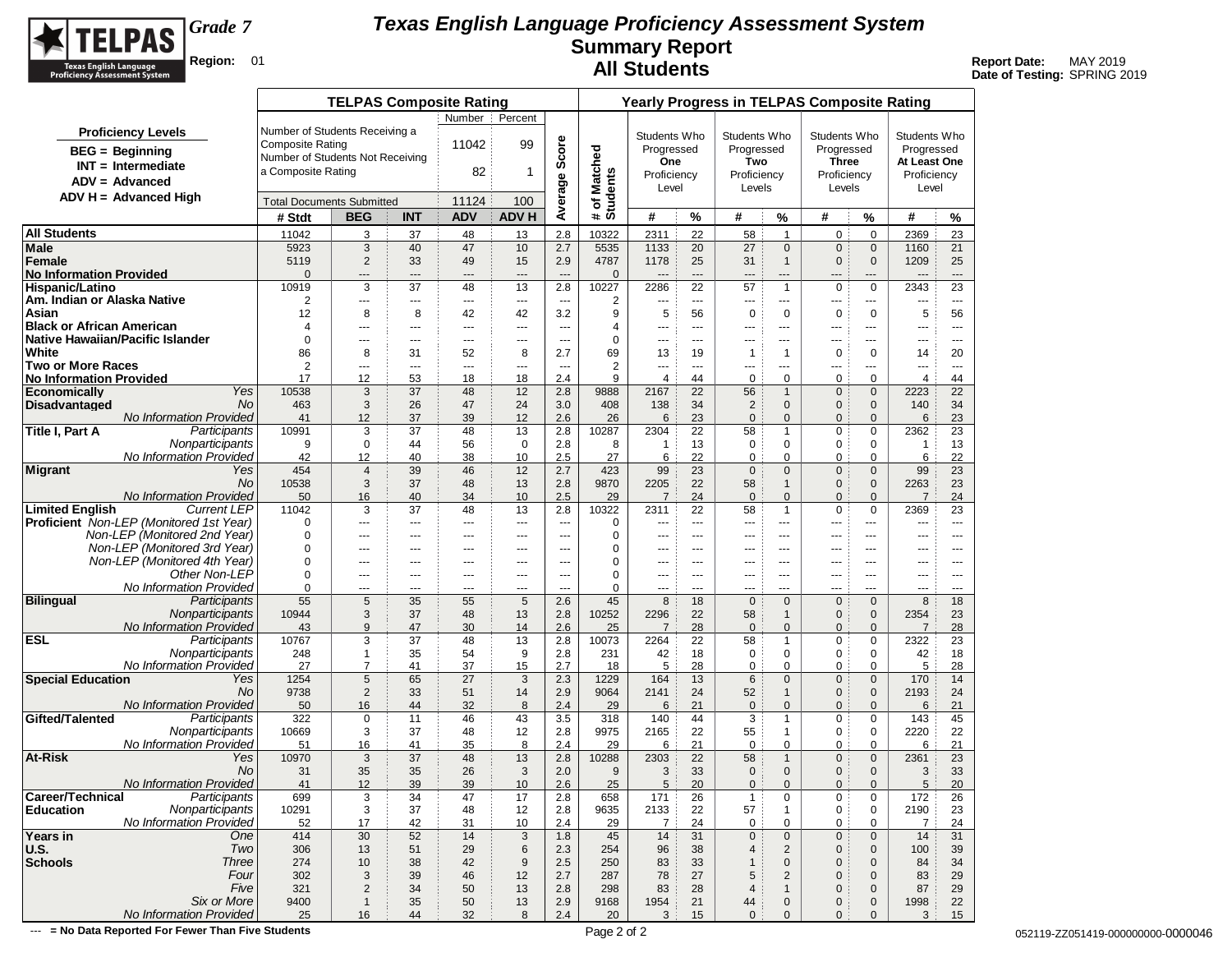

**Date of Testing:** SPRING 2019

|                                                                         |                         | <b>TELPAS Composite Rating</b>   |                                                  |                        |                             |                          |                                           |                       | <b>Yearly Progress in TELPAS Composite Rating</b> |                              |                                   |                             |                         |                     |
|-------------------------------------------------------------------------|-------------------------|----------------------------------|--------------------------------------------------|------------------------|-----------------------------|--------------------------|-------------------------------------------|-----------------------|---------------------------------------------------|------------------------------|-----------------------------------|-----------------------------|-------------------------|---------------------|
|                                                                         |                         |                                  | Number                                           | Percent                |                             |                          |                                           |                       |                                                   |                              |                                   |                             |                         |                     |
| <b>Proficiency Levels</b>                                               |                         | Number of Students Receiving a   |                                                  |                        |                             |                          | Students Who                              |                       | Students Who                                      |                              | Students Who                      |                             | Students Who            |                     |
| <b>BEG</b> = Beginning                                                  | <b>Composite Rating</b> |                                  | 11042                                            | 99                     | Average Score               |                          | Progressed                                |                       | Progressed                                        |                              | Progressed                        |                             | Progressed              |                     |
| $INT = Intermediate$                                                    |                         | Number of Students Not Receiving |                                                  |                        |                             |                          | One                                       |                       | Two                                               |                              | <b>Three</b>                      |                             | At Least One            |                     |
| $ADV = Advanced$                                                        | a Composite Rating      |                                  | 82                                               | 1                      |                             |                          | Proficiency                               |                       | Proficiency                                       |                              | Proficiency                       |                             | Proficiency             |                     |
| $ADV H = Advanced High$                                                 |                         |                                  |                                                  |                        |                             |                          | Level                                     |                       | Levels                                            |                              | Levels                            |                             | Level                   |                     |
|                                                                         |                         | <b>Total Documents Submitted</b> | 11124                                            | 100                    |                             | # of Matched<br>Students |                                           |                       |                                                   |                              |                                   |                             |                         |                     |
|                                                                         | # Stdt                  | <b>BEG</b><br><b>INT</b>         | <b>ADV</b>                                       | <b>ADV H</b>           |                             |                          | #                                         | $\%$                  | #                                                 | %                            | #                                 | %                           | #                       | %                   |
| <b>All Students</b>                                                     | 11042                   | 3                                | 37<br>48                                         | 13                     | 2.8                         | 10322                    | 2311                                      | 22                    | 58                                                | $\mathbf{1}$                 | 0                                 | $\mathbf 0$                 | 2369                    | 23                  |
| <b>Male</b>                                                             | 5923                    | 3                                | 47<br>40                                         | 10                     | 2.7                         | 5535                     | 1133                                      | 20                    | 27                                                | $\mathbf{0}$                 | $\mathbf{0}$                      | $\mathbf 0$                 | 1160                    | 21                  |
| Female<br><b>No Information Provided</b>                                | 5119<br>$\Omega$        | $\overline{2}$<br>---            | 33<br>49<br>$---$<br>$---$                       | 15<br>$\overline{a}$   | 2.9<br>$\overline{a}$       | 4787<br>$\mathbf{0}$     | 1178<br>$\overline{a}$                    | 25<br>$\overline{a}$  | 31<br>$---$                                       | $\mathbf{1}$<br>---          | $\mathbf{0}$<br>$\qquad \qquad -$ | $\mathbf 0$<br>---          | 1209<br>$---$           | 25<br>$---$         |
| Hispanic/Latino                                                         | 10919                   | 3                                | 37<br>48                                         | 13                     | 2.8                         | 10227                    | 2286                                      | 22                    | 57                                                | $\mathbf{1}$                 | 0                                 | $\mathbf 0$                 | 2343                    | 23                  |
| Am. Indian or Alaska Native                                             | 2                       | ---                              | $---$<br>$\cdots$                                | ---                    | $\scriptstyle\cdots$        | 2                        | $---$                                     | $\overline{a}$        | ---                                               | ---                          | $---$                             | ---                         | ---                     | $\cdots$            |
| Asian                                                                   | 12                      | 8                                | 8<br>42                                          | 42                     | 3.2                         | 9                        | 5                                         | 56                    | $\mathbf 0$                                       | 0                            | 0                                 | $\mathbf 0$                 | 5                       | 56                  |
| <b>Black or African American</b>                                        | $\overline{4}$          | ---                              | ---<br>---                                       | ---                    | $- - -$                     | $\overline{4}$           | ---                                       | ---                   | ---                                               | ---                          | ---                               | ---                         | ---                     | $\cdots$            |
| Native Hawaiian/Pacific Islander                                        | $\mathbf 0$<br>86       | $- - -$                          | $\sim$ $\sim$<br>$- - -$                         | $\overline{a}$         | $---$                       | $\mathbf 0$<br>69        | $\sim$ $\sim$                             | $\overline{a}$        | $---$                                             | $---$                        | $- - -$                           | $\overline{a}$              | ---                     | $- - -$             |
| White<br><b>Two or More Races</b>                                       | 2                       | 8<br>---                         | 52<br>31<br>$\cdots$<br>$\overline{\phantom{a}}$ | 8<br>---               | 2.7<br>$\scriptstyle\cdots$ | $\overline{2}$           | 13<br>$\overline{\phantom{a}}$            | 19<br>$\overline{a}$  | 1<br>---                                          | $\mathbf{1}$<br>---          | 0<br>---                          | $\mathbf 0$<br>---          | 14<br>---               | 20<br>$\cdots$      |
| <b>No Information Provided</b>                                          | 17                      | 12                               | 53<br>18                                         | 18                     | 2.4                         | 9                        | 4                                         | 44                    | 0                                                 | $\Omega$                     | 0                                 | $\mathbf 0$                 | $\overline{\mathbf{4}}$ | 44                  |
| Yes<br>Economically                                                     | 10538                   | 3                                | 37<br>48                                         | 12                     | 2.8                         | 9888                     | 2167                                      | 22                    | 56                                                | $\mathbf{1}$                 | $\mathbf 0$                       | $\mathbf 0$                 | 2223                    | 22                  |
| <b>Disadvantaged</b><br>No                                              | 463                     | 3                                | 26<br>47                                         | 24                     | 3.0                         | 408                      | 138                                       | 34                    | $\overline{2}$                                    | $\mathbf{0}$                 | $\mathbf{0}$                      | $\mathbf 0$                 | 140                     | 34                  |
| No Information Provided                                                 | 41                      | 12                               | 37<br>39                                         | 12                     | 2.6                         | 26                       | 6                                         | 23                    | $\mathbf{0}$                                      | $\mathbf{0}$                 | $\mathbf{0}$                      | $\mathbf{0}$                | 6                       | 23                  |
| <b>Title I, Part A</b><br>Participants<br>Nonparticipants               | 10991<br>9              | 3<br>$\mathbf 0$                 | 37<br>48<br>56<br>44                             | 13<br>$\mathbf 0$      | 2.8<br>2.8                  | 10287<br>8               | 2304<br>$\mathbf{1}$                      | 22<br>13              | 58<br>$\mathbf 0$                                 | $\mathbf{1}$<br>$\mathbf 0$  | 0<br>0                            | 0<br>0                      | 2362<br>$\mathbf{1}$    | 23<br>13            |
| No Information Provided                                                 | 42                      | 12                               | 40<br>38                                         | 10                     | 2.5                         | 27                       | 6                                         | 22                    | $\mathbf 0$                                       | 0                            | 0                                 | 0                           | 6                       | 22                  |
| <b>Migrant</b><br>Yes                                                   | 454                     | $\overline{4}$                   | 39<br>46                                         | 12                     | 2.7                         | 423                      | 99                                        | 23                    | $\mathbf 0$                                       | $\mathbf{0}$                 | $\mathbf{0}$                      | $\mathbf 0$                 | 99                      | 23                  |
| No.                                                                     | 10538                   | 3                                | 37<br>48                                         | 13                     | 2.8                         | 9870                     | 2205                                      | 22                    | 58                                                | $\mathbf{1}$                 | $\mathbf{0}$                      | $\mathbf 0$                 | 2263                    | 23                  |
| <b>No Information Provided</b>                                          | 50                      | 16                               | 40<br>34                                         | 10                     | 2.5                         | 29                       | $\overline{7}$                            | 24                    | $\mathbf 0$                                       | $\mathbf{0}$                 | $\mathbf{0}$                      | $\mathbf{0}$                | $\overline{7}$          | 24                  |
| <b>Limited English</b><br><b>Current LEP</b>                            | 11042                   | 3                                | 37<br>48                                         | 13                     | 2.8                         | 10322                    | 2311                                      | 22                    | 58                                                | $\mathbf{1}$                 | 0                                 | $\mathbf 0$                 | 2369                    | 23                  |
| Proficient Non-LEP (Monitored 1st Year)<br>Non-LEP (Monitored 2nd Year) | 0<br>$\mathbf 0$        | ---<br>$- - -$                   | $\cdots$<br>---<br>$\sim$ $\sim$<br>$- - -$      | ---<br>$---$           | ---<br>$---$                | $\mathbf 0$<br>0         | $\overline{\phantom{a}}$<br>$\sim$ $\sim$ | ---<br>$\overline{a}$ | ---<br>$---$                                      | ---<br>$---$                 | ---<br>$---$                      | ---<br>$\overline{a}$       | ---<br>$\overline{a}$   | $\cdots$<br>$- - -$ |
| Non-LEP (Monitored 3rd Year)                                            | $\mathbf 0$             | ---                              | ---<br>---                                       | ---                    | ---                         | $\mathbf 0$              | $\cdots$                                  | ---                   | ---                                               | ---                          | ---                               | ---                         | ---                     | ---                 |
| Non-LEP (Monitored 4th Year)                                            | $\mathbf 0$             | ---                              | ---<br>---                                       | ---                    | ---                         | 0                        | ---                                       | ---                   | ---                                               | ---                          | ---                               | ---                         | ---                     | ---                 |
| Other Non-LEP                                                           | 0                       | $---$                            | $\sim$ $\sim$<br>---                             | ---                    | $- - -$                     | $\mathbf 0$              | $\cdots$                                  | $\overline{a}$        | ---                                               | $---$                        | $--$                              | $\overline{a}$              | ---                     | ---                 |
| No Information Provided                                                 | $\mathbf 0$             | ---                              | $\cdots$<br>---                                  | ---                    | ---                         | $\mathbf 0$              | $\cdots$                                  | $\overline{a}$        | ---                                               | ---                          | ---                               | ---                         | ---                     | $- - -$             |
| <b>Bilingual</b><br>Participants<br>Nonparticipants                     | 55<br>10944             | 5<br>3                           | 35<br>55<br>37<br>48                             | 5<br>13                | 2.6<br>2.8                  | 45<br>10252              | 8<br>2296                                 | 18<br>22              | $\mathbf 0$<br>58                                 | $\mathbf{0}$<br>$\mathbf{1}$ | $\overline{0}$<br>$\mathbf{0}$    | $\mathbf{0}$<br>$\mathbf 0$ | 8<br>2354               | 18<br>23            |
| <b>No Information Provided</b>                                          | 43                      | 9                                | 47<br>30                                         | 14                     | 2.6                         | 25                       | $\overline{7}$                            | 28                    | $\mathbf{0}$                                      | $\mathbf{0}$                 | $\mathbf{0}$                      | $\mathbf{0}$                | $\overline{7}$          | 28                  |
| <b>ESL</b><br>Participants                                              | 10767                   | 3                                | 48<br>37                                         | 13                     | 2.8                         | 10073                    | 2264                                      | 22                    | 58                                                | $\mathbf{1}$                 | 0                                 | 0                           | 2322                    | 23                  |
| Nonparticipants                                                         | 248                     | 1                                | 35<br>54                                         | 9                      | 2.8                         | 231                      | 42                                        | 18                    | 0                                                 | 0                            | 0                                 | 0                           | 42                      | 18                  |
| No Information Provided                                                 | 27                      | $\overline{7}$                   | 41<br>37                                         | 15                     | 2.7                         | 18                       | 5                                         | 28                    | $\mathbf 0$                                       | 0                            | 0                                 | 0                           | 5                       | 28                  |
| <b>Special Education</b><br>Yes                                         | 1254                    | 5                                | 65<br>27                                         | 3                      | 2.3                         | 1229                     | 164                                       | 13                    | 6                                                 | $\mathbf{0}$                 | $\mathbf{0}$                      | $\mathbf{0}$                | 170                     | 14                  |
| No<br><b>No Information Provided</b>                                    | 9738<br>50              | $\overline{2}$<br>16             | 33<br>51<br>44<br>32                             | 14<br>8                | 2.9<br>2.4                  | 9064<br>29               | 2141<br>6                                 | 24<br>21              | 52<br>$\mathbf 0$                                 | $\mathbf{1}$<br>$\mathbf{0}$ | 0<br>$\mathbf{0}$                 | $\mathbf 0$<br>$\mathbf{0}$ | 2193<br>6               | 24<br>21            |
| Gifted/Talented<br>Participants                                         | 322                     | $\mathbf 0$                      | 11<br>46                                         | 43                     | 3.5                         | 318                      | 140                                       | 44                    | 3                                                 | $\mathbf{1}$                 | 0                                 | 0                           | 143                     | 45                  |
| Nonparticipants                                                         | 10669                   | 3                                | 37<br>48                                         | 12                     | 2.8                         | 9975                     | 2165                                      | 22                    | 55                                                | 1                            | 0                                 | 0                           | 2220                    | 22                  |
| No Information Provided                                                 | 51                      | 16                               | 35<br>41                                         | 8                      | 2.4                         | 29                       | 6                                         | 21                    | $\mathbf 0$                                       | $\mathbf 0$                  | 0                                 | $\mathbf 0$                 | 6                       | 21                  |
| At-Risk<br>Yes                                                          | 10970                   | 3                                | 37<br>48                                         | 13                     | 2.8                         | 10288                    | 2303                                      | 22                    | 58                                                | $\mathbf{1}$                 | 0                                 | $\mathbf 0$                 | 2361                    | 23                  |
| No<br>No Information Provided                                           | 31<br>41                | 35<br>12                         | 35<br>26<br>39<br>39                             | 3<br>10                | 2.0<br>2.6                  | 9<br>25                  | 3<br>5                                    | 33<br>20              | $\mathbf 0$<br>$\mathbf{0}$                       | $\mathbf{0}$<br>$\mathbf{0}$ | $\mathbf{0}$<br>$\mathbf{0}$      | $\mathbf 0$<br>$\mathbf{0}$ | 3<br>5                  | 33<br>20            |
| Career/Technical<br>Participants                                        | 699                     | 3                                | 34<br>47                                         | 17                     | 2.8                         | 658                      | 171                                       | 26                    | 1                                                 | 0                            | 0                                 | 0                           | 172                     | 26                  |
| Nonparticipants<br>Education                                            | 10291                   | 3                                | 37<br>48                                         | 12                     | 2.8                         | 9635                     | 2133                                      | 22                    | 57                                                | $\mathbf{1}$                 | 0                                 | 0                           | 2190                    | 23                  |
| No Information Provided                                                 | 52                      | 17                               | 31<br>42                                         | 10                     | 2.4                         | 29                       | $\overline{7}$                            | 24                    | $\mathbf 0$                                       | 0                            | 0                                 | 0                           | $\overline{7}$          | 24                  |
| Years in<br>One                                                         | 414                     | 30                               | 14<br>52                                         | 3                      | 1.8                         | 45                       | 14                                        | 31                    | $\pmb{0}$                                         | $\mathbf 0$                  | 0                                 | $\mathbf 0$                 | 14                      | 31                  |
| Two<br>U.S.<br><b>Schools</b>                                           | 306                     | 13                               | 51<br>29<br>42                                   | 6                      | 2.3<br>2.5                  | 254                      | 96                                        | 38<br>33              | $\overline{4}$<br>$\overline{1}$                  | 2                            | 0                                 | $\mathbf 0$                 | 100                     | 39                  |
| <b>Three</b><br>Four                                                    | 274<br>302              | 10<br>3                          | 38<br>39<br>46                                   | $\boldsymbol{9}$<br>12 | 2.7                         | 250<br>287               | 83<br>78                                  | 27                    | 5                                                 | $\mathbf 0$<br>$\mathbf 2$   | $\mathbf{0}$<br>0                 | $\mathbf 0$<br>$\mathbf 0$  | 84<br>83                | 34<br>29            |
| Five                                                                    | 321                     | $\overline{c}$                   | 34<br>50                                         | 13                     | 2.8                         | 298                      | 83                                        | 28                    | $\overline{4}$                                    | $\mathbf{1}$                 | 0                                 | $\mathbf 0$                 | 87                      | 29                  |
| Six or More                                                             | 9400                    | $\mathbf{1}$                     | 35<br>50                                         | 13                     | 2.9                         | 9168                     | 1954                                      | 21                    | 44                                                | $\mathbf 0$                  | 0                                 | $\mathbf 0$                 | 1998                    | 22                  |
| No Information Provided                                                 | 25                      | 16                               | 44<br>32                                         | 8                      | 2.4                         | 20                       | 3                                         | 15                    | $\mathbf 0$                                       | $\mathbf{0}$                 | $\mathbf{0}$                      | $\mathbf{0}$                | 3                       | 15                  |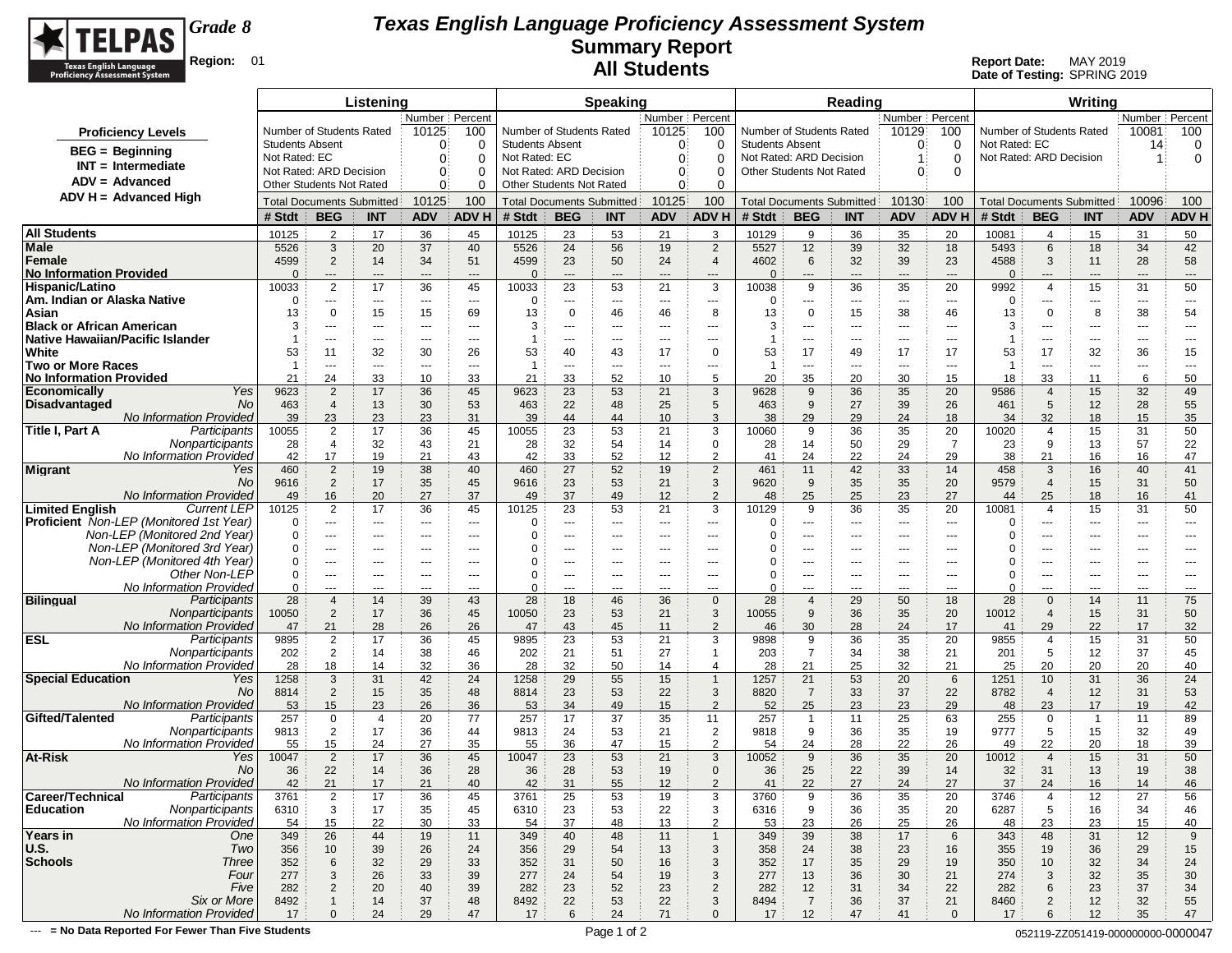

**Date of Testing:** SPRING 2019

|                                                                |                        |                                                            | Listening      |                  |                                |                        |                                                     | <b>Speaking</b>      |                                |                                  |                          |                  | Reading                          |                                |                                |                  |                                  | Writina              |                |                                     |
|----------------------------------------------------------------|------------------------|------------------------------------------------------------|----------------|------------------|--------------------------------|------------------------|-----------------------------------------------------|----------------------|--------------------------------|----------------------------------|--------------------------|------------------|----------------------------------|--------------------------------|--------------------------------|------------------|----------------------------------|----------------------|----------------|-------------------------------------|
|                                                                |                        |                                                            |                | Number   Percent |                                |                        |                                                     |                      | Number   Percent               |                                  |                          |                  |                                  | Number Percent                 |                                |                  |                                  |                      | Number Percent |                                     |
| <b>Proficiency Levels</b>                                      |                        | Number of Students Rated                                   |                | 10125            | 100                            |                        | Number of Students Rated                            |                      | 10125                          | 100                              | Number of Students Rated |                  |                                  | 10129                          | 100                            |                  | Number of Students Rated         |                      | 10081          | 100                                 |
| <b>BEG</b> = Beginning                                         | <b>Students Absent</b> |                                                            |                | $\Omega$         | 0                              | <b>Students Absent</b> |                                                     |                      | $\theta$                       | 0                                | <b>Students Absent</b>   |                  |                                  | $\Omega$                       | 0                              | Not Rated: EC    |                                  |                      | 14             | 0                                   |
| $INT = Intermediate$                                           | Not Rated: EC          |                                                            |                | $\Omega$         | $\Omega$                       | Not Rated: EC          |                                                     |                      | $\mathbf{0}$                   | 0                                | Not Rated: ARD Decision  |                  |                                  |                                | $\Omega$                       |                  | Not Rated: ARD Decision          |                      | 1              | 0                                   |
| $ADV = Advanced$                                               |                        | Not Rated: ARD Decision<br><b>Other Students Not Rated</b> |                | $\Omega$         | 0<br>$\Omega$                  |                        | Not Rated: ARD Decision<br>Other Students Not Rated |                      | $\mathbf{0}$                   | 0                                | Other Students Not Rated |                  |                                  | $\Omega$                       | $\Omega$                       |                  |                                  |                      |                |                                     |
| ADV H = Advanced High                                          |                        |                                                            |                | $\Omega$         |                                |                        |                                                     |                      | $\Omega$                       | 0                                |                          |                  |                                  |                                |                                |                  |                                  |                      |                |                                     |
|                                                                |                        | <b>Total Documents Submitted</b>                           |                | 10125            | 100                            |                        | <b>Total Documents Submitted</b>                    |                      | 10125                          | 100                              |                          |                  | <b>Total Documents Submitted</b> | 10130                          | 100                            |                  | <b>Total Documents Submitted</b> |                      | 10096          | 100                                 |
|                                                                | # Stdt                 | <b>BEG</b>                                                 | <b>INT</b>     | <b>ADV</b>       | <b>ADVH</b>                    | # Stdt                 | <b>BEG</b>                                          | <b>INT</b>           | <b>ADV</b>                     | <b>ADV H</b>                     | # Stdt                   | <b>BEG</b>       | <b>INT</b>                       | <b>ADV</b>                     | ADV H                          | # Stdt           | <b>BEG</b>                       | <b>INT</b>           | <b>ADV</b>     | ADV H                               |
| <b>All Students</b>                                            | 10125                  | $\overline{2}$                                             | 17             | 36               | 45                             | 10125                  | 23                                                  | 53                   | 21                             | 3                                | 10129                    | 9                | 36                               | 35                             | 20                             | 10081            | 4                                | 15                   | 31             | 50                                  |
| Male                                                           | 5526                   | 3                                                          | 20             | 37               | 40                             | 5526                   | 24                                                  | 56                   | 19                             | $\overline{2}$                   | 5527                     | 12               | 39                               | 32                             | 18                             | 5493             | 6                                | 18                   | 34             | 42                                  |
| Female<br><b>No Information Provided</b>                       | 4599<br>$\Omega$       | $\overline{2}$<br>---                                      | 14<br>---      | 34<br>$---$      | 51<br>$\overline{\phantom{a}}$ | 4599<br>$\Omega$       | 23<br>---                                           | 50<br>---            | 24<br>$\overline{\phantom{a}}$ | $\overline{4}$<br>---            | 4602<br>$\Omega$         | 6<br>---         | 32<br>$\qquad \qquad - -$        | 39<br>$\hspace{0.05cm} \ldots$ | 23<br>$---$                    | 4588<br>$\Omega$ | 3<br>---                         | 11<br>---            | 28<br>---      | 58<br>$\hspace{1.5cm} \textbf{---}$ |
| Hispanic/Latino                                                | 10033                  | $\overline{2}$                                             | 17             | 36               | 45                             | 10033                  | 23                                                  | 53                   | 21                             | 3                                | 10038                    | 9                | 36                               | 35                             | 20                             | 9992             | $\overline{4}$                   | 15                   | 31             | 50                                  |
| Am. Indian or Alaska Native                                    | $\Omega$               | ---                                                        | ---            | $---$            | $---$                          | 0                      | ---                                                 | ---                  | ---                            | $\sim$ $\sim$                    | 0                        | ---              | $\cdots$                         | $---$                          | $\scriptstyle\cdots$           | 0                | ---                              | ---                  | ---            | $---$                               |
| Asian                                                          | 13                     | $\mathbf 0$                                                | 15             | 15               | 69                             | 13                     | $\mathbf 0$                                         | 46                   | 46                             | 8                                | 13                       | 0                | 15                               | 38                             | 46                             | 13               | $\mathbf 0$                      | 8                    | 38             | 54                                  |
| <b>Black or African American</b>                               | 3                      | $---$                                                      | $---$          | $---$            | $- - -$                        | 3                      | $---$                                               | $\sim$ $\sim$ $\sim$ | $--$                           | $---$                            | 3                        | ---              | $- - -$                          | $\sim$ $\sim$                  | $\sim$ $\sim$                  | 3                | $\overline{a}$                   | $---$                | $\overline{a}$ | $- - -$                             |
| <b>Native Hawaiian/Pacific Islander</b>                        | -1                     | ---                                                        | ---            | $---$            | $\overline{\phantom{a}}$       | 1                      | ---                                                 | ---                  | ---                            | ---                              |                          | ---              | ---                              | $\hspace{0.05cm} \ldots$       | ---                            | -1               | ---                              | ---                  | ---            | ---                                 |
| White<br><b>Two or More Races</b>                              | 53<br>-1               | 11<br>---                                                  | 32<br>$\cdots$ | 30<br>$---$      | 26<br>$\overline{\phantom{a}}$ | 53<br>-1               | 40<br>---                                           | 43<br>---            | 17<br>---                      | 0<br>---                         | 53<br>-1                 | 17<br>---        | 49<br>$\cdots$                   | 17<br>$---$                    | 17<br>$\overline{\phantom{a}}$ | 53<br>-1         | 17<br>---                        | 32<br>---            | 36<br>---      | 15<br>---                           |
| <b>No Information Provided</b>                                 | 21                     | 24                                                         | 33             | 10               | 33                             | 21                     | 33                                                  | 52                   | 10                             | 5                                | 20                       | 35               | 20                               | 30                             | 15                             | 18               | 33                               | 11                   | 6              | 50                                  |
| Yes<br><b>Economically</b>                                     | 9623                   | $\overline{2}$                                             | 17             | 36               | 45                             | 9623                   | 23                                                  | 53                   | 21                             | 3                                | 9628                     | 9                | 36                               | 35                             | 20                             | 9586             | $\overline{4}$                   | 15                   | 32             | 49                                  |
| <b>Disadvantaged</b><br>No                                     | 463                    | $\overline{4}$                                             | 13             | 30               | 53                             | 463                    | 22                                                  | 48                   | 25                             | 5                                | 463                      | 9                | 27                               | 39                             | 26                             | 461              | 5                                | 12                   | 28             | 55                                  |
| <b>No Information Provided</b>                                 | 39                     | 23                                                         | 23             | 23               | 31                             | 39                     | 44                                                  | 44                   | 10                             | 3                                | 38                       | 29               | 29                               | 24                             | 18                             | 34               | 32                               | 18                   | 15             | 35                                  |
| Title I, Part A<br>Participants                                | 10055                  | $\overline{2}$                                             | 17             | 36               | 45                             | 10055                  | 23                                                  | 53                   | 21                             | 3                                | 10060                    | 9                | 36                               | 35                             | 20                             | 10020            | $\overline{4}$                   | 15                   | 31             | 50                                  |
| Nonparticipants<br>No Information Provideo                     | 28                     | $\overline{4}$<br>17                                       | 32             | 43               | 21                             | 28                     | 32                                                  | 54                   | 14                             | $\mathbf 0$                      | 28                       | 14               | 50                               | 29                             | 7                              | 23               | 9                                | 13                   | 57             | 22                                  |
| <b>Migrant</b><br>Yes                                          | 42<br>460              | $\overline{2}$                                             | 19<br>19       | 21<br>38         | 43<br>40                       | 42<br>460              | 33<br>27                                            | 52<br>52             | 12<br>19                       | $\overline{2}$<br>$\overline{2}$ | 41<br>461                | 24<br>11         | 22<br>42                         | 24<br>33                       | 29<br>14                       | 38<br>458        | 21<br>3                          | 16<br>16             | 16<br>40       | 47<br>41                            |
| No                                                             | 9616                   | $\overline{2}$                                             | 17             | 35               | 45                             | 9616                   | 23                                                  | 53                   | 21                             | 3                                | 9620                     | 9                | 35                               | 35                             | 20                             | 9579             | $\overline{4}$                   | 15                   | 31             | 50                                  |
| No Information Provideo                                        | 49                     | 16                                                         | 20             | 27               | 37                             | 49                     | 37                                                  | 49                   | 12                             | $\overline{2}$                   | 48                       | 25               | 25                               | 23                             | 27                             | 44               | 25                               | 18                   | 16             | 41                                  |
| <b>Limited English</b><br><b>Current LEP</b>                   | 10125                  | $\overline{2}$                                             | 17             | 36               | 45                             | 10125                  | 23                                                  | 53                   | 21                             | 3                                | 10129                    | 9                | 36                               | 35                             | 20                             | 10081            | $\overline{4}$                   | 15                   | 31             | 50                                  |
| <b>Proficient</b> Non-LEP (Monitored 1st Year)                 | 0                      | $---$                                                      | $---$          | $---$            | $- - -$                        | 0                      | $\overline{a}$                                      | $---$                | $- - -$                        | $\sim$ $\sim$                    | 0                        | ---              | $- - -$                          | $\sim$ $\sim$                  | $\overline{a}$                 | 0                | $---$                            | $---$                | $\overline{a}$ | $- - -$                             |
| Non-LEP (Monitored 2nd Year)<br>Non-LEP (Monitored 3rd Year)   | $\Omega$<br>0          | ---                                                        | ---            | $---$            | $--$                           | 0<br>0                 | ---                                                 | ---                  | ---                            | $---$                            | 0                        | ---              | ---                              | $--$                           | ---                            | 0<br>0           | ---                              | ---                  | ---            | $---$                               |
| Non-LEP (Monitored 4th Year)                                   | $\Omega$               | ---<br>---                                                 | ---<br>---     | $---$<br>$--$    | $---$<br>$--$                  | 0                      | ---<br>---                                          | ---<br>---           | ---<br>---                     | ---<br>$---$                     |                          | ---<br>---       | ---<br>---                       | ---<br>$---$                   | ---<br>$--$                    | 0                | ---<br>---                       | ---<br>---           | ---<br>---     | $\overline{\phantom{a}}$<br>$---$   |
| Other Non-LEP                                                  | 0                      | ---                                                        | ---            | $---$            | $---$                          | 0                      | ---                                                 | ---                  | ---                            | $---$                            | $\Omega$                 | ---              | ---                              | $---$                          | ---                            | 0                | ---                              | ---                  | ---            | ---                                 |
| No Information Provideo                                        | 0                      | ---                                                        | $---$          | $---$            | $--$                           | 0                      | $---$                                               | $---$                | $---$                          | $---$                            | 0                        | ---              | $---$                            | $\sim$ $\sim$                  | $- - -$                        | 0                | $---$                            | $---$                | $---$          | $---$                               |
| <b>Bilingual</b><br>Participants                               | 28                     | $\overline{4}$                                             | 14             | 39               | 43                             | 28                     | 18                                                  | 46                   | 36                             | $\mathbf{0}$                     | 28                       | $\overline{4}$   | 29                               | 50                             | 18                             | 28               | $\Omega$                         | 14                   | 11             | 75                                  |
| Nonparticipants                                                | 10050                  | $\overline{2}$                                             | 17             | 36               | 45                             | 10050                  | 23                                                  | 53                   | 21                             | 3                                | 10055                    | 9                | 36                               | 35                             | 20                             | 10012            | $\overline{4}$                   | 15                   | 31             | 50                                  |
| No Information Provideo<br><b>ESL</b><br>Participants          | 47<br>9895             | 21<br>2                                                    | 28<br>17       | 26<br>36         | 26<br>45                       | 47<br>9895             | 43<br>23                                            | 45<br>53             | 11<br>21                       | $\overline{2}$<br>3              | 46<br>9898               | 30<br>9          | 28<br>36                         | 24<br>35                       | 17<br>20                       | 41<br>9855       | 29<br>$\overline{4}$             | 22<br>15             | 17<br>31       | 32<br>50                            |
| Nonparticipants                                                | 202                    | $\overline{2}$                                             | 14             | 38               | 46                             | 202                    | 21                                                  | 51                   | 27                             | -1                               | 203                      | $\overline{7}$   | 34                               | 38                             | 21                             | 201              | 5                                | 12                   | 37             | 45                                  |
| No Information Provideo                                        | 28                     | 18                                                         | 14             | 32               | 36                             | 28                     | 32                                                  | 50                   | 14                             | $\overline{4}$                   | 28                       | 21               | 25                               | 32                             | 21                             | 25               | 20                               | 20                   | 20             | 40                                  |
| <b>Special Education</b><br>Yes                                | 1258                   | 3                                                          | 31             | 42               | 24                             | 1258                   | 29                                                  | 55                   | 15                             | $\overline{1}$                   | 1257                     | 21               | 53                               | 20                             | 6                              | 1251             | 10                               | 31                   | 36             | 24                                  |
| No                                                             | 8814                   | $\overline{2}$                                             | 15             | 35               | 48                             | 8814                   | 23                                                  | 53                   | 22                             | 3                                | 8820                     | $\overline{7}$   | 33                               | 37                             | 22                             | 8782             | 4                                | 12                   | 31             | 53                                  |
| No Information Provided                                        | 53                     | 15                                                         | 23             | 26               | 36                             | 53                     | 34                                                  | 49                   | 15                             | $\overline{2}$                   | 52                       | 25               | 23                               | 23                             | 29                             | 48               | 23                               | 17                   | 19             | 42                                  |
| Gifted/Talented<br>Participants<br>Nonparticipants             | 257<br>9813            | $\mathbf 0$<br>$\overline{2}$                              | 4<br>17        | 20<br>36         | 77<br>44                       | 257<br>9813            | 17<br>24                                            | 37<br>53             | 35<br>21                       | 11<br>$\overline{2}$             | 257<br>9818              | $\mathbf 1$<br>9 | 11<br>36                         | 25<br>35                       | 63<br>19                       | 255<br>9777      | $\Omega$<br>5                    | $\overline{1}$<br>15 | 11<br>32       | 89<br>49                            |
| No Information Provideo                                        | 55                     | 15                                                         | 24             | 27               | 35                             | 55                     | 36                                                  | 47                   | 15                             | $\overline{2}$                   | 54                       | 24               | 28                               | 22                             | 26                             | 49               | 22                               | 20                   | 18             | 39                                  |
| At-Risk<br>Yes                                                 | 10047                  | $\overline{2}$                                             | 17             | 36               | 45                             | 10047                  | 23                                                  | 53                   | 21                             | 3                                | 10052                    | 9                | 36                               | 35                             | 20                             | 10012            | $\overline{4}$                   | 15                   | 31             | 50                                  |
| No                                                             | 36                     | 22                                                         | 14             | 36               | 28                             | 36                     | 28                                                  | 53                   | 19                             | $\mathbf 0$                      | 36                       | 25               | 22                               | 39                             | 14                             | 32               | 31                               | 13                   | 19             | 38                                  |
| <b>No Information Provided</b>                                 | 42                     | 21                                                         | 17             | 21               | 40                             | 42                     | 31                                                  | 55                   | 12                             | $\mathcal{P}$                    | 41                       | 22               | 27                               | 24                             | 27                             | 37               | 24                               | 16                   | 14             | 46                                  |
| Participants<br>Career/Technical                               | 3761                   | $\overline{2}$                                             | 17             | 36               | 45                             | 3761                   | 25                                                  | 53                   | 19                             | 3                                | 3760                     | 9                | 36                               | 35                             | 20                             | 3746             | 4                                | 12                   | 27             | 56                                  |
| Nonparticipants<br><b>Education</b><br>No Information Provided | 6310                   | 3                                                          | 17             | 35               | 45                             | 6310                   | 23                                                  | 53                   | 22                             | 3<br>$\overline{2}$              | 6316                     | 9                | 36                               | 35                             | 20                             | 6287             | 5                                | 16                   | 34             | 46                                  |
| Years in<br>One                                                | 54<br>349              | 15<br>26                                                   | 22<br>44       | 30<br>19         | 33<br>11                       | 54<br>349              | 37<br>40                                            | 48<br>48             | 13<br>11                       | $\overline{1}$                   | 53<br>349                | 23<br>39         | 26<br>38                         | 25<br>17                       | 26<br>6                        | 48<br>343        | 23<br>48                         | 23<br>31             | 15<br>12       | 40<br>9                             |
| <b>U.S.</b><br>Two                                             | 356                    | 10                                                         | 39             | 26               | 24                             | 356                    | 29                                                  | 54                   | 13                             | $\mathbf{3}$                     | 358                      | 24               | 38                               | 23                             | 16                             | 355              | 19                               | 36                   | 29             | 15                                  |
| <b>Schools</b><br><b>Three</b>                                 | 352                    | $6\phantom{1}6$                                            | 32             | 29               | 33                             | 352                    | 31                                                  | 50                   | 16                             | 3                                | 352                      | 17               | 35                               | 29                             | 19                             | 350              | 10                               | 32                   | 34             | 24                                  |
| Four                                                           | 277                    | 3                                                          | 26             | 33               | 39                             | 277                    | 24                                                  | 54                   | 19                             | $\mathbf{3}$                     | 277                      | 13               | 36                               | 30                             | 21                             | 274              | 3                                | 32                   | 35             | 30                                  |
| Five                                                           | 282                    | $\overline{2}$                                             | 20             | 40               | 39                             | 282                    | 23                                                  | 52                   | 23                             | $\overline{2}$                   | 282                      | 12               | 31                               | 34                             | 22                             | 282              | $6\phantom{1}6$                  | 23                   | 37             | 34                                  |
| Six or More                                                    | 8492                   | $\mathbf{1}$                                               | 14             | 37               | 48                             | 8492                   | 22                                                  | 53                   | 22                             | $\mathbf{3}$                     | 8494                     | $\overline{7}$   | 36                               | 37                             | 21                             | 8460             | $\overline{c}$                   | 12                   | 32             | 55                                  |
| No Information Provided                                        | 17                     | $\mathbf{0}$                                               | 24             | 29               | 47                             | 17                     | 6                                                   | 24                   | 71                             | $\mathbf{0}$                     | 17                       | 12               | 47                               | 41                             | $\mathbf{0}$                   | 17               | 6                                | 12                   | 35             | 47                                  |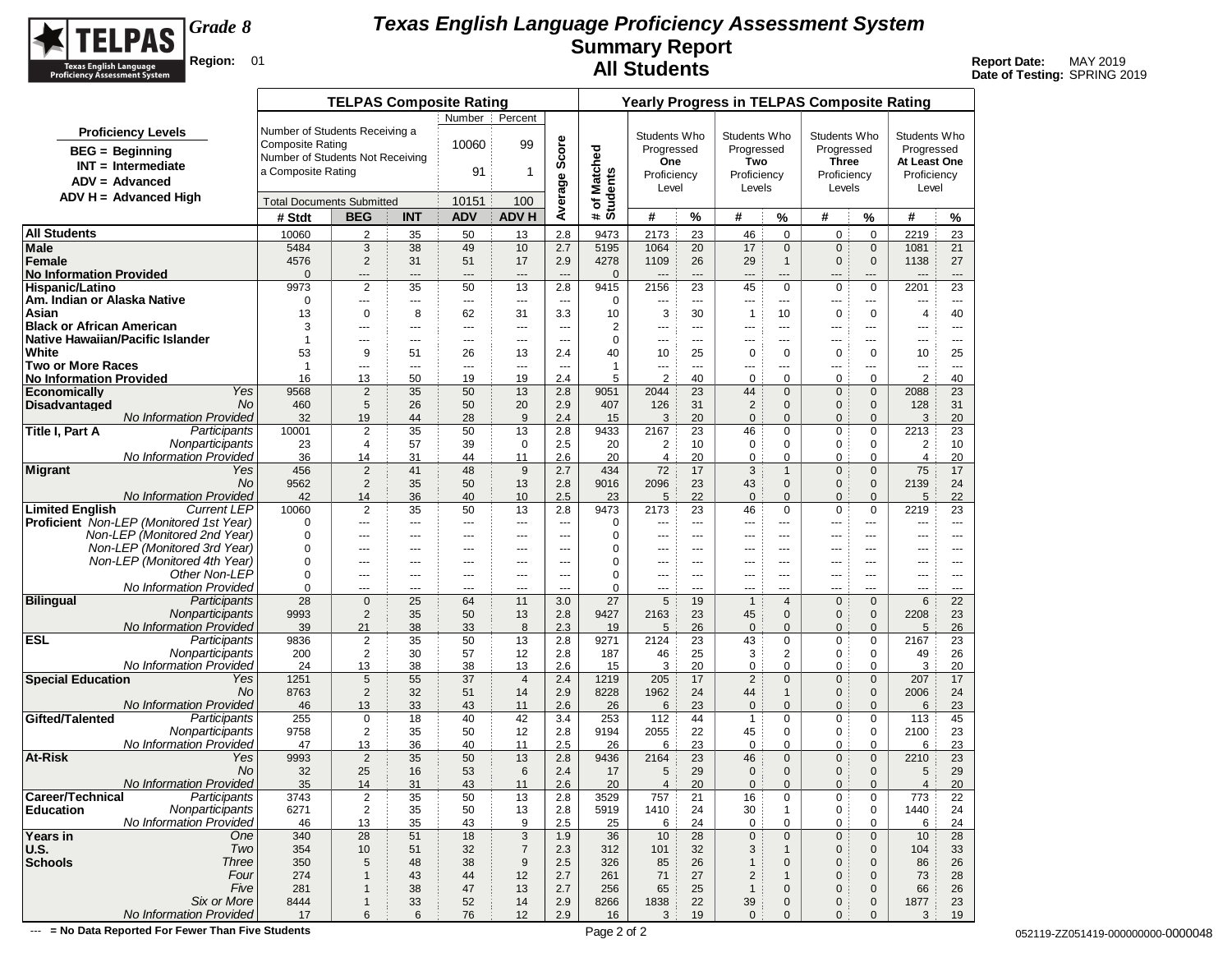

**Date of Testing:** SPRING 2019

|                                                            |                         | <b>TELPAS Composite Rating</b>   |            |                                |                       |                       |                          |                        |                      | <b>Yearly Progress in TELPAS Composite Rating</b> |                              |                               |                               |                        |                                |
|------------------------------------------------------------|-------------------------|----------------------------------|------------|--------------------------------|-----------------------|-----------------------|--------------------------|------------------------|----------------------|---------------------------------------------------|------------------------------|-------------------------------|-------------------------------|------------------------|--------------------------------|
|                                                            |                         |                                  |            | Number                         | Percent               |                       |                          |                        |                      |                                                   |                              |                               |                               |                        |                                |
| <b>Proficiency Levels</b>                                  |                         | Number of Students Receiving a   |            |                                |                       |                       |                          | Students Who           |                      | Students Who                                      |                              | Students Who                  |                               | Students Who           |                                |
| <b>BEG</b> = Beginning                                     | <b>Composite Rating</b> |                                  |            | 10060                          | 99                    | Average Score         |                          | Progressed             |                      | Progressed                                        |                              | Progressed                    |                               | Progressed             |                                |
| $INT = Intermediate$                                       |                         | Number of Students Not Receiving |            |                                |                       |                       |                          | One                    |                      | Two                                               |                              | <b>Three</b>                  |                               | At Least One           |                                |
| $ADV = Advanced$                                           | a Composite Rating      |                                  |            | 91                             | 1                     |                       |                          | Proficiency            |                      | Proficiency                                       |                              | Proficiency                   |                               | Proficiency            |                                |
| ADV H = Advanced High                                      |                         |                                  |            |                                |                       |                       |                          | Level                  |                      | Levels                                            |                              | Levels                        |                               | Level                  |                                |
|                                                            |                         | <b>Total Documents Submitted</b> |            | 10151                          | 100                   |                       | # of Matched<br>Students |                        |                      |                                                   |                              |                               |                               |                        |                                |
|                                                            | # Stdt                  | <b>BEG</b>                       | <b>INT</b> | <b>ADV</b>                     | <b>ADV H</b>          |                       |                          | #                      | %                    | #                                                 | %                            | #                             | %                             | #                      | %                              |
| <b>All Students</b>                                        | 10060                   | $\overline{2}$                   | 35         | 50                             | 13                    | 2.8                   | 9473                     | 2173                   | 23                   | 46                                                | $\mathbf 0$                  | 0                             | $\mathbf 0$                   | 2219                   | 23                             |
| Male                                                       | 5484                    | 3                                | 38         | 49                             | 10                    | 2.7                   | 5195                     | 1064                   | 20                   | 17                                                | $\mathbf{0}$                 | $\mathbf{0}$                  | $\mathbf 0$                   | 1081                   | 21                             |
| Female                                                     | 4576                    | $\overline{2}$                   | 31         | 51                             | 17                    | 2.9                   | 4278                     | 1109                   | 26                   | 29                                                | $\mathbf{1}$                 | $\mathbf 0$                   | $\mathbf 0$                   | 1138                   | 27                             |
| <b>No Information Provided</b><br>Hispanic/Latino          | $\mathbf{0}$<br>9973    | ---<br>$\overline{2}$            | ---<br>35  | $\overline{\phantom{a}}$<br>50 | $\overline{a}$<br>13  | $\overline{a}$<br>2.8 | $\mathbf{0}$<br>9415     | $\overline{a}$<br>2156 | $\overline{a}$<br>23 | ---<br>45                                         | $---$<br>$\mathbf 0$         | $---$<br>$\mathbf 0$          | ---<br>$\mathbf 0$            | $---$<br>2201          | $---$<br>23                    |
| Am. Indian or Alaska Native                                | 0                       | ---                              | ---        | $\sim$ $\sim$                  | ---                   | ---                   | 0                        | ---                    | $--$                 | ---                                               | ---                          | ---                           | ---                           | ---                    | $\cdots$                       |
| Asian                                                      | 13                      | 0                                | 8          | 62                             | 31                    | 3.3                   | 10                       | 3                      | 30                   | $\mathbf{1}$                                      | 10                           | 0                             | $\mathbf 0$                   | 4                      | 40                             |
| <b>Black or African American</b>                           | 3                       | ---                              | ---        | $---$                          | ---                   | $\overline{a}$        | 2                        | ---                    | ---                  | ---                                               | ---                          | ---                           | ---                           | ---                    | $- - -$                        |
| Native Hawaiian/Pacific Islander                           | $\overline{1}$          | $\sim$ $\sim$ $\sim$             | $---$      | $- - -$                        | $---$                 | $\overline{a}$        | $\mathbf 0$              | $\overline{a}$         | $--$                 | ---                                               | $---$                        | $---$                         | ---                           | ---                    | $---$                          |
| White                                                      | 53                      | 9                                | 51         | 26                             | 13                    | 2.4                   | 40                       | 10                     | 25                   | 0                                                 | 0                            | 0                             | $\mathbf 0$                   | 10                     | 25                             |
| <b>Two or More Races</b><br><b>No Information Provided</b> | $\overline{1}$<br>16    | ---<br>13                        | ---<br>50  | $\overline{\phantom{a}}$<br>19 | ---<br>19             | ---<br>2.4            | $\mathbf{1}$<br>5        | ---<br>$\overline{2}$  | ---<br>40            | ---<br>0                                          | ---<br>0                     | ---<br>0                      | ---<br>$\mathbf 0$            | ---<br>$\overline{2}$  | $\hspace{0.05cm} \ldots$<br>40 |
| Yes<br><b>Economically</b>                                 | 9568                    | $\overline{2}$                   | 35         | 50                             | 13                    | 2.8                   | 9051                     | 2044                   | 23                   | 44                                                | $\mathbf{0}$                 | $\mathbf 0$                   | $\mathbf 0$                   | 2088                   | 23                             |
| Disadvantaged<br>No                                        | 460                     | 5                                | 26         | 50                             | 20                    | 2.9                   | 407                      | 126                    | 31                   | $\overline{c}$                                    | $\mathbf{0}$                 | 0                             | $\mathbf 0$                   | 128                    | 31                             |
| No Information Provided                                    | 32                      | 19                               | 44         | 28                             | 9                     | 2.4                   | 15                       | 3                      | 20                   | $\pmb{0}$                                         | $\mathbf{0}$                 | 0                             | $\mathbf{0}$                  | 3                      | 20                             |
| Title I, Part A<br>Participants                            | 10001                   | $\overline{c}$                   | 35         | 50                             | 13                    | 2.8                   | 9433                     | 2167                   | 23                   | 46                                                | 0                            | 0                             | 0                             | 2213                   | 23                             |
| Nonparticipants                                            | 23                      | 4                                | 57         | 39                             | $\mathbf 0$           | 2.5                   | 20                       | 2                      | 10                   | 0                                                 | 0                            | 0                             | 0                             | 2                      | 10                             |
| No Information Provided                                    | 36                      | 14                               | 31         | 44                             | 11                    | 2.6                   | 20                       | $\overline{4}$         | 20                   | 0                                                 | 0                            | 0                             | 0                             | $\overline{4}$         | 20                             |
| <b>Migrant</b><br>Yes<br>No                                | 456<br>9562             | $\overline{2}$<br>$\overline{2}$ | 41<br>35   | 48<br>50                       | 9<br>13               | 2.7<br>2.8            | 434<br>9016              | 72<br>2096             | 17<br>23             | 3                                                 | $\mathbf{1}$<br>$\mathbf{0}$ | $\mathbf 0$<br>$\overline{0}$ | $\mathbf 0$<br>$\mathbf 0$    | 75<br>2139             | 17<br>24                       |
| No Information Provided                                    | 42                      | 14                               | 36         | 40                             | 10                    | 2.5                   | 23                       | 5                      | 22                   | 43<br>$\mathbf 0$                                 | $\mathbf{0}$                 | $\mathbf{0}$                  | $\mathbf{0}$                  | 5                      | 22                             |
| <b>Limited English</b><br><b>Current LEP</b>               | 10060                   | $\overline{2}$                   | 35         | 50                             | 13                    | 2.8                   | 9473                     | 2173                   | 23                   | 46                                                | 0                            | 0                             | $\mathbf 0$                   | 2219                   | 23                             |
| <b>Proficient</b> Non-LEP (Monitored 1st Year)             | 0                       | ---                              | ---        | $\hspace{1.5cm} \textbf{---}$  | ---                   | $\overline{a}$        | 0                        | ---                    | ---                  | ---                                               | $\overline{a}$               | ---                           | ---                           | ---                    | $- - -$                        |
| Non-LEP (Monitored 2nd Year)                               | 0                       | $\sim$ $\sim$                    | ---        | $---$                          | $---$                 | $\sim$                | $\mathbf 0$              | $\overline{a}$         | $--$                 | ---                                               | $---$                        | $---$                         | $- - -$                       | ---                    | $- - -$                        |
| Non-LEP (Monitored 3rd Year)                               | $\mathbf 0$             | ---                              | ---        | $---$                          | ---                   | ---                   | $\mathbf 0$              | ---                    | ---                  | ---                                               | ---                          | $\overline{a}$                | ---                           | ---                    | $\cdots$                       |
| Non-LEP (Monitored 4th Year)                               | 0                       | ---                              | ---        | $- - -$                        | ---                   | ---                   | $\mathbf 0$              | ---                    | $--$                 | ---                                               | $---$                        | ---                           | ---                           | ---                    | $- - -$                        |
| Other Non-LEP<br>No Information Provided                   | 0<br>0                  | $\cdots$                         | ---        | $---$                          | ---                   | $\overline{a}$        | $\mathbf 0$<br>0         | ---                    | ---                  | ---                                               | $---$                        | $--$                          | ---                           | ---                    | $\cdots$                       |
| <b>Bilingual</b><br>Participants                           | 28                      | ---<br>$\mathbf 0$               | ---<br>25  | $---$<br>64                    | ---<br>11             | ---<br>3.0            | 27                       | ---<br>5               | ---<br>19            | ---<br>$\mathbf{1}$                               | ---<br>4                     | ---<br>0                      | ---<br>$\mathbf{0}$           | ---<br>$6\phantom{1}6$ | $\cdots$<br>22                 |
| Nonparticipants                                            | 9993                    | $\overline{2}$                   | 35         | 50                             | 13                    | 2.8                   | 9427                     | 2163                   | 23                   | 45                                                | $\mathbf{0}$                 | $\mathbf{0}$                  | $\mathbf 0$                   | 2208                   | 23                             |
| <b>No Information Provided</b>                             | 39                      | 21                               | 38         | 33                             | 8                     | 2.3                   | 19                       | 5                      | 26                   | $\mathbf{0}$                                      | $\Omega$                     | $\Omega$                      | $\mathbf{0}$                  | 5                      | 26                             |
| <b>ESL</b><br>Participants                                 | 9836                    | $\overline{c}$                   | 35         | 50                             | 13                    | 2.8                   | 9271                     | 2124                   | 23                   | 43                                                | 0                            | 0                             | $\mathbf 0$                   | 2167                   | 23                             |
| Nonparticipants                                            | 200                     | $\overline{2}$                   | 30         | 57                             | 12                    | 2.8                   | 187                      | 46                     | 25                   | 3                                                 | 2                            | 0                             | 0                             | 49                     | 26                             |
| No Information Provided                                    | 24                      | 13                               | 38         | 38                             | 13                    | 2.6                   | 15                       | 3                      | 20                   | 0                                                 | 0                            | 0                             | $\mathbf 0$                   | 3                      | 20                             |
| <b>Special Education</b><br>Yes<br>No                      | 1251<br>8763            | 5<br>$\overline{2}$              | 55<br>32   | 37<br>51                       | $\overline{4}$<br>14  | 2.4<br>2.9            | 1219<br>8228             | 205<br>1962            | 17<br>24             | $\overline{2}$<br>44                              | $\mathbf{0}$<br>$\mathbf{1}$ | $\mathbf{0}$<br>$\mathbf 0$   | $\mathbf{0}$<br>$\mathbf 0$   | 207<br>2006            | 17<br>24                       |
| <b>No Information Provided</b>                             | 46                      | 13                               | 33         | 43                             | 11                    | 2.6                   | 26                       | 6                      | 23                   | $\pmb{0}$                                         | $\mathbf{0}$                 | $\mathbf{0}$                  | $\mathbf{0}$                  | 6                      | 23                             |
| Gifted/Talented<br>Participants                            | 255                     | $\mathbf 0$                      | 18         | 40                             | 42                    | 3.4                   | 253                      | 112                    | 44                   | $\mathbf{1}$                                      | 0                            | 0                             | 0                             | 113                    | 45                             |
| Nonparticipants                                            | 9758                    | $\overline{2}$                   | 35         | 50                             | 12                    | 2.8                   | 9194                     | 2055                   | 22                   | 45                                                | 0                            | 0                             | 0                             | 2100                   | 23                             |
| No Information Provided                                    | 47                      | 13                               | 36         | 40                             | 11                    | 2.5                   | 26                       | 6                      | 23                   | 0                                                 | 0                            | 0                             | $\mathbf 0$                   | 6                      | 23                             |
| At-Risk<br>Yes                                             | 9993                    | $\overline{2}$                   | 35         | 50                             | 13                    | 2.8                   | 9436                     | 2164                   | 23                   | 46                                                | $\mathbf{0}$                 | $\mathbf 0$                   | $\mathbf 0$                   | 2210                   | 23                             |
| No<br>No Information Provided                              | 32<br>35                | 25<br>14                         | 16<br>31   | 53<br>43                       | $6\phantom{1}6$<br>11 | 2.4<br>2.6            | 17<br>20                 | 5<br>4                 | 29<br>20             | $\mathbf 0$<br>$\mathbf{0}$                       | $\mathbf{0}$<br>$\mathbf{0}$ | 0<br>$\mathbf{0}$             | $\mathbf 0$<br>$\overline{0}$ | 5<br>$\overline{4}$    | 29<br>20                       |
| Career/Technical<br>Participants                           | 3743                    | 2                                | 35         | 50                             | 13                    | 2.8                   | 3529                     | 757                    | 21                   | 16                                                | 0                            | 0                             | 0                             | 773                    | 22                             |
| Nonparticipants<br><b>Education</b>                        | 6271                    | $\overline{2}$                   | 35         | 50                             | 13                    | 2.8                   | 5919                     | 1410                   | 24                   | 30                                                | $\mathbf{1}$                 | 0                             | 0                             | 1440                   | 24                             |
| No Information Provided                                    | 46                      | 13                               | 35         | 43                             | 9                     | 2.5                   | 25                       | 6                      | 24                   | 0                                                 | $\mathbf 0$                  | 0                             | 0                             | 6                      | 24                             |
| Years in<br>One                                            | 340                     | 28                               | 51         | 18                             | $\sqrt{3}$            | 1.9                   | 36                       | 10                     | 28                   | $\pmb{0}$                                         | $\mathbf 0$                  | $\mathbf 0$                   | $\mathbf 0$                   | 10                     | 28                             |
| Two<br>U.S.                                                | 354                     | $10$                             | 51         | 32                             | $\overline{7}$        | 2.3                   | 312                      | 101                    | 32                   | 3                                                 | $\mathbf{1}$                 | $\mathbf 0$                   | $\mathbf 0$                   | 104                    | 33                             |
| <b>Schools</b><br>Three                                    | 350                     | 5                                | 48         | 38                             | $9\,$                 | 2.5                   | 326                      | 85                     | 26                   | $\mathbf{1}$                                      | $\mathbf 0$                  | 0                             | $\mathbf 0$                   | 86                     | 26                             |
| Four                                                       | 274                     | $\mathbf{1}$                     | 43         | 44                             | 12                    | 2.7                   | 261                      | 71                     | 27                   | $\mathbf 2$                                       | $\mathbf{1}$                 | 0                             | $\mathbf 0$                   | 73                     | 28                             |
| Five<br>Six or More                                        | 281<br>8444             | $\mathbf{1}$<br>$\mathbf{1}$     | 38<br>33   | 47<br>52                       | 13<br>14              | 2.7<br>2.9            | 256<br>8266              | 65<br>1838             | 25<br>22             | $\mathbf{1}$<br>39                                | $\mathbf 0$<br>0             | 0<br>0                        | $\mathbf 0$<br>$\mathbf 0$    | 66<br>1877             | 26<br>23                       |
| No Information Provided                                    | 17                      | 6                                | 6          | 76                             | 12                    | 2.9                   | 16                       | 3                      | 19                   | $\mathbf 0$                                       | $\mathbf{0}$                 | $\mathbf{0}$                  | $\mathbf{0}$                  | 3                      | 19                             |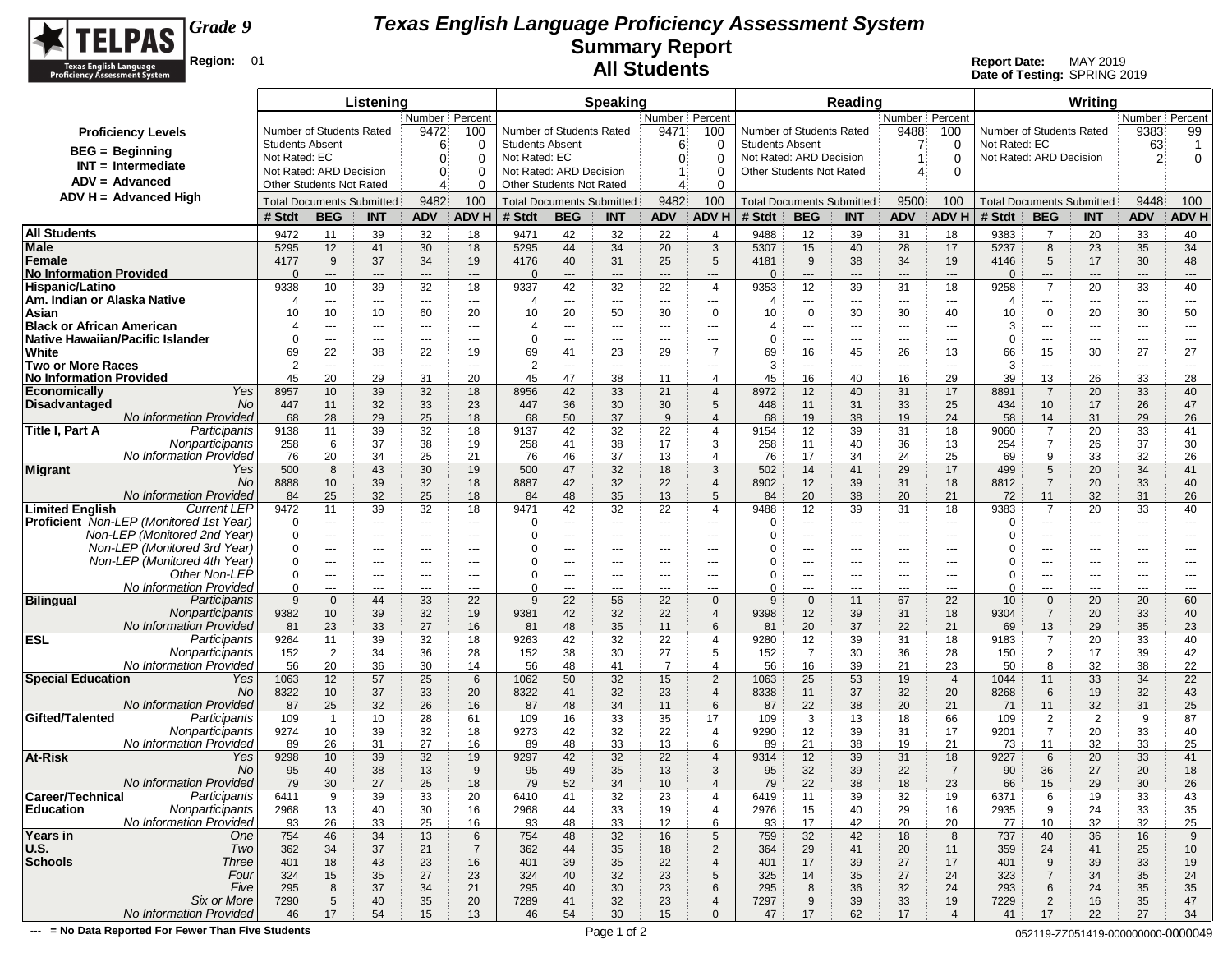

**Date of Testing:** SPRING 2019

|                                                                    |                        |                                                            | Listening   |                   |                          |                        |                                                     | <b>Speaking</b> |                  |                                            |                                 |                                  | Reading     |                                |                                |                          |                       | Writing                          |                      |                               |
|--------------------------------------------------------------------|------------------------|------------------------------------------------------------|-------------|-------------------|--------------------------|------------------------|-----------------------------------------------------|-----------------|------------------|--------------------------------------------|---------------------------------|----------------------------------|-------------|--------------------------------|--------------------------------|--------------------------|-----------------------|----------------------------------|----------------------|-------------------------------|
|                                                                    |                        |                                                            |             | Number   Percent  |                          |                        |                                                     |                 | Number   Percent |                                            |                                 |                                  |             | Number Percent                 |                                |                          |                       |                                  | Number   Percent     |                               |
| <b>Proficiency Levels</b>                                          |                        | Number of Students Rated                                   |             | 9472              | 100                      |                        | Number of Students Rated                            |                 | 9471             | 100                                        | Number of Students Rated        |                                  |             | 9488                           | 100                            | Number of Students Rated |                       |                                  | 9383                 | 99                            |
| <b>BEG</b> = Beginning                                             | <b>Students Absent</b> |                                                            |             | 6                 | 0                        | <b>Students Absent</b> |                                                     |                 | 6                | 0                                          | <b>Students Absent</b>          |                                  |             |                                | $\Omega$                       | Not Rated: EC            |                       |                                  | 63                   | $\overline{1}$                |
| $INT = Intermediate$                                               | Not Rated: EC          |                                                            |             | $\mathbf{0}$      | $\Omega$                 | Not Rated: EC          |                                                     |                 | 0                | 0                                          | Not Rated: ARD Decision         |                                  |             |                                | $\Omega$                       | Not Rated: ARD Decision  |                       |                                  | $\overline{2}$       | $\mathbf 0$                   |
| $ADV = Advanced$                                                   |                        | Not Rated: ARD Decision<br><b>Other Students Not Rated</b> |             | $\mathbf{0}$<br>4 | $\Omega$<br>$\Omega$     |                        | Not Rated: ARD Decision<br>Other Students Not Rated |                 | 4                | $\Omega$<br>$\Omega$                       | <b>Other Students Not Rated</b> |                                  |             | 4                              | $\Omega$                       |                          |                       |                                  |                      |                               |
| ADV H = Advanced High                                              |                        |                                                            |             |                   |                          |                        |                                                     |                 |                  |                                            |                                 |                                  |             |                                |                                |                          |                       |                                  |                      |                               |
|                                                                    |                        | <b>Total Documents Submitted</b>                           |             | 9482              | 100                      |                        | <b>Total Documents Submitted</b>                    |                 | 9482             | 100                                        |                                 | <b>Total Documents Submitted</b> |             | 9500                           | 100                            |                          |                       | <b>Total Documents Submitted</b> | 9448                 | 100                           |
|                                                                    | # Stdt                 | <b>BEG</b>                                                 | <b>INT</b>  | <b>ADV</b>        | <b>ADV H</b>             | # Stdt                 | <b>BEG</b>                                          | <b>INT</b>      | <b>ADV</b>       | ADV H                                      | # Stdt                          | <b>BEG</b>                       | <b>INT</b>  | <b>ADV</b>                     | <b>ADV H</b>                   | # Stdt                   | <b>BEG</b>            | <b>INT</b>                       | <b>ADV</b>           | <b>ADV H</b>                  |
| <b>All Students</b>                                                | 9472                   | 11                                                         | 39          | 32                | 18                       | 9471                   | 42                                                  | 32              | 22               | $\overline{4}$                             | 9488                            | 12                               | 39          | 31                             | 18                             | 9383                     | $\overline{7}$        | 20                               | 33                   | 40                            |
| Male                                                               | 5295                   | 12                                                         | 41          | 30                | 18                       | 5295                   | 44                                                  | 34              | 20               | 3                                          | 5307                            | 15                               | 40          | 28                             | 17                             | 5237                     | 8                     | 23                               | 35                   | 34                            |
| Female<br><b>No Information Provided</b>                           | 4177<br>$\Omega$       | 9<br>$---$                                                 | 37<br>---   | 34<br>$---$       | 19<br>$---$              | 4176<br>$\Omega$       | 40<br>$\overline{a}$                                | 31<br>---       | 25<br>---        | 5<br>---                                   | 4181<br>$\mathbf{0}$            | 9<br>$---$                       | 38<br>---   | 34<br>$\hspace{0.05cm} \cdots$ | 19<br>$\overline{\phantom{a}}$ | 4146<br>$\Omega$         | 5<br>---              | 17<br>---                        | 30<br>---            | 48<br>---                     |
| Hispanic/Latino                                                    | 9338                   | 10                                                         | 39          | 32                | 18                       | 9337                   | 42                                                  | 32              | 22               | $\overline{4}$                             | 9353                            | 12                               | 39          | 31                             | 18                             | 9258                     | $\overline{7}$        | 20                               | 33                   | 40                            |
| Am. Indian or Alaska Native                                        | 4                      | ---                                                        | ---         | $\cdots$          | $---$                    | 4                      | ---                                                 | ---             | ---              | ---                                        | 4                               | $\cdots$                         | ---         | $---$                          | ---                            | 4                        | $\cdots$              | ---                              | ---                  | ---                           |
| Asian                                                              | 10                     | 10                                                         | 10          | 60                | 20                       | 10                     | 20                                                  | 50              | 30               | 0                                          | 10                              | $\mathbf 0$                      | 30          | 30                             | 40                             | 10                       | 0                     | 20                               | 30                   | 50                            |
| <b>Black or African American</b>                                   |                        | $---$                                                      | $\cdots$    | $\cdots$          | $\hspace{0.05cm} \ldots$ | 4                      | $\cdots$                                            | $---$           | ---              | ---                                        |                                 | ---                              | ---         | $\cdots$                       | ---                            | 3                        | ---                   | ---                              | ---                  | $\cdots$                      |
| Native Hawaiian/Pacific Islander                                   | $\Omega$               | ---                                                        | ---         | ---               | $\cdots$                 | $\Omega$               | $\overline{a}$                                      | ---             | ---              | ---                                        | 0                               | $\cdots$                         | ---         | $\hspace{0.05cm} \ldots$       | ---                            | 0                        | ---                   | ---                              | ---                  | $\hspace{1.5cm} \textbf{---}$ |
| White                                                              | 69<br>$\overline{2}$   | 22                                                         | 38          | 22                | 19                       | 69                     | 41                                                  | 23              | 29               | $\overline{7}$                             | 69<br>3                         | 16                               | 45          | 26                             | 13                             | 66                       | 15                    | 30                               | 27                   | 27                            |
| <b>Two or More Races</b><br><b>No Information Provided</b>         | 45                     | ---<br>20                                                  | ---<br>29   | $\cdots$<br>31    | ---<br>20                | $\overline{2}$<br>45   | $\overline{a}$<br>47                                | ---<br>38       | ---<br>11        | $\overline{\phantom{a}}$<br>$\overline{4}$ | 45                              | ---<br>16                        | ---<br>40   | $\overline{a}$<br>16           | $\overline{\phantom{a}}$<br>29 | 3<br>39                  | ---<br>13             | ---<br>26                        | ---<br>33            | ---<br>28                     |
| <b>Economically</b><br>Yes                                         | 8957                   | 10                                                         | 39          | 32                | 18                       | 8956                   | 42                                                  | 33              | 21               | $\overline{4}$                             | 8972                            | 12                               | 40          | 31                             | 17                             | 8891                     | $\overline{7}$        | 20                               | 33                   | 40                            |
| <b>Disadvantaged</b><br>No                                         | 447                    | 11                                                         | 32          | 33                | 23                       | 447                    | 36                                                  | 30              | 30               | 5                                          | 448                             | 11                               | 31          | 33                             | 25                             | 434                      | 10                    | 17                               | 26                   | 47                            |
| <b>No Information Provided</b>                                     | 68                     | 28                                                         | 29          | 25                | 18                       | 68                     | 50                                                  | 37              | 9                | $\overline{4}$                             | 68                              | 19                               | 38          | 19                             | 24                             | 58                       | 14                    | 31                               | 29                   | 26                            |
| Title I, Part A<br>Participants                                    | 9138                   | 11                                                         | 39          | 32                | 18                       | 9137                   | 42                                                  | 32              | 22               | $\overline{4}$                             | 9154                            | 12                               | 39          | 31                             | 18                             | 9060                     | $\overline{7}$        | 20                               | 33                   | 41                            |
| Nonparticipants                                                    | 258                    | 6                                                          | 37          | 38                | 19                       | 258                    | 41                                                  | 38              | 17               | 3                                          | 258                             | 11                               | 40          | 36                             | 13                             | 254                      | $\overline{7}$        | 26                               | 37                   | 30                            |
| No Information Provided                                            | 76                     | 20                                                         | 34          | 25                | 21                       | 76                     | 46                                                  | 37              | 13               | $\overline{4}$                             | 76                              | 17                               | 34          | 24                             | 25                             | 69                       | 9                     | 33                               | 32                   | 26                            |
| Migrant<br>Yes                                                     | 500                    | 8                                                          | 43          | 30                | 19                       | 500                    | 47                                                  | 32              | 18               | 3                                          | 502                             | 14                               | 41          | 29                             | 17                             | 499                      | 5                     | 20                               | 34                   | 41                            |
| No<br>No Information Provided                                      | 8888<br>84             | 10<br>25                                                   | 39<br>32    | 32<br>25          | 18<br>18                 | 8887<br>84             | 42<br>48                                            | 32<br>35        | 22<br>13         | $\overline{4}$<br>5                        | 8902<br>84                      | 12<br>20                         | 39<br>38    | 31<br>20                       | 18<br>21                       | 8812<br>72               | $\overline{7}$<br>11  | 20<br>32                         | 33<br>31             | 40<br>26                      |
| <b>Limited English</b><br><b>Current LEP</b>                       | 9472                   | 11                                                         | 39          | 32                | 18                       | 9471                   | 42                                                  | 32              | 22               | $\overline{4}$                             | 9488                            | 12                               | 39          | 31                             | 18                             | 9383                     | $\overline{7}$        | 20                               | 33                   | 40                            |
| <b>Proficient</b> Non-LEP (Monitored 1st Year)                     | 0                      | $\scriptstyle\cdots$                                       | ---         | $\cdots$          | $\hspace{0.05cm} \ldots$ | 0                      | $\cdots$                                            | $\cdots$        | ---              | ---                                        | $\Omega$                        | ---                              | $\cdots$    | $\hspace{0.05cm} \ldots$       | ---                            | 0                        | ---                   | ---                              | $---$                | $\cdots$                      |
| Non-LEP (Monitored 2nd Year)                                       | 0                      | ---                                                        | $\cdots$    | ---               | $\cdots$                 | 0                      | $\overline{a}$                                      | ---             | ---              | ---                                        | 0                               | $\cdots$                         | $---$       | ---                            | $--$                           | 0                        | ---                   | ---                              | ---                  | ---                           |
| Non-LEP (Monitored 3rd Year)                                       | $\Omega$               | $--$                                                       | $---$       | $\cdots$          | $---$                    | 0                      | $---$                                               | $---$           | $---$            | $---$                                      | 0                               | $\cdots$                         | $---$       | ---                            | $- - -$                        | 0                        | $\cdots$              | ---                              | $---$                | $---$                         |
| Non-LEP (Monitored 4th Year)                                       | $\Omega$               | $---$                                                      | ---         | ---               |                          | $\Omega$               |                                                     | ---             |                  | ---                                        | ∩                               | ---                              | ---         | ---                            |                                | 0                        | ---                   | ---                              |                      | $---$                         |
| Other Non-LEP                                                      | 0                      | $\sim$ $\sim$                                              | $---$       | $---$             | $---$                    | 0<br>$\Omega$          | $---$                                               | $---$           | $---$            | $---$                                      | $\Omega$                        | $---$                            | $--$        | $---$                          | $---$                          | 0                        | $---$                 | $---$                            | $---$                | $---$                         |
| No Information Provided<br><b>Bilingual</b><br>Participants        | $\Omega$<br>9          | $- - -$<br>$\mathbf 0$                                     | $---$<br>44 | $---$<br>33       | $\sim$ $\sim$<br>22      | 9                      | $---$<br>22                                         | $- - -$<br>56   | $---$<br>22      | ---<br>$\Omega$                            | U<br>9                          | ---<br>$\Omega$                  | $---$<br>11 | $\hspace{0.05cm} \ldots$<br>67 | $-$<br>22                      | $\Omega$<br>10           | $---$<br>$\mathbf{0}$ | ---<br>20                        | $\overline{a}$<br>20 | $---$<br>60                   |
| Nonparticipants                                                    | 9382                   | 10                                                         | 39          | 32                | 19                       | 9381                   | 42                                                  | 32              | 22               | $\overline{4}$                             | 9398                            | 12                               | 39          | 31                             | 18                             | 9304                     | $\overline{7}$        | 20                               | 33                   | 40                            |
| <b>No Information Provided</b>                                     | 81                     | 23                                                         | 33          | 27                | 16                       | 81                     | 48                                                  | 35              | 11               | 6                                          | 81                              | 20                               | 37          | 22                             | 21                             | 69                       | 13                    | 29                               | 35                   | 23                            |
| <b>ESL</b><br>Participants                                         | 9264                   | 11                                                         | 39          | 32                | 18                       | 9263                   | 42                                                  | 32              | 22               | $\overline{4}$                             | 9280                            | 12                               | 39          | 31                             | 18                             | 9183                     | $\overline{7}$        | 20                               | 33                   | 40                            |
| Nonparticipants                                                    | 152                    | $\overline{2}$                                             | 34          | 36                | 28                       | 152                    | 38                                                  | 30              | 27               | 5                                          | 152                             | 7                                | 30          | 36                             | 28                             | 150                      | $\overline{2}$        | 17                               | 39                   | 42                            |
| No Information Provided                                            | 56                     | 20                                                         | 36          | 30                | 14                       | 56                     | 48                                                  | 41              | $\overline{7}$   | $\overline{4}$                             | 56                              | 16                               | 39          | 21                             | 23                             | 50                       | 8                     | 32                               | 38                   | 22                            |
| <b>Special Education</b><br>Yes<br>No                              | 1063<br>8322           | 12<br>10                                                   | 57<br>37    | 25<br>33          | 6<br>20                  | 1062<br>8322           | 50<br>41                                            | 32<br>32        | 15<br>23         | $\overline{2}$<br>$\overline{4}$           | 1063<br>8338                    | 25<br>11                         | 53<br>37    | 19<br>32                       | $\overline{4}$<br>20           | 1044<br>8268             | 11<br>6               | 33<br>19                         | 34<br>32             | 22<br>43                      |
| No Information Provided                                            | 87                     | 25                                                         | 32          | 26                | 16                       | 87                     | 48                                                  | 34              | 11               | 6                                          | 87                              | 22                               | 38          | 20                             | 21                             | 71                       | 11                    | 32                               | 31                   | 25                            |
| Gifted/Talented<br>Participants                                    | 109                    | $\overline{1}$                                             | 10          | 28                | 61                       | 109                    | 16                                                  | 33              | 35               | 17                                         | 109                             | 3                                | 13          | 18                             | 66                             | 109                      | $\overline{2}$        | $\overline{2}$                   | 9                    | 87                            |
| Nonparticipants                                                    | 9274                   | 10                                                         | 39          | 32                | 18                       | 9273                   | 42                                                  | 32              | 22               | $\overline{4}$                             | 9290                            | 12                               | 39          | 31                             | 17                             | 9201                     | $\overline{7}$        | 20                               | 33                   | 40                            |
| No Information Provided                                            | 89                     | 26                                                         | 31          | 27                | 16                       | 89                     | 48                                                  | 33              | 13               | 6                                          | 89                              | 21                               | 38          | 19                             | 21                             | 73                       | 11                    | 32                               | 33                   | 25                            |
| At-Risk<br>Yes                                                     | 9298                   | 10                                                         | 39          | 32                | 19                       | 9297                   | 42                                                  | 32              | 22               | $\overline{4}$                             | 9314                            | 12                               | 39          | 31                             | 18                             | 9227                     | 6                     | 20                               | 33                   | 41                            |
| No                                                                 | 95                     | 40                                                         | 38          | 13                | 9                        | 95                     | 49                                                  | 35              | 13               | 3                                          | 95                              | 32                               | 39          | 22                             | $\overline{7}$                 | 90                       | 36                    | 27                               | 20                   | 18                            |
| No Information Provided<br>Participants<br><b>Career/Technical</b> | 79<br>6411             | 30                                                         | 27          | 25                | 18                       | 79                     | 52                                                  | 34              | 10               | $\overline{4}$<br>$\overline{4}$           | 79                              | 22                               | 38          | 18                             | 23                             | 66                       | 15                    | 29                               | 30                   | 26                            |
| Education<br>Nonparticipants                                       | 2968                   | 9<br>13                                                    | 39<br>40    | 33<br>30          | 20<br>16                 | 6410<br>2968           | 41<br>44                                            | 32<br>33        | 23<br>19         | $\overline{4}$                             | 6419<br>2976                    | 11<br>15                         | 39<br>40    | 32<br>29                       | 19<br>16                       | 6371<br>2935             | 6<br>9                | 19<br>24                         | 33<br>33             | 43<br>35                      |
| No Information Provided                                            | 93                     | 26                                                         | 33          | 25                | 16                       | 93                     | 48                                                  | 33              | 12               | 6                                          | 93                              | 17                               | 42          | 20                             | 20                             | 77                       | 10                    | 32                               | 32                   | 25                            |
| Years in<br>One                                                    | 754                    | 46                                                         | 34          | 13                | 6                        | 754                    | 48                                                  | 32              | 16               | $5\phantom{.0}$                            | 759                             | 32                               | 42          | 18                             | 8                              | 737                      | 40                    | 36                               | 16                   | 9                             |
| U.S.<br>Two                                                        | 362                    | 34                                                         | 37          | 21                | $\overline{7}$           | 362                    | 44                                                  | 35              | 18               | $\overline{2}$                             | 364                             | 29                               | 41          | 20                             | 11                             | 359                      | 24                    | 41                               | 25                   | 10                            |
| <b>Schools</b><br><b>Three</b>                                     | 401                    | 18                                                         | 43          | 23                | 16                       | 401                    | 39                                                  | 35              | 22               | $\overline{4}$                             | 401                             | 17                               | 39          | 27                             | 17                             | 401                      | 9                     | 39                               | 33                   | 19                            |
| Four                                                               | 324                    | 15                                                         | 35          | 27                | 23                       | 324                    | 40                                                  | 32              | 23               | $\sqrt{5}$                                 | 325                             | 14                               | 35          | 27                             | 24                             | 323                      | $\overline{7}$        | 34                               | 35                   | 24                            |
| Five<br>Six or More                                                | 295<br>7290            | 8                                                          | 37          | 34                | 21                       | 295                    | 40                                                  | 30<br>32        | 23<br>23         | 6<br>$\overline{4}$                        | 295                             | 8<br>9                           | 36          | 32                             | 24                             | 293<br>7229              | 6<br>$\overline{2}$   | 24                               | 35                   | 35                            |
| No Information Provided                                            | 46                     | $\overline{5}$<br>17                                       | 40<br>54    | 35<br>15          | 20<br>13                 | 7289<br>46             | 41<br>54                                            | 30              | 15               | $\mathbf 0$                                | 7297<br>47                      | 17                               | 39<br>62    | 33<br>17                       | 19                             | 41                       | 17                    | 16<br>22                         | 35<br>27             | 47<br>34                      |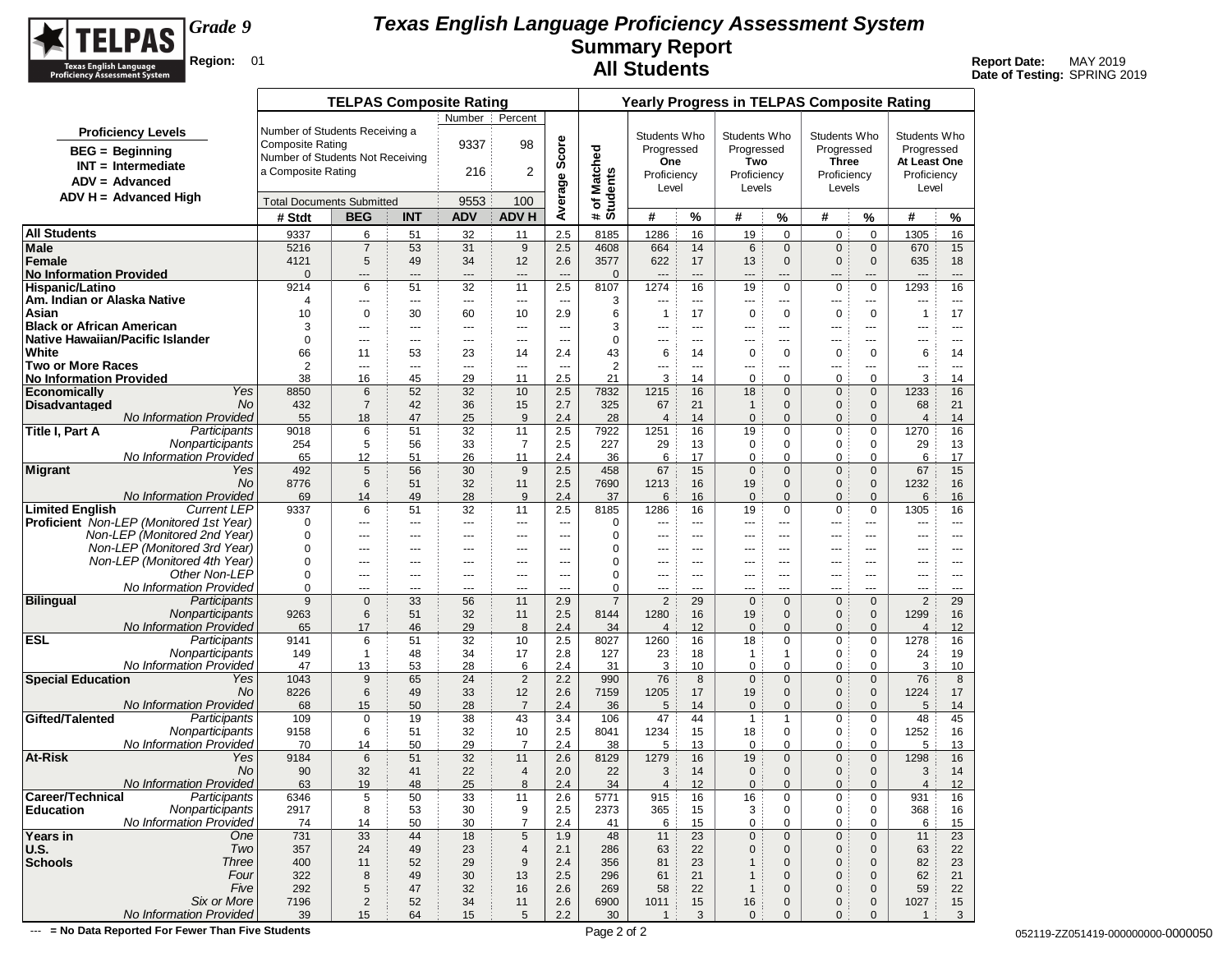

**Date of Testing:** SPRING 2019

|                                                                                |                         | <b>TELPAS Composite Rating</b>           |                                                                      |                       |                                  |                        |                        |                       | <b>Yearly Progress in TELPAS Composite Rating</b> |                              |                          |                             |                        |                   |
|--------------------------------------------------------------------------------|-------------------------|------------------------------------------|----------------------------------------------------------------------|-----------------------|----------------------------------|------------------------|------------------------|-----------------------|---------------------------------------------------|------------------------------|--------------------------|-----------------------------|------------------------|-------------------|
|                                                                                |                         |                                          | Number                                                               | Percent               |                                  |                        |                        |                       |                                                   |                              |                          |                             |                        |                   |
| <b>Proficiency Levels</b>                                                      |                         | Number of Students Receiving a           |                                                                      |                       |                                  |                        | Students Who           |                       | Students Who                                      |                              | Students Who             |                             | Students Who           |                   |
| <b>BEG</b> = Beginning                                                         | <b>Composite Rating</b> |                                          | 9337                                                                 | 98                    |                                  |                        | Progressed             |                       | Progressed                                        |                              | Progressed               |                             | Progressed             |                   |
| $INT = Intermediate$                                                           |                         | Number of Students Not Receiving         |                                                                      |                       |                                  |                        | One                    |                       | Two                                               |                              | Three                    |                             | At Least One           |                   |
| $ADV = Advanced$                                                               | a Composite Rating      |                                          | 216                                                                  | $\overline{2}$        |                                  | Matched                | Proficiency            |                       | Proficiency                                       |                              | Proficiency              |                             | Proficiency            |                   |
| ADV H = Advanced High                                                          |                         |                                          |                                                                      |                       |                                  |                        | Level                  |                       | Levels                                            |                              | Levels                   |                             | Level                  |                   |
|                                                                                |                         | <b>Total Documents Submitted</b>         | 9553                                                                 | 100<br><b>ADV H</b>   | Average Score                    | # of Matcl<br>Students | #                      |                       |                                                   |                              |                          |                             |                        |                   |
|                                                                                | # Stdt                  | <b>BEG</b><br><b>INT</b>                 | <b>ADV</b>                                                           |                       |                                  |                        |                        | %                     | #                                                 | %                            | #                        | $\%$                        | #                      | %                 |
| <b>All Students</b>                                                            | 9337<br>5216            | 6<br>$\overline{7}$                      | 51<br>32                                                             | 11<br>9               | 2.5                              | 8185<br>4608           | 1286<br>664            | 16<br>14              | 19                                                | 0<br>$\mathbf{0}$            | 0<br>$\mathbf{0}$        | $\mathbf 0$<br>$\mathbf{0}$ | 1305<br>670            | 16                |
| Male<br>Female                                                                 | 4121                    | 5                                        | 53<br>31<br>34<br>49                                                 | 12                    | 2.5<br>2.6                       | 3577                   | 622                    | 17                    | $6\phantom{1}6$<br>13                             | $\mathbf{0}$                 | 0                        | $\mathbf 0$                 | 635                    | 15<br>18          |
| <b>No Information Provided</b>                                                 | $\overline{0}$          | ---                                      | ---<br>$\overline{\phantom{a}}$                                      | ---                   | $\overline{a}$                   | $\mathbf{0}$           | $\overline{a}$         | $---$                 | ---                                               | ---                          | ---                      | ---                         | $---$                  | $---$             |
| Hispanic/Latino                                                                | 9214                    | 6                                        | 51<br>32                                                             | 11                    | 2.5                              | 8107                   | 1274                   | 16                    | 19                                                | 0                            | 0                        | $\mathbf 0$                 | 1293                   | 16                |
| Am. Indian or Alaska Native                                                    | 4                       | ---                                      | ---<br>---                                                           | ---                   | ---                              | 3                      | ---                    | $\overline{a}$        | ---                                               | $---$                        | $\overline{\phantom{a}}$ | ---                         | ---                    | $\cdots$          |
| Asian                                                                          | 10                      | $\mathbf 0$                              | 30<br>60                                                             | 10                    | 2.9                              | 6                      | $\overline{1}$         | 17                    | $\mathbf 0$                                       | 0                            | 0                        | $\mathbf 0$                 | $\mathbf{1}$           | 17                |
| <b>Black or African American</b><br>Native Hawaiian/Pacific Islander           | 3<br>0                  | $\overline{a}$<br>$\qquad \qquad \cdots$ | $---$<br>$\overline{a}$<br>---<br>---                                | $\overline{a}$<br>--- | $\overline{a}$<br>---            | 3<br>$\mathbf 0$       | $---$<br>---           | $\overline{a}$<br>--- | $---$                                             | $---$<br>---                 | $- - -$<br>---           | $\overline{a}$<br>---       | ---<br>---             | $---$<br>$\cdots$ |
| White                                                                          | 66                      | 11                                       | 53<br>23                                                             | 14                    | 2.4                              | 43                     | 6                      | 14                    | $---$<br>0                                        | 0                            | 0                        | 0                           | 6                      | 14                |
| <b>Two or More Races</b>                                                       | 2                       | $\overline{a}$                           | ---<br>$\overline{\phantom{a}}$                                      | $\overline{a}$        | $\sim$                           | $\overline{2}$         | ---                    | $- - -$               | ---                                               | $\overline{a}$               | $\overline{\phantom{a}}$ | ---                         | ---                    | $\sim$ $\sim$     |
| <b>No Information Provided</b>                                                 | 38                      | 16                                       | 45<br>29                                                             | 11                    | 2.5                              | 21                     | 3                      | 14                    | $\mathbf 0$                                       | 0                            | 0                        | $\mathbf 0$                 | 3                      | 14                |
| Yes<br><b>Economically</b>                                                     | 8850                    | 6                                        | 52<br>32                                                             | 10                    | 2.5                              | 7832                   | 1215                   | 16                    | 18                                                | $\mathbf{0}$                 | 0                        | $\mathbf 0$                 | 1233                   | 16                |
| <b>Disadvantaged</b><br>No                                                     | 432                     | $\overline{7}$                           | 42<br>36                                                             | 15                    | 2.7                              | 325                    | 67                     | 21                    | $\mathbf{1}$                                      | $\mathbf{0}$                 | $\mathbf{0}$             | $\mathbf 0$                 | 68                     | 21                |
| <b>No Information Provided</b><br>Title I, Part A<br>Participants              | 55                      | 18                                       | 25<br>47<br>51                                                       | 9<br>11               | 2.4                              | 28                     | $\overline{4}$         | 14<br>16              | $\mathbf{0}$                                      | $\mathbf{0}$<br>0            | $\mathbf{0}$             | $\mathbf{0}$                | $\overline{4}$<br>1270 | 14<br>16          |
| Nonparticipants                                                                | 9018<br>254             | 6<br>5                                   | 32<br>56<br>33                                                       | $\overline{7}$        | 2.5<br>2.5                       | 7922<br>227            | 1251<br>29             | 13                    | 19<br>$\mathbf 0$                                 | $\mathbf 0$                  | 0<br>0                   | 0<br>$\mathbf 0$            | 29                     | 13                |
| No Information Provided                                                        | 65                      | 12                                       | 51<br>26                                                             | 11                    | 2.4                              | 36                     | 6                      | 17                    | 0                                                 | 0                            | 0                        | 0                           | 6                      | 17                |
| <b>Migrant</b><br>Yes                                                          | 492                     | 5                                        | 56<br>30                                                             | 9                     | 2.5                              | 458                    | 67                     | 15                    | $\mathbf 0$                                       | $\mathbf{0}$                 | $\overline{0}$           | $\mathbf{0}$                | 67                     | 15                |
| No                                                                             | 8776                    | 6                                        | 51<br>32                                                             | 11                    | 2.5                              | 7690                   | 1213                   | 16                    | 19                                                | $\mathbf{0}$                 | 0                        | $\mathbf 0$                 | 1232                   | 16                |
| No Information Provided                                                        | 69                      | 14                                       | 49<br>28                                                             | 9                     | 2.4                              | 37                     | 6                      | 16                    | $\mathbf 0$                                       | $\Omega$                     | $\Omega$                 | $\mathbf{0}$                | 6                      | 16                |
| <b>Limited English</b><br><b>Current LEP</b>                                   | 9337                    | 6                                        | 51<br>32                                                             | 11                    | 2.5                              | 8185                   | 1286                   | 16                    | 19                                                | $\mathbf 0$                  | 0                        | $\mathbf 0$                 | 1305                   | 16                |
| <b>Proficient</b> Non-LEP (Monitored 1st Year)<br>Non-LEP (Monitored 2nd Year) | 0<br>0                  | ---<br>---                               | $\overline{\phantom{a}}$<br>$---$<br>$\overline{\phantom{a}}$<br>--- | $\overline{a}$<br>--- | $\overline{a}$<br>$\overline{a}$ | 0<br>$\mathbf 0$       | ---<br>---             | $---$<br>---          | $---$<br>---                                      | $---$<br>---                 | $- - -$<br>---           | ---<br>$\overline{a}$       | ---<br>---             | $- - -$<br>$---$  |
| Non-LEP (Monitored 3rd Year)                                                   | 0                       | ---                                      | ---<br>---                                                           | ---                   | ---                              | $\mathbf 0$            | ---                    | ---                   | ---                                               | ---                          | ---                      | ---                         | ---                    | $- - -$           |
| Non-LEP (Monitored 4th Year)                                                   | 0                       | $---$                                    | $---$<br>$---$                                                       | $---$                 | $---$                            | 0                      | $---$                  | $---$                 | $---$                                             | $---$                        | $- - -$                  | ---                         | ---                    | $---$             |
| Other Non-LEP                                                                  | 0                       | ---                                      | $\overline{\phantom{a}}$<br>---                                      | ---                   | $\overline{a}$                   | $\mathbf 0$            | ---                    | ---                   | ---                                               | ---                          | $\overline{a}$           | ---                         | ---                    | $\overline{a}$    |
| No Information Provided                                                        | 0                       | $---$                                    | $---$<br>$---$                                                       | $---$                 | $- - -$                          | $\mathbf 0$            | $---$                  | $- - -$               | $---$                                             | $---$                        | $---$                    | $- - -$                     | $---$                  | $\sim$ $\sim$     |
| <b>Bilingual</b><br>Participants                                               | 9                       | $\mathbf 0$                              | 33<br>56                                                             | 11                    | 2.9                              | $\overline{7}$         | $\sqrt{2}$             | 29                    | $\mathbf 0$                                       | $\mathbf{0}$                 | $\overline{0}$           | $\mathbf{0}$                | $\overline{2}$         | 29                |
| Nonparticipants<br>No Information Provided                                     | 9263                    | 6                                        | 32<br>51                                                             | 11                    | 2.5                              | 8144                   | 1280                   | 16                    | 19                                                | $\mathbf{0}$<br>$\Omega$     | 0<br>$\Omega$            | $\mathbf 0$                 | 1299                   | 16                |
| <b>ESL</b><br>Participants                                                     | 65<br>9141              | 17<br>6                                  | 46<br>29<br>51<br>32                                                 | 8<br>10               | 2.4<br>2.5                       | 34<br>8027             | $\overline{4}$<br>1260 | 12<br>16              | $\mathbf 0$<br>18                                 | $\mathbf{0}$                 | 0                        | $\mathbf{0}$<br>$\mathbf 0$ | $\overline{4}$<br>1278 | 12<br>16          |
| Nonparticipants                                                                | 149                     | $\mathbf{1}$                             | 48<br>34                                                             | 17                    | 2.8                              | 127                    | 23                     | 18                    | $\mathbf{1}$                                      | 1                            | 0                        | 0                           | 24                     | 19                |
| No Information Provided                                                        | 47                      | 13                                       | 53<br>28                                                             | 6                     | 2.4                              | 31                     | 3                      | 10                    | $\mathbf 0$                                       | $\mathbf 0$                  | 0                        | $\mathbf 0$                 | 3                      | 10                |
| <b>Special Education</b><br>Yes                                                | 1043                    | 9                                        | 65<br>24                                                             | $\overline{2}$        | 2.2                              | 990                    | 76                     | 8                     | $\mathbf 0$                                       | $\mathbf{0}$                 | $\mathbf{0}$             | $\mathbf 0$                 | 76                     | 8                 |
| No                                                                             | 8226                    | $6\phantom{1}$                           | 49<br>33                                                             | 12                    | 2.6                              | 7159                   | 1205                   | 17                    | 19                                                | $\mathbf{0}$                 | 0                        | $\mathbf 0$                 | 1224                   | 17                |
| <b>No Information Provided</b><br>Gifted/Talented<br>Participants              | 68<br>109               | 15<br>$\mathbf 0$                        | 50<br>28<br>19<br>38                                                 | $\overline{7}$<br>43  | 2.4<br>3.4                       | 36                     | 5<br>47                | 14<br>44              | $\mathbf 0$<br>$\mathbf{1}$                       | $\mathbf{0}$<br>$\mathbf{1}$ | $\mathbf{0}$<br>0        | $\mathbf{0}$<br>0           | 5<br>48                | 14<br>45          |
| Nonparticipants                                                                | 9158                    | 6                                        | 32<br>51                                                             | 10                    | 2.5                              | 106<br>8041            | 1234                   | 15                    | 18                                                | $\mathbf 0$                  | 0                        | 0                           | 1252                   | 16                |
| No Information Provided                                                        | 70                      | 14                                       | 29<br>50                                                             | $\overline{7}$        | 2.4                              | 38                     | 5                      | 13                    | $\mathbf 0$                                       | 0                            | 0                        | $\mathbf 0$                 | 5                      | 13                |
| At-Risk<br>Yes                                                                 | 9184                    | 6                                        | 51<br>32                                                             | 11                    | 2.6                              | 8129                   | 1279                   | 16                    | 19                                                | $\mathbf{0}$                 | 0                        | $\mathbf 0$                 | 1298                   | 16                |
| No                                                                             | 90                      | 32                                       | 41<br>22                                                             | $\overline{4}$        | 2.0                              | 22                     | 3                      | 14                    | $\mathbf 0$                                       | $\mathbf{0}$                 | $\mathbf{0}$             | $\mathbf{0}$                | 3                      | 14                |
| No Information Provided                                                        | 63                      | 19                                       | 25<br>48                                                             | 8                     | 2.4                              | 34                     | 4                      | 12                    | $\mathbf{0}$                                      | $\mathbf{0}$                 | $\mathbf{0}$             | $\mathbf 0$                 | $\overline{4}$         | 12                |
| Career/Technical<br>Participants<br>Nonparticipants<br><b>Education</b>        | 6346                    | 5                                        | 33<br>50                                                             | 11                    | $2.6\,$<br>2.5                   | 5771                   | 915                    | $16\,$                | 16                                                | $\pmb{0}$                    | $\pmb{0}$                | $\pmb{0}$                   | 931                    | 16                |
| No Information Provided                                                        | 2917<br>74              | 8<br>14                                  | 53<br>30<br>50<br>30                                                 | 9<br>$\overline{7}$   | 2.4                              | 2373<br>41             | 365<br>6               | 15<br>15              | 3<br>$\mathbf 0$                                  | 0<br>0                       | 0<br>0                   | 0<br>0                      | 368<br>6               | 16<br>15          |
| Years in<br>One                                                                | 731                     | 33                                       | 44<br>18                                                             | $\sqrt{5}$            | 1.9                              | 48                     | 11                     | 23                    | $\mathbf 0$                                       | $\mathbf 0$                  | $\mathbf 0$              | $\mathbf 0$                 | 11                     | 23                |
| Two<br><b>U.S.</b>                                                             | 357                     | 24                                       | 23<br>49                                                             | $\overline{4}$        | 2.1                              | 286                    | 63                     | 22                    | $\mathbf 0$                                       | $\mathbf{0}$                 | 0                        | $\mathbf 0$                 | 63                     | 22                |
| <b>Schools</b><br><b>Three</b>                                                 | 400                     | 11                                       | 29<br>52                                                             | $\boldsymbol{9}$      | 2.4                              | 356                    | 81                     | 23                    | $\mathbf{1}$                                      | $\mathbf{0}$                 | 0                        | $\mathbf 0$                 | 82                     | 23                |
| Four                                                                           | 322                     | 8                                        | 49<br>30                                                             | 13                    | 2.5                              | 296                    | 61                     | 21                    | $\overline{1}$                                    | $\mathbf 0$                  | 0                        | $\mathbf 0$                 | 62                     | 21                |
| Five                                                                           | 292                     | $\sqrt{5}$                               | 47<br>32                                                             | 16                    | 2.6                              | 269                    | 58                     | 22                    | $\mathbf{1}$                                      | $\mathbf 0$                  | 0                        | $\mathbf 0$                 | 59                     | 22                |
| Six or More<br>No Information Provided                                         | 7196<br>39              | $\sqrt{2}$                               | 52<br>34<br>64                                                       | 11<br>5               | 2.6                              | 6900<br>30             | 1011                   | $15\,$<br>3           | 16<br>$\mathbf 0$                                 | $\mathbf 0$<br>$\mathbf{0}$  | 0                        | $\mathbf 0$<br>$\mathbf{0}$ | 1027<br>$\overline{1}$ | 15<br>3           |
|                                                                                |                         | 15                                       | 15                                                                   |                       | 2.2                              |                        | $\overline{1}$         |                       |                                                   |                              | 0                        |                             |                        |                   |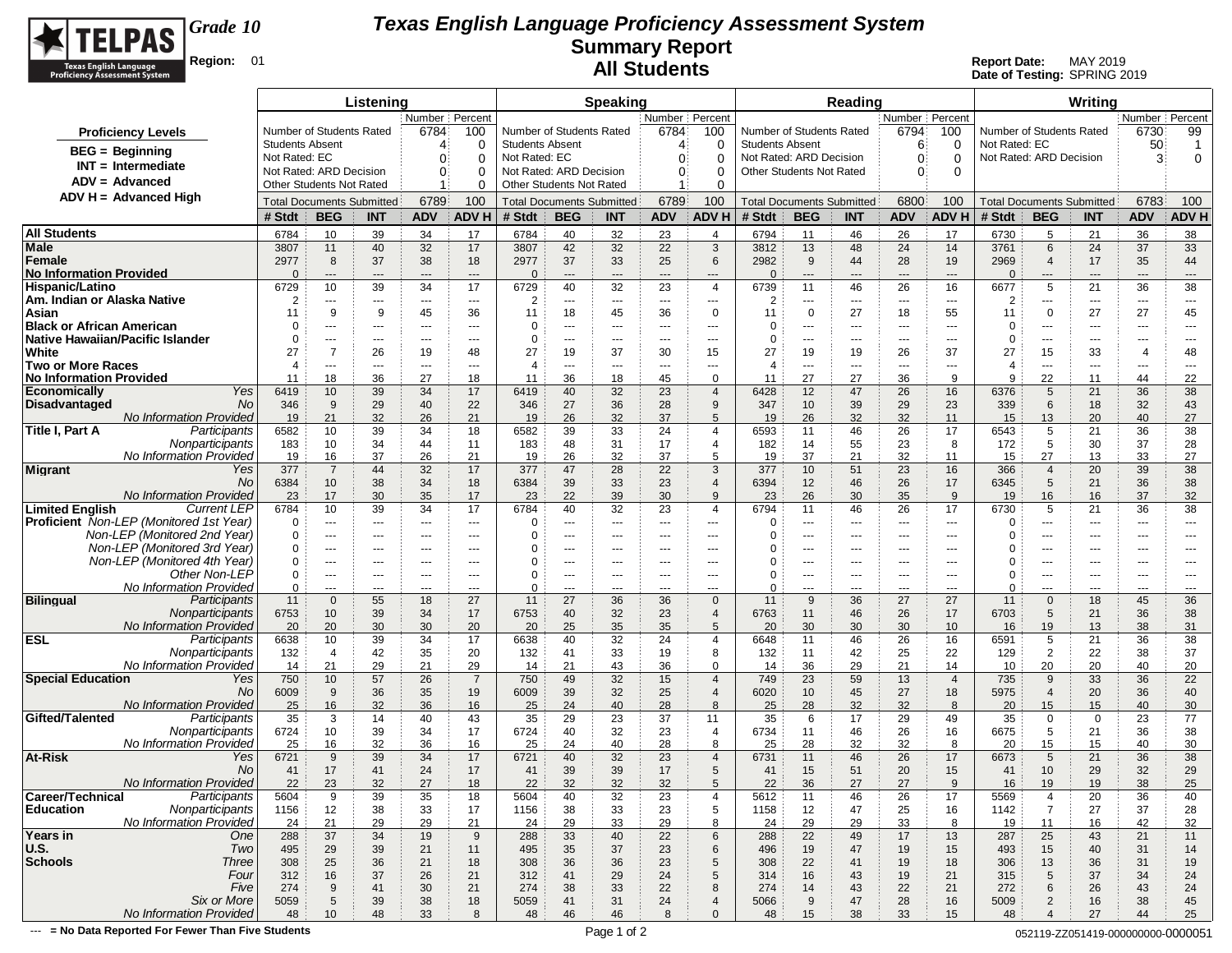

**Date of Testing:** SPRING 2019

|                                                                                |                        |                                  | Listening   |                      |                |                        |                                                     | <b>Speaking</b>      |                  |                                            |                                  |                               | Reading     |                                                |                |                          |                          | Writing                          |                      |                                     |
|--------------------------------------------------------------------------------|------------------------|----------------------------------|-------------|----------------------|----------------|------------------------|-----------------------------------------------------|----------------------|------------------|--------------------------------------------|----------------------------------|-------------------------------|-------------|------------------------------------------------|----------------|--------------------------|--------------------------|----------------------------------|----------------------|-------------------------------------|
|                                                                                |                        |                                  |             | Number   Percent     |                |                        |                                                     |                      | Number   Percent |                                            |                                  |                               |             | Number Percent                                 |                |                          |                          |                                  | Number   Percent     |                                     |
| <b>Proficiency Levels</b>                                                      |                        | Number of Students Rated         |             | 6784                 | 100            |                        | Number of Students Rated                            |                      | 6784             | 100                                        | Number of Students Rated         |                               |             | 6794                                           | 100            | Number of Students Rated |                          |                                  | 6730                 | 99                                  |
| <b>BEG</b> = Beginning                                                         | <b>Students Absent</b> |                                  |             | 4                    | 0              | <b>Students Absent</b> |                                                     |                      | 4                | 0                                          | <b>Students Absent</b>           |                               |             | 6                                              | 0              | Not Rated: EC            |                          |                                  | 50                   | $\overline{1}$                      |
| $INT = Intermediate$                                                           | Not Rated: EC          |                                  |             | $\Omega$             | $\Omega$       | Not Rated: EC          |                                                     |                      | 0                | $\Omega$                                   | Not Rated: ARD Decision          |                               |             | $\Omega$                                       | $\Omega$       | Not Rated: ARD Decision  |                          |                                  | 3                    | 0                                   |
| $ADV = Advanced$                                                               |                        | Not Rated: ARD Decision          |             | $\mathbf{0}$         | $\Omega$       |                        | Not Rated: ARD Decision<br>Other Students Not Rated |                      | 0                | 0                                          | Other Students Not Rated         |                               |             | $\Omega$                                       | $\Omega$       |                          |                          |                                  |                      |                                     |
| ADV H = Advanced High                                                          |                        | <b>Other Students Not Rated</b>  |             |                      | $\Omega$       |                        |                                                     |                      |                  | 0                                          |                                  |                               |             |                                                |                |                          |                          |                                  |                      |                                     |
|                                                                                |                        | <b>Total Documents Submitted</b> |             | 6789                 | 100            |                        | <b>Total Documents Submitted</b>                    |                      | 6789             | 100                                        | <b>Total Documents Submitted</b> |                               |             | 6800                                           | 100            |                          |                          | <b>Total Documents Submitted</b> | 6783                 | 100                                 |
|                                                                                | # Stdt                 | <b>BEG</b>                       | <b>INT</b>  | <b>ADV</b>           | <b>ADV H</b>   | # Stdt                 | <b>BEG</b>                                          | <b>INT</b>           | <b>ADV</b>       | <b>ADV H</b>                               | # Stdt                           | <b>BEG</b>                    | <b>INT</b>  | <b>ADV</b>                                     | <b>ADV H</b>   | # Stdt                   | <b>BEG</b>               | <b>INT</b>                       | <b>ADV</b>           | ADV H                               |
| <b>All Students</b>                                                            | 6784                   | 10                               | 39          | 34                   | 17             | 6784                   | 40                                                  | 32                   | 23               | $\overline{4}$                             | 6794                             | 11                            | 46          | 26                                             | 17             | 6730                     | 5                        | 21                               | 36                   | 38                                  |
| <b>Male</b>                                                                    | 3807                   | 11                               | 40          | 32                   | 17             | 3807                   | 42                                                  | 32                   | 22               | $\mathbf{3}$                               | 3812                             | 13                            | 48          | 24                                             | 14             | 3761                     | 6                        | 24                               | 37                   | 33                                  |
| Female                                                                         | 2977<br>$\Omega$       | 8                                | 37          | 38                   | 18             | 2977<br>$\Omega$       | 37                                                  | 33                   | 25               | 6                                          | 2982<br>$\Omega$                 | 9                             | 44          | 28                                             | 19             | 2969                     | $\overline{4}$           | 17                               | 35                   | 44                                  |
| No Information Provided<br>Hispanic/Latino                                     | 6729                   | $\qquad \qquad \cdots$<br>10     | $---$<br>39 | $---$<br>34          | $---$<br>17    | 6729                   | $---$<br>40                                         | $\overline{a}$<br>32 | $\cdots$<br>23   | $\overline{\phantom{a}}$<br>$\overline{4}$ | 6739                             | $\qquad \qquad -\qquad$<br>11 | $---$<br>46 | $\hspace{0.05cm} \ldots \hspace{0.05cm}$<br>26 | $---$<br>16    | $\Omega$<br>6677         | $\qquad \qquad - -$<br>5 | ---<br>21                        | ---<br>36            | $\hspace{1.5cm} \textbf{---}$<br>38 |
| Am. Indian or Alaska Native                                                    | 2                      | $\overline{\phantom{a}}$         | $\cdots$    | $\sim$ $\sim$ $\sim$ | $\sim$ $\sim$  | 2                      | $- - -$                                             | ---                  | $---$            | $\cdots$                                   | 2                                | ---                           | $--$        | $\hspace{0.05cm} \ldots$                       | $\sim$ $\sim$  | 2                        | $\cdots$                 | ---                              | $\scriptstyle\cdots$ | $- - -$                             |
| Asian                                                                          | 11                     | 9                                | 9           | 45                   | 36             | 11                     | 18                                                  | 45                   | 36               | 0                                          | 11                               | 0                             | 27          | 18                                             | 55             | 11                       | $\mathbf 0$              | 27                               | 27                   | 45                                  |
| <b>Black or African American</b>                                               | $\Omega$               | ---                              | $\cdots$    | ---                  | $---$          | 0                      | $---$                                               | ---                  | ---              | ---                                        | 0                                | $\cdots$                      | ---         | $---$                                          | $- - -$        | 0                        | ---                      | ---                              | ---                  | ---                                 |
| Native Hawaiian/Pacific Islander                                               | $\Omega$               | $\cdots$                         | $--$        | ---                  | $---$          | 0                      | $\cdots$                                            | $---$                | ---              | $---$                                      | $\Omega$                         | $\cdots$                      | ---         | $\sim$ $\sim$                                  | $\cdots$       | $\Omega$                 | ---                      | $---$                            | $---$                | $---$                               |
| White                                                                          | 27                     | $\overline{7}$                   | 26          | 19                   | 48             | 27                     | 19                                                  | 37                   | 30               | 15                                         | 27                               | 19                            | 19          | 26                                             | 37             | 27                       | 15                       | 33                               | $\overline{4}$       | 48                                  |
| <b>Two or More Races</b>                                                       | $\overline{4}$         | $---$                            | $\cdots$    | ---                  | $---$          | $\overline{4}$         | ---                                                 | $---$                | ---              | ---                                        | $\overline{4}$                   | $\cdots$                      | ---         | $\overline{\phantom{a}}$                       | $---$          | 4                        | ---                      | ---                              | ---                  | $---$                               |
| No Information Provided<br>Yes                                                 | 11                     | 18                               | 36          | 27                   | 18             | 11                     | 36                                                  | 18                   | 45               | 0                                          | 11                               | 27                            | 27          | 36                                             | 9              | 9                        | 22                       | 11                               | 44                   | 22                                  |
| <b>Economically</b><br><b>No</b><br>Disadvantaged                              | 6419<br>346            | 10<br>9                          | 39<br>29    | 34<br>40             | 17<br>22       | 6419<br>346            | 40<br>27                                            | 32<br>36             | 23<br>28         | $\overline{4}$<br>9                        | 6428<br>347                      | 12<br>10                      | 47<br>39    | 26<br>29                                       | 16<br>23       | 6376<br>339              | 5<br>6                   | 21<br>18                         | 36<br>32             | 38<br>43                            |
| <b>No Information Provided</b>                                                 | 19                     | 21                               | 32          | 26                   | 21             | 19                     | 26                                                  | 32                   | 37               | 5                                          | 19                               | 26                            | 32          | 32                                             | 11             | 15                       | 13                       | 20                               | 40                   | 27                                  |
| Participants<br>Title I, Part A                                                | 6582                   | 10                               | 39          | 34                   | 18             | 6582                   | 39                                                  | 33                   | 24               | $\overline{4}$                             | 6593                             | 11                            | 46          | 26                                             | 17             | 6543                     | 5                        | 21                               | 36                   | 38                                  |
| Nonparticipants                                                                | 183                    | 10                               | 34          | 44                   | 11             | 183                    | 48                                                  | 31                   | 17               | $\overline{4}$                             | 182                              | 14                            | 55          | 23                                             | 8              | 172                      | 5                        | 30                               | 37                   | 28                                  |
| No Information Provided                                                        | 19                     | 16                               | 37          | 26                   | 21             | 19                     | 26                                                  | 32                   | 37               | 5                                          | 19                               | 37                            | 21          | 32                                             | 11             | 15                       | 27                       | 13                               | 33                   | 27                                  |
| Yes<br><b>Migrant</b>                                                          | 377                    | $\overline{7}$                   | 44          | 32                   | 17             | 377                    | 47                                                  | 28                   | 22               | 3                                          | 377                              | 10                            | 51          | 23                                             | 16             | 366                      | $\overline{4}$           | 20                               | 39                   | 38                                  |
| No.                                                                            | 6384                   | 10                               | 38          | 34                   | 18             | 6384                   | 39                                                  | 33                   | 23               | $\overline{4}$                             | 6394                             | 12                            | 46          | 26                                             | 17             | 6345                     | 5                        | 21                               | 36                   | 38                                  |
| <b>No Information Provided</b><br><b>Limited English</b><br><b>Current LEP</b> | 23<br>6784             | 17<br>10                         | 30<br>39    | 35<br>34             | 17<br>17       | 23<br>6784             | 22<br>40                                            | 39<br>32             | 30<br>23         | 9<br>$\overline{4}$                        | 23<br>6794                       | 26<br>11                      | 30<br>46    | 35<br>26                                       | 9<br>17        | 19<br>6730               | 16<br>5                  | 16<br>21                         | 37<br>36             | 32<br>38                            |
| <b>Proficient</b> Non-LEP (Monitored 1st Year)                                 | 0                      | $---$                            | $\cdots$    | $\cdots$             | $---$          | 0                      | ---                                                 | $---$                | ---              | ---                                        | $\Omega$                         | $\cdots$                      | ---         | $---$                                          | $---$          | 0                        | ---                      | ---                              | ---                  | ---                                 |
| Non-LEP (Monitored 2nd Year)                                                   | $\Omega$               | $---$                            | $\cdots$    | $\cdots$             | $---$          | $\Omega$               | $---$                                               | $---$                | $---$            | $\cdots$                                   | O                                | $\cdots$                      | ---         | $\cdots$                                       | $\cdots$       | 0                        | ---                      | $\cdots$                         | $---$                | $\cdots$                            |
| Non-LEP (Monitored 3rd Year)                                                   | $\Omega$               | $---$                            | $\cdots$    | ---                  | $---$          | $\Omega$               | ---                                                 | ---                  | ---              | $\cdots$                                   |                                  | $\cdots$                      | ---         | $---$                                          | $---$          | 0                        | ---                      | ---                              | ---                  | ---                                 |
| Non-LEP (Monitored 4th Year)                                                   | $\Omega$               | $---$                            | $---$       | $---$                | $---$          | 0                      | $---$                                               | $---$                | $---$            | $---$                                      |                                  | $\cdots$                      | ---         | $---$                                          | $---$          | 0                        | $---$                    | $---$                            | $---$                | $---$                               |
| Other Non-LEP                                                                  | $\Omega$               | $---$                            | $\cdots$    | $\cdots$             | $---$          | 0                      | ---                                                 | $---$                | ---              | $--$                                       | 0                                | $\cdots$                      | ---         | $\overline{a}$                                 | $---$          | 0                        | ---                      | ---                              | $---$                | $---$                               |
| No Information Provided                                                        | $\Omega$               | ---                              | $\cdots$    | $---$                | $- - -$        | $\Omega$               | $---$                                               | ---                  | $\overline{a}$   | ---                                        | $\Omega$                         | $\cdots$                      | ---         | $---$                                          | $- - -$        | 0                        | ---                      | ---                              | ---                  | $\overline{a}$                      |
| <b>Bilingual</b><br>Participants<br>Nonparticipants                            | 11<br>6753             | $\mathbf{0}$<br>10               | 55<br>39    | 18<br>34             | 27<br>17       | 11<br>6753             | 27<br>40                                            | 36<br>32             | 36<br>23         | $\Omega$<br>$\overline{4}$                 | 11<br>6763                       | 9<br>11                       | 36<br>46    | 27<br>26                                       | 27<br>17       | 11<br>6703               | $\overline{0}$<br>5      | 18<br>21                         | 45<br>36             | 36<br>38                            |
| No Information Provided                                                        | 20                     | 20                               | 30          | 30                   | 20             | 20                     | 25                                                  | 35                   | 35               | 5                                          | 20                               | 30                            | 30          | 30                                             | 10             | 16                       | 19                       | 13                               | 38                   | 31                                  |
| <b>ESL</b><br>Participants                                                     | 6638                   | 10                               | 39          | 34                   | 17             | 6638                   | 40                                                  | 32                   | 24               | $\overline{4}$                             | 6648                             | 11                            | 46          | 26                                             | 16             | 6591                     | 5                        | 21                               | 36                   | 38                                  |
| Nonparticipants                                                                | 132                    | $\overline{4}$                   | 42          | 35                   | 20             | 132                    | 41                                                  | 33                   | 19               | 8                                          | 132                              | 11                            | 42          | 25                                             | 22             | 129                      | 2                        | 22                               | 38                   | 37                                  |
| No Information Provided                                                        | 14                     | 21                               | 29          | 21                   | 29             | 14                     | 21                                                  | 43                   | 36               | $\mathbf 0$                                | 14                               | 36                            | 29          | 21                                             | 14             | 10                       | 20                       | 20                               | 40                   | 20                                  |
| <b>Special Education</b><br>Yes                                                | 750                    | 10                               | 57          | 26                   | $\overline{7}$ | 750                    | 49                                                  | 32                   | 15               | $\overline{4}$                             | 749                              | 23                            | 59          | 13                                             | $\overline{4}$ | 735                      | 9                        | 33                               | 36                   | 22                                  |
| No<br><b>No Information Provided</b>                                           | 6009<br>25             | 9<br>16                          | 36<br>32    | 35<br>36             | 19             | 6009<br>25             | 39<br>24                                            | 32<br>40             | 25               | $\overline{4}$<br>8                        | 6020<br>25                       | 10<br>28                      | 45<br>32    | 27<br>32                                       | 18<br>8        | 5975<br>20               | $\overline{4}$<br>15     | 20<br>15                         | 36<br>40             | 40<br>30                            |
| Gifted/Talented<br>Participants                                                | 35                     | 3                                | 14          | 40                   | 16<br>43       | 35                     | 29                                                  | 23                   | 28<br>37         | 11                                         | 35                               | 6                             | 17          | 29                                             | 49             | 35                       | 0                        | $\mathbf 0$                      | 23                   | 77                                  |
| Nonparticipants                                                                | 6724                   | 10                               | 39          | 34                   | 17             | 6724                   | 40                                                  | 32                   | 23               | $\overline{4}$                             | 6734                             | 11                            | 46          | 26                                             | 16             | 6675                     | 5                        | 21                               | 36                   | 38                                  |
| No Information Provided                                                        | 25                     | 16                               | 32          | 36                   | 16             | 25                     | 24                                                  | 40                   | 28               | 8                                          | 25                               | 28                            | 32          | 32                                             | 8              | 20                       | 15                       | 15                               | 40                   | 30                                  |
| At-Risk<br>Yes                                                                 | 6721                   | 9                                | 39          | 34                   | 17             | 6721                   | 40                                                  | 32                   | 23               | $\overline{4}$                             | 6731                             | 11                            | 46          | 26                                             | 17             | 6673                     | 5                        | 21                               | 36                   | 38                                  |
| No                                                                             | 41                     | 17                               | 41          | 24                   | 17             | 41                     | 39                                                  | 39                   | 17               | 5                                          | 41                               | 15                            | 51          | 20                                             | 15             | 41                       | 10                       | 29                               | 32                   | 29                                  |
| No Information Provided                                                        | 22                     | 23                               | 32          | 27                   | 18             | 22                     | 32                                                  | 32                   | 32               | 5                                          | 22                               | 36                            | 27          | 27                                             | 9              | 16                       | 19                       | 19                               | 38                   | 25                                  |
| Participants<br>Career/Technical                                               | 5604                   | 9                                | 39          | 35                   | 18             | 5604                   | 40                                                  | 32                   | 23               | $\overline{4}$                             | 5612                             | 11                            | 46          | 26                                             | 17             | 5569                     | 4                        | 20                               | 36                   | 40                                  |
| <b>Education</b><br>Nonparticipants<br>No Information Provided                 | 1156<br>24             | 12<br>21                         | 38<br>29    | 33<br>29             | 17<br>21       | 1156<br>24             | 38<br>29                                            | 33<br>33             | 23<br>29         | 5<br>8                                     | 1158<br>24                       | 12<br>29                      | 47<br>29    | 25<br>33                                       | 16<br>8        | 1142<br>19               | 7<br>11                  | 27<br>16                         | 37<br>42             | 28<br>32                            |
| Years in<br>One                                                                | 288                    | 37                               | 34          | 19                   | 9              | 288                    | 33                                                  | 40                   | 22               | $\,6$                                      | 288                              | 22                            | 49          | 17                                             | 13             | 287                      | 25                       | 43                               | 21                   | 11                                  |
| U.S.<br>Two                                                                    | 495                    | 29                               | 39          | 21                   | 11             | 495                    | 35                                                  | 37                   | 23               | 6                                          | 496                              | 19                            | 47          | 19                                             | 15             | 493                      | 15                       | 40                               | 31                   | 14                                  |
| <b>Schools</b><br><b>Three</b>                                                 | 308                    | 25                               | 36          | 21                   | 18             | 308                    | 36                                                  | 36                   | 23               | $\sqrt{5}$                                 | 308                              | 22                            | 41          | 19                                             | 18             | 306                      | 13                       | 36                               | 31                   | 19                                  |
| Four                                                                           | 312                    | 16                               | 37          | 26                   | 21             | 312                    | 41                                                  | 29                   | 24               | $\sqrt{5}$                                 | 314                              | 16                            | 43          | 19                                             | 21             | 315                      | 5                        | 37                               | 34                   | 24                                  |
| Five                                                                           | 274                    | 9                                | 41          | 30                   | 21             | 274                    | 38                                                  | 33                   | 22               | 8                                          | 274                              | 14                            | 43          | 22                                             | 21             | 272                      | 6                        | 26                               | 43                   | 24                                  |
| Six or More                                                                    | 5059                   | $\sqrt{5}$                       | 39          | 38                   | 18             | 5059                   | 41                                                  | 31                   | 24               | $\overline{4}$                             | 5066                             | 9                             | 47          | 28                                             | 16             | 5009                     | $\overline{2}$           | 16                               | 38                   | 45                                  |
| No Information Provided                                                        | 48                     | 10                               | 48          | 33                   | 8              | 48                     | 46                                                  | 46                   | 8                | $\Omega$                                   | 48                               | 15                            | 38          | 33                                             | 15             | 48                       |                          | 27                               | 44                   | 25                                  |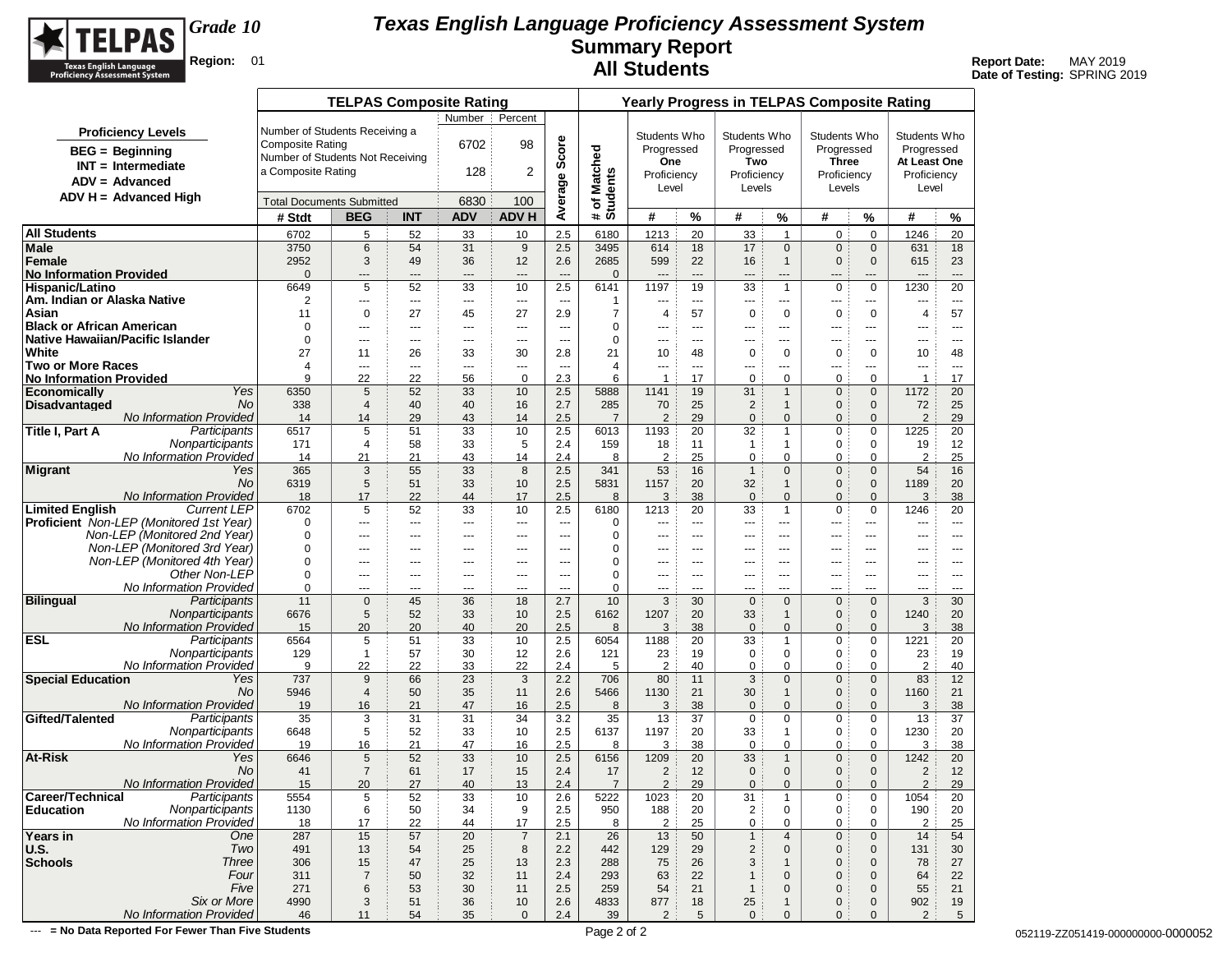

**Date of Testing:** SPRING 2019

|                                                       |                                                           | <b>TELPAS Composite Rating</b> |                       |                          |                       |                                  |                          | <b>Yearly Progress in TELPAS Composite Rating</b> |                      |                              |                              |                                  |                             |                            |                      |
|-------------------------------------------------------|-----------------------------------------------------------|--------------------------------|-----------------------|--------------------------|-----------------------|----------------------------------|--------------------------|---------------------------------------------------|----------------------|------------------------------|------------------------------|----------------------------------|-----------------------------|----------------------------|----------------------|
|                                                       |                                                           |                                |                       | Number                   | Percent               |                                  |                          |                                                   |                      |                              |                              |                                  |                             |                            |                      |
| <b>Proficiency Levels</b><br><b>BEG</b> = Beginning   | Number of Students Receiving a<br><b>Composite Rating</b> |                                |                       | 6702                     | 98                    | Average Score                    |                          | Students Who<br>Progressed                        |                      | Students Who<br>Progressed   |                              | Students Who<br>Progressed       |                             | Students Who<br>Progressed |                      |
| $INT = Intermediate$                                  | Number of Students Not Receiving                          |                                |                       |                          |                       |                                  |                          | One                                               |                      | Two                          |                              | <b>Three</b>                     |                             | At Least One               |                      |
| $ADV = Advanced$                                      | a Composite Rating                                        |                                |                       | 128                      | 2                     |                                  |                          | Proficiency                                       |                      | Proficiency                  |                              | Proficiency                      |                             | Proficiency                |                      |
| $ADV H = Advanced High$                               |                                                           |                                |                       |                          |                       |                                  |                          | Level                                             |                      | Levels                       |                              | Levels                           |                             | Level                      |                      |
|                                                       | <b>Total Documents Submitted</b>                          |                                |                       | 6830                     | 100                   |                                  | # of Matched<br>Students |                                                   |                      |                              |                              |                                  |                             |                            |                      |
|                                                       | # Stdt                                                    | <b>BEG</b>                     | <b>INT</b>            | <b>ADV</b>               | <b>ADV H</b>          |                                  |                          | #                                                 | %                    | #                            | ℅                            | #                                | %                           | #                          | %                    |
| All Students                                          | 6702                                                      | 5                              | 52                    | 33                       | 10                    | 2.5                              | 6180                     | 1213                                              | 20                   | 33                           | $\mathbf{1}$                 | $\mathbf 0$                      | $\mathbf 0$                 | 1246                       | 20                   |
| Male                                                  | 3750                                                      | 6                              | 54                    | 31                       | 9                     | 2.5                              | 3495                     | 614                                               | 18                   | 17                           | $\mathbf{0}$                 | $\mathbf{0}$                     | $\mathbf 0$                 | 631                        | 18                   |
| <b>Female</b>                                         | 2952                                                      | 3                              | 49                    | 36                       | 12                    | 2.6                              | 2685                     | 599                                               | 22                   | 16                           | $\overline{1}$               | $\mathbf 0$                      | $\mathbf 0$                 | 615                        | 23                   |
| <b>No Information Provided</b><br>Hispanic/Latino     | $\Omega$<br>6649                                          | $---$<br>5                     | ---<br>52             | $---$<br>33              | ---<br>10             | $---$<br>2.5                     | $\mathbf 0$<br>6141      | $\overline{a}$<br>1197                            | $\overline{a}$<br>19 | ---<br>33                    | $---$<br>$\overline{1}$      | $---$<br>$\mathbf 0$             | ---<br>$\mathbf 0$          | $---$<br>1230              | $---$<br>20          |
| Am. Indian or Alaska Native                           | 2                                                         | $\hspace{0.05cm} \ldots$       | ---                   | $\hspace{0.05cm} \ldots$ | ---                   | ---                              | 1                        | ---                                               | $---$                | ---                          | ---                          | ---                              | ---                         | ---                        | $\cdots$             |
| Asian                                                 | 11                                                        | 0                              | 27                    | 45                       | 27                    | 2.9                              | $\overline{7}$           | $\overline{4}$                                    | 57                   | $\mathbf 0$                  | $\mathbf 0$                  | 0                                | 0                           | 4                          | 57                   |
| <b>Black or African American</b>                      | 0                                                         | $- - -$                        | ---                   | $---$                    | ---                   | $-$                              | 0                        | $--$                                              | $- - -$              | ---                          | $\overline{a}$               | ---                              | ---                         | ---                        | $- - -$              |
| Native Hawaiian/Pacific Islander                      | $\mathbf 0$                                               | $---$                          | $---$                 | $---$                    | $---$                 | $\overline{a}$                   | $\mathbf 0$              | $---$                                             | $---$                | $---$                        | $---$                        | $\cdots$                         | $- - -$                     | $---$                      | $---$                |
| <b>White</b>                                          | 27                                                        | 11                             | 26                    | 33                       | 30                    | 2.8                              | 21                       | 10                                                | 48                   | 0                            | 0                            | 0                                | 0                           | 10                         | 48                   |
| Two or More Races                                     | 4<br>9                                                    | $\scriptstyle\cdots$           | ---                   | $\scriptstyle\cdots$     | ---<br>$\mathbf 0$    | $\overline{\phantom{a}}$         | $\overline{4}$           | ---<br>$\overline{1}$                             | $\cdots$             | ---                          | ---                          | ---                              | ---<br>$\mathbf 0$          | ---<br>$\mathbf{1}$        | $\sim$ $\sim$ $\sim$ |
| <b>No Information Provided</b><br><b>Economically</b> | Yes<br>6350                                               | 22<br>5                        | 22<br>52              | 56<br>33                 | 10                    | 2.3<br>2.5                       | 6<br>5888                | 1141                                              | 17<br>19             | 0<br>31                      | 0<br>$\mathbf{1}$            | 0<br>$\mathbf 0$                 | $\mathbf 0$                 | 1172                       | 17<br>20             |
| Disadvantaged                                         | No<br>338                                                 | $\overline{4}$                 | 40                    | 40                       | 16                    | 2.7                              | 285                      | 70                                                | 25                   | $\overline{c}$               | $\mathbf{1}$                 | 0                                | $\mathbf 0$                 | 72                         | 25                   |
| No Information Provided                               | 14                                                        | 14                             | 29                    | 43                       | 14                    | 2.5                              | $\overline{7}$           | $\overline{2}$                                    | 29                   | $\mathbf 0$                  | $\mathbf{0}$                 | 0                                | $\mathbf{0}$                | $\overline{2}$             | 29                   |
| Title I, Part A<br>Participants                       | 6517                                                      | 5                              | 51                    | 33                       | 10                    | 2.5                              | 6013                     | 1193                                              | 20                   | 32                           | $\mathbf{1}$                 | 0                                | 0                           | 1225                       | 20                   |
| Nonparticipants                                       | 171                                                       | 4                              | 58                    | 33                       | 5                     | 2.4                              | 159                      | 18                                                | 11                   | $\mathbf{1}$                 | $\mathbf{1}$                 | 0                                | 0                           | 19                         | 12                   |
| No Information Provided                               | 14                                                        | 21                             | 21                    | 43                       | 14                    | 2.4                              | 8                        | 2                                                 | 25                   | 0                            | 0                            | 0                                | 0                           | $\overline{2}$             | 25                   |
| Migrant                                               | 365<br>Yes<br>No<br>6319                                  | 3                              | 55<br>51              | 33                       | 8                     | 2.5                              | 341<br>5831              | 53                                                | 16<br>20             | $\mathbf{1}$                 | $\mathbf{0}$<br>$\mathbf{1}$ | $\overline{0}$<br>$\overline{0}$ | $\mathbf 0$                 | 54                         | 16                   |
| No Information Provided                               | 18                                                        | 5<br>17                        | 22                    | 33<br>44                 | 10<br>17              | 2.5<br>2.5                       | 8                        | 1157<br>3                                         | 38                   | 32<br>$\mathbf 0$            | $\mathbf{0}$                 | $\mathbf{0}$                     | $\mathbf 0$<br>$\mathbf{0}$ | 1189<br>3                  | 20<br>38             |
| <b>Limited English</b><br><b>Current LEP</b>          | 6702                                                      | 5                              | 52                    | 33                       | 10                    | 2.5                              | 6180                     | 1213                                              | 20                   | 33                           | $\overline{1}$               | $\mathbf 0$                      | $\mathbf 0$                 | 1246                       | 20                   |
| <b>Proficient</b> Non-LEP (Monitored 1st Year)        | $\mathbf 0$                                               | $\cdots$                       | ---                   | $\scriptstyle\cdots$     | ---                   | $\overline{a}$                   | 0                        | $---$                                             | $\sim$               | $\overline{a}$               | $\overline{a}$               | $\overline{a}$                   | $- - -$                     | $\overline{a}$             | $---$                |
| Non-LEP (Monitored 2nd Year)                          | 0                                                         | $---$                          | $---$                 | $---$                    | $---$                 | $\overline{a}$                   | 0                        | $\overline{a}$                                    | $- - -$              | $---$                        | $---$                        | $---$                            | $- - -$                     | $---$                      | $- - -$              |
| Non-LEP (Monitored 3rd Year)                          | $\mathbf 0$                                               | ---                            | ---                   | ---                      | ---                   | $\overline{a}$                   | $\mathbf 0$              | ---                                               | ---                  | ---                          | ---                          | ---                              | ---                         | ---                        | ---                  |
| Non-LEP (Monitored 4th Year)                          | 0                                                         | ---                            | ---                   | $---$                    | ---                   | ---                              | 0                        | ---                                               | ---                  | ---                          | ---                          | ---                              | ---                         | ---                        | $\cdots$             |
| Other Non-LEP<br>No Information Provided              | 0<br>0                                                    | $---$<br>$- - -$               | ---<br>$\overline{a}$ | $---$<br>$- - -$         | ---<br>$\overline{a}$ | $\overline{a}$<br>$\overline{a}$ | $\mathbf 0$<br>0         | ---<br>---                                        | ---<br>$- - -$       | ---<br>---                   | $---$<br>$---$               | $--$<br>$- - -$                  | ---<br>$- - -$              | ---<br>---                 | $\cdots$<br>$---$    |
| <b>Bilingual</b><br>Participants                      | 11                                                        | 0                              | 45                    | 36                       | 18                    | 2.7                              | 10                       | 3                                                 | 30                   | $\mathbf 0$                  | $\mathbf{0}$                 | $\mathbf 0$                      | $\mathbf{0}$                | 3                          | 30                   |
| Nonparticipants                                       | 6676                                                      | 5                              | 52                    | 33                       | 10                    | 2.5                              | 6162                     | 1207                                              | 20                   | 33                           | $\mathbf{1}$                 | $\mathbf 0$                      | $\mathbf 0$                 | 1240                       | 20                   |
| <b>No Information Provided</b>                        | 15                                                        | 20                             | 20                    | 40                       | 20                    | 2.5                              | 8                        | 3                                                 | 38                   | $\mathbf{0}$                 | $\mathbf{0}$                 | $\mathbf{0}$                     | $\mathbf{0}$                | 3                          | 38                   |
| <b>ESL</b><br>Participants                            | 6564                                                      | 5                              | 51                    | 33                       | 10                    | 2.5                              | 6054                     | 1188                                              | 20                   | 33                           | $\mathbf{1}$                 | 0                                | $\mathbf 0$                 | 1221                       | 20                   |
| Nonparticipants                                       | 129                                                       | $\mathbf{1}$                   | 57                    | 30                       | 12                    | 2.6                              | 121                      | 23                                                | 19                   | 0                            | 0                            | 0                                | 0                           | 23                         | 19                   |
| No Information Provided                               | 9                                                         | 22<br>9                        | 22<br>66              | 33                       | 22<br>3               | 2.4<br>2.2                       | 5<br>706                 | $\overline{2}$                                    | 40<br>11             | 0                            | 0<br>$\mathbf{0}$            | 0<br>$\mathbf{0}$                | $\mathbf 0$<br>$\mathbf{0}$ | $\overline{2}$<br>83       | 40                   |
| <b>Special Education</b>                              | 737<br>Yes<br>No<br>5946                                  | $\overline{4}$                 | 50                    | 23<br>35                 | 11                    | 2.6                              | 5466                     | 80<br>1130                                        | 21                   | 3<br>30                      | $\mathbf{1}$                 | $\mathbf 0$                      | $\mathbf 0$                 | 1160                       | 12<br>21             |
| <b>No Information Provided</b>                        | 19                                                        | 16                             | 21                    | 47                       | 16                    | 2.5                              | 8                        | 3                                                 | 38                   | $\mathbf 0$                  | $\mathbf{0}$                 | $\mathbf{0}$                     | $\mathbf{0}$                | 3                          | 38                   |
| Gifted/Talented<br>Participants                       | 35                                                        | 3                              | 31                    | 31                       | 34                    | 3.2                              | 35                       | 13                                                | 37                   | $\mathbf 0$                  | 0                            | 0                                | 0                           | 13                         | 37                   |
| Nonparticipants                                       | 6648                                                      | 5                              | 52                    | 33                       | 10                    | 2.5                              | 6137                     | 1197                                              | 20                   | 33                           | $\mathbf{1}$                 | 0                                | 0                           | 1230                       | 20                   |
| No Information Provided                               | 19                                                        | 16                             | 21                    | 47                       | 16                    | 2.5                              | 8                        | 3                                                 | 38                   | 0                            | 0                            | 0                                | $\mathbf 0$                 | 3                          | 38                   |
| At-Risk                                               | Yes<br>6646                                               | 5                              | 52                    | 33                       | 10                    | 2.5                              | 6156                     | 1209                                              | 20                   | 33                           | $\mathbf{1}$                 | $\mathbf 0$                      | $\mathbf 0$                 | 1242                       | 20                   |
| No Information Provided                               | No<br>41<br>15                                            | $\overline{7}$<br>20           | 61<br>27              | 17<br>40                 | 15<br>13              | 2.4<br>2.4                       | 17<br>$\overline{7}$     | $\overline{2}$<br>$\overline{2}$                  | 12<br>29             | $\mathbf 0$<br>$\mathbf 0$   | $\mathbf{0}$<br>$\mathbf{0}$ | 0<br>$\mathbf{0}$                | $\mathbf 0$<br>$\mathbf{0}$ | $\overline{2}$<br>2        | 12<br>29             |
| Career/Technical<br>Participants                      | 5554                                                      | 5                              | 52                    | 33                       | 10                    | 2.6                              | 5222                     | 1023                                              | 20                   | 31                           | $\mathbf{1}$                 | 0                                | 0                           | 1054                       | 20                   |
| Nonparticipants<br><b>Education</b>                   | 1130                                                      | 6                              | 50                    | 34                       | 9                     | 2.5                              | 950                      | 188                                               | 20                   | $\overline{2}$               | 0                            | $\pmb{0}$                        | 0                           | 190                        | 20                   |
| No Information Provided                               | 18                                                        | 17                             | 22                    | 44                       | 17                    | 2.5                              | 8                        | $\overline{2}$                                    | 25                   | 0                            | 0                            | 0                                | 0                           | $\overline{2}$             | 25                   |
| Years in<br>One                                       | 287                                                       | 15                             | 57                    | 20                       | $\overline{7}$        | 2.1                              | 26                       | 13                                                | 50                   | $\mathbf{1}$                 | 4                            | $\mathbf 0$                      | $\mathbf 0$                 | 14                         | 54                   |
| Two<br>U.S.                                           | 491                                                       | 13                             | 54                    | 25                       | 8                     | 2.2                              | 442                      | 129                                               | 29                   | $\overline{c}$               | $\mathbf 0$                  | $\mathbf 0$                      | $\mathbf 0$                 | 131                        | 30                   |
| <b>Schools</b><br><b>Three</b>                        | 306                                                       | 15                             | 47                    | 25                       | 13                    | 2.3                              | 288                      | 75                                                | 26                   | 3                            | $\mathbf 1$                  | 0                                | $\mathbf 0$                 | 78                         | 27                   |
| Four<br>Five                                          | 311<br>271                                                | $\overline{7}$<br>6            | 50<br>53              | 32<br>30                 | 11<br>11              | 2.4                              | 293                      | 63                                                | 22<br>21             | $\mathbf{1}$<br>$\mathbf{1}$ | $\mathbf 0$<br>$\mathbf 0$   | 0<br>0                           | $\mathbf 0$                 | 64                         | 22<br>21             |
| Six or More                                           | 4990                                                      | 3                              | 51                    | 36                       | $10$                  | 2.5<br>2.6                       | 259<br>4833              | 54<br>877                                         | 18                   | 25                           | $\mathbf{1}$                 | 0                                | $\mathbf 0$<br>$\mathbf 0$  | 55<br>902                  | 19                   |
| No Information Provided                               | 46                                                        | 11                             | 54                    | 35                       | $\mathbf 0$           | 2.4                              | 39                       | 2                                                 | 5                    | $\mathbf 0$                  | $\mathbf{0}$                 | $\mathbf{0}$                     | $\mathbf{0}$                | 2                          | 5                    |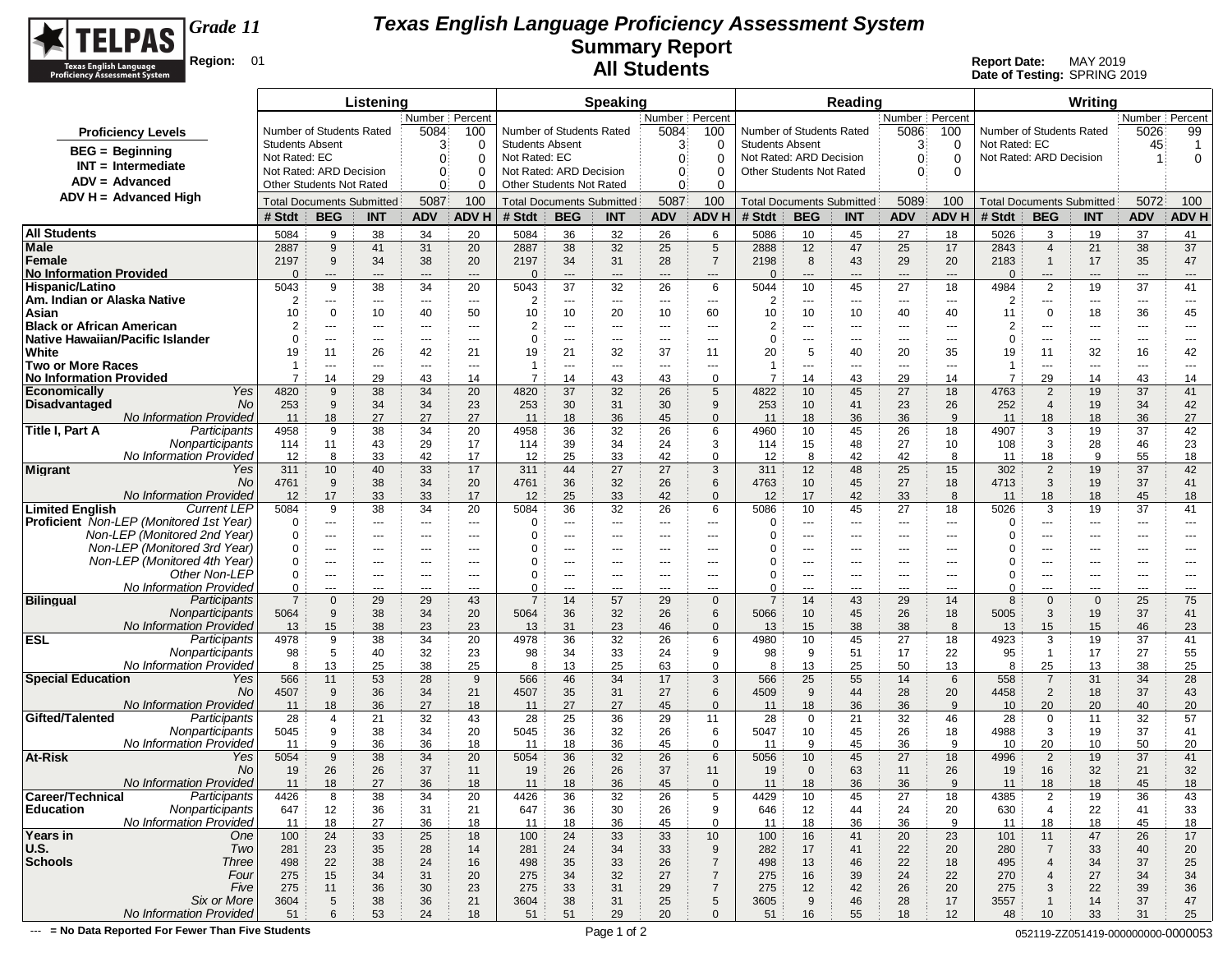

**Date of Testing:** SPRING 2019

|                                                                         |                        |                                  | Listening  |                      |                     |                        |                                  | <b>Speaking</b>          |                  |                          |                          |                | Reading                          |                                          |                     |                                  |                                  | Writing           |                            |                                     |
|-------------------------------------------------------------------------|------------------------|----------------------------------|------------|----------------------|---------------------|------------------------|----------------------------------|--------------------------|------------------|--------------------------|--------------------------|----------------|----------------------------------|------------------------------------------|---------------------|----------------------------------|----------------------------------|-------------------|----------------------------|-------------------------------------|
|                                                                         |                        |                                  |            | Number   Percent     |                     |                        |                                  |                          | Number   Percent |                          |                          |                |                                  | Number Percent                           |                     |                                  |                                  |                   | Number   Percent           |                                     |
| <b>Proficiency Levels</b>                                               |                        | Number of Students Rated         |            | 5084                 | 100                 |                        | Number of Students Rated         |                          | 5084             | 100                      | Number of Students Rated |                |                                  | 5086                                     | 100                 | Number of Students Rated         |                                  |                   | 5026                       | 99                                  |
| <b>BEG</b> = Beginning                                                  | <b>Students Absent</b> |                                  |            | 3                    | $\mathbf 0$         | <b>Students Absent</b> |                                  |                          | 3                | 0                        | <b>Students Absent</b>   |                |                                  | 3                                        | 0                   | Not Rated: EC                    |                                  |                   | 45                         | $\overline{1}$                      |
| $INT = Intermediate$                                                    | Not Rated: EC          |                                  |            | 0                    | 0                   | Not Rated: EC          |                                  |                          | 0                | 0                        | Not Rated: ARD Decision  |                |                                  | $\Omega$                                 | $\Omega$            | Not Rated: ARD Decision          |                                  |                   | -1                         | 0                                   |
| $ADV = Advanced$                                                        |                        | Not Rated: ARD Decision          |            | 0                    | 0                   |                        | Not Rated: ARD Decision          |                          | 0                | 0                        | Other Students Not Rated |                |                                  | $\Omega$                                 | $\Omega$            |                                  |                                  |                   |                            |                                     |
|                                                                         |                        | Other Students Not Rated         |            | 0                    | 0                   |                        | Other Students Not Rated         |                          | 0                | 0                        |                          |                |                                  |                                          |                     |                                  |                                  |                   |                            |                                     |
| ADV H = Advanced High                                                   |                        | <b>Total Documents Submitted</b> |            | 5087                 | 100                 |                        | <b>Total Documents Submitted</b> |                          | 5087             | 100                      |                          |                | <b>Total Documents Submitted</b> | 5089                                     | 100                 | <b>Total Documents Submitted</b> |                                  |                   | 5072                       | 100                                 |
|                                                                         | # Stdt                 | <b>BEG</b>                       | <b>INT</b> | <b>ADV</b>           | ADV H               | # Stdt                 | <b>BEG</b>                       | <b>INT</b>               | <b>ADV</b>       | <b>ADV H</b>             | # Stdt                   | <b>BEG</b>     | <b>INT</b>                       | <b>ADV</b>                               | <b>ADV H</b>        | # Stdt                           | <b>BEG</b>                       | <b>INT</b>        | <b>ADV</b>                 | ADV H                               |
| <b>All Students</b>                                                     | 5084                   | 9                                | 38         | 34                   | 20                  | 5084                   | 36                               | 32                       | 26               | 6                        | 5086                     | 10             | 45                               | 27                                       | 18                  | 5026                             | 3                                | 19                | 37                         | 41                                  |
| Male                                                                    | 2887                   | 9                                | 41         | 31                   | 20                  | 2887                   | 38                               | 32                       | 25               | $\sqrt{5}$               | 2888                     | 12             | 47                               | 25                                       | 17                  | 2843                             | $\overline{4}$                   | 21                | 38                         | 37                                  |
| Female                                                                  | 2197                   | 9                                | 34         | 38                   | 20                  | 2197                   | 34                               | 31                       | 28               | $\overline{7}$           | 2198                     | 8              | 43                               | 29                                       | 20                  | 2183                             | $\mathbf{1}$                     | 17                | 35                         | 47                                  |
| <b>No Information Provided</b>                                          | $\Omega$               | ---<br>9                         | $---$      | $---$<br>34          | $---$               | $\Omega$               | ---                              | $\cdots$                 | $\cdots$         | $\hspace{1.5cm} \cdots$  | $\Omega$                 | $\cdots$       | $\qquad \qquad \cdots$           | $\hspace{0.05cm} \ldots \hspace{0.05cm}$ | $---$               | $\Omega$                         | ---                              | ---               | ---                        | $\hspace{1.5cm} \textbf{---}$<br>41 |
| Hispanic/Latino<br>Am. Indian or Alaska Native                          | 5043<br>2              | ---                              | 38<br>---  | $\sim$ $\sim$ $\sim$ | 20<br>$\sim$ $\sim$ | 5043<br>$\overline{2}$ | 37<br>---                        | 32<br>$\cdots$           | 26<br>---        | 6<br>$\cdots$            | 5044<br>2                | 10<br>$\cdots$ | 45<br>$- - -$                    | 27<br>$\hspace{0.05cm} \ldots$           | 18<br>$\sim$ $\sim$ | 4984<br>2                        | $\overline{2}$<br>$\cdots$       | 19<br>$\cdots$    | 37<br>$\sim$ $\sim$ $\sim$ | $---$                               |
| Asian                                                                   | 10                     | $\Omega$                         | 10         | 40                   | 50                  | 10                     | 10                               | 20                       | 10               | 60                       | 10                       | 10             | 10                               | 40                                       | 40                  | 11                               | $\mathbf 0$                      | 18                | 36                         | 45                                  |
| <b>Black or African American</b>                                        | $\overline{2}$         | ---                              | ---        | $- - -$              | ---                 | $\overline{2}$         | ---                              | $\overline{a}$           | ---              | ---                      | 2                        | $\cdots$       | ---                              | ---                                      | $- - -$             | $\overline{2}$                   | ---                              | ---               | ---                        | ---                                 |
| Native Hawaiian/Pacific Islander                                        | $\Omega$               | $\cdots$                         | ---        | $---$                | $---$               | $\mathbf 0$            | ---                              | $---$                    | $---$            | $--$                     | $\Omega$                 | $\cdots$       | ---                              | $\sim$ $\sim$                            | $\sim$ $\sim$       | $\Omega$                         | ---                              | $---$             | ---                        | $\qquad \qquad \cdots$              |
| White                                                                   | 19                     | 11                               | 26         | 42                   | 21                  | 19                     | 21                               | 32                       | 37               | 11                       | 20                       | 5              | 40                               | 20                                       | 35                  | 19                               | 11                               | 32                | 16                         | 42                                  |
| <b>Two or More Races</b>                                                | -1                     | ---                              | ---        | $\sim$ $\sim$ $\sim$ | $\sim$              | -1                     | ---                              | ---                      | ---              | $\overline{\phantom{a}}$ | -1                       | $\cdots$       | ---                              | $---$                                    | $\sim$ $\sim$       | 1                                | ---                              | ---               | ---                        | $---$                               |
| <b>No Information Provided</b>                                          | $\overline{7}$         | 14                               | 29         | 43                   | 14                  | $\overline{7}$         | 14                               | 43                       | 43               | 0                        | $\overline{7}$           | 14             | 43                               | 29                                       | 14                  | $\overline{7}$                   | 29                               | 14                | 43                         | 14                                  |
| Yes<br>Economically<br>No.<br>Disadvantaged                             | 4820<br>253            | 9<br>9                           | 38<br>34   | 34<br>34             | 20<br>23            | 4820<br>253            | 37<br>30                         | 32<br>31                 | 26<br>30         | 5<br>9                   | 4822<br>253              | 10<br>10       | 45<br>41                         | 27<br>23                                 | 18<br>26            | 4763<br>252                      | $\overline{2}$<br>$\overline{4}$ | 19<br>19          | 37<br>34                   | 41<br>42                            |
| <b>No Information Provided</b>                                          | 11                     | 18                               | 27         | 27                   | 27                  | 11                     | 18                               | 36                       | 45               | $\Omega$                 | 11                       | 18             | 36                               | 36                                       | 9                   | 11                               | 18                               | 18                | 36                         | 27                                  |
| Participants<br>Title I, Part A                                         | 4958                   | 9                                | 38         | 34                   | 20                  | 4958                   | 36                               | 32                       | 26               | 6                        | 4960                     | 10             | 45                               | 26                                       | 18                  | 4907                             | 3                                | 19                | 37                         | 42                                  |
| Nonparticipants                                                         | 114                    | 11                               | 43         | 29                   | 17                  | 114                    | 39                               | 34                       | 24               | 3                        | 114                      | 15             | 48                               | 27                                       | 10                  | 108                              | 3                                | 28                | 46                         | 23                                  |
| No Information Provided                                                 | 12                     | 8                                | 33         | 42                   | 17                  | 12                     | 25                               | 33                       | 42               | $\Omega$                 | 12                       | 8              | 42                               | 42                                       | 8                   | 11                               | 18                               | 9                 | 55                         | 18                                  |
| Yes<br>Migrant                                                          | 311                    | 10                               | 40         | 33                   | 17                  | 311                    | 44                               | 27                       | 27               | 3                        | 311                      | 12             | 48                               | 25                                       | 15                  | 302                              | 2                                | 19                | 37                         | 42                                  |
| No                                                                      | 4761                   | 9                                | 38         | 34                   | 20                  | 4761                   | 36                               | 32                       | 26               | 6                        | 4763                     | 10             | 45                               | 27                                       | 18                  | 4713                             | 3                                | 19                | 37                         | 41                                  |
| No Information Provided<br><b>Limited English</b><br><b>Current LEP</b> | 12<br>5084             | 17<br>9                          | 33<br>38   | 33<br>34             | 17<br>20            | 12<br>5084             | 25<br>36                         | 33<br>32                 | 42<br>26         | $\mathbf 0$<br>6         | 12<br>5086               | 17<br>10       | 42<br>45                         | 33<br>27                                 | 8<br>18             | 11<br>5026                       | 18<br>3                          | 18<br>19          | 45<br>37                   | 18<br>41                            |
| Proficient Non-LEP (Monitored 1st Year)                                 | 0                      | ---                              | ---        | $\cdots$             | ---                 | 0                      | ---                              | $\qquad \qquad \cdots$   | ---              | ---                      | $\Omega$                 | ---            | ---                              | ---                                      | $\overline{a}$      | $\Omega$                         | ---                              | ---               | ---                        | ---                                 |
| Non-LEP (Monitored 2nd Year)                                            | 0                      | ---                              | ---        | $\sim$ $\sim$ $\sim$ | $---$               | 0                      | ---                              | $\cdots$                 | $---$            | $--$                     | O                        | $\cdots$       | $\cdots$                         | $\sim$ $\sim$                            | $\cdots$            | 0                                | ---                              | $---$             | ---                        | $---$                               |
| Non-LEP (Monitored 3rd Year)                                            | $\Omega$               | ---                              | ---        | $---$                | ---                 | $\Omega$               | ---                              | ---                      | ---              | $\overline{\phantom{a}}$ |                          | $\cdots$       | ---                              | ---                                      | $\overline{a}$      | 0                                | ---                              | ---               | ---                        | ---                                 |
| Non-LEP (Monitored 4th Year)                                            | 0                      | $---$                            | ---        | $\cdots$             | $---$               | 0                      | $---$                            | $---$                    | ---              | $---$                    | 0                        | $\cdots$       | $---$                            | $---$                                    | $---$               | 0                                | $---$                            | $---$             | $---$                      | $---$                               |
| Other Non-LEP                                                           | 0                      | ---                              | ---        | $\cdots$             | $---$               | 0                      | ---                              | $\overline{\phantom{a}}$ | $---$            | $--$                     | 0                        | ---            | $\cdots$                         | $---$                                    | $\overline{a}$      | 0                                | ---                              | ---               | ---                        | $---$                               |
| No Information Provided                                                 | 0                      | ---                              | ---        | $- - -$              | $\overline{a}$      | $\Omega$               | $\overline{a}$                   | ---                      | ---              | ---                      | $\Omega$                 | $\cdots$       | ---                              | $---$                                    | $- - -$             | 0                                | ---                              | ---               | ---                        | ---                                 |
| <b>Bilingual</b><br>Participants<br>Nonparticipants                     | $\overline{7}$<br>5064 | $\Omega$<br>9                    | 29<br>38   | 29<br>34             | 43<br>20            | $\overline{7}$<br>5064 | 14<br>36                         | 57<br>32                 | 29<br>26         | $\Omega$<br>6            | $\overline{7}$<br>5066   | 14<br>10       | 43<br>45                         | 29<br>26                                 | 14<br>18            | 8<br>5005                        | $\Omega$<br>3                    | $\mathbf 0$<br>19 | 25<br>37                   | 75<br>41                            |
| No Information Provided                                                 | 13                     | 15                               | 38         | 23                   | 23                  | 13                     | 31                               | 23                       | 46               | $\overline{0}$           | 13                       | 15             | 38                               | 38                                       | 8                   | 13                               | 15                               | 15                | 46                         | 23                                  |
| <b>ESL</b><br>Participants                                              | 4978                   | 9                                | 38         | 34                   | 20                  | 4978                   | 36                               | 32                       | 26               | 6                        | 4980                     | 10             | 45                               | 27                                       | 18                  | 4923                             | 3                                | 19                | 37                         | 41                                  |
| Nonparticipants                                                         | 98                     | 5                                | 40         | 32                   | 23                  | 98                     | 34                               | 33                       | 24               | 9                        | 98                       | 9              | 51                               | 17                                       | 22                  | 95                               | $\mathbf{1}$                     | 17                | 27                         | 55                                  |
| No Information Provided                                                 | 8                      | 13                               | 25         | 38                   | 25                  | 8                      | 13                               | 25                       | 63               | $\mathbf 0$              | 8                        | 13             | 25                               | 50                                       | 13                  | 8                                | 25                               | 13                | 38                         | 25                                  |
| <b>Special Education</b><br>Yes                                         | 566                    | 11                               | 53         | 28                   | 9                   | 566                    | 46                               | 34                       | 17               | 3                        | 566                      | 25             | 55                               | 14                                       | 6                   | 558                              | $\overline{7}$                   | 31                | 34                         | 28                                  |
| No<br><b>No Information Provided</b>                                    | 4507<br>11             | 9<br>18                          | 36<br>36   | 34<br>27             | 21<br>18            | 4507<br>11             | 35<br>27                         | 31<br>27                 | 27<br>45         | 6<br>$\mathbf{0}$        | 4509<br>11               | 9<br>18        | 44<br>36                         | 28<br>36                                 | 20<br>9             | 4458<br>10                       | $\overline{2}$<br>20             | 18<br>20          | 37<br>40                   | 43<br>20                            |
| Gifted/Talented<br>Participants                                         | 28                     | $\overline{4}$                   | 21         | 32                   | 43                  | 28                     | 25                               | 36                       | 29               | 11                       | 28                       | $\mathbf 0$    | 21                               | 32                                       | 46                  | 28                               | $\Omega$                         | 11                | 32                         | 57                                  |
| Nonparticipants                                                         | 5045                   | 9                                | 38         | 34                   | 20                  | 5045                   | 36                               | 32                       | 26               | 6                        | 5047                     | 10             | 45                               | 26                                       | 18                  | 4988                             | 3                                | 19                | 37                         | 41                                  |
| No Information Provided                                                 | 11                     | 9                                | 36         | 36                   | 18                  | 11                     | 18                               | 36                       | 45               | $\Omega$                 | 11                       | 9              | 45                               | 36                                       | 9                   | 10                               | 20                               | 10                | 50                         | 20                                  |
| At-Risk<br>Yes                                                          | 5054                   | 9                                | 38         | 34                   | 20                  | 5054                   | 36                               | 32                       | 26               | 6                        | 5056                     | 10             | 45                               | 27                                       | 18                  | 4996                             | 2                                | 19                | 37                         | 41                                  |
| No                                                                      | 19                     | 26                               | 26         | 37                   | 11                  | 19                     | 26                               | 26                       | 37               | 11                       | 19                       | $\mathbf 0$    | 63                               | 11                                       | 26                  | 19                               | 16                               | 32                | 21                         | 32                                  |
| No Information Provided                                                 | 11                     | 18                               | 27         | 36                   | 18                  | 11                     | 18                               | 36                       | 45               | $\mathbf{0}$             | 11                       | 18             | 36                               | 36                                       | 9                   | 11                               | 18                               | 18                | 45                         | 18                                  |
| Participants<br>Career/Technical<br><b>Education</b><br>Nonparticipants | 4426<br>647            | 8<br>12                          | 38<br>36   | 34<br>31             | 20<br>21            | 4426<br>647            | 36<br>36                         | 32<br>30                 | 26<br>26         | 5<br>9                   | 4429<br>646              | 10<br>12       | 45<br>44                         | 27<br>24                                 | 18<br>20            | 4385<br>630                      | $\overline{2}$<br>$\overline{4}$ | 19<br>22          | 36<br>41                   | 43<br>33                            |
| No Information Provided                                                 | 11                     | 18                               | 27         | 36                   | 18                  | 11                     | 18                               | 36                       | 45               | $\mathbf 0$              | 11                       | 18             | 36                               | 36                                       | 9                   | 11                               | 18                               | 18                | 45                         | 18                                  |
| Years in<br>One                                                         | 100                    | 24                               | 33         | 25                   | 18                  | 100                    | 24                               | 33                       | 33               | 10                       | 100                      | 16             | 41                               | 20                                       | 23                  | 101                              | 11                               | 47                | 26                         | 17                                  |
| <b>U.S.</b><br>Two                                                      | 281                    | 23                               | 35         | 28                   | 14                  | 281                    | 24                               | 34                       | 33               | 9                        | 282                      | 17             | 41                               | 22                                       | 20                  | 280                              | $\overline{7}$                   | 33                | 40                         | 20                                  |
| <b>Schools</b><br>Three                                                 | 498                    | 22                               | 38         | 24                   | 16                  | 498                    | 35                               | 33                       | 26               | $\overline{7}$           | 498                      | 13             | 46                               | 22                                       | 18                  | 495                              | $\overline{4}$                   | 34                | 37                         | 25                                  |
| Four                                                                    | 275                    | 15                               | 34         | 31                   | 20                  | 275                    | 34                               | 32                       | 27               | $\overline{7}$           | 275                      | 16             | 39                               | 24                                       | 22                  | 270                              | $\overline{4}$                   | 27                | 34                         | 34                                  |
| Five                                                                    | 275                    | 11                               | 36         | 30                   | 23                  | 275                    | 33                               | 31                       | 29               | $\overline{7}$           | 275                      | 12             | 42                               | 26                                       | 20                  | 275                              | 3                                | 22                | 39                         | 36                                  |
| Six or More                                                             | 3604                   | 5                                | 38         | 36                   | 21                  | 3604                   | 38                               | 31                       | 25               | $\overline{5}$           | 3605                     | 9              | 46                               | 28                                       | 17                  | 3557                             | $\mathbf{1}$                     | 14                | 37                         | 47                                  |
| <b>No Information Provided</b>                                          | 51                     | 6                                | 53         | 24                   | 18                  | 51                     | 51                               | 29                       | 20               | $\mathbf 0$              | 51                       | 16             | 55                               | 18                                       | 12                  | 48                               | 10                               | 33                | 31                         | 25                                  |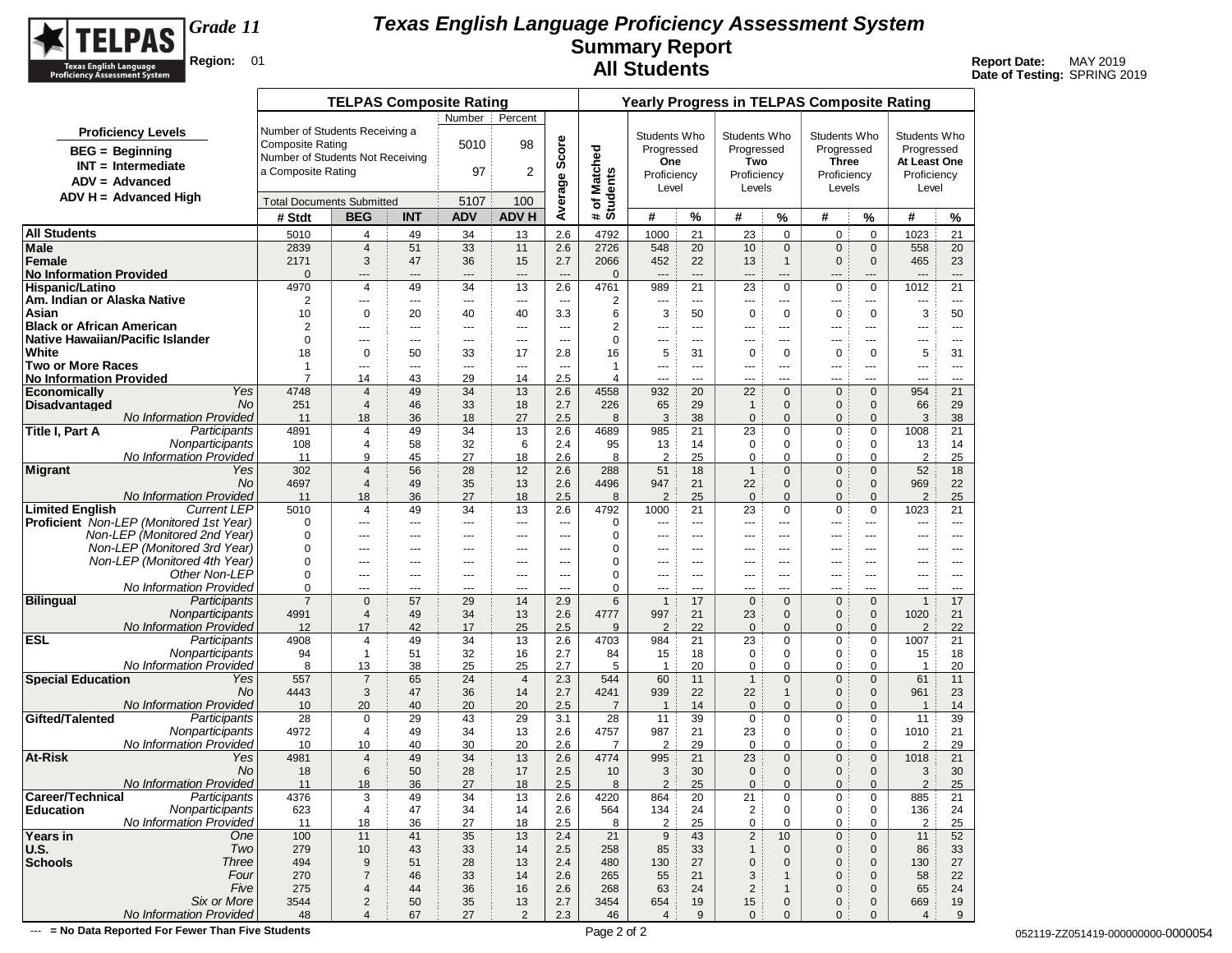

**Date of Testing:** SPRING 2019

|                                                              |                                  | <b>TELPAS Composite Rating</b>   |            |                   |                               |                          |                          |                       |                          |                      |                                | <b>Yearly Progress in TELPAS Composite Rating</b> |                            |                     |                      |
|--------------------------------------------------------------|----------------------------------|----------------------------------|------------|-------------------|-------------------------------|--------------------------|--------------------------|-----------------------|--------------------------|----------------------|--------------------------------|---------------------------------------------------|----------------------------|---------------------|----------------------|
|                                                              |                                  |                                  |            | Number            | Percent                       |                          |                          |                       |                          |                      |                                |                                                   |                            |                     |                      |
| <b>Proficiency Levels</b>                                    | Number of Students Receiving a   |                                  |            |                   |                               |                          |                          | Students Who          |                          | Students Who         |                                | Students Who                                      |                            | Students Who        |                      |
| $BEG = Beginning$                                            | <b>Composite Rating</b>          |                                  |            | 5010              | 98                            | Average Score            |                          | Progressed            |                          | Progressed           |                                | Progressed                                        |                            | Progressed          |                      |
| $INT = Intermediate$                                         | Number of Students Not Receiving |                                  |            |                   |                               |                          |                          | One                   |                          | Two                  |                                | <b>Three</b>                                      |                            | At Least One        |                      |
| $ADV = Advanced$                                             | a Composite Rating               |                                  |            | 97                | 2                             |                          |                          | Proficiency           |                          | Proficiency          |                                | Proficiency                                       |                            | Proficiency         |                      |
| $ADV H = Advanced High$                                      |                                  |                                  |            |                   |                               |                          |                          | Level                 |                          | Levels               |                                | Levels                                            |                            | Level               |                      |
|                                                              |                                  | <b>Total Documents Submitted</b> |            | 5107              | 100                           |                          | # of Matched<br>Students |                       |                          |                      |                                |                                                   |                            |                     |                      |
|                                                              | # Stdt                           | <b>BEG</b>                       | <b>INT</b> | <b>ADV</b>        | <b>ADV H</b>                  |                          |                          | #                     | %                        | #                    | %                              | #                                                 | %                          | #                   | $\%$                 |
| <b>All Students</b>                                          | 5010                             | 4                                | 49         | 34                | 13                            | 2.6                      | 4792                     | 1000                  | 21                       | 23                   | $\mathbf 0$                    | 0                                                 | $\mathbf 0$                | 1023                | 21                   |
| Male<br>Female                                               | 2839<br>2171                     | $\overline{4}$<br>3              | 51<br>47   | 33<br>36          | 11<br>15                      | 2.6<br>2.7               | 2726<br>2066             | 548<br>452            | 20<br>22                 | 10<br>13             | $\mathbf{0}$<br>$\overline{1}$ | $\mathbf{0}$<br>$\mathbf 0$                       | $\mathbf 0$<br>$\mathbf 0$ | 558<br>465          | 20<br>23             |
| <b>No Information Provided</b>                               | $\mathbf 0$                      | $---$                            | ---        | ---               | $\overline{\phantom{a}}$      | $\overline{a}$           | $\mathbf{0}$             | $\overline{a}$        | $\overline{a}$           | $---$                | $\hspace{1.5cm} \textbf{---}$  | $---$                                             | ---                        | $\overline{a}$      | $---$                |
| <b>Hispanic/Latino</b>                                       | 4970                             | 4                                | 49         | 34                | 13                            | 2.6                      | 4761                     | 989                   | 21                       | 23                   | $\mathbf 0$                    | $\mathbf 0$                                       | $\mathbf 0$                | 1012                | 21                   |
| Am. Indian or Alaska Native                                  | 2                                | ---                              | ---        | ---               | $---$                         | $\cdots$                 | 2                        | ---                   | $\overline{\phantom{a}}$ | $\overline{a}$       | ---                            | $---$                                             | ---                        | ---                 | $\scriptstyle\cdots$ |
| Asian                                                        | 10                               | $\mathbf 0$                      | 20         | 40                | 40                            | 3.3                      | 6                        | 3                     | 50                       | 0                    | 0                              | 0                                                 | 0                          | 3                   | 50                   |
| <b>Black or African American</b>                             | 2                                | ---                              | ---        | ---               | $\hspace{1.5cm} \textbf{---}$ | ---                      | 2                        | ---                   | $---$                    | ---                  | ---                            | ---                                               | ---                        | ---                 | $\cdots$             |
| Native Hawaiian/Pacific Islander<br>White                    | $\mathbf 0$<br>18                | $---$<br>$\mathbf 0$             | ---<br>50  | $---$<br>33       | $\overline{a}$<br>17          | $\sim$<br>2.8            | 0<br>16                  | $\overline{a}$<br>5   | $- - -$<br>31            | $---$<br>$\mathbf 0$ | $---$<br>$\mathbf 0$           | $---$<br>$\mathbf 0$                              | $\overline{a}$<br>0        | $\overline{a}$<br>5 | $---$                |
| <b>Two or More Races</b>                                     | $\mathbf{1}$                     | ---                              | ---        | ---               | $\cdots$                      | $\overline{\phantom{a}}$ | 1                        | ---                   | $---$                    | ---                  | ---                            | ---                                               | ---                        | ---                 | 31<br>$\cdots$       |
| <b>No Information Provided</b>                               | $\overline{7}$                   | 14                               | 43         | 29                | 14                            | 2.5                      | 4                        | $\overline{a}$        | $\overline{a}$           | ---                  | ---                            | $\overline{a}$                                    | ---                        | $-$                 | $\overline{a}$       |
| Yes<br><b>Economically</b>                                   | 4748                             | $\overline{4}$                   | 49         | 34                | 13                            | 2.6                      | 4558                     | 932                   | 20                       | 22                   | $\mathbf{0}$                   | $\mathbf 0$                                       | $\mathbf{0}$               | 954                 | 21                   |
| <b>Disadvantaged</b><br>No                                   | 251                              | $\overline{4}$                   | 46         | 33                | 18                            | 2.7                      | 226                      | 65                    | 29                       | $\mathbf{1}$         | $\mathbf{0}$                   | $\mathbf 0$                                       | $\mathbf 0$                | 66                  | 29                   |
| No Information Provided                                      | 11                               | 18                               | 36         | 18                | 27                            | 2.5                      | 8                        | 3                     | 38                       | $\pmb{0}$            | $\mathbf{0}$                   | $\mathbf 0$                                       | $\mathbf{0}$               | 3                   | 38                   |
| Title I, Part A<br>Participants                              | 4891                             | 4                                | 49         | 34                | 13                            | 2.6                      | 4689                     | 985                   | 21                       | 23                   | $\mathbf 0$                    | 0                                                 | 0                          | 1008                | 21                   |
| Nonparticipants<br><b>No Information Provided</b>            | 108<br>11                        | 4<br>9                           | 58<br>45   | 32<br>27          | 6<br>18                       | 2.4<br>2.6               | 95<br>8                  | 13<br>2               | 14<br>25                 | 0<br>0               | $\mathbf 0$<br>0               | 0<br>0                                            | 0<br>0                     | 13<br>2             | 14<br>25             |
| Migrant<br>Yes                                               | 302                              | $\overline{4}$                   | 56         | 28                | 12                            | 2.6                      | 288                      | 51                    | 18                       | $\mathbf{1}$         | $\mathbf{0}$                   | 0                                                 | $\mathbf{0}$               | 52                  | 18                   |
| No                                                           | 4697                             | $\overline{4}$                   | 49         | 35                | 13                            | 2.6                      | 4496                     | 947                   | 21                       | 22                   | $\mathbf{0}$                   | $\mathbf 0$                                       | $\mathbf{0}$               | 969                 | 22                   |
| <b>No Information Provided</b>                               | 11                               | 18                               | 36         | 27                | 18                            | 2.5                      | 8                        | $\overline{2}$        | 25                       | $\mathbf 0$          | $\mathbf{0}$                   | $\mathbf{0}$                                      | $\mathbf{0}$               | 2                   | 25                   |
| <b>Limited English</b><br><b>Current LEP</b>                 | 5010                             | 4                                | 49         | 34                | 13                            | 2.6                      | 4792                     | 1000                  | 21                       | 23                   | $\mathbf 0$                    | 0                                                 | $\pmb{0}$                  | 1023                | 21                   |
| <b>Proficient</b> Non-LEP (Monitored 1st Year)               | 0                                | ---                              | ---        | ---               | ---                           | $\overline{a}$           | 0                        | ---                   | $---$                    | ---                  | ---                            | ---                                               | ---                        | ---                 | $\cdots$             |
| Non-LEP (Monitored 2nd Year)                                 | $\Omega$                         | $---$                            | $---$      | $---$             | $-$                           | $\overline{a}$           | 0                        | $\overline{a}$        | $- - -$                  | $---$                | $---$                          | $---$                                             | $\overline{a}$             | $---$               | $- - -$              |
| Non-LEP (Monitored 3rd Year)<br>Non-LEP (Monitored 4th Year) | $\mathbf 0$                      | ---                              | ---        | ---               | ---                           | ---                      | 0                        | ---                   | ---                      | ---                  | ---                            | ---                                               | ---                        | ---                 | $\cdots$             |
| Other Non-LEP                                                | 0<br>0                           | ---<br>$---$                     | ---<br>--- | $\cdots$<br>$---$ | ---<br>$-$                    | ---<br>$\overline{a}$    | 0<br>0                   | ---<br>$\overline{a}$ | ---<br>$---$             | ---<br>$---$         | ---<br>$---$                   | ---<br>---                                        | ---<br>$\overline{a}$      | ---<br>---          | $\cdots$<br>$- - -$  |
| No Information Provided                                      | 0                                | $---$                            | ---        | $---$             | $-$                           | $- - -$                  | 0                        | $---$                 | $- - -$                  | $---$                | $- - -$                        | $- - -$                                           | $---$                      | $---$               | $\sim$ $\sim$        |
| <b>Bilingual</b><br>Participants                             | $\overline{7}$                   | $\mathbf 0$                      | 57         | 29                | 14                            | 2.9                      | 6                        | $\mathbf{1}$          | 17                       | $\mathbf 0$          | $\mathbf{0}$                   | $\mathbf 0$                                       | $\mathbf{0}$               | $\overline{1}$      | 17                   |
| Nonparticipants                                              | 4991                             | $\overline{4}$                   | 49         | 34                | 13                            | 2.6                      | 4777                     | 997                   | 21                       | 23                   | $\mathbf{0}$                   | $\mathbf 0$                                       | $\mathbf 0$                | 1020                | 21                   |
| <b>No Information Provided</b>                               | 12                               | 17                               | 42         | 17                | 25                            | 2.5                      | 9                        | $\overline{2}$        | 22                       | $\mathbf{0}$         | $\mathbf{0}$                   | $\mathbf{0}$                                      | $\mathbf{0}$               | 2                   | 22                   |
| <b>ESL</b><br>Participants                                   | 4908                             | 4                                | 49         | 34                | 13                            | 2.6                      | 4703                     | 984                   | 21                       | 23                   | $\mathbf 0$                    | 0                                                 | $\mathbf 0$                | 1007                | 21                   |
| Nonparticipants<br>No Information Provided                   | 94<br>8                          | $\mathbf{1}$<br>13               | 51<br>38   | 32<br>25          | 16<br>25                      | 2.7<br>2.7               | 84<br>5                  | 15<br>$\overline{1}$  | 18<br>20                 | 0<br>0               | 0<br>$\mathbf 0$               | 0<br>0                                            | 0<br>$\mathbf 0$           | 15<br>-1            | 18<br>20             |
| <b>Special Education</b><br>Yes                              | 557                              | $\overline{7}$                   | 65         | 24                | $\overline{4}$                | 2.3                      | 544                      | 60                    | 11                       | $\mathbf{1}$         | $\mathbf{0}$                   | $\mathbf{0}$                                      | $\mathbf{0}$               | 61                  | 11                   |
| No                                                           | 4443                             | 3                                | 47         | 36                | 14                            | 2.7                      | 4241                     | 939                   | 22                       | 22                   | $\mathbf{1}$                   | $\mathbf 0$                                       | $\mathbf 0$                | 961                 | 23                   |
| <b>No Information Provided</b>                               | 10                               | 20                               | 40         | 20                | 20                            | 2.5                      | $\overline{7}$           | $\overline{1}$        | 14                       | $\mathbf 0$          | $\mathbf{0}$                   | 0                                                 | $\mathbf{0}$               | $\overline{1}$      | 14                   |
| Gifted/Talented<br>Participants                              | 28                               | $\mathbf 0$                      | 29         | 43                | 29                            | 3.1                      | 28                       | 11                    | 39                       | $\mathbf 0$          | $\mathbf 0$                    | 0                                                 | $\mathbf 0$                | 11                  | 39                   |
| Nonparticipants                                              | 4972                             | 4                                | 49         | 34                | 13                            | 2.6                      | 4757                     | 987                   | 21                       | 23                   | 0                              | 0                                                 | $\mathbf 0$                | 1010                | 21                   |
| No Information Provided<br>At-Risk<br>Yes                    | 10                               | 10                               | 40         | 30                | 20                            | 2.6                      | $\overline{7}$           | $\overline{2}$        | 29                       | $\mathbf 0$          | $\mathbf 0$                    | 0                                                 | $\mathbf 0$                | $\overline{2}$      | 29                   |
| No                                                           | 4981<br>18                       | $\overline{4}$<br>6              | 49<br>50   | 34<br>28          | 13<br>17                      | 2.6<br>2.5               | 4774<br>10               | 995<br>3              | 21<br>30                 | 23<br>$\mathbf 0$    | $\mathbf{0}$<br>$\mathbf{0}$   | $\mathbf 0$<br>0                                  | $\mathbf 0$<br>$\mathbf 0$ | 1018<br>3           | 21<br>30             |
| No Information Provided                                      | 11                               | 18                               | 36         | 27                | 18                            | 2.5                      | 8                        | 2                     | 25                       | $\mathbf{0}$         | $\mathbf{0}$                   | $\mathbf{0}$                                      | $\mathbf{0}$               | 2                   | 25                   |
| Career/Technical<br>Participants                             | 4376                             | 3                                | 49         | 34                | 13                            | 2.6                      | 4220                     | 864                   | 20                       | 21                   | 0                              | 0                                                 | 0                          | 885                 | 21                   |
| Nonparticipants<br><b>Education</b>                          | 623                              | 4                                | 47         | 34                | 14                            | 2.6                      | 564                      | 134                   | 24                       | $\overline{2}$       | $\mathbf 0$                    | $\pmb{0}$                                         | 0                          | 136                 | 24                   |
| No Information Provided                                      | 11                               | 18                               | 36         | 27                | 18                            | 2.5                      | 8                        | $\overline{c}$        | 25                       | 0                    | 0                              | 0                                                 | 0                          | $\overline{2}$      | 25                   |
| Years in<br>One                                              | 100                              | 11                               | 41         | 35                | 13                            | 2.4                      | 21                       | $9\,$                 | 43                       | $\overline{c}$       | 10                             | $\mathbf 0$                                       | $\mathbf 0$                | 11                  | 52                   |
| Two<br>U.S.                                                  | 279                              | $10$                             | 43         | 33                | 14                            | 2.5                      | 258                      | 85                    | 33                       | $\mathbf{1}$         | $\mathbf 0$                    | $\mathbf 0$                                       | $\mathbf 0$                | 86                  | 33                   |
| Schools<br><b>Three</b><br>Four                              | 494<br>270                       | 9<br>$\overline{7}$              | 51<br>46   | 28<br>33          | 13<br>14                      | 2.4<br>2.6               | 480<br>265               | 130<br>55             | 27<br>21                 | $\mathbf 0$<br>3     | $\mathbf 0$<br>$\mathbf{1}$    | $\mathbf 0$<br>$\mathbf 0$                        | $\mathbf 0$<br>$\mathbf 0$ | 130<br>58           | 27<br>22             |
| Five                                                         | 275                              | 4                                | 44         | 36                | 16                            | 2.6                      | 268                      | 63                    | 24                       | $\sqrt{2}$           | $\mathbf{1}$                   | $\mathbf 0$                                       | 0                          | 65                  | 24                   |
| Six or More                                                  | 3544                             | $\overline{c}$                   | 50         | 35                | 13                            | 2.7                      | 3454                     | 654                   | 19                       | 15                   | $\mathbf 0$                    | 0                                                 | $\mathbf 0$                | 669                 | 19                   |
| No Information Provided                                      | 48                               | $\overline{4}$                   | 67         | 27                | 2                             | 2.3                      | 46                       | $\overline{4}$        | $9\,$                    | $\mathbf 0$          | $\mathbf{0}$                   | $\mathbf{0}$                                      | $\mathbf{0}$               | $\overline{4}$      | 9                    |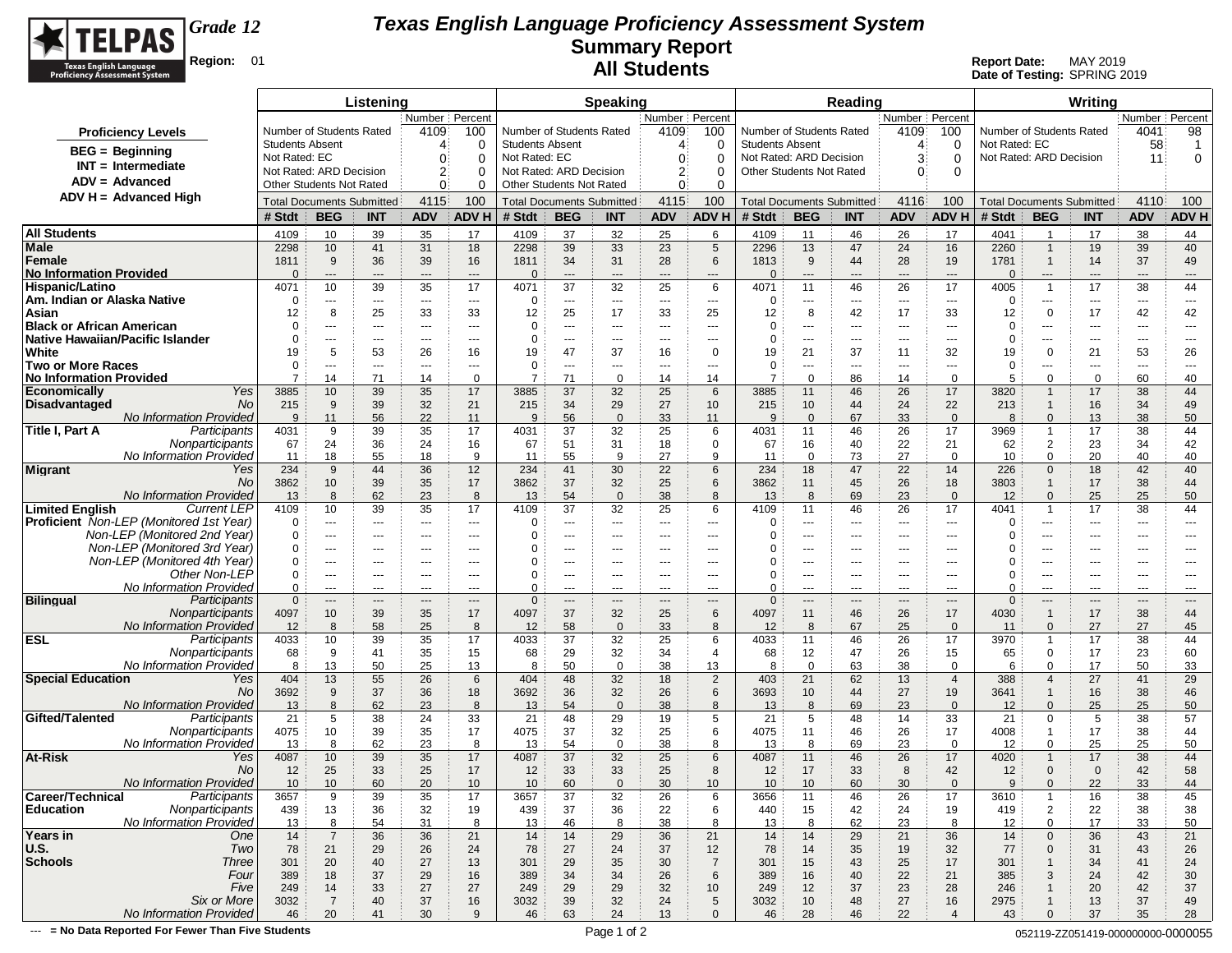

**Date of Testing:** SPRING 2019

|                                                                      |                        |                          | Listening                                      |                                  |                          |                        |                                                | <b>Speaking</b>         |                         |                          |                                  |                       | Reading             |                                          |                         |                                            |                              | Writing                       |                          |                               |
|----------------------------------------------------------------------|------------------------|--------------------------|------------------------------------------------|----------------------------------|--------------------------|------------------------|------------------------------------------------|-------------------------|-------------------------|--------------------------|----------------------------------|-----------------------|---------------------|------------------------------------------|-------------------------|--------------------------------------------|------------------------------|-------------------------------|--------------------------|-------------------------------|
|                                                                      |                        |                          |                                                | Number   Percent                 |                          |                        |                                                |                         | Number   Percent        |                          |                                  |                       |                     | Number Percent                           |                         |                                            |                              |                               | Number   Percent         |                               |
| <b>Proficiency Levels</b>                                            |                        | Number of Students Rated |                                                | 4109                             | 100                      |                        | Number of Students Rated                       |                         | 4109                    | 100                      | Number of Students Rated         |                       |                     | 4109                                     | 100                     | Number of Students Rated                   |                              |                               | 4041                     | 98                            |
| <b>BEG</b> = Beginning                                               | <b>Students Absent</b> |                          |                                                | 4                                | 0                        | <b>Students Absent</b> |                                                |                         | 4                       | 0                        | <b>Students Absent</b>           |                       |                     | 4                                        | 0                       | Not Rated: EC                              |                              |                               | 58                       | $\overline{1}$                |
| $INT = Intermediate$                                                 | Not Rated: EC          | Not Rated: ARD Decision  |                                                | 0                                | 0                        | Not Rated: EC          | Not Rated: ARD Decision                        |                         | 0                       | 0                        | Not Rated: ARD Decision          |                       |                     | 3                                        | $\Omega$                | Not Rated: ARD Decision                    |                              |                               | 11                       | 0                             |
| $ADV = Advanced$                                                     |                        | Other Students Not Rated |                                                | 2:<br>0                          | 0<br>0                   |                        | Other Students Not Rated                       |                         | 2:<br>0                 | 0<br>0                   | Other Students Not Rated         |                       |                     | $\Omega$                                 | $\Omega$                |                                            |                              |                               |                          |                               |
| ADV H = Advanced High                                                |                        |                          |                                                | 4115                             | 100                      |                        |                                                |                         | 4115                    | 100                      | <b>Total Documents Submitted</b> |                       |                     | 4116                                     | 100                     |                                            |                              |                               | 4110                     | 100                           |
|                                                                      | # Stdt                 | <b>BEG</b>               | <b>Total Documents Submitted</b><br><b>INT</b> | <b>ADV</b>                       | ADV H                    | # Stdt                 | <b>Total Documents Submitted</b><br><b>BEG</b> | <b>INT</b>              | ADV                     | <b>ADV H</b>             | # Stdt                           | <b>BEG</b>            | <b>INT</b>          | <b>ADV</b>                               | <b>ADV H</b>            | <b>Total Documents Submitted</b><br># Stdt | <b>BEG</b>                   | <b>INT</b>                    | <b>ADV</b>               | ADV H                         |
| <b>All Students</b>                                                  |                        |                          |                                                |                                  |                          |                        |                                                |                         |                         |                          |                                  |                       |                     |                                          |                         |                                            |                              |                               |                          |                               |
| Male                                                                 | 4109<br>2298           | 10<br>10                 | 39<br>41                                       | 35<br>31                         | 17<br>18                 | 4109<br>2298           | 37<br>39                                       | 32<br>33                | 25<br>23                | 6<br>$\sqrt{5}$          | 4109<br>2296                     | 11<br>13              | 46<br>47            | 26<br>24                                 | 17<br>16                | 4041<br>2260                               | $\mathbf{1}$<br>$\mathbf{1}$ | 17<br>19                      | 38<br>39                 | 44<br>40                      |
| Female                                                               | 1811                   | 9                        | 36                                             | 39                               | 16                       | 1811                   | 34                                             | 31                      | 28                      | 6                        | 1813                             | 9                     | 44                  | 28                                       | 19                      | 1781                                       | $\mathbf{1}$                 | 14                            | 37                       | 49                            |
| <b>No Information Provided</b>                                       | $\Omega$               | ---                      | $---$                                          | $---$                            | $---$                    | $\Omega$               | ---                                            | $---$                   | $\hspace{1.5cm} \ldots$ | $\hspace{1.5cm} \cdots$  | $\Omega$                         | $\cdots$              | $---$               | $\hspace{0.05cm} \ldots \hspace{0.05cm}$ | $---$                   | $\Omega$                                   | ---                          | $\hspace{1.5cm} \textbf{---}$ | $---$                    | $\hspace{1.5cm} \textbf{---}$ |
| Hispanic/Latino                                                      | 4071                   | 10                       | 39                                             | 35                               | 17                       | 4071                   | 37                                             | 32                      | 25                      | 6                        | 4071                             | 11                    | 46                  | 26                                       | 17                      | 4005                                       | $\mathbf{1}$                 | 17                            | 38                       | 44                            |
| Am. Indian or Alaska Native                                          | 0                      | ---                      | ---                                            | $\sim$ $\sim$                    | $\hspace{0.05cm} \ldots$ | 0                      | ---                                            | ---                     | $---$                   | $\cdots$                 | 0                                | $\cdots$              | $- - -$             | $\hspace{0.05cm} \ldots$                 | $\sim$ $\sim$           | 0                                          | $\cdots$                     | $\cdots$                      | ---                      | $---$                         |
| Asian                                                                | 12                     | 8                        | 25                                             | 33                               | 33                       | 12                     | 25                                             | 17                      | 33                      | 25                       | 12<br>O                          | 8                     | 42                  | 17                                       | 33                      | 12<br>0                                    | $\mathbf 0$                  | 17                            | 42                       | 42                            |
| <b>Black or African American</b><br>Native Hawaiian/Pacific Islander | $\Omega$<br>$\Omega$   | ---<br>$\cdots$          | ---<br>---                                     | $- - -$<br>$---$                 | ---<br>$---$             | 0<br>0                 | ---<br>---                                     | $\overline{a}$<br>$---$ | ---<br>---              | ---<br>$--$              | 0                                | $\cdots$<br>$\cdots$  | ---<br>$\cdots$     | ---<br>$\sim$ $\sim$                     | $- - -$<br>$\cdots$     | $\Omega$                                   | ---<br>---                   | ---<br>$---$                  | ---<br>---               | ---<br>$\qquad \qquad \cdots$ |
| White                                                                | 19                     | 5                        | 53                                             | 26                               | 16                       | 19                     | 47                                             | 37                      | 16                      | $\mathbf 0$              | 19                               | 21                    | 37                  | 11                                       | 32                      | 19                                         | $\mathbf 0$                  | 21                            | 53                       | 26                            |
| <b>Two or More Races</b>                                             | 0                      | ---                      | ---                                            | $---$                            | ---                      | 0                      | ---                                            | $\qquad \qquad \cdots$  | ---                     | $--$                     | 0                                | $\cdots$              | ---                 | $\sim$ $\sim$                            | $\overline{a}$          | 0                                          | ---                          | ---                           | $\overline{\phantom{a}}$ | $---$                         |
| <b>No Information Provided</b>                                       | $\overline{7}$         | 14                       | 71                                             | 14                               | $\mathbf 0$              | $\overline{7}$         | 71                                             | $\mathbf 0$             | 14                      | 14                       | $\overline{7}$                   | $\mathbf 0$           | 86                  | 14                                       | $\mathbf{0}$            | 5                                          | $\mathbf 0$                  | $\mathbf 0$                   | 60                       | 40                            |
| Yes<br>Economically<br>No.                                           | 3885                   | 10                       | 39                                             | 35                               | 17                       | 3885                   | 37                                             | 32                      | 25                      | 6                        | 3885                             | 11                    | 46                  | 26                                       | 17                      | 3820                                       | $\overline{1}$               | 17                            | 38                       | 44                            |
| Disadvantaged<br><b>No Information Provided</b>                      | 215<br>9               | 9<br>11                  | 39<br>56                                       | 32<br>22                         | 21<br>11                 | 215<br>9               | 34<br>56                                       | 29<br>$\overline{0}$    | 27<br>33                | 10<br>11                 | 215<br>9                         | 10<br>$\mathbf{0}$    | 44<br>67            | 24<br>33                                 | 22<br>$\Omega$          | 213<br>8                                   | $\mathbf{1}$<br>$\Omega$     | 16<br>13                      | 34<br>38                 | 49<br>50                      |
| Participants<br>Title I, Part A                                      | 4031                   | 9                        | 39                                             | 35                               | 17                       | 4031                   | 37                                             | 32                      | 25                      | 6                        | 4031                             | 11                    | 46                  | 26                                       | 17                      | 3969                                       | $\mathbf{1}$                 | 17                            | 38                       | 44                            |
| Nonparticipants                                                      | 67                     | 24                       | 36                                             | 24                               | 16                       | 67                     | 51                                             | 31                      | 18                      | 0                        | 67                               | 16                    | 40                  | 22                                       | 21                      | 62                                         | $\overline{2}$               | 23                            | 34                       | 42                            |
| No Information Provided                                              | 11                     | 18                       | 55                                             | 18                               | 9                        | 11                     | 55                                             | 9                       | 27                      | 9                        | 11                               | $\mathbf 0$           | 73                  | 27                                       | $\Omega$                | 10                                         | $\Omega$                     | 20                            | 40                       | 40                            |
| Migrant<br>Yes<br>No                                                 | 234                    | 9                        | 44                                             | 36                               | 12<br>17                 | 234                    | 41                                             | 30                      | 22                      | 6<br>6                   | 234                              | 18                    | 47                  | 22                                       | 14                      | 226                                        | $\mathbf{0}$<br>$\mathbf{1}$ | 18                            | 42                       | 40                            |
| No Information Provided                                              | 3862<br>13             | 10<br>8                  | 39<br>62                                       | 35<br>23                         | 8                        | 3862<br>13             | 37<br>54                                       | 32<br>$\mathbf 0$       | 25<br>38                | 8                        | 3862<br>13                       | 11<br>8               | 45<br>69            | 26<br>23                                 | 18<br>$\mathbf 0$       | 3803<br>12                                 | $\mathbf{0}$                 | 17<br>25                      | 38<br>25                 | 44<br>50                      |
| <b>Limited English</b><br><b>Current LEP</b>                         | 4109                   | 10                       | 39                                             | 35                               | 17                       | 4109                   | 37                                             | 32                      | 25                      | 6                        | 4109                             | 11                    | 46                  | 26                                       | 17                      | 4041                                       | $\mathbf{1}$                 | 17                            | 38                       | 44                            |
| Proficient Non-LEP (Monitored 1st Year)                              | 0                      | ---                      | ---                                            | $\cdots$                         | ---                      | 0                      | ---                                            | $\qquad \qquad \cdots$  | ---                     | ---                      | 0                                | ---                   | ---                 | ---                                      | $\overline{a}$          | $\Omega$                                   | ---                          | ---                           | ---                      | ---                           |
| Non-LEP (Monitored 2nd Year)                                         | 0                      | ---                      | ---                                            | $\sim$ $\sim$ $\sim$             | $---$                    | 0                      | ---                                            | $\cdots$                | $---$                   | $--$                     | O                                | $\cdots$              | $\cdots$            | $\sim$ $\sim$                            | $\cdots$                | 0                                          | ---                          | $---$                         | ---                      | $\cdots$                      |
| Non-LEP (Monitored 3rd Year)<br>Non-LEP (Monitored 4th Year)         | $\Omega$<br>0          | ---<br>$---$             | ---<br>---                                     | $\sim$ $\sim$ $\sim$<br>$\cdots$ | ---<br>$---$             | $\Omega$<br>0          | ---<br>$---$                                   | ---<br>$---$            | ---<br>---              | ---<br>$- - -$           |                                  | $\cdots$<br>$\cdots$  | ---<br>$---$        | ---<br>$---$                             | $\overline{a}$<br>$---$ | 0<br>0                                     | ---<br>$---$                 | ---<br>$---$                  | ---<br>$---$             | ---<br>$---$                  |
| Other Non-LEP                                                        | 0                      | ---                      | ---                                            | ---                              | $---$                    | 0                      | ---                                            | ---                     | ---                     | $\overline{\phantom{a}}$ | 0                                | $---$                 | ---                 | $---$                                    | $--$                    | 0                                          | ---                          | ---                           | ---                      | $---$                         |
| No Information Provided                                              | $\Omega$               | ---                      | ---                                            | ---                              | $--$                     | $\Omega$               | $\overline{a}$                                 | ---                     | ---                     | ---                      | $\Omega$                         | $\cdots$              | $- - -$             | $- - -$                                  | $- - -$                 | 0                                          | $---$                        | ---                           | ---                      | ---                           |
| <b>Bilingual</b><br>Participants                                     | $\mathbf{0}$           | $---$                    | $--$                                           | $\cdots$                         | $---$                    | $\mathbf 0$            | $\qquad \qquad \cdots$                         | $\qquad \qquad - -$     | $---$                   | $\qquad \qquad \cdots$   | $\mathbf 0$                      | $\qquad \qquad -$     | $\qquad \qquad - -$ | $\qquad \qquad - -$                      | $\qquad \qquad - -$     | $\mathbf{0}$                               | $\qquad \qquad - -$          | $---$                         | ---                      | $\qquad \qquad - \qquad -$    |
| Nonparticipants                                                      | 4097                   | 10                       | 39                                             | 35                               | 17                       | 4097                   | 37                                             | 32                      | 25                      | 6                        | 4097                             | 11                    | 46                  | 26                                       | 17                      | 4030                                       | $\mathbf{1}$                 | 17                            | 38                       | 44                            |
| No Information Provided<br><b>ESL</b><br>Participants                | 12<br>4033             | 8<br>10                  | 58<br>39                                       | 25<br>35                         | 8<br>17                  | 12<br>4033             | 58<br>37                                       | $\mathbf 0$<br>32       | 33<br>25                | 8<br>6                   | 12<br>4033                       | 8<br>11               | 67<br>46            | 25<br>26                                 | $\mathbf 0$<br>17       | 11<br>3970                                 | $\mathbf{0}$<br>$\mathbf{1}$ | 27<br>17                      | 27<br>38                 | 45<br>44                      |
| Nonparticipants                                                      | 68                     | 9                        | 41                                             | 35                               | 15                       | 68                     | 29                                             | 32                      | 34                      | $\overline{4}$           | 68                               | 12                    | 47                  | 26                                       | 15                      | 65                                         | 0                            | 17                            | 23                       | 60                            |
| No Information Provided                                              | 8                      | 13                       | 50                                             | 25                               | 13                       | 8                      | 50                                             | $\mathbf 0$             | 38                      | 13                       | 8                                | $\mathbf 0$           | 63                  | 38                                       | $\mathbf 0$             | 6                                          | $\Omega$                     | 17                            | 50                       | 33                            |
| <b>Special Education</b><br>Yes                                      | 404                    | 13                       | 55                                             | 26                               | 6                        | 404                    | 48                                             | 32                      | 18                      | $\overline{2}$           | 403                              | 21                    | 62                  | 13                                       | $\overline{4}$          | 388                                        | $\overline{4}$               | 27                            | 41                       | 29                            |
| No<br><b>No Information Provided</b>                                 | 3692<br>13             | 9<br>8                   | 37<br>62                                       | 36<br>23                         | 18<br>8                  | 3692<br>13             | 36<br>54                                       | 32<br>$\overline{0}$    | 26<br>38                | 6<br>8                   | 3693<br>13                       | 10<br>8               | 44<br>69            | 27<br>23                                 | 19<br>$\mathbf{0}$      | 3641<br>12                                 | $\mathbf{1}$<br>$\Omega$     | 16<br>25                      | 38<br>25                 | 46<br>50                      |
| Gifted/Talented<br>Participants                                      | 21                     | 5                        | 38                                             | 24                               | 33                       | 21                     | 48                                             | 29                      | 19                      | 5                        | 21                               | 5                     | 48                  | 14                                       | 33                      | 21                                         | $\Omega$                     | 5                             | 38                       | 57                            |
| Nonparticipants                                                      | 4075                   | 10                       | 39                                             | 35                               | 17                       | 4075                   | 37                                             | 32                      | 25                      | 6                        | 4075                             | 11                    | 46                  | 26                                       | 17                      | 4008                                       | $\mathbf 1$                  | 17                            | 38                       | 44                            |
| No Information Provided                                              | 13                     | 8                        | 62                                             | 23                               | 8                        | 13                     | 54                                             | $\mathbf 0$             | 38                      | 8                        | 13                               | 8                     | 69                  | 23                                       | $\Omega$                | 12                                         | $\Omega$                     | 25                            | 25                       | 50                            |
| At-Risk<br>Yes                                                       | 4087                   | 10                       | 39                                             | 35                               | 17                       | 4087                   | 37                                             | 32                      | 25                      | 6                        | 4087                             | 11                    | 46                  | 26                                       | 17                      | 4020                                       |                              | 17                            | 38                       | 44                            |
| No<br>No Information Provided                                        | 12<br>10               | 25<br>10                 | 33<br>60                                       | 25<br>20                         | 17<br>10                 | 12<br>10               | 33<br>60                                       | 33<br>$\mathbf{0}$      | 25<br>30                | 8<br>10                  | 12<br>10                         | 17<br>10 <sup>°</sup> | 33<br>60            | 8<br>30                                  | 42<br>$\mathbf{0}$      | 12<br>9                                    | $\Omega$<br>$\Omega$         | $\mathbf{0}$<br>22            | 42<br>33                 | 58<br>44                      |
| Participants<br>Career/Technical                                     | 3657                   | 9                        | 39                                             | 35                               | 17                       | 3657                   | 37                                             | 32                      | 26                      | 6                        | 3656                             | 11                    | 46                  | 26                                       | 17                      | 3610                                       | $\mathbf 1$                  | 16                            | 38                       | 45                            |
| <b>Education</b><br>Nonparticipants                                  | 439                    | 13                       | 36                                             | 32                               | 19                       | 439                    | 37                                             | 36                      | 22                      | 6                        | 440                              | 15                    | 42                  | 24                                       | 19                      | 419                                        | $\overline{2}$               | 22                            | 38                       | 38                            |
| No Information Provided                                              | 13                     | 8                        | 54                                             | 31                               | 8                        | 13                     | 46                                             | 8                       | 38                      | 8                        | 13                               | 8                     | 62                  | 23                                       | 8                       | 12                                         | 0                            | 17                            | 33                       | 50                            |
| Years in<br>One                                                      | 14                     | $\overline{7}$           | 36                                             | 36                               | 21                       | 14                     | 14                                             | 29                      | 36                      | 21                       | 14                               | 14                    | 29                  | 21                                       | 36                      | 14                                         | $\mathbf 0$                  | 36                            | 43                       | 21                            |
| <b>U.S.</b><br>Two<br><b>Schools</b><br>Three                        | 78<br>301              | 21<br>20                 | 29<br>40                                       | 26<br>27                         | 24<br>13                 | 78<br>301              | 27<br>29                                       | 24<br>35                | 37<br>30                | 12<br>$\overline{7}$     | 78<br>301                        | 14<br>15              | 35<br>43            | 19<br>25                                 | 32<br>17                | 77<br>301                                  | $\mathbf 0$<br>$\mathbf{1}$  | 31<br>34                      | 43<br>41                 | 26<br>24                      |
| Four                                                                 | 389                    | 18                       | 37                                             | 29                               | 16                       | 389                    | 34                                             | 34                      | 26                      | $6\phantom{1}6$          | 389                              | 16                    | 40                  | 22                                       | 21                      | 385                                        | 3                            | 24                            | 42                       | 30                            |
| Five                                                                 | 249                    | 14                       | 33                                             | 27                               | 27                       | 249                    | 29                                             | 29                      | 32                      | 10                       | 249                              | 12                    | 37                  | 23                                       | 28                      | 246                                        | $\mathbf{1}$                 | 20                            | 42                       | 37                            |
| Six or More                                                          | 3032                   | $\overline{7}$           | 40                                             | 37                               | 16                       | 3032                   | 39                                             | 32                      | 24                      | $\sqrt{5}$               | 3032                             | 10                    | 48                  | 27                                       | 16                      | 2975                                       | $\mathbf{1}$                 | 13                            | 37                       | 49                            |
| <b>No Information Provided</b>                                       | 46                     | 20                       | 41                                             | 30                               | 9                        | 46                     | 63                                             | 24                      | 13                      | $\mathbf 0$              | 46                               | 28                    | 46                  | 22                                       |                         | 43                                         | $\Omega$                     | 37                            | 35                       | 28                            |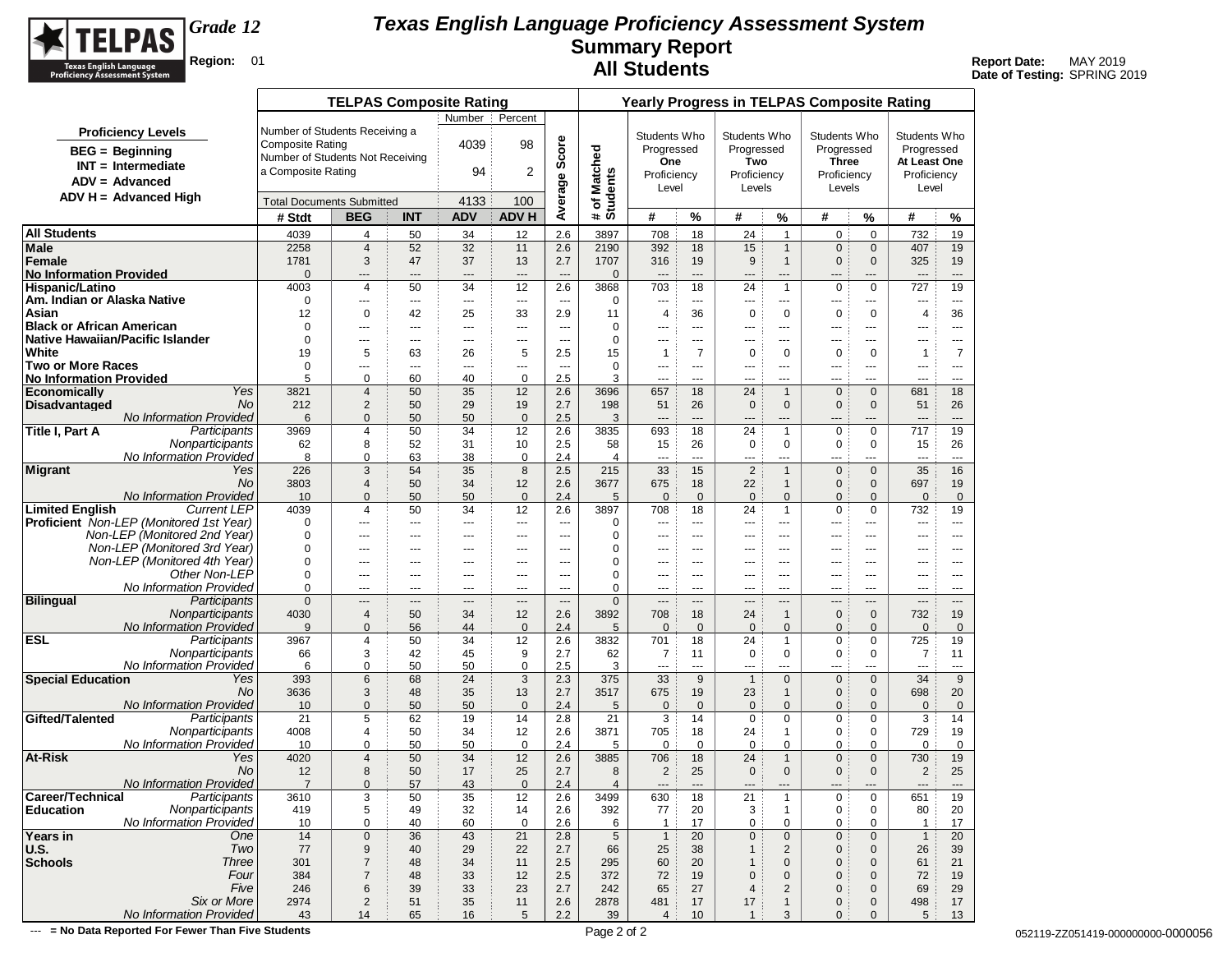

**Date of Testing:** SPRING 2019

|                                                                                |                                  | <b>Yearly Progress in TELPAS Composite Rating</b> |             |                          |                          |                          |                          |                     |                        |                           |                                |                                |                             |                       |                          |
|--------------------------------------------------------------------------------|----------------------------------|---------------------------------------------------|-------------|--------------------------|--------------------------|--------------------------|--------------------------|---------------------|------------------------|---------------------------|--------------------------------|--------------------------------|-----------------------------|-----------------------|--------------------------|
|                                                                                |                                  | <b>TELPAS Composite Rating</b>                    |             | Number                   | Percent                  |                          |                          |                     |                        |                           |                                |                                |                             |                       |                          |
| <b>Proficiency Levels</b>                                                      | Number of Students Receiving a   |                                                   |             |                          |                          |                          |                          | Students Who        |                        | Students Who              |                                | Students Who                   |                             | Students Who          |                          |
| $BEG = Beginning$                                                              | <b>Composite Rating</b>          |                                                   |             | 4039                     | 98                       | Average Score            |                          | Progressed          |                        | Progressed                |                                | Progressed                     |                             | Progressed            |                          |
|                                                                                | Number of Students Not Receiving |                                                   |             |                          |                          |                          |                          | One                 |                        | Two                       |                                | <b>Three</b>                   |                             | At Least One          |                          |
| $INT = Intermediate$                                                           | a Composite Rating               |                                                   |             | 94                       | 2                        |                          |                          | Proficiency         |                        | Proficiency               |                                | Proficiency                    |                             | Proficiency           |                          |
| $ADV = Advanced$                                                               |                                  |                                                   |             |                          |                          |                          |                          | Level               |                        | Levels                    |                                | Levels                         |                             | Level                 |                          |
| $ADV H = Advanced High$                                                        |                                  | <b>Total Documents Submitted</b>                  |             | 4133                     | 100                      |                          | # of Matched<br>Students |                     |                        |                           |                                |                                |                             |                       |                          |
|                                                                                | # Stdt                           | <b>BEG</b>                                        | <b>INT</b>  | <b>ADV</b>               | <b>ADV H</b>             |                          |                          | #                   | %                      | #                         | %                              | #                              | %                           | #                     | %                        |
| <b>All Students</b>                                                            | 4039                             | 4                                                 | 50          | 34                       | 12                       | 2.6                      | 3897                     | 708                 | 18                     | 24                        | $\overline{1}$                 | 0                              | $\mathbf 0$                 | 732                   | 19                       |
| Male                                                                           | 2258                             | $\overline{4}$                                    | 52          | 32                       | 11                       | 2.6                      | 2190                     | 392                 | 18                     | 15                        | $\mathbf{1}$                   | $\mathbf{0}$                   | $\mathbf 0$                 | 407                   | 19                       |
| Female                                                                         | 1781                             | 3                                                 | 47          | 37                       | 13                       | 2.7                      | 1707                     | 316                 | 19                     | 9                         | $\overline{1}$                 | $\mathbf 0$                    | $\mathbf 0$                 | 325                   | 19                       |
| <b>No Information Provided</b>                                                 | $\mathbf{0}$                     | $\hspace{1.5cm} \textbf{---}$                     | ---         | $\overline{a}$           | $\overline{\phantom{a}}$ | $\overline{a}$           | $\mathbf 0$              | $\overline{a}$      | $\overline{a}$         | $---$                     | $\hspace{1.5cm} \textbf{---}$  | $---$                          | ---                         | ---                   | $---$                    |
| <b>Hispanic/Latino</b>                                                         | 4003                             | 4                                                 | 50          | 34                       | 12                       | 2.6                      | 3868                     | 703                 | 18                     | 24                        | $\overline{1}$                 | $\mathbf 0$                    | $\mathbf 0$                 | 727                   | 19                       |
| Am. Indian or Alaska Native                                                    | 0                                | $\hspace{0.05cm} \ldots$                          | ---         | $\ldots$                 | ---                      | $\overline{\phantom{a}}$ | 0                        | ---                 | $\qquad \qquad \cdots$ | ---                       | ---                            | ---                            | ---                         | ---                   | $\cdots$                 |
| Asian                                                                          | 12                               | 0                                                 | 42          | 25                       | 33                       | 2.9                      | 11                       | 4                   | 36                     | $\pmb{0}$                 | $\mathbf 0$                    | 0                              | 0                           | 4                     | 36                       |
| <b>Black or African American</b><br>Native Hawaiian/Pacific Islander           | 0<br>$\mathbf 0$                 | $\cdots$                                          | ---         | $\cdots$                 | ---                      | $-$                      | 0<br>0                   | ---                 | $- - -$                | ---                       | ---                            | $\overline{a}$                 | ---                         | ---                   | $- - -$                  |
| <b>White</b>                                                                   | 19                               | $- - -$<br>5                                      | $---$<br>63 | $- - -$<br>26            | ---<br>5                 | $- - -$<br>2.5           | 15                       | $---$<br>1          | $--$<br>$\overline{7}$ | $---$<br>$\mathbf 0$      | $---$<br>0                     | $\cdots$<br>$\mathbf 0$        | ---<br>0                    | ---<br>$\mathbf 1$    | $---$<br>7               |
| Two or More Races                                                              | 0                                | $\cdots$                                          | $---$       | $\overline{\phantom{a}}$ | ---                      | $\overline{\phantom{a}}$ | 0                        | ---                 | $\cdots$               | ---                       | ---                            | ---                            | ---                         | ---                   | $\cdots$                 |
| <b>No Information Provided</b>                                                 | 5                                | 0                                                 | 60          | 40                       | $\mathbf 0$              | 2.5                      | 3                        | ---                 | $- - -$                | ---                       | ---                            | $\overline{a}$                 | ---                         | $\overline{a}$        | $- - -$                  |
| Yes<br><b>Economically</b>                                                     | 3821                             | $\overline{4}$                                    | 50          | 35                       | 12                       | 2.6                      | 3696                     | 657                 | 18                     | 24                        | $\mathbf{1}$                   | $\mathbf 0$                    | $\mathbf{0}$                | 681                   | 18                       |
| <b>Disadvantaged</b><br>No.                                                    | 212                              | $\overline{2}$                                    | 50          | 29                       | 19                       | 2.7                      | 198                      | 51                  | 26                     | $\mathbf 0$               | $\mathbf{0}$                   | $\mathbf 0$                    | $\mathbf 0$                 | 51                    | 26                       |
| No Information Provided                                                        | 6                                | $\mathbf{0}$                                      | 50          | 50                       | $\mathbf 0$              | 2.5                      | 3                        | ---                 | $\overline{a}$         | ---                       | ---                            | ---                            | ---                         | ---                   | $\hspace{0.05cm} \ldots$ |
| Title I, Part A<br>Participants                                                | 3969                             | 4                                                 | 50          | 34                       | 12                       | 2.6                      | 3835                     | 693                 | 18                     | 24                        | $\mathbf{1}$                   | $\mathbf 0$                    | $\mathbf 0$                 | 717                   | 19                       |
| Nonparticipants                                                                | 62                               | 8                                                 | 52          | 31                       | 10                       | 2.5                      | 58                       | 15                  | 26                     | 0                         | $\mathbf 0$                    | $\mathbf 0$                    | 0                           | 15                    | 26                       |
| No Information Provided                                                        | 8                                | 0                                                 | 63          | 38                       | $\pmb{0}$                | 2.4                      | 4                        | ---                 | $\overline{a}$         | ---                       | $\qquad \qquad \cdots$         | ---                            | ---                         | ---                   | $---$                    |
| <b>Migrant</b><br>Yes                                                          | 226                              | 3                                                 | 54          | 35                       | 8                        | 2.5                      | 215                      | 33                  | 15                     | $\overline{2}$            | $\overline{1}$                 | $\mathbf 0$                    | $\mathbf{0}$                | 35                    | 16                       |
| No.                                                                            | 3803                             | $\overline{4}$                                    | 50          | 34                       | 12                       | 2.6                      | 3677                     | 675                 | 18                     | 22                        | $\mathbf{1}$                   | $\mathbf{0}$                   | $\mathbf{0}$                | 697                   | 19                       |
| <b>No Information Provided</b><br><b>Limited English</b><br><b>Current LEP</b> | 10<br>4039                       | $\mathbf{0}$<br>4                                 | 50<br>50    | 50<br>34                 | $\mathbf 0$              | 2.4<br>2.6               | 5                        | $\mathbf{0}$<br>708 | $\mathbf 0$<br>18      | $\mathbf 0$<br>24         | $\mathbf{0}$<br>$\overline{1}$ | $\mathbf{0}$<br>$\mathbf 0$    | $\mathbf{0}$<br>$\mathbf 0$ | $\mathbf{0}$          | $\mathbf 0$<br>19        |
| <b>Proficient</b> Non-LEP (Monitored 1st Year)                                 | 0                                | $- - -$                                           | ---         | $---$                    | 12<br>---                | $\overline{a}$           | 3897<br>0                | ---                 | $\sim$                 | $---$                     | $---$                          | $\overline{a}$                 | ---                         | 732<br>$\overline{a}$ | $---$                    |
| Non-LEP (Monitored 2nd Year)                                                   | 0                                | $---$                                             | $---$       | $---$                    | $---$                    | $\overline{a}$           | 0                        | $\overline{a}$      | $- - -$                | $---$                     | $---$                          | $---$                          | ---                         | $---$                 | $- - -$                  |
| Non-LEP (Monitored 3rd Year)                                                   | $\mathbf 0$                      | ---                                               | ---         | ---                      | ---                      | $\overline{a}$           | 0                        | ---                 | $---$                  | ---                       | ---                            |                                | ---                         | ---                   | $\cdots$                 |
| Non-LEP (Monitored 4th Year)                                                   | 0                                | $\hspace{0.05cm} \ldots$                          | ---         | ---                      | ---                      | ---                      | 0                        | ---                 | ---                    | ---                       | ---                            | ---                            | ---                         | ---                   | $\cdots$                 |
| Other Non-LEP                                                                  | 0                                | $---$                                             | ---         | $---$                    | $---$                    | $\overline{a}$           | 0                        | ---                 | ---                    | $---$                     | $---$                          | $--$                           | ---                         | ---                   | $\cdots$                 |
| No Information Provided                                                        | 0                                | $- - -$                                           | ---         | $- - -$                  | $---$                    | $\overline{a}$           | 0                        | $---$               | $\sim$ $\sim$ $\sim$   | $---$                     | $- - -$                        | $- - -$                        | ---                         | $---$                 | $---$                    |
| <b>Bilingual</b><br>Participants                                               | $\mathbf{0}$                     | $---$                                             | ---         | $---$                    | $---$                    | $---$                    | $\mathbf 0$              | $---$               | $---$                  | $---$                     | ---                            | $---$                          | ---                         | $---$                 | $---$                    |
| Nonparticipants                                                                | 4030                             | $\overline{4}$                                    | 50          | 34                       | 12                       | 2.6                      | 3892                     | 708                 | 18                     | 24                        | $\mathbf{1}$                   | $\mathbf 0$                    | $\mathbf 0$                 | 732                   | 19                       |
| <b>No Information Provided</b>                                                 | 9                                | $\mathbf{0}$                                      | 56          | 44                       | $\mathbf 0$              | 2.4                      | 5                        | $\mathbf{0}$        | $\overline{0}$         | $\mathbf 0$               | $\mathbf{0}$                   | $\mathbf{0}$                   | $\mathbf{0}$                | $\mathbf{0}$          | $\mathbf{0}$             |
| <b>ESL</b><br>Participants                                                     | 3967                             | 4                                                 | 50          | 34                       | 12                       | 2.6                      | 3832                     | 701                 | 18                     | 24                        | $\mathbf{1}$                   | 0                              | $\mathbf 0$                 | 725                   | 19                       |
| Nonparticipants                                                                | 66                               | 3                                                 | 42          | 45                       | 9                        | 2.7                      | 62                       | 7                   | 11                     | 0                         | $\mathbf 0$                    | 0                              | 0                           | 7                     | 11                       |
| No Information Provided<br><b>Special Education</b><br>Yes                     | 6<br>393                         | 0<br>6                                            | 50<br>68    | 50<br>24                 | $\mathbf 0$<br>3         | 2.5<br>2.3               | 3<br>375                 | ---<br>33           | $\sim$<br>9            | $---$<br>$\mathbf{1}$     | ---<br>$\mathbf{0}$            | $\overline{a}$<br>$\mathbf{0}$ | ---<br>$\mathbf{0}$         | ---<br>34             | $---$<br>9               |
| No                                                                             | 3636                             | 3                                                 | 48          | 35                       | 13                       | 2.7                      | 3517                     | 675                 | 19                     | 23                        | $\mathbf{1}$                   | $\mathbf 0$                    | $\mathbf 0$                 | 698                   | 20                       |
| <b>No Information Provided</b>                                                 | 10                               | 0                                                 | 50          | 50                       | $\mathbf 0$              | 2.4                      | 5                        | $\mathbf{0}$        | $\mathbf 0$            | $\mathbf 0$               | $\mathbf{0}$                   | $\mathbf{0}$                   | $\mathbf{0}$                | $\mathbf{0}$          | $\mathbf 0$              |
| Gifted/Talented<br>Participants                                                | 21                               | 5                                                 | 62          | 19                       | 14                       | 2.8                      | 21                       | 3                   | 14                     | $\mathbf 0$               | 0                              | 0                              | 0                           | 3                     | 14                       |
| Nonparticipants                                                                | 4008                             | 4                                                 | 50          | 34                       | 12                       | 2.6                      | 3871                     | 705                 | 18                     | 24                        | $\mathbf{1}$                   | 0                              | 0                           | 729                   | 19                       |
| No Information Provided                                                        | 10                               | 0                                                 | 50          | 50                       | $\mathbf 0$              | 2.4                      | 5                        | $\mathbf 0$         | $\mathbf 0$            | $\mathbf 0$               | 0                              | 0                              | $\mathbf 0$                 | 0                     | 0                        |
| At-Risk<br>Yes                                                                 | 4020                             | 4                                                 | 50          | 34                       | 12                       | 2.6                      | 3885                     | 706                 | 18                     | 24                        | $\mathbf{1}$                   | $\mathbf 0$                    | $\mathbf 0$                 | 730                   | 19                       |
| No                                                                             | 12                               | 8                                                 | 50          | 17                       | 25                       | 2.7                      | 8                        | $\overline{2}$      | 25                     | $\mathbf 0$               | $\mathbf{0}$                   | $\mathbf{0}$                   | $\mathbf{0}$                | $\overline{c}$        | 25                       |
| No Information Provided                                                        | $\overline{7}$                   | $\mathbf{0}$                                      | 57          | 43                       | $\mathbf 0$              | 2.4                      | $\overline{4}$           | $\overline{a}$      | $---$                  | $---$                     | $---$                          | $---$                          | ---                         | $---$                 | $---$                    |
| Career/Technical<br>Participants                                               | 3610                             | 3                                                 | 50          | 35                       | 12                       | 2.6                      | 3499                     | 630                 | 18                     | 21                        | $\mathbf{1}$                   | 0                              | 0                           | 651                   | 19                       |
| Nonparticipants<br>Education                                                   | 419                              | 5                                                 | 49          | 32                       | 14                       | 2.6                      | 392                      | 77                  | 20                     | 3                         | $\mathbf{1}$                   | $\pmb{0}$                      | 0                           | 80                    | 20                       |
| No Information Provided<br>Years in<br>One                                     | 10                               | 0                                                 | 40          | 60                       | $\mathbf 0$              | 2.6                      | 6<br>5                   | $\mathbf{1}$        | 17<br>20               | 0                         | $\mathbf 0$                    | 0                              | 0                           | $\mathbf{1}$          | 17<br>20                 |
| Two<br>U.S.                                                                    | 14<br>77                         | $\pmb{0}$<br>9                                    | 36<br>40    | 43<br>29                 | 21<br>22                 | 2.8<br>2.7               | 66                       | $\mathbf{1}$<br>25  | 38                     | $\pmb{0}$<br>$\mathbf{1}$ | $\mathbf 0$<br>$\overline{2}$  | $\mathbf 0$<br>$\mathbf 0$     | $\mathbf 0$<br>$\mathbf 0$  | $\mathbf{1}$<br>26    | 39                       |
| <b>Schools</b><br>Three                                                        | 301                              | $\overline{7}$                                    | 48          | 34                       | 11                       | 2.5                      | 295                      | 60                  | 20                     | $\mathbf 1$               | $\mathbf 0$                    | 0                              | $\mathbf 0$                 | 61                    | 21                       |
| Four                                                                           | 384                              | $\overline{7}$                                    | 48          | 33                       | 12                       | 2.5                      | 372                      | 72                  | 19                     | $\mathbf 0$               | $\mathbf 0$                    | $\overline{0}$                 | $\mathbf 0$                 | 72                    | 19                       |
| Five                                                                           | 246                              | 6                                                 | 39          | 33                       | 23                       | 2.7                      | 242                      | 65                  | 27                     | 4                         | $\overline{2}$                 | $\overline{0}$                 | $\mathbf 0$                 | 69                    | 29                       |
| Six or More                                                                    | 2974                             | $\overline{c}$                                    | 51          | 35                       | 11                       | 2.6                      | 2878                     | 481                 | 17                     | 17                        | $\mathbf{1}$                   | 0                              | $\mathbf 0$                 | 498                   | 17                       |
| No Information Provided                                                        | 43                               | 14                                                | 65          | 16                       | 5                        | 2.2                      | 39                       | $\overline{4}$      | 10                     | $\mathbf{1}$              | 3                              | $\mathbf{0}$                   | $\mathbf{0}$                | 5                     | 13                       |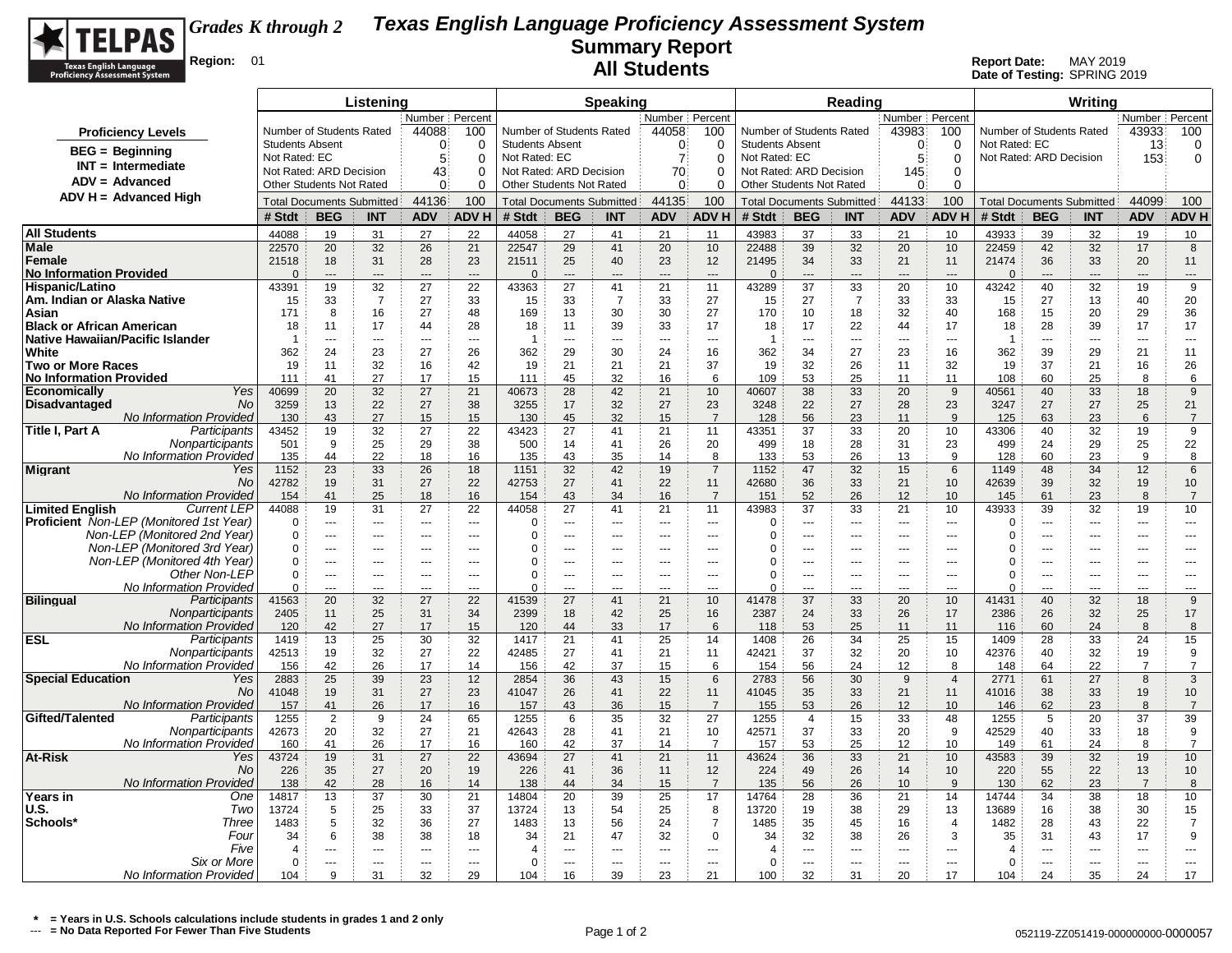

|                                                                                                |                        |                                                     | Listening      |                                |                          |                        |                                                     | <b>Speaking</b> |                    |                          |                        |                                                     | Reading                          |                          |                      |                         |                          | Writing                          |                                  |                         |
|------------------------------------------------------------------------------------------------|------------------------|-----------------------------------------------------|----------------|--------------------------------|--------------------------|------------------------|-----------------------------------------------------|-----------------|--------------------|--------------------------|------------------------|-----------------------------------------------------|----------------------------------|--------------------------|----------------------|-------------------------|--------------------------|----------------------------------|----------------------------------|-------------------------|
|                                                                                                |                        |                                                     |                | Number Percen                  |                          |                        |                                                     |                 | Number Percent     |                          |                        |                                                     |                                  | Number Percent           |                      |                         |                          |                                  | Number   Percent                 |                         |
| <b>Proficiency Levels</b>                                                                      |                        | Number of Students Rated                            |                | 44088                          | 100                      |                        | Number of Students Rated                            |                 | 44058              | 100                      |                        | Number of Students Rated                            |                                  | 43983                    | 100                  |                         | Number of Students Rated |                                  | 43933                            | 100                     |
| $BEG = Beginning$                                                                              | <b>Students Absent</b> |                                                     |                | $\Omega$                       | 0                        | <b>Students Absent</b> |                                                     |                 | 0                  | 0                        | <b>Students Absent</b> |                                                     |                                  | $\Omega$                 | $\Omega$             | Not Rated: EC           |                          |                                  | 13                               | 0                       |
| $INT = Intermediate$                                                                           | Not Rated: EC          |                                                     |                | 5                              | $\Omega$                 | Not Rated: EC          |                                                     |                 | $\overline{7}$     | $\mathbf 0$              | Not Rated: EC          |                                                     |                                  | 5                        | $\mathbf 0$          |                         | Not Rated: ARD Decision  |                                  | 153                              | $\mathbf 0$             |
| $ADV = Advanced$                                                                               |                        | Not Rated: ARD Decision<br>Other Students Not Rated |                | 43<br>$\Omega$                 | 0<br>0                   |                        | Not Rated: ARD Decision<br>Other Students Not Rated |                 | 70<br>$\mathbf{0}$ | $\Omega$<br>$\Omega$     |                        | Not Rated: ARD Decision<br>Other Students Not Rated |                                  | 145<br>0                 | 0<br>$\mathbf 0$     |                         |                          |                                  |                                  |                         |
| $ADV H = Advanced High$                                                                        |                        |                                                     |                | 44136                          | 100                      |                        |                                                     |                 | 44135              | 100                      |                        |                                                     |                                  | 44133                    | 100                  |                         |                          |                                  | 44099                            | 100                     |
|                                                                                                | # Stdt                 | <b>Total Documents Submitted</b><br><b>BEG</b>      |                | <b>ADV</b>                     | <b>ADVH</b>              | # Stdt                 | <b>Total Documents Submitted</b><br><b>BEG</b>      |                 | <b>ADV</b>         | <b>ADV H</b>             | # Stdt                 | <b>BEG</b>                                          | <b>Total Documents Submitted</b> | <b>ADV</b>               | ADV H                | # Stdt                  | <b>BEG</b>               | <b>Total Documents Submitted</b> | <b>ADV</b>                       | <b>ADV H</b>            |
|                                                                                                |                        |                                                     | INT            |                                |                          |                        |                                                     | <b>INT</b>      |                    |                          |                        |                                                     | <b>INT</b>                       |                          |                      |                         |                          | <b>INT</b>                       |                                  |                         |
| <b>All Students</b><br>Male                                                                    | 44088<br>22570         | 19<br>20                                            | 31<br>32       | 27<br>26                       | 22<br>21                 | 44058<br>22547         | 27<br>29                                            | 41<br>41        | 21<br>20           | 11<br>10                 | 43983<br>22488         | 37<br>39                                            | 33<br>32                         | 21<br>20                 | 10<br>10             | 43933<br>22459          | 39<br>42                 | 32<br>32                         | 19<br>17                         | 10<br>8                 |
| Female                                                                                         | 21518                  | 18                                                  | 31             | 28                             | 23                       | 21511                  | 25                                                  | 40              | 23                 | 12                       | 21495                  | 34                                                  | 33                               | 21                       | 11                   | 21474                   | 36                       | 33                               | 20                               | 11                      |
| <b>No Information Provided</b>                                                                 | $\Omega$               | ---                                                 | $\overline{a}$ | $\overline{a}$                 | $\overline{a}$           | $\Omega$               | $\overline{a}$                                      | $\overline{a}$  | $\overline{a}$     | $\overline{\phantom{a}}$ | $\Omega$               | ---                                                 | $\overline{a}$                   | $---$                    | $\sim$               | $\Omega$                | ---                      | ---                              | ---                              | ---                     |
| Hispanic/Latino                                                                                | 43391                  | 19                                                  | 32             | 27                             | 22                       | 43363                  | 27                                                  | 41              | 21                 | 11                       | 43289                  | 37                                                  | 33                               | 20                       | 10                   | 43242                   | 40                       | 32                               | 19                               | 9                       |
| Am. Indian or Alaska Native                                                                    | 15                     | 33                                                  | $\overline{7}$ | 27                             | 33                       | 15                     | 33                                                  | $\overline{7}$  | 33                 | 27                       | 15                     | 27                                                  | $\overline{7}$                   | 33                       | 33                   | 15                      | 27                       | 13                               | 40                               | 20                      |
| Asian                                                                                          | 171                    | 8                                                   | 16             | 27                             | 48                       | 169                    | 13                                                  | 30              | 30                 | 27                       | 170                    | 10                                                  | 18                               | 32                       | 40                   | 168                     | 15                       | 20                               | 29                               | 36                      |
| <b>Black or African American</b><br>Native Hawaiian/Pacific Islander                           | 18<br>-1               | 11<br>---                                           | 17<br>$- - -$  | 44<br>$\sim$                   | 28<br>$\sim$             | 18<br>$\overline{1}$   | 11<br>$\overline{a}$                                | 39<br>$-$       | 33<br>$\sim$       | 17<br>$\sim$ $\sim$      | 18<br>-1               | 17<br>$\overline{a}$                                | 22<br>$\sim$                     | 44<br>$\sim$             | 17<br>$\sim$         | 18<br>1                 | 28<br>$\sim$             | 39<br>$\overline{a}$             | 17<br>$\overline{a}$             | 17<br>$---$             |
| White                                                                                          | 362                    | 24                                                  | 23             | 27                             | 26                       | 362                    | 29                                                  | 30              | 24                 | 16                       | 362                    | 34                                                  | 27                               | 23                       | 16                   | 362                     | 39                       | 29                               | 21                               | 11                      |
| <b>Two or More Races</b>                                                                       | 19                     | 11                                                  | 32             | 16                             | 42                       | 19                     | 21                                                  | 21              | 21                 | 37                       | 19                     | 32                                                  | 26                               | 11                       | 32                   | 19                      | 37                       | 21                               | 16                               | 26                      |
| <b>No Information Provided</b>                                                                 | 111                    | 41                                                  | 27             | 17                             | 15                       | 111                    | 45                                                  | 32              | 16                 | 6                        | 109                    | 53                                                  | 25                               | 11                       | 11                   | 108                     | 60                       | 25                               | 8                                | 6                       |
| Yes<br><b>Economically</b>                                                                     | 40699                  | 20                                                  | 32             | 27                             | 21                       | 40673                  | 28                                                  | 42              | 21                 | 10                       | 40607                  | 38                                                  | 33                               | 20                       | 9                    | 40561                   | 40                       | 33                               | 18                               | 9                       |
| <b>Disadvantaged</b><br><b>No</b>                                                              | 3259                   | 13                                                  | 22             | 27                             | 38                       | 3255                   | 17                                                  | 32              | 27                 | 23                       | 3248                   | 22                                                  | 27                               | 28                       | 23                   | 3247                    | 27                       | 27                               | 25                               | 21                      |
| No Information Provided<br>Participants                                                        | 130<br>43452           | 43<br>19                                            | 27<br>32       | 15<br>27                       | 15<br>22                 | 130<br>43423           | 45<br>27                                            | 32<br>41        | 15<br>21           | $\overline{7}$<br>11     | 128<br>43351           | 56<br>37                                            | 23<br>33                         | 11<br>20                 | 9<br>10              | 125<br>43306            | 63<br>40                 | 23<br>32                         | 6<br>19                          | $\overline{7}$<br>9     |
| Title I, Part A<br>Nonparticipants                                                             | 501                    | 9                                                   | 25             | 29                             | 38                       | 500                    | 14                                                  | 41              | 26                 | 20                       | 499                    | 18                                                  | 28                               | 31                       | 23                   | 499                     | 24                       | 29                               | 25                               | 22                      |
| No Information Provided                                                                        | 135                    | 44                                                  | 22             | 18                             | 16                       | 135                    | 43                                                  | 35              | 14                 | 8                        | 133                    | 53                                                  | 26                               | 13                       | 9                    | 128                     | 60                       | 23                               | 9                                | 8                       |
| <b>Migrant</b><br>Yes                                                                          | 1152                   | 23                                                  | 33             | 26                             | 18                       | 1151                   | 32                                                  | 42              | 19                 | $\overline{7}$           | 1152                   | 47                                                  | 32                               | 15                       | 6                    | 1149                    | 48                       | 34                               | 12                               | 6                       |
| No                                                                                             | 42782                  | 19                                                  | 31             | 27                             | 22                       | 42753                  | 27                                                  | 41              | 22                 | 11                       | 42680                  | 36                                                  | 33                               | 21                       | 10                   | 42639                   | 39                       | 32                               | 19                               | 10                      |
| No Information Provideo                                                                        | 154                    | 41                                                  | 25             | 18                             | 16                       | 154                    | 43                                                  | 34              | 16                 | $\overline{7}$           | 151                    | 52                                                  | 26                               | 12                       | 10                   | 145                     | 61                       | 23                               | 8                                | $\overline{7}$          |
| <b>Limited English</b><br><b>Current LEP</b><br><b>Proficient</b> Non-LEP (Monitored 1st Year) | 44088<br>$\Omega$      | 19<br>$\overline{a}$                                | 31             | 27<br>$\overline{\phantom{a}}$ | 22<br>$\sim$             | 44058                  | 27<br>$-$                                           | 41<br>$-$       | 21                 | 11<br>$\overline{a}$     | 43983<br>$\Omega$      | 37<br>$\overline{a}$                                | 33                               | 21                       | 10<br>$\overline{a}$ | 43933                   | 39<br>$\sim$             | 32<br>$\overline{a}$             | 19                               | 10                      |
| Non-LEP (Monitored 2nd Year)                                                                   | $\Omega$               | ---                                                 | $- - -$<br>--- | $\overline{a}$                 | $\sim$                   | 0<br>$\Omega$          |                                                     | ---             | $- - -$<br>$\sim$  | ---                      | $\Omega$               | ---                                                 | $- - -$<br>---                   | $-$<br>$-$               | $\sim$               | $\mathbf 0$<br>$\Omega$ | ---                      | ---                              | $\overline{a}$<br>$\overline{a}$ | $\overline{a}$<br>$---$ |
| Non-LEP (Monitored 3rd Year)                                                                   | $\Omega$               | ---                                                 | $- - -$        | $-$                            | $\overline{\phantom{a}}$ | $\Omega$               | ---                                                 | ---             | ---                | ---                      | $\Omega$               | ---                                                 | ---                              | ---                      | ---                  | 0                       | $\overline{a}$           | ---                              | ---                              | $---$                   |
| Non-LEP (Monitored 4th Year)                                                                   | $\Omega$               | $\overline{a}$                                      | $\overline{a}$ | $---$                          | $\overline{a}$           | 0                      | ---                                                 | ---             | $\overline{a}$     | ---                      | $\Omega$               | ---                                                 | $\overline{a}$                   | $---$                    | $\overline{a}$       | 0                       | ---                      | ---                              | $\overline{a}$                   | $\overline{a}$          |
| Other Non-LEP                                                                                  | $\mathbf 0$            | ---                                                 | ---            | ---                            | ---                      | $\mathbf 0$            | ---                                                 | ---             | ---                | ---                      | $\Omega$               | ---                                                 | ---                              | ---                      | $\overline{a}$       | 0                       | ---                      | ---                              | ---                              | ---                     |
| No Information Provideo                                                                        | $\Omega$               | ---                                                 | ---            | $\overline{a}$                 | $\sim$                   | $\Omega$               | $-$                                                 |                 | ---                | ---                      | $\Omega$               | ---                                                 | ---                              | $\overline{a}$           | $\sim$               | $\Omega$                | $\sim$                   | ---                              | ---                              | ---                     |
| <b>Bilingual</b><br>Participants<br>Nonparticipants                                            | 41563                  | 20                                                  | 32             | 27                             | 22                       | 41539<br>2399          | 27                                                  | 41<br>42        | 21<br>25           | 10                       | 41478<br>2387          | 37                                                  | 33                               | 20                       | 10                   | 41431<br>2386           | 40<br>26                 | 32<br>32                         | 18<br>25                         | 9                       |
| <b>No Information Provided</b>                                                                 | 2405<br>120            | 11<br>42                                            | 25<br>27       | 31<br>17                       | 34<br>15                 | 120                    | 18<br>44                                            | 33              | 17                 | 16<br>6                  | 118                    | 24<br>53                                            | 33<br>25                         | 26<br>11                 | 17<br>11             | 116                     | 60                       | 24                               | 8                                | 17<br>8                 |
| <b>ESL</b><br>Participants                                                                     | 1419                   | 13                                                  | 25             | 30                             | 32                       | 1417                   | 21                                                  | 41              | 25                 | 14                       | 1408                   | 26                                                  | 34                               | 25                       | 15                   | 1409                    | 28                       | 33                               | 24                               | 15                      |
| Nonparticipants                                                                                | 42513                  | 19                                                  | 32             | 27                             | 22                       | 42485                  | 27                                                  | 41              | 21                 | 11                       | 42421                  | 37                                                  | 32                               | 20                       | 10                   | 42376                   | 40                       | 32                               | 19                               | 9                       |
| No Information Provideo                                                                        | 156                    | 42                                                  | 26             | 17                             | 14                       | 156                    | 42                                                  | 37              | 15                 | 6                        | 154                    | 56                                                  | 24                               | 12                       | 8                    | 148                     | 64                       | 22                               | $\overline{7}$                   | $\overline{7}$          |
| <b>Special Education</b><br>Yes                                                                | 2883                   | 25                                                  | 39             | 23                             | 12                       | 2854                   | 36                                                  | 43              | 15                 | 6                        | 2783                   | 56                                                  | 30                               | 9                        | $\overline{4}$       | 2771                    | 61                       | 27                               | 8                                | 3                       |
| No.<br>No Information Provided                                                                 | 41048<br>157           | 19<br>41                                            | 31<br>26       | 27<br>17                       | 23<br>16                 | 41047<br>157           | 26<br>43                                            | 41<br>36        | 22<br>15           | 11<br>$\overline{7}$     | 41045<br>155           | 35<br>53                                            | 33<br>26                         | 21<br>12                 | 11<br>10             | 41016<br>146            | 38<br>62                 | 33<br>23                         | 19<br>8                          | 10<br>$\overline{7}$    |
| Gifted/Talented<br>Participants                                                                | 1255                   | 2                                                   | 9              | 24                             | 65                       | 1255                   | 6                                                   | 35              | 32                 | 27                       | 1255                   | 4                                                   | 15                               | 33                       | 48                   | 1255                    | 5                        | 20                               | 37                               | 39                      |
| Nonparticipants                                                                                | 42673                  | 20                                                  | 32             | 27                             | 21                       | 42643                  | 28                                                  | 41              | 21                 | 10                       | 42571                  | 37                                                  | 33                               | 20                       | 9                    | 42529                   | 40                       | 33                               | 18                               | 9                       |
| No Information Provideo                                                                        | 160                    | 41                                                  | 26             | 17                             | 16                       | 160                    | 42                                                  | 37              | 14                 | $\overline{7}$           | 157                    | 53                                                  | 25                               | 12                       | 10                   | 149                     | 61                       | 24                               | $\mathbf{8}$                     | $\overline{7}$          |
| At-Risk<br>Yes                                                                                 | 43724                  | 19                                                  | 31             | 27                             | 22                       | 43694                  | 27                                                  | 41              | 21                 | 11                       | 43624                  | 36                                                  | 33                               | 21                       | 10                   | 43583                   | 39                       | 32                               | 19                               | 10                      |
| No                                                                                             | 226                    | 35                                                  | 27             | 20                             | 19                       | 226                    | 41                                                  | 36              | 11                 | 12                       | 224                    | 49                                                  | 26                               | 14                       | 10                   | 220                     | 55                       | 22                               | 13                               | 10                      |
| No Information Provideo                                                                        | 138<br>14817           | 42                                                  | 28             | 16                             | 14                       | 138<br>14804           | 44                                                  | 34              | 15                 | $\overline{7}$           | 135<br>14764           | 56                                                  | 26<br>36                         | 10                       | 9<br>14              | 130<br>14744            | 62<br>34                 | 23<br>38                         | $\overline{7}$                   | 8<br>10                 |
| Years in<br>One<br>U.S.<br>Two                                                                 | 13724                  | 13<br>5                                             | 37<br>25       | 30<br>33                       | 21<br>37                 | 13724                  | 20<br>13                                            | 39<br>54        | 25<br>25           | 17<br>8                  | 13720                  | 28<br>19                                            | 38                               | 21<br>29                 | 13                   | 13689                   | 16                       | 38                               | 18<br>30                         | 15                      |
| Schools*<br>Three                                                                              | 1483                   | 5                                                   | 32             | 36                             | 27                       | 1483                   | 13                                                  | 56              | 24                 | $\overline{7}$           | 1485                   | 35                                                  | 45                               | 16                       | $\overline{4}$       | 1482                    | 28                       | 43                               | 22                               | $\overline{7}$          |
| Four                                                                                           | 34                     | 6                                                   | 38             | 38                             | 18                       | 34                     | 21                                                  | 47              | 32                 | $\mathbf 0$              | 34                     | 32                                                  | 38                               | 26                       | 3                    | 35                      | 31                       | 43                               | 17                               | 9                       |
| Five                                                                                           | $\overline{4}$         | $\overline{a}$                                      | $\sim$         | $\sim$                         | $\sim$                   | $\overline{4}$         |                                                     |                 | $\sim$             | $\overline{\phantom{a}}$ | Δ                      | <u></u>                                             | $\sim$                           | $\sim$                   | $\sim$               | $\overline{4}$          | ---                      | ---                              | $\sim$                           | $\sim$ $\sim$           |
| Six or More                                                                                    | $\Omega$               | ---                                                 |                | $\overline{a}$                 | $\sim$                   | $\mathbf 0$            | ÷÷.                                                 | ---             | ---                | $\overline{a}$           | $\Omega$               | ---                                                 | ---                              | $\overline{\phantom{a}}$ | $\overline{a}$       | $\Omega$                | ---                      | ---                              | ---                              | $\overline{a}$          |
| No Information Provided                                                                        | 104                    | 9                                                   | 31             | 32                             | 29                       | 104                    | 16                                                  | 39              | 23                 | 21                       | 100                    | 32                                                  | 31                               | 20                       | 17                   | 104                     | 24                       | 35                               | 24                               | 17                      |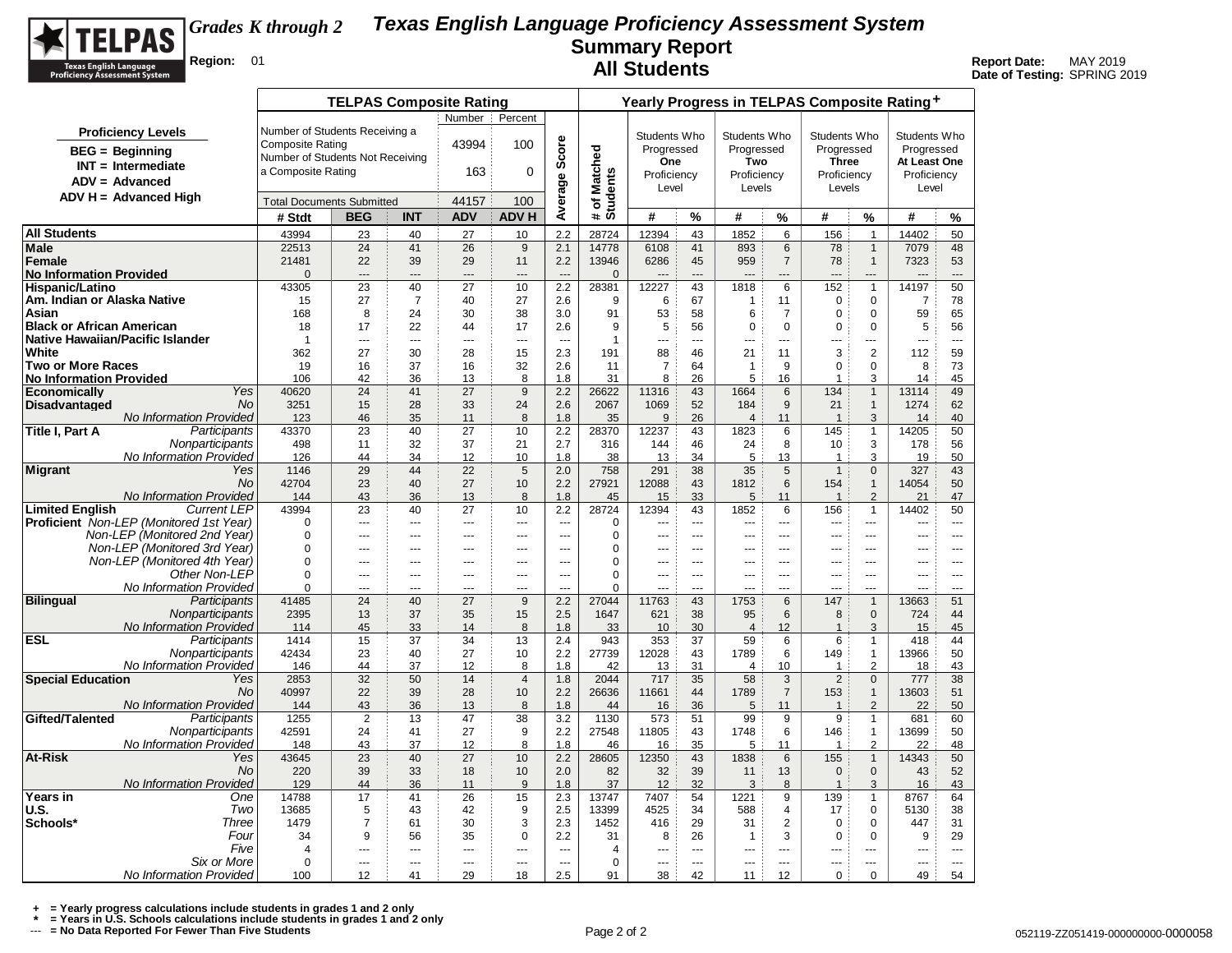

## **Texas English Language Proficiency Assessment System Summary Report All Students**<br> **All Students Report Date:** MAY 2019<br>
Date of Testing: SPRING 2019 *Grades K through 2*

**Date of Testing:** SPRING 2019

|                                                                      |                                            | <b>TELPAS Composite Rating</b>   |                                |               |                          |                                    | Yearly Progress in TELPAS Composite Rating+ |                |                                    |                                  |                          |                          |                              |                       |                                            |  |  |
|----------------------------------------------------------------------|--------------------------------------------|----------------------------------|--------------------------------|---------------|--------------------------|------------------------------------|---------------------------------------------|----------------|------------------------------------|----------------------------------|--------------------------|--------------------------|------------------------------|-----------------------|--------------------------------------------|--|--|
|                                                                      |                                            |                                  |                                | Number        | Percent                  |                                    |                                             |                |                                    |                                  |                          |                          |                              |                       |                                            |  |  |
| <b>Proficiency Levels</b>                                            | Number of Students Receiving a             |                                  |                                |               |                          |                                    |                                             | Students Who   |                                    | Students Who                     |                          | Students Who             |                              | Students Who          |                                            |  |  |
| $BEG =$ Beginning                                                    | <b>Composite Rating</b>                    |                                  |                                | 43994         | 100                      |                                    |                                             | Progressed     |                                    | Progressed                       |                          | Progressed               |                              | Progressed            |                                            |  |  |
| $INT = Intermediate$                                                 | Number of Students Not Receiving           |                                  |                                |               |                          | Score                              |                                             | One            |                                    | Two                              |                          | <b>Three</b>             |                              | At Least One          |                                            |  |  |
| $ADV = Advanced$                                                     | a Composite Rating                         |                                  |                                | 163           | $\Omega$                 |                                    |                                             | Proficiency    |                                    | Proficiency                      |                          | Proficiency              |                              | Proficiency           |                                            |  |  |
| $ADV H = Advanced High$                                              |                                            |                                  |                                | 44157         | 100                      |                                    |                                             | Level          |                                    | Levels                           |                          | Levels                   |                              | Level                 |                                            |  |  |
|                                                                      | <b>Total Documents Submitted</b><br># Stdt | <b>BEG</b>                       | <b>INT</b>                     | <b>ADV</b>    | <b>ADVH</b>              | Average                            | # of Matched<br>Students                    | #              | %                                  | #                                | %                        | #                        | %                            | #                     | %                                          |  |  |
| <b>All Students</b>                                                  | 43994                                      | 23                               | 40                             | 27            | 10                       | 2.2                                | 28724                                       | 12394          | 43                                 | 1852                             | 6                        | 156                      | $\mathbf{1}$                 | 14402                 | 50                                         |  |  |
| Male                                                                 | 22513                                      | 24                               | 41                             | 26            | 9                        | 2.1                                | 14778                                       | 6108           | 41                                 | 893                              | 6                        | 78                       | $\mathbf{1}$                 | 7079                  | 48                                         |  |  |
| Female                                                               | 21481                                      | 22                               | 39                             | 29            | 11                       | 2.2                                | 13946                                       | 6286           | 45                                 | 959                              | $\overline{7}$           | 78                       | $\mathbf{1}$                 | 7323                  | 53                                         |  |  |
| <b>No Information Provided</b>                                       | $\Omega$                                   | $---$                            | ---                            | ---           | ---                      | $---$                              | $\Omega$                                    |                | $---$                              | $---$                            | ---                      | $-$                      | ---                          | ---                   | ---                                        |  |  |
| Hispanic/Latino                                                      | 43305                                      | 23                               | 40                             | 27            | 10                       | 2.2                                | 28381                                       | 12227          | 43                                 | 1818                             | 6                        | 152                      | $\mathbf{1}$                 | 14197                 | 50                                         |  |  |
| Am. Indian or Alaska Native                                          | 15                                         | 27                               | $\overline{7}$                 | 40            | 27                       | 2.6                                | 9                                           | 6              | 67                                 | $\mathbf{1}$                     | 11                       | $\mathbf 0$              | 0                            | $\overline{7}$        | 78                                         |  |  |
| Asian                                                                | 168                                        | 8                                | 24                             | 30            | 38                       | 3.0                                | 91                                          | 53             | 58                                 | 6                                | $\overline{7}$           | $\mathbf 0$              | $\Omega$                     | 59                    | 65                                         |  |  |
| <b>Black or African American</b><br>Native Hawaiian/Pacific Islander | 18<br>$\overline{1}$                       | 17                               | 22<br>$\overline{\phantom{a}}$ | 44            | 17                       | 2.6                                | 9                                           | 5              | 56<br>$\sim$                       | 0                                | $\mathbf 0$              | $\mathbf 0$              | $\mathbf 0$                  | 5                     | 56                                         |  |  |
| White                                                                | 362                                        | ---<br>27                        | 30                             | ---<br>28     | ---<br>15                | $\overline{\phantom{a}}$<br>2.3    | $\mathbf{1}$<br>191                         | ---<br>88      | 46                                 | $\overline{a}$<br>21             | ---<br>11                | ---<br>$\mathsf 3$       | ---<br>$\overline{2}$        | ---<br>112            | $\overline{\phantom{a}}$<br>59             |  |  |
| <b>Two or More Races</b>                                             | 19                                         | 16                               | 37                             | 16            | 32                       | 2.6                                | 11                                          | $\overline{7}$ | 64                                 | $\mathbf{1}$                     | 9                        | $\mathbf 0$              | $\Omega$                     | 8                     | 73                                         |  |  |
| <b>No Information Provided</b>                                       | 106                                        | 42                               | 36                             | 13            | 8                        | 1.8                                | 31                                          | 8              | 26                                 | 5                                | 16                       | $\overline{1}$           | 3                            | 14                    | 45                                         |  |  |
| Yes<br><b>Economically</b>                                           | 40620                                      | 24                               | 41                             | 27            | $9\,$                    | 2.2                                | 26622                                       | 11316          | 43                                 | 1664                             | 6                        | 134                      | $\mathbf{1}$                 | 13114                 | 49                                         |  |  |
| <b>Disadvantaged</b><br><b>No</b>                                    | 3251                                       | 15                               | 28                             | 33            | 24                       | 2.6                                | 2067                                        | 1069           | 52                                 | 184                              | 9                        | 21                       | $\mathbf{1}$                 | 1274                  | 62                                         |  |  |
| No Information Provided                                              | 123                                        | 46                               | 35                             | 11            | 8                        | 1.8                                | 35                                          | 9              | 26                                 | $\overline{4}$                   | 11                       | $\overline{1}$           | 3                            | 14                    | 40                                         |  |  |
| Title I, Part A<br>Participants                                      | 43370                                      | 23                               | 40                             | 27            | 10                       | 2.2                                | 28370                                       | 12237          | 43                                 | 1823                             | 6                        | 145                      | $\mathbf{1}$                 | 14205                 | 50                                         |  |  |
| Nonparticipants                                                      | 498                                        | 11                               | 32                             | 37            | 21                       | 2.7                                | 316                                         | 144            | 46                                 | 24                               | 8                        | 10                       | 3                            | 178                   | 56                                         |  |  |
| No Information Provided                                              | 126                                        | 44                               | 34                             | 12            | 10                       | 1.8                                | 38                                          | 13             | 34                                 | 5                                | 13                       | $\overline{1}$           | 3                            | 19                    | 50                                         |  |  |
| Migrant<br>Yes<br><b>No</b>                                          | 1146<br>42704                              | 29<br>23                         | 44<br>40                       | 22<br>27      | 5<br>10                  | 2.0<br>2.2                         | 758<br>27921                                | 291<br>12088   | 38<br>43                           | 35<br>1812                       | 5<br>6                   | $\mathbf{1}$<br>154      | $\mathbf 0$<br>$\mathbf{1}$  | 327<br>14054          | 43<br>50                                   |  |  |
| No Information Provided                                              | 144                                        | 43                               | 36                             | 13            | 8                        | 1.8                                | 45                                          | 15             | 33                                 | 5                                | 11                       | $\overline{1}$           | $\mathcal{P}$                | 21                    | 47                                         |  |  |
| <b>Limited English</b><br><b>Current LEP</b>                         | 43994                                      | 23                               | 40                             | 27            | 10                       | 2.2                                | 28724                                       | 12394          | 43                                 | 1852                             | 6                        | 156                      | $\mathbf{1}$                 | 14402                 | 50                                         |  |  |
| <b>Proficient</b> Non-LEP (Monitored 1st Year)                       | $\Omega$                                   | $\overline{a}$                   | $\sim$                         | ---           | $\sim$                   | $\sim$                             | $\Omega$                                    | ---            | $\sim$                             | $\overline{a}$                   | $\sim$                   | $\sim$                   | $\overline{a}$               | $\sim$                | $\sim$                                     |  |  |
| Non-LEP (Monitored 2nd Year)                                         | $\Omega$                                   | ---                              | ---                            | ---           | $\overline{a}$           | $---$                              | $\Omega$                                    | ---            | $\sim$                             | ---                              | $\overline{a}$           | $\overline{a}$           | ---                          | ---                   | $\overline{a}$                             |  |  |
| Non-LEP (Monitored 3rd Year)                                         | 0                                          | ---                              | ---                            | ---           | $\overline{a}$           | ---                                | 0                                           |                | $\overline{a}$                     |                                  | $\overline{a}$           | $\overline{a}$           | ---                          | ---                   | $\overline{a}$                             |  |  |
| Non-LEP (Monitored 4th Year)                                         | 0                                          | $\overline{a}$                   | $\sim$                         | $\sim$        | $\sim$                   | $\overline{a}$                     | 0                                           | ---            | $\sim$                             | $\overline{a}$                   | $\overline{a}$           | $\overline{\phantom{a}}$ | $\overline{a}$               | $\sim$                | $\sim$                                     |  |  |
| Other Non-LEP                                                        | $\Omega$                                   | $\overline{a}$                   | $\sim$                         | $\sim$        | $\sim$                   | $\overline{a}$                     | $\Omega$                                    | $\sim$         | $\sim$                             | $\sim$                           | $\sim$                   | $-$                      | <u></u>                      | $\sim$                | $\sim$                                     |  |  |
| No Information Provided<br>Participants<br><b>Bilingual</b>          | 0<br>41485                                 | ---<br>24                        | ---<br>40                      | ---<br>27     | ---<br>9                 | ---<br>2.2                         | 0<br>27044                                  | <br>11763      | $\overline{a}$<br>43               | 1753                             | ---<br>6                 | ---<br>147               | ---<br>$\mathbf{1}$          | ---<br>13663          | $\sim$<br>51                               |  |  |
| Nonparticipants                                                      | 2395                                       | 13                               | 37                             | 35            | 15                       | 2.5                                | 1647                                        | 621            | 38                                 | 95                               | 6                        | 8                        | $\mathbf{0}$                 | 724                   | 44                                         |  |  |
| No Information Provided                                              | 114                                        | 45                               | 33                             | 14            | 8                        | 1.8                                | 33                                          | 10             | 30                                 | $\overline{4}$                   | 12                       | $\overline{1}$           | 3                            | 15                    | 45                                         |  |  |
| ESL<br>Participants                                                  | 1414                                       | 15                               | 37                             | 34            | 13                       | 2.4                                | 943                                         | 353            | 37                                 | 59                               | 6                        | 6                        | $\mathbf{1}$                 | 418                   | 44                                         |  |  |
| Nonparticipants                                                      | 42434                                      | 23                               | 40                             | 27            | 10                       | 2.2                                | 27739                                       | 12028          | 43                                 | 1789                             | 6                        | 149                      | $\mathbf{1}$                 | 13966                 | 50                                         |  |  |
| No Information Provided                                              | 146                                        | 44                               | 37                             | 12            | 8                        | 1.8                                | 42                                          | 13             | 31                                 | $\overline{4}$                   | 10                       | $\mathbf{1}$             | 2                            | 18                    | 43                                         |  |  |
| <b>Special Education</b><br>Yes                                      | 2853                                       | 32                               | 50                             | 14            | $\overline{4}$           | 1.8                                | 2044                                        | 717            | 35                                 | 58                               | 3                        | $\overline{2}$           | $\mathbf{0}$                 | 777                   | 38                                         |  |  |
| No.                                                                  | 40997                                      | 22                               | 39                             | 28            | 10                       | 2.2                                | 26636                                       | 11661          | 44                                 | 1789                             | $\overline{7}$           | 153                      | $\mathbf{1}$                 | 13603                 | 51                                         |  |  |
| No Information Provided                                              | 144<br>1255                                | 43<br>2                          | 36                             | 13<br>47      | 8                        | 1.8                                | 44<br>1130                                  | 16<br>573      | 36                                 | 5<br>99                          | 11                       | $\overline{1}$<br>9      | $\overline{2}$               | 22<br>681             | 50                                         |  |  |
| Gifted/Talented<br>Participants<br>Nonparticipants                   | 42591                                      | 24                               | 13<br>41                       | 27            | 38<br>9                  | 3.2<br>2.2                         | 27548                                       | 11805          | 51<br>43                           | 1748                             | 9<br>6                   | 146                      | $\mathbf{1}$<br>$\mathbf{1}$ | 13699                 | 60<br>50                                   |  |  |
| No Information Provided                                              | 148                                        | 43                               | 37                             | 12            | 8                        | 1.8                                | 46                                          | 16             | 35                                 | 5                                | 11                       | $\mathbf 1$              | 2                            | 22                    | 48                                         |  |  |
| At-Risk<br>Yes                                                       | 43645                                      | 23                               | 40                             | 27            | 10                       | 2.2                                | 28605                                       | 12350          | 43                                 | 1838                             | 6                        | 155                      | $\mathbf{1}$                 | 14343                 | 50                                         |  |  |
| <b>No</b>                                                            | 220                                        | 39                               | 33                             | 18            | 10                       | 2.0                                | 82                                          | 32             | 39                                 | 11                               | 13                       | $\mathbf 0$              | $\mathbf 0$                  | 43                    | 52                                         |  |  |
| No Information Provided                                              | 129                                        | 44                               | 36                             | 11            | 9                        | 1.8                                | 37                                          | 12             | 32                                 | 3                                | 8                        | $\overline{1}$           | 3                            | 16                    | 43                                         |  |  |
| Years in<br>One                                                      | 14788                                      | 17                               | 41                             | 26            | 15                       | 2.3                                | 13747                                       | 7407           | 54                                 | 1221                             | 9                        | 139                      | $\mathbf{1}$                 | 8767                  | 64                                         |  |  |
| U.S.<br>Two                                                          | 13685                                      | 5                                | 43                             | 42            | 9                        | 2.5                                | 13399                                       | 4525           | 34                                 | 588                              | 4                        | 17                       | 0                            | 5130                  | 38                                         |  |  |
| Schools*<br>Three                                                    | 1479                                       | $\overline{7}$                   | 61                             | 30            | 3                        | 2.3                                | 1452                                        | 416            | 29                                 | 31                               | $\overline{2}$           | $\mathbf 0$              | $\Omega$                     | 447                   | 31                                         |  |  |
| Four                                                                 | 34                                         | 9                                | 56                             | 35            | $\mathbf 0$              | 2.2                                | 31                                          | 8              | 26                                 | 1                                | 3                        | $\mathbf 0$              | $\mathbf 0$                  | 9                     | 29                                         |  |  |
| Five<br>Six or More                                                  | $\overline{4}$<br>$\mathbf 0$              | $\overline{a}$<br>$\overline{a}$ | $\overline{a}$<br>$\sim$       | ---<br>$\sim$ | $\overline{a}$<br>$\sim$ | $\overline{\phantom{a}}$<br>$\sim$ | 4<br>0                                      | ---<br>$\sim$  | $\overline{\phantom{a}}$<br>$\sim$ | $\overline{a}$<br>$\overline{a}$ | $\overline{a}$<br>$\sim$ | $\overline{a}$<br>---    | ---<br>$\overline{a}$        | ---<br>$\overline{a}$ | $\overline{\phantom{a}}$<br>$\overline{a}$ |  |  |
| No Information Provided                                              | 100                                        | 12                               | 41                             | 29            | 18                       | 2.5                                | 91                                          | 38             | 42                                 | 11                               | 12                       | $\mathbf 0$              | $\Omega$                     | 49                    | 54                                         |  |  |
|                                                                      |                                            |                                  |                                |               |                          |                                    |                                             |                |                                    |                                  |                          |                          |                              |                       |                                            |  |  |

+ = Yearly progress calculations include students in grades 1 and 2 only<br>\* = Years in U.S. Schools calculations include students in grades 1 and 2 only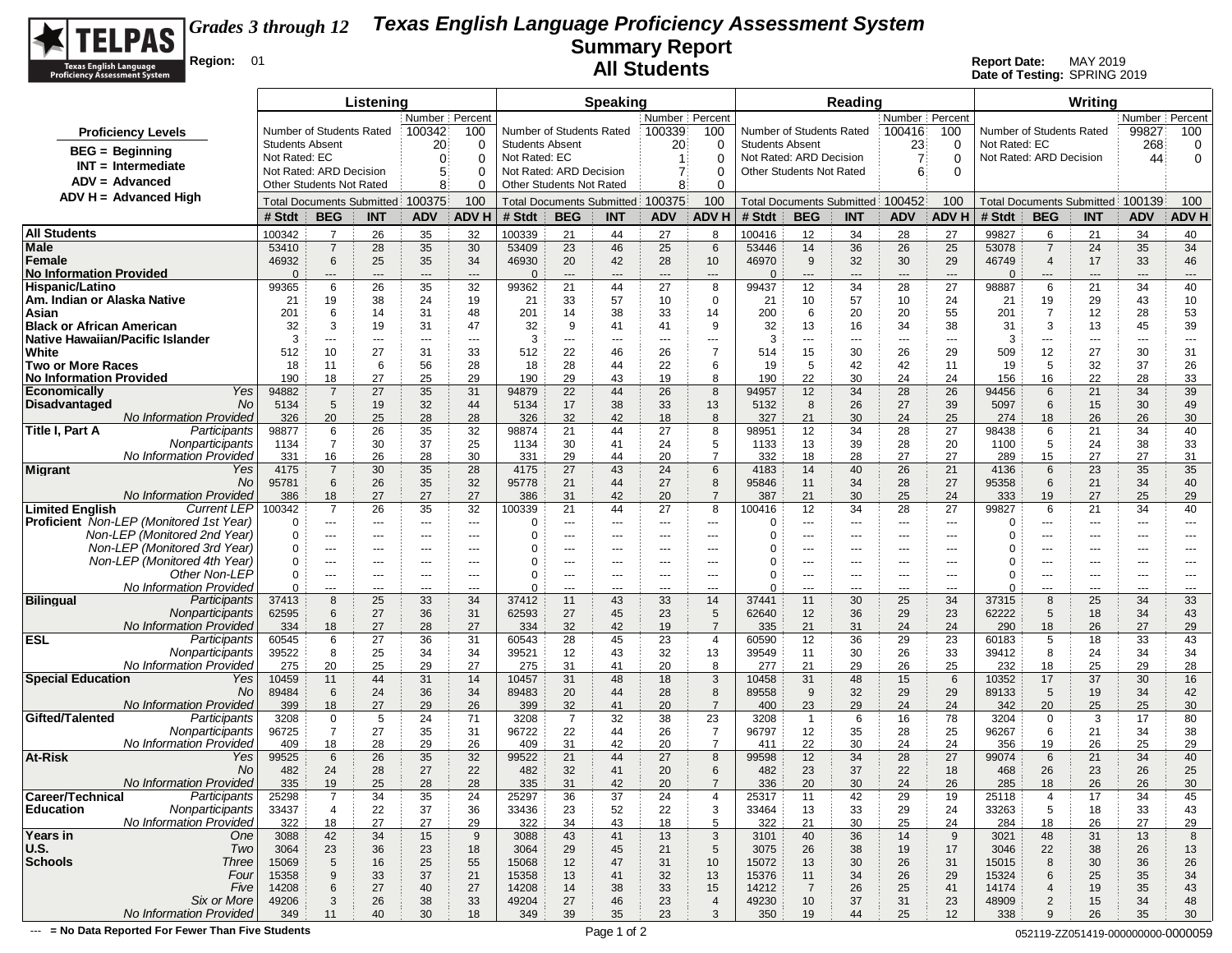

**Date of Testing:** SPRING 2019

|                                                              |                        |                                                            | Listening         |                          |                                |                        |                                   | <b>Speaking</b>      |                  |                                |                        |                                 | Reading                          |                          |                                |                   |                          | Writing                           |                               |                               |
|--------------------------------------------------------------|------------------------|------------------------------------------------------------|-------------------|--------------------------|--------------------------------|------------------------|-----------------------------------|----------------------|------------------|--------------------------------|------------------------|---------------------------------|----------------------------------|--------------------------|--------------------------------|-------------------|--------------------------|-----------------------------------|-------------------------------|-------------------------------|
|                                                              |                        |                                                            |                   | Number   Percent         |                                |                        |                                   |                      | Number   Percent |                                |                        |                                 |                                  | Number Percent           |                                |                   |                          |                                   | Number   Percent              |                               |
| <b>Proficiency Levels</b>                                    |                        | Number of Students Rated                                   |                   | 100342                   | 100                            |                        | Number of Students Rated          |                      | 100339           | 100                            |                        | Number of Students Rated        |                                  | 100416                   | 100                            |                   | Number of Students Rated |                                   | 99827                         | 100                           |
| <b>BEG</b> = Beginning                                       | <b>Students Absent</b> |                                                            |                   | 20                       | 0                              | <b>Students Absent</b> |                                   |                      | 20               | 0                              | <b>Students Absent</b> |                                 |                                  | 23                       | $\Omega$                       | Not Rated: EC     |                          |                                   | 268                           | 0                             |
| $INT = Intermediate$                                         | Not Rated: EC          |                                                            |                   | $\mathbf{0}$             | $\Omega$                       | Not Rated: EC          |                                   |                      | -1               | 0                              |                        | Not Rated: ARD Decision         |                                  | 7:                       | $\Omega$                       |                   | Not Rated: ARD Decision  |                                   | 44                            | $\mathbf 0$                   |
| $ADV = Advanced$                                             |                        | Not Rated: ARD Decision<br><b>Other Students Not Rated</b> |                   | 5                        | $\Omega$                       |                        | Not Rated: ARD Decision           |                      | 7                | $\Omega$                       |                        | <b>Other Students Not Rated</b> |                                  | 6                        | $\Omega$                       |                   |                          |                                   |                               |                               |
| ADV H = Advanced High                                        |                        |                                                            |                   | 8                        | $\Omega$                       |                        | Other Students Not Rated          |                      | 8                | $\Omega$                       |                        |                                 |                                  |                          |                                |                   |                          |                                   |                               |                               |
|                                                              |                        | <b>Total Documents Submitted</b>                           |                   | 100375                   | 100                            |                        | <b>Total Documents Submitted:</b> |                      | 100375           | 100                            |                        |                                 | Total Documents Submitted 100452 |                          | 100                            |                   |                          | Total Documents Submitted: 100139 |                               | 100                           |
|                                                              | # Stdt                 | <b>BEG</b>                                                 | <b>INT</b>        | <b>ADV</b>               | <b>ADV H</b>                   | # Stdt                 | <b>BEG</b>                        | <b>INT</b>           | <b>ADV</b>       | ADV H                          | # Stdt                 | <b>BEG</b>                      | <b>INT</b>                       | <b>ADV</b>               | <b>ADV H</b>                   | # Stdt            | <b>BEG</b>               | <b>INT</b>                        | <b>ADV</b>                    | <b>ADV H</b>                  |
| <b>All Students</b>                                          | 100342                 | $\overline{7}$                                             | 26                | 35                       | 32                             | 100339                 | 21                                | 44                   | 27               | 8                              | 100416                 | 12                              | 34                               | 28                       | 27                             | 99827             | 6                        | 21                                | 34                            | 40                            |
| Male                                                         | 53410                  | $\overline{7}$                                             | 28                | 35                       | 30                             | 53409                  | 23                                | 46                   | 25               | 6                              | 53446                  | 14                              | 36                               | 26                       | 25                             | 53078             | $\overline{7}$           | 24                                | 35                            | 34                            |
| Female<br><b>No Information Provided</b>                     | 46932<br>$\Omega$      | 6<br>$---$                                                 | 25<br>---         | 35<br>$\cdots$           | 34<br>$\overline{\phantom{a}}$ | 46930<br>$\Omega$      | 20<br>$\hspace{0.05cm} \ldots$    | 42<br>---            | 28<br>---        | 10<br>$\overline{\phantom{a}}$ | 46970<br>$\Omega$      | 9<br>$\hspace{0.05cm} \ldots$   | 32<br>---                        | 30<br>---                | 29<br>$\overline{\phantom{a}}$ | 46749<br>$\Omega$ | $\overline{4}$<br>---    | 17<br>---                         | 33<br>---                     | 46<br>---                     |
| Hispanic/Latino                                              | 99365                  | 6                                                          | 26                | 35                       | 32                             | 99362                  | 21                                | 44                   | 27               | 8                              | 99437                  | 12                              | 34                               | 28                       | 27                             | 98887             | 6                        | 21                                | 34                            | 40                            |
| Am. Indian or Alaska Native                                  | 21                     | 19                                                         | 38                | 24                       | 19                             | 21                     | 33                                | 57                   | 10               | 0                              | 21                     | 10                              | 57                               | 10                       | 24                             | 21                | 19                       | 29                                | 43                            | 10                            |
| Asian                                                        | 201                    | 6                                                          | 14                | 31                       | 48                             | 201                    | 14                                | 38                   | 33               | 14                             | 200                    | 6                               | 20                               | 20                       | 55                             | 201               | $\overline{7}$           | 12                                | 28                            | 53                            |
| <b>Black or African American</b>                             | 32                     | 3                                                          | 19                | 31                       | 47                             | 32                     | 9                                 | 41                   | 41               | 9                              | 32                     | 13                              | 16                               | 34                       | 38                             | 31                | 3                        | 13                                | 45                            | 39                            |
| Native Hawaiian/Pacific Islander                             | 3                      | ---                                                        | ---               | $\overline{\phantom{a}}$ | $\hspace{0.05cm} \ldots$       | 3                      | $---$                             | ---                  | ---              | $\qquad \qquad \cdots$         | 3                      | $\cdots$                        | ---                              | $\hspace{0.05cm} \ldots$ | $\overline{a}$                 | 3                 | ---                      | ---                               | $\hspace{1.5cm} \textbf{---}$ | $\hspace{1.5cm} \textbf{---}$ |
| White<br><b>Two or More Races</b>                            | 512<br>18              | 10<br>11                                                   | 27<br>6           | 31<br>56                 | 33<br>28                       | 512<br>18              | 22<br>28                          | 46<br>44             | 26<br>22         | $\overline{7}$<br>6            | 514<br>19              | 15<br>5                         | 30<br>42                         | 26<br>42                 | 29<br>11                       | 509<br>19         | 12<br>5                  | 27<br>32                          | 30<br>37                      | 31<br>26                      |
| <b>No Information Provided</b>                               | 190                    | 18                                                         | 27                | 25                       | 29                             | 190                    | 29                                | 43                   | 19               | 8                              | 190                    | 22                              | 30                               | 24                       | 24                             | 156               | 16                       | 22                                | 28                            | 33                            |
| <b>Economically</b><br>Yes                                   | 94882                  | $\overline{7}$                                             | 27                | 35                       | 31                             | 94879                  | 22                                | 44                   | 26               | 8                              | 94957                  | 12                              | 34                               | 28                       | 26                             | 94456             | 6                        | 21                                | 34                            | 39                            |
| <b>Disadvantaged</b><br>No                                   | 5134                   | 5                                                          | 19                | 32                       | 44                             | 5134                   | 17                                | 38                   | 33               | 13                             | 5132                   | 8                               | 26                               | 27                       | 39                             | 5097              | 6                        | 15                                | 30                            | 49                            |
| No Information Provided                                      | 326                    | 20                                                         | 25                | 28                       | 28                             | 326                    | 32                                | 42                   | 18               | 8                              | 327                    | 21                              | 30                               | 24                       | 25                             | 274               | 18                       | 26                                | 26                            | 30                            |
| Title I, Part A<br>Participants                              | 98877                  | 6                                                          | 26                | 35                       | 32                             | 98874                  | 21                                | 44                   | 27               | 8                              | 98951                  | 12                              | 34                               | 28                       | 27                             | 98438             | 6                        | 21                                | 34                            | 40                            |
| Nonparticipants<br>No Information Provided                   | 1134                   | $\overline{7}$                                             | 30                | 37<br>28                 | 25<br>30                       | 1134                   | 30                                | 41<br>44             | 24               | 5<br>$\overline{7}$            | 1133                   | 13                              | 39<br>28                         | 28                       | 20<br>27                       | 1100              | 5<br>15                  | 24                                | 38<br>27                      | 33                            |
| Migrant<br>Yes                                               | 331<br>4175            | 16<br>$\overline{7}$                                       | 26<br>30          | 35                       | 28                             | 331<br>4175            | 29<br>27                          | 43                   | 20<br>24         | 6                              | 332<br>4183            | 18<br>14                        | 40                               | 27<br>26                 | 21                             | 289<br>4136       | 6                        | 27<br>23                          | 35                            | 31<br>35                      |
| No                                                           | 95781                  | 6                                                          | 26                | 35                       | 32                             | 95778                  | 21                                | 44                   | 27               | 8                              | 95846                  | 11                              | 34                               | 28                       | 27                             | 95358             | 6                        | 21                                | 34                            | 40                            |
| <b>No Information Provided</b>                               | 386                    | 18                                                         | 27                | 27                       | 27                             | 386                    | 31                                | 42                   | 20               | $\overline{7}$                 | 387                    | 21                              | 30                               | 25                       | 24                             | 333               | 19                       | 27                                | 25                            | 29                            |
| <b>Limited English</b><br><b>Current LEP</b>                 | 100342                 | $\overline{7}$                                             | 26                | 35                       | 32                             | 100339                 | 21                                | 44                   | 27               | 8                              | 100416                 | 12                              | 34                               | 28                       | 27                             | 99827             | 6                        | 21                                | 34                            | 40                            |
| <b>Proficient</b> Non-LEP (Monitored 1st Year)               | $\Omega$               | $\scriptstyle\cdots$                                       | $\cdots$          | $\cdots$                 | $\sim$ $\sim$ $\sim$           | $\Omega$               | $\cdots$                          | $\sim$ $\sim$ $\sim$ | ---              | ---                            | $\Omega$               | ---                             | $\cdots$                         | $\hspace{0.05cm} \ldots$ | $\overline{\phantom{a}}$       | 0                 | ---                      | ---                               | $---$                         | $\cdots$                      |
| Non-LEP (Monitored 2nd Year)<br>Non-LEP (Monitored 3rd Year) | 0<br>$\Omega$          | ---<br>$--$                                                | $\cdots$<br>$---$ | ---<br>$\cdots$          | $---$<br>$\sim$ $\sim$         | 0<br>0                 | $\overline{a}$<br>$---$           | ---<br>$---$         | ---<br>$---$     | ---<br>$---$                   | 0<br>0                 | $\cdots$<br>$\cdots$            | $---$<br>$---$                   | ---<br>---               | $\overline{a}$<br>$- - -$      | 0<br>0            | ---<br>$\cdots$          | ---<br>---                        | ---<br>$---$                  | ---<br>$---$                  |
| Non-LEP (Monitored 4th Year)                                 | $\Omega$               | $---$                                                      | ---               | ---                      |                                | $\Omega$               |                                   | ---                  |                  | ---                            | ∩                      | ---                             | ---                              | ---                      |                                | 0                 | ---                      | ---                               |                               | ---                           |
| Other Non-LEP                                                | 0                      | $\sim$ $\sim$                                              | $---$             | $---$                    | $\sim$ $\sim$                  | $\Omega$               | $---$                             | $---$                | $---$            | $---$                          | $\Omega$               | $---$                           | $--$                             | $---$                    | $---$                          | 0                 | $---$                    | $---$                             | $---$                         | $---$                         |
| No Information Provided                                      | $\Omega$               | $- - -$                                                    | $---$             | $- - -$                  | $\overline{a}$                 | $\Omega$               | $---$                             | $---$                | $---$            | $\overline{a}$                 | $\Omega$               | $\overline{a}$                  | $---$                            | $\hspace{0.05cm} \ldots$ | $-$                            | $\Omega$          | $---$                    | ---                               | $\overline{a}$                | $- - -$                       |
| <b>Bilingual</b><br>Participants                             | 37413                  | 8                                                          | 25                | 33                       | 34                             | 37412                  | 11                                | 43                   | 33               | 14                             | 37441                  | 11                              | 30                               | 25                       | 34                             | 37315             | 8                        | 25                                | 34                            | 33                            |
| Nonparticipants<br>No Information Provided                   | 62595<br>334           | 6<br>18                                                    | 27<br>27          | 36<br>28                 | 31<br>27                       | 62593<br>334           | 27<br>32                          | 45<br>42             | 23<br>19         | 5<br>$\overline{7}$            | 62640<br>335           | 12<br>21                        | 36<br>31                         | 29<br>24                 | 23<br>24                       | 62222             | 5<br>18                  | 18<br>26                          | 34<br>27                      | 43<br>29                      |
| <b>ESL</b><br>Participants                                   | 60545                  | 6                                                          | 27                | 36                       | 31                             | 60543                  | 28                                | 45                   | 23               | $\overline{4}$                 | 60590                  | 12                              | 36                               | 29                       | 23                             | 290<br>60183      | 5                        | 18                                | 33                            | 43                            |
| Nonparticipants                                              | 39522                  | 8                                                          | 25                | 34                       | 34                             | 39521                  | 12                                | 43                   | 32               | 13                             | 39549                  | 11                              | 30                               | 26                       | 33                             | 39412             | 8                        | 24                                | 34                            | 34                            |
| No Information Provided                                      | 275                    | 20                                                         | 25                | 29                       | 27                             | 275                    | 31                                | 41                   | 20               | 8                              | 277                    | 21                              | 29                               | 26                       | 25                             | 232               | 18                       | 25                                | 29                            | 28                            |
| <b>Special Education</b><br>Yes                              | 10459                  | 11                                                         | 44                | 31                       | 14                             | 10457                  | 31                                | 48                   | 18               | 3                              | 10458                  | 31                              | 48                               | 15                       | 6                              | 10352             | 17                       | 37                                | 30                            | 16                            |
| No                                                           | 89484                  | 6                                                          | 24                | 36                       | 34                             | 89483                  | 20                                | 44                   | 28               | 8                              | 89558                  | 9                               | 32                               | 29                       | 29                             | 89133             | 5                        | 19                                | 34                            | 42                            |
| No Information Provided<br>Gifted/Talented<br>Participants   | 399<br>3208            | 18<br>$\mathbf 0$                                          | 27<br>5           | 29<br>24                 | 26<br>71                       | 399<br>3208            | 32<br>$\overline{7}$              | 41<br>32             | 20<br>38         | $\overline{7}$<br>23           | 400<br>3208            | 23<br>$\overline{1}$            | 29<br>6                          | 24<br>16                 | 24<br>78                       | 342<br>3204       | 20<br>$\Omega$           | 25<br>3                           | 25<br>17                      | 30<br>80                      |
| Nonparticipants                                              | 96725                  | $\overline{7}$                                             | 27                | 35                       | 31                             | 96722                  | 22                                | 44                   | 26               | $\overline{7}$                 | 96797                  | 12                              | 35                               | 28                       | 25                             | 96267             | 6                        | 21                                | 34                            | 38                            |
| No Information Provided                                      | 409                    | 18                                                         | 28                | 29                       | 26                             | 409                    | 31                                | 42                   | 20               | $\overline{7}$                 | 411                    | 22                              | 30                               | 24                       | 24                             | 356               | 19                       | 26                                | 25                            | 29                            |
| At-Risk<br>Yes                                               | 99525                  | 6                                                          | 26                | 35                       | 32                             | 99522                  | 21                                | 44                   | 27               | 8                              | 99598                  | 12                              | 34                               | 28                       | 27                             | 99074             | 6                        | 21                                | 34                            | 40                            |
| No                                                           | 482                    | 24                                                         | 28                | 27                       | 22                             | 482                    | 32                                | 41                   | 20               | 6                              | 482                    | 23                              | 37                               | 22                       | 18                             | 468               | 26                       | 23                                | 26                            | 25                            |
| <b>No Information Provided</b><br>Participants               | 335                    | 19                                                         | 25                | 28                       | 28                             | 335                    | 31                                | 42                   | 20               |                                | 336                    | 20                              | 30                               | 24                       | 26                             | 285               | 18                       | 26                                | 26                            | 30                            |
| Career/Technical<br>Education<br>Nonparticipants             | 25298<br>33437         | 7<br>$\overline{4}$                                        | 34<br>22          | 35<br>37                 | 24<br>36                       | 25297<br>33436         | 36<br>23                          | 37<br>52             | 24<br>22         | $\overline{4}$<br>3            | 25317<br>33464         | 11<br>13                        | 42<br>33                         | 29<br>29                 | 19<br>24                       | 25118<br>33263    | 4<br>5                   | 17<br>18                          | 34<br>33                      | 45<br>43                      |
| No Information Provided                                      | 322                    | 18                                                         | 27                | 27                       | 29                             | 322                    | 34                                | 43                   | 18               | $\overline{5}$                 | 322                    | 21                              | 30                               | 25                       | 24                             | 284               | 18                       | 26                                | 27                            | 29                            |
| Years in<br>One                                              | 3088                   | 42                                                         | 34                | 15                       | 9                              | 3088                   | 43                                | 41                   | 13               | $\mathbf{3}$                   | 3101                   | 40                              | 36                               | 14                       | 9                              | 3021              | 48                       | 31                                | 13                            | 8                             |
| U.S.<br>Two                                                  | 3064                   | 23                                                         | 36                | 23                       | 18                             | 3064                   | 29                                | 45                   | 21               | $5\phantom{.0}$                | 3075                   | 26                              | 38                               | 19                       | 17                             | 3046              | 22                       | 38                                | 26                            | 13                            |
| <b>Schools</b><br><b>Three</b>                               | 15069                  | $\overline{5}$                                             | 16                | 25                       | 55                             | 15068                  | 12                                | 47                   | 31               | 10                             | 15072                  | 13                              | 30                               | 26                       | 31                             | 15015             | 8                        | 30                                | 36                            | 26                            |
| Four                                                         | 15358                  | 9                                                          | 33                | 37                       | 21                             | 15358                  | 13                                | 41                   | 32               | 13                             | 15376                  | 11                              | 34                               | 26                       | 29                             | 15324             | 6                        | 25                                | 35                            | 34                            |
| Five<br>Six or More                                          | 14208<br>49206         | 6<br>3                                                     | 27<br>26          | 40<br>38                 | 27<br>33                       | 14208<br>49204         | 14<br>27                          | 38<br>46             | 33<br>23         | 15<br>$\overline{4}$           | 14212<br>49230         | $\overline{7}$<br>10            | 26<br>37                         | 25<br>31                 | 41<br>23                       | 14174<br>48909    | 4<br>$\overline{2}$      | 19<br>15                          | 35<br>34                      | 43<br>48                      |
| No Information Provided                                      | 349                    | 11                                                         | 40                | 30                       | 18                             | 349                    | 39                                | 35                   | 23               | 3                              | 350                    | 19                              | 44                               | 25                       | 12                             | 338               | 9                        | 26                                | 35                            | 30                            |